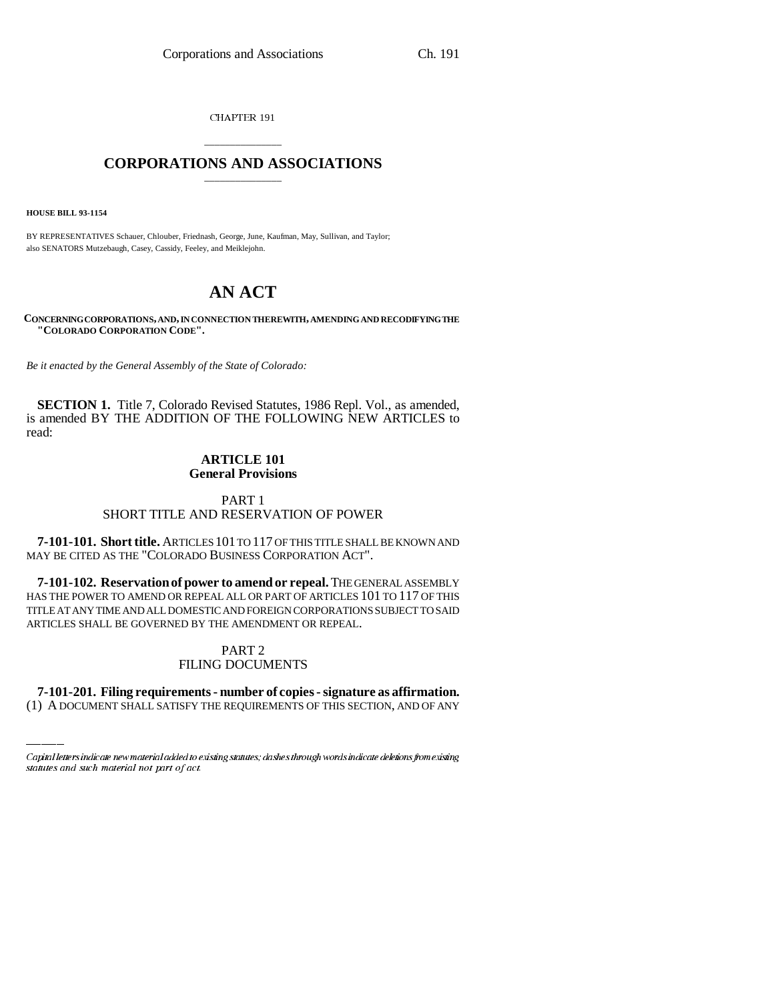CHAPTER 191

# \_\_\_\_\_\_\_\_\_\_\_\_\_\_\_ **CORPORATIONS AND ASSOCIATIONS** \_\_\_\_\_\_\_\_\_\_\_\_\_\_\_

**HOUSE BILL 93-1154**

BY REPRESENTATIVES Schauer, Chlouber, Friednash, George, June, Kaufman, May, Sullivan, and Taylor; also SENATORS Mutzebaugh, Casey, Cassidy, Feeley, and Meiklejohn.

# **AN ACT**

**CONCERNING CORPORATIONS, AND, IN CONNECTION THEREWITH, AMENDING AND RECODIFYING THE "COLORADO CORPORATION CODE".**

*Be it enacted by the General Assembly of the State of Colorado:*

**SECTION 1.** Title 7, Colorado Revised Statutes, 1986 Repl. Vol., as amended, is amended BY THE ADDITION OF THE FOLLOWING NEW ARTICLES to read:

## **ARTICLE 101 General Provisions**

## PART 1 SHORT TITLE AND RESERVATION OF POWER

**7-101-101. Short title.** ARTICLES 101 TO 117 OF THIS TITLE SHALL BE KNOWN AND MAY BE CITED AS THE "COLORADO BUSINESS CORPORATION ACT".

**7-101-102. Reservation of power to amend or repeal.** THE GENERAL ASSEMBLY HAS THE POWER TO AMEND OR REPEAL ALL OR PART OF ARTICLES 101 TO 117 OF THIS TITLE AT ANY TIME AND ALL DOMESTIC AND FOREIGN CORPORATIONS SUBJECT TO SAID ARTICLES SHALL BE GOVERNED BY THE AMENDMENT OR REPEAL.

## PART 2 FILING DOCUMENTS

**7-101-201. Filing requirements - number of copies - signature as affirmation.** (1) A DOCUMENT SHALL SATISFY THE REQUIREMENTS OF THIS SECTION, AND OF ANY

Capital letters indicate new material added to existing statutes; dashes through words indicate deletions from existing statutes and such material not part of act.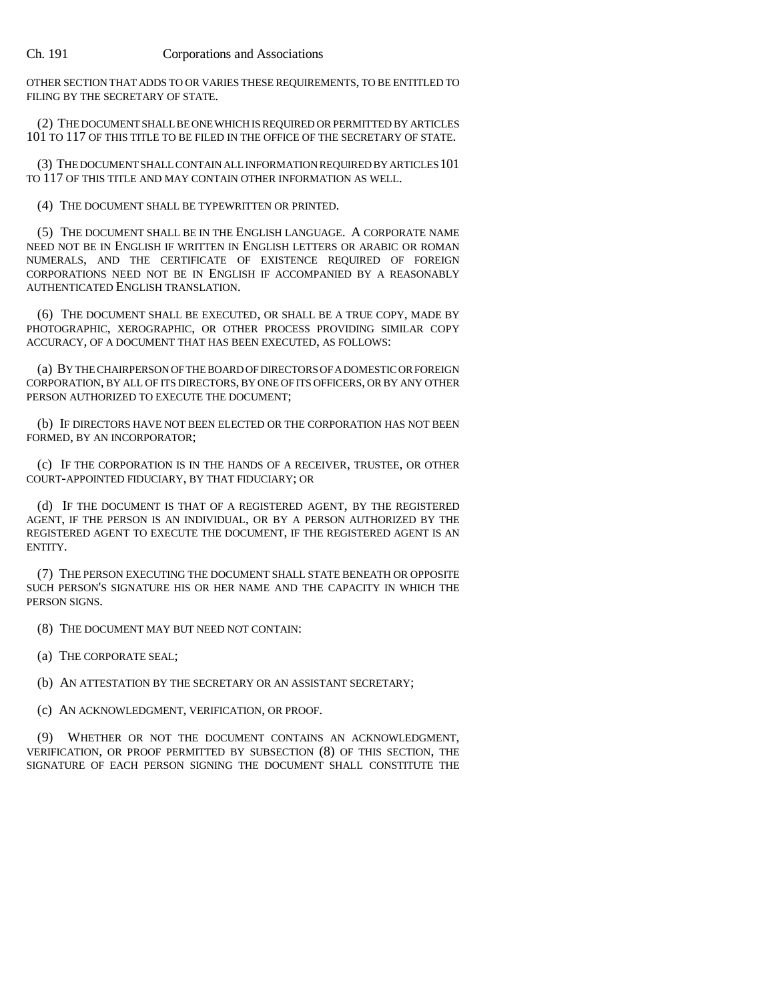OTHER SECTION THAT ADDS TO OR VARIES THESE REQUIREMENTS, TO BE ENTITLED TO FILING BY THE SECRETARY OF STATE.

(2) THE DOCUMENT SHALL BE ONE WHICH IS REQUIRED OR PERMITTED BY ARTICLES 101 TO 117 OF THIS TITLE TO BE FILED IN THE OFFICE OF THE SECRETARY OF STATE.

(3) THE DOCUMENT SHALL CONTAIN ALL INFORMATION REQUIRED BY ARTICLES 101 TO 117 OF THIS TITLE AND MAY CONTAIN OTHER INFORMATION AS WELL.

(4) THE DOCUMENT SHALL BE TYPEWRITTEN OR PRINTED.

(5) THE DOCUMENT SHALL BE IN THE ENGLISH LANGUAGE. A CORPORATE NAME NEED NOT BE IN ENGLISH IF WRITTEN IN ENGLISH LETTERS OR ARABIC OR ROMAN NUMERALS, AND THE CERTIFICATE OF EXISTENCE REQUIRED OF FOREIGN CORPORATIONS NEED NOT BE IN ENGLISH IF ACCOMPANIED BY A REASONABLY AUTHENTICATED ENGLISH TRANSLATION.

(6) THE DOCUMENT SHALL BE EXECUTED, OR SHALL BE A TRUE COPY, MADE BY PHOTOGRAPHIC, XEROGRAPHIC, OR OTHER PROCESS PROVIDING SIMILAR COPY ACCURACY, OF A DOCUMENT THAT HAS BEEN EXECUTED, AS FOLLOWS:

(a) BY THE CHAIRPERSON OF THE BOARD OF DIRECTORS OF A DOMESTIC OR FOREIGN CORPORATION, BY ALL OF ITS DIRECTORS, BY ONE OF ITS OFFICERS, OR BY ANY OTHER PERSON AUTHORIZED TO EXECUTE THE DOCUMENT;

(b) IF DIRECTORS HAVE NOT BEEN ELECTED OR THE CORPORATION HAS NOT BEEN FORMED, BY AN INCORPORATOR;

(c) IF THE CORPORATION IS IN THE HANDS OF A RECEIVER, TRUSTEE, OR OTHER COURT-APPOINTED FIDUCIARY, BY THAT FIDUCIARY; OR

(d) IF THE DOCUMENT IS THAT OF A REGISTERED AGENT, BY THE REGISTERED AGENT, IF THE PERSON IS AN INDIVIDUAL, OR BY A PERSON AUTHORIZED BY THE REGISTERED AGENT TO EXECUTE THE DOCUMENT, IF THE REGISTERED AGENT IS AN ENTITY.

(7) THE PERSON EXECUTING THE DOCUMENT SHALL STATE BENEATH OR OPPOSITE SUCH PERSON'S SIGNATURE HIS OR HER NAME AND THE CAPACITY IN WHICH THE PERSON SIGNS.

(8) THE DOCUMENT MAY BUT NEED NOT CONTAIN:

(a) THE CORPORATE SEAL;

(b) AN ATTESTATION BY THE SECRETARY OR AN ASSISTANT SECRETARY;

(c) AN ACKNOWLEDGMENT, VERIFICATION, OR PROOF.

(9) WHETHER OR NOT THE DOCUMENT CONTAINS AN ACKNOWLEDGMENT, VERIFICATION, OR PROOF PERMITTED BY SUBSECTION (8) OF THIS SECTION, THE SIGNATURE OF EACH PERSON SIGNING THE DOCUMENT SHALL CONSTITUTE THE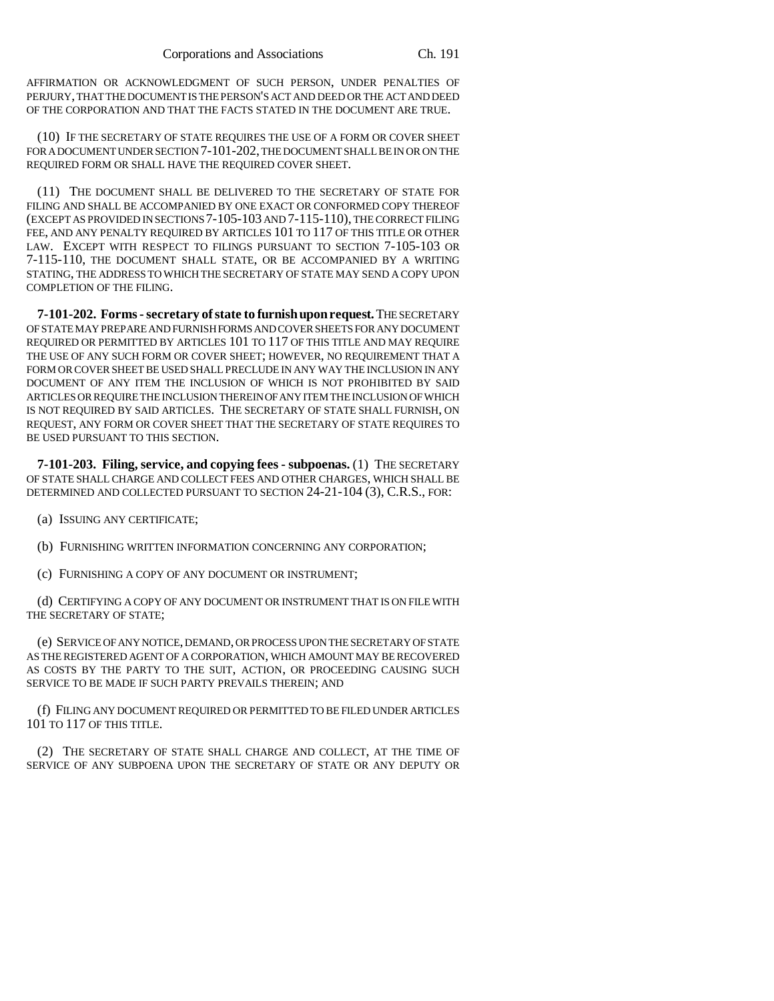AFFIRMATION OR ACKNOWLEDGMENT OF SUCH PERSON, UNDER PENALTIES OF PERJURY, THAT THE DOCUMENT IS THE PERSON'S ACT AND DEED OR THE ACT AND DEED OF THE CORPORATION AND THAT THE FACTS STATED IN THE DOCUMENT ARE TRUE.

(10) IF THE SECRETARY OF STATE REQUIRES THE USE OF A FORM OR COVER SHEET FOR A DOCUMENT UNDER SECTION 7-101-202, THE DOCUMENT SHALL BE IN OR ON THE REQUIRED FORM OR SHALL HAVE THE REQUIRED COVER SHEET.

(11) THE DOCUMENT SHALL BE DELIVERED TO THE SECRETARY OF STATE FOR FILING AND SHALL BE ACCOMPANIED BY ONE EXACT OR CONFORMED COPY THEREOF (EXCEPT AS PROVIDED IN SECTIONS 7-105-103 AND 7-115-110), THE CORRECT FILING FEE, AND ANY PENALTY REQUIRED BY ARTICLES 101 TO 117 OF THIS TITLE OR OTHER LAW. EXCEPT WITH RESPECT TO FILINGS PURSUANT TO SECTION 7-105-103 OR 7-115-110, THE DOCUMENT SHALL STATE, OR BE ACCOMPANIED BY A WRITING STATING, THE ADDRESS TO WHICH THE SECRETARY OF STATE MAY SEND A COPY UPON COMPLETION OF THE FILING.

**7-101-202. Forms - secretary of state to furnish upon request.** THE SECRETARY OF STATE MAY PREPARE AND FURNISH FORMS AND COVER SHEETS FOR ANY DOCUMENT REQUIRED OR PERMITTED BY ARTICLES 101 TO 117 OF THIS TITLE AND MAY REQUIRE THE USE OF ANY SUCH FORM OR COVER SHEET; HOWEVER, NO REQUIREMENT THAT A FORM OR COVER SHEET BE USED SHALL PRECLUDE IN ANY WAY THE INCLUSION IN ANY DOCUMENT OF ANY ITEM THE INCLUSION OF WHICH IS NOT PROHIBITED BY SAID ARTICLES OR REQUIRE THE INCLUSION THEREIN OF ANY ITEM THE INCLUSION OF WHICH IS NOT REQUIRED BY SAID ARTICLES. THE SECRETARY OF STATE SHALL FURNISH, ON REQUEST, ANY FORM OR COVER SHEET THAT THE SECRETARY OF STATE REQUIRES TO BE USED PURSUANT TO THIS SECTION.

**7-101-203. Filing, service, and copying fees - subpoenas.** (1) THE SECRETARY OF STATE SHALL CHARGE AND COLLECT FEES AND OTHER CHARGES, WHICH SHALL BE DETERMINED AND COLLECTED PURSUANT TO SECTION 24-21-104 (3), C.R.S., FOR:

- (a) ISSUING ANY CERTIFICATE;
- (b) FURNISHING WRITTEN INFORMATION CONCERNING ANY CORPORATION;
- (c) FURNISHING A COPY OF ANY DOCUMENT OR INSTRUMENT;

(d) CERTIFYING A COPY OF ANY DOCUMENT OR INSTRUMENT THAT IS ON FILE WITH THE SECRETARY OF STATE;

(e) SERVICE OF ANY NOTICE, DEMAND, OR PROCESS UPON THE SECRETARY OF STATE AS THE REGISTERED AGENT OF A CORPORATION, WHICH AMOUNT MAY BE RECOVERED AS COSTS BY THE PARTY TO THE SUIT, ACTION, OR PROCEEDING CAUSING SUCH SERVICE TO BE MADE IF SUCH PARTY PREVAILS THEREIN; AND

(f) FILING ANY DOCUMENT REQUIRED OR PERMITTED TO BE FILED UNDER ARTICLES 101 TO 117 OF THIS TITLE.

(2) THE SECRETARY OF STATE SHALL CHARGE AND COLLECT, AT THE TIME OF SERVICE OF ANY SUBPOENA UPON THE SECRETARY OF STATE OR ANY DEPUTY OR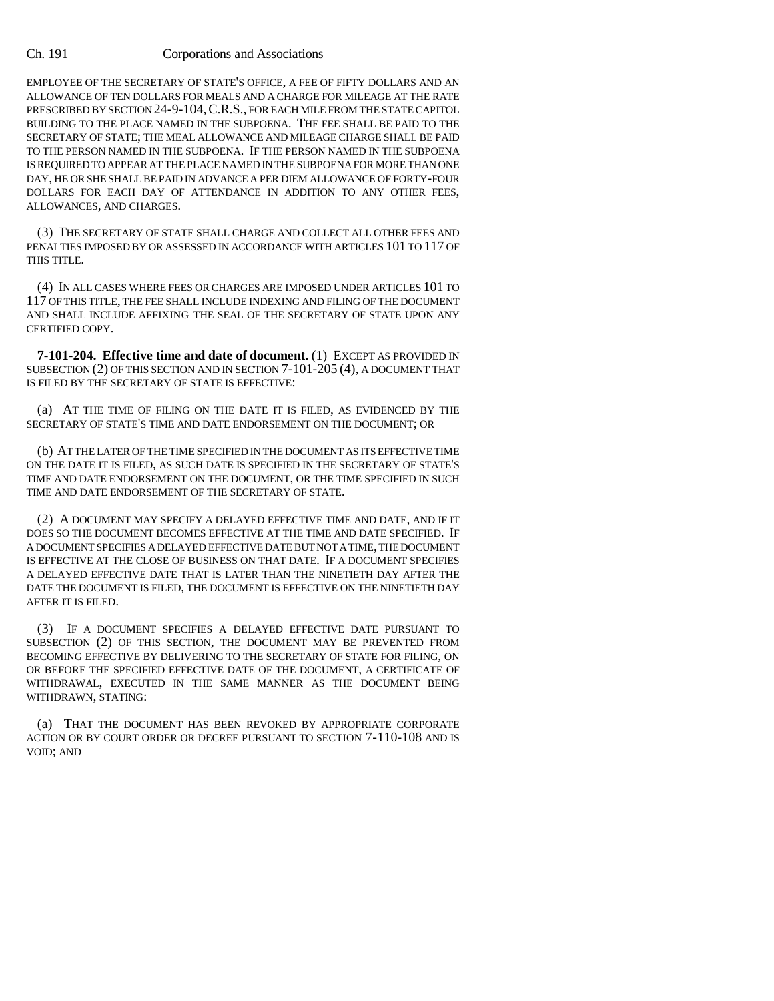EMPLOYEE OF THE SECRETARY OF STATE'S OFFICE, A FEE OF FIFTY DOLLARS AND AN ALLOWANCE OF TEN DOLLARS FOR MEALS AND A CHARGE FOR MILEAGE AT THE RATE PRESCRIBED BY SECTION 24-9-104,C.R.S., FOR EACH MILE FROM THE STATE CAPITOL BUILDING TO THE PLACE NAMED IN THE SUBPOENA. THE FEE SHALL BE PAID TO THE SECRETARY OF STATE; THE MEAL ALLOWANCE AND MILEAGE CHARGE SHALL BE PAID TO THE PERSON NAMED IN THE SUBPOENA. IF THE PERSON NAMED IN THE SUBPOENA IS REQUIRED TO APPEAR AT THE PLACE NAMED IN THE SUBPOENA FOR MORE THAN ONE DAY, HE OR SHE SHALL BE PAID IN ADVANCE A PER DIEM ALLOWANCE OF FORTY-FOUR DOLLARS FOR EACH DAY OF ATTENDANCE IN ADDITION TO ANY OTHER FEES, ALLOWANCES, AND CHARGES.

(3) THE SECRETARY OF STATE SHALL CHARGE AND COLLECT ALL OTHER FEES AND PENALTIES IMPOSED BY OR ASSESSED IN ACCORDANCE WITH ARTICLES 101 TO 117 OF THIS TITLE.

(4) IN ALL CASES WHERE FEES OR CHARGES ARE IMPOSED UNDER ARTICLES 101 TO 117 OF THIS TITLE, THE FEE SHALL INCLUDE INDEXING AND FILING OF THE DOCUMENT AND SHALL INCLUDE AFFIXING THE SEAL OF THE SECRETARY OF STATE UPON ANY CERTIFIED COPY.

**7-101-204. Effective time and date of document.** (1) EXCEPT AS PROVIDED IN SUBSECTION (2) OF THIS SECTION AND IN SECTION 7-101-205 (4), A DOCUMENT THAT IS FILED BY THE SECRETARY OF STATE IS EFFECTIVE:

(a) AT THE TIME OF FILING ON THE DATE IT IS FILED, AS EVIDENCED BY THE SECRETARY OF STATE'S TIME AND DATE ENDORSEMENT ON THE DOCUMENT; OR

(b) AT THE LATER OF THE TIME SPECIFIED IN THE DOCUMENT AS ITS EFFECTIVE TIME ON THE DATE IT IS FILED, AS SUCH DATE IS SPECIFIED IN THE SECRETARY OF STATE'S TIME AND DATE ENDORSEMENT ON THE DOCUMENT, OR THE TIME SPECIFIED IN SUCH TIME AND DATE ENDORSEMENT OF THE SECRETARY OF STATE.

(2) A DOCUMENT MAY SPECIFY A DELAYED EFFECTIVE TIME AND DATE, AND IF IT DOES SO THE DOCUMENT BECOMES EFFECTIVE AT THE TIME AND DATE SPECIFIED. IF A DOCUMENT SPECIFIES A DELAYED EFFECTIVE DATE BUT NOT A TIME, THE DOCUMENT IS EFFECTIVE AT THE CLOSE OF BUSINESS ON THAT DATE. IF A DOCUMENT SPECIFIES A DELAYED EFFECTIVE DATE THAT IS LATER THAN THE NINETIETH DAY AFTER THE DATE THE DOCUMENT IS FILED, THE DOCUMENT IS EFFECTIVE ON THE NINETIETH DAY AFTER IT IS FILED.

(3) IF A DOCUMENT SPECIFIES A DELAYED EFFECTIVE DATE PURSUANT TO SUBSECTION (2) OF THIS SECTION, THE DOCUMENT MAY BE PREVENTED FROM BECOMING EFFECTIVE BY DELIVERING TO THE SECRETARY OF STATE FOR FILING, ON OR BEFORE THE SPECIFIED EFFECTIVE DATE OF THE DOCUMENT, A CERTIFICATE OF WITHDRAWAL, EXECUTED IN THE SAME MANNER AS THE DOCUMENT BEING WITHDRAWN, STATING:

(a) THAT THE DOCUMENT HAS BEEN REVOKED BY APPROPRIATE CORPORATE ACTION OR BY COURT ORDER OR DECREE PURSUANT TO SECTION 7-110-108 AND IS VOID; AND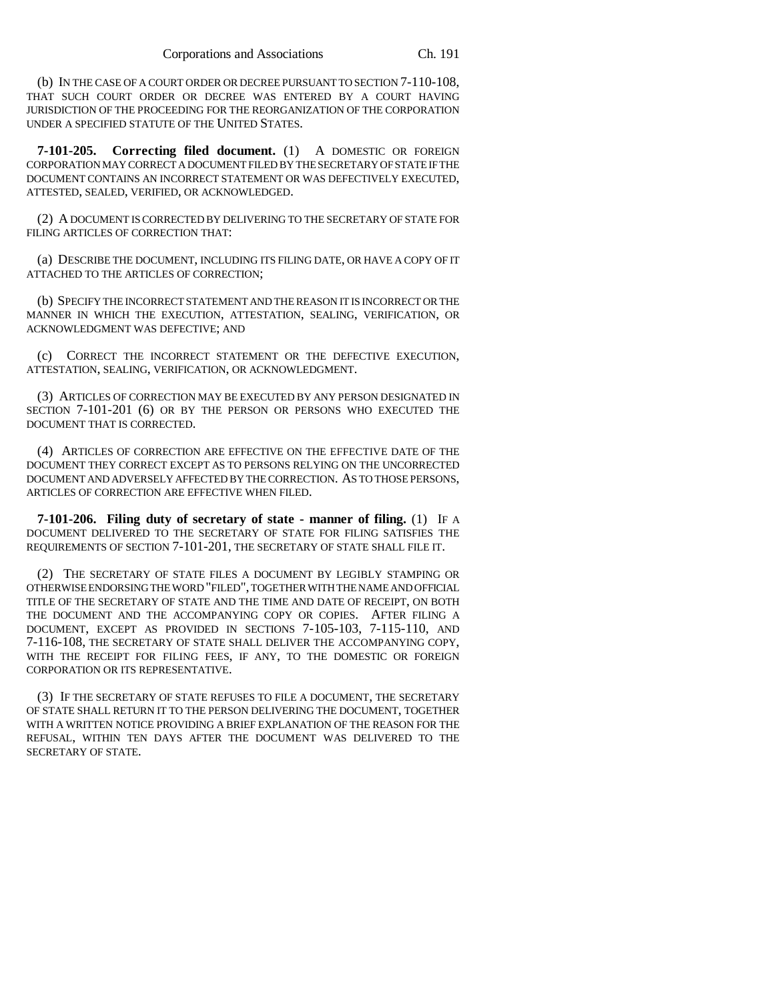(b) IN THE CASE OF A COURT ORDER OR DECREE PURSUANT TO SECTION 7-110-108, THAT SUCH COURT ORDER OR DECREE WAS ENTERED BY A COURT HAVING JURISDICTION OF THE PROCEEDING FOR THE REORGANIZATION OF THE CORPORATION UNDER A SPECIFIED STATUTE OF THE UNITED STATES.

**7-101-205. Correcting filed document.** (1) A DOMESTIC OR FOREIGN CORPORATION MAY CORRECT A DOCUMENT FILED BY THE SECRETARY OF STATE IF THE DOCUMENT CONTAINS AN INCORRECT STATEMENT OR WAS DEFECTIVELY EXECUTED, ATTESTED, SEALED, VERIFIED, OR ACKNOWLEDGED.

(2) A DOCUMENT IS CORRECTED BY DELIVERING TO THE SECRETARY OF STATE FOR FILING ARTICLES OF CORRECTION THAT:

(a) DESCRIBE THE DOCUMENT, INCLUDING ITS FILING DATE, OR HAVE A COPY OF IT ATTACHED TO THE ARTICLES OF CORRECTION;

(b) SPECIFY THE INCORRECT STATEMENT AND THE REASON IT IS INCORRECT OR THE MANNER IN WHICH THE EXECUTION, ATTESTATION, SEALING, VERIFICATION, OR ACKNOWLEDGMENT WAS DEFECTIVE; AND

(c) CORRECT THE INCORRECT STATEMENT OR THE DEFECTIVE EXECUTION, ATTESTATION, SEALING, VERIFICATION, OR ACKNOWLEDGMENT.

(3) ARTICLES OF CORRECTION MAY BE EXECUTED BY ANY PERSON DESIGNATED IN SECTION 7-101-201 (6) OR BY THE PERSON OR PERSONS WHO EXECUTED THE DOCUMENT THAT IS CORRECTED.

(4) ARTICLES OF CORRECTION ARE EFFECTIVE ON THE EFFECTIVE DATE OF THE DOCUMENT THEY CORRECT EXCEPT AS TO PERSONS RELYING ON THE UNCORRECTED DOCUMENT AND ADVERSELY AFFECTED BY THE CORRECTION. AS TO THOSE PERSONS, ARTICLES OF CORRECTION ARE EFFECTIVE WHEN FILED.

**7-101-206. Filing duty of secretary of state - manner of filing.** (1) IF A DOCUMENT DELIVERED TO THE SECRETARY OF STATE FOR FILING SATISFIES THE REQUIREMENTS OF SECTION 7-101-201, THE SECRETARY OF STATE SHALL FILE IT.

(2) THE SECRETARY OF STATE FILES A DOCUMENT BY LEGIBLY STAMPING OR OTHERWISE ENDORSING THE WORD "FILED", TOGETHER WITH THE NAME AND OFFICIAL TITLE OF THE SECRETARY OF STATE AND THE TIME AND DATE OF RECEIPT, ON BOTH THE DOCUMENT AND THE ACCOMPANYING COPY OR COPIES. AFTER FILING A DOCUMENT, EXCEPT AS PROVIDED IN SECTIONS 7-105-103, 7-115-110, AND 7-116-108, THE SECRETARY OF STATE SHALL DELIVER THE ACCOMPANYING COPY, WITH THE RECEIPT FOR FILING FEES, IF ANY, TO THE DOMESTIC OR FOREIGN CORPORATION OR ITS REPRESENTATIVE.

(3) IF THE SECRETARY OF STATE REFUSES TO FILE A DOCUMENT, THE SECRETARY OF STATE SHALL RETURN IT TO THE PERSON DELIVERING THE DOCUMENT, TOGETHER WITH A WRITTEN NOTICE PROVIDING A BRIEF EXPLANATION OF THE REASON FOR THE REFUSAL, WITHIN TEN DAYS AFTER THE DOCUMENT WAS DELIVERED TO THE SECRETARY OF STATE.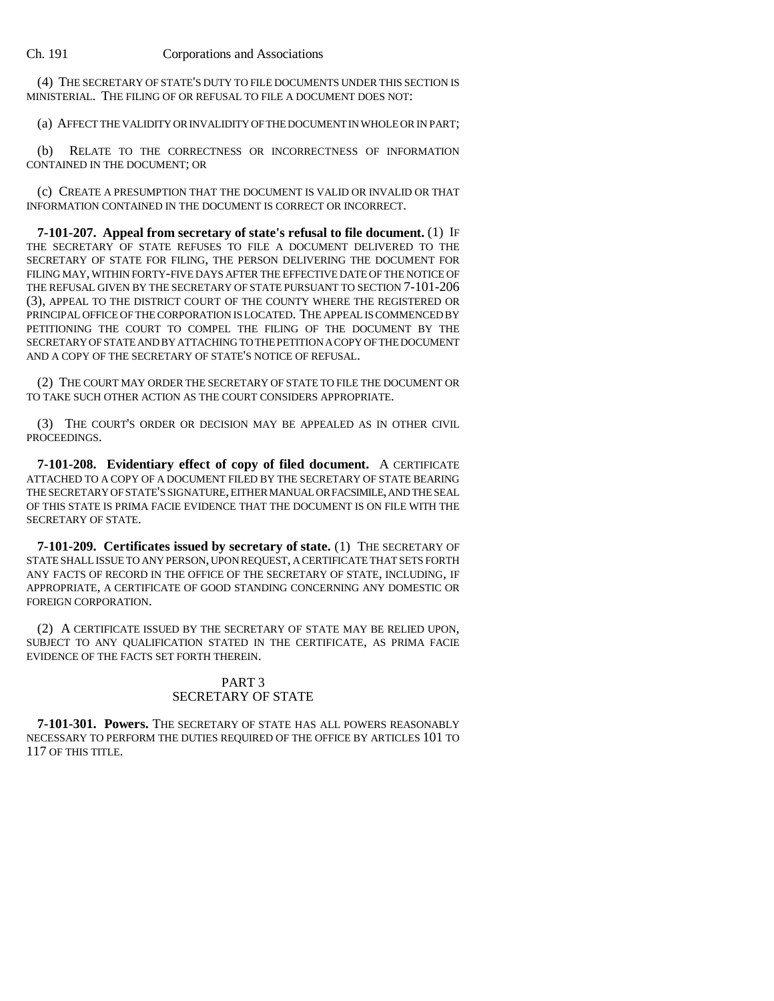(4) THE SECRETARY OF STATE'S DUTY TO FILE DOCUMENTS UNDER THIS SECTION IS MINISTERIAL. THE FILING OF OR REFUSAL TO FILE A DOCUMENT DOES NOT:

(a) AFFECT THE VALIDITY OR INVALIDITY OF THE DOCUMENT IN WHOLE OR IN PART;

(b) RELATE TO THE CORRECTNESS OR INCORRECTNESS OF INFORMATION CONTAINED IN THE DOCUMENT; OR

(c) CREATE A PRESUMPTION THAT THE DOCUMENT IS VALID OR INVALID OR THAT INFORMATION CONTAINED IN THE DOCUMENT IS CORRECT OR INCORRECT.

**7-101-207. Appeal from secretary of state's refusal to file document.** (1) IF THE SECRETARY OF STATE REFUSES TO FILE A DOCUMENT DELIVERED TO THE SECRETARY OF STATE FOR FILING, THE PERSON DELIVERING THE DOCUMENT FOR FILING MAY, WITHIN FORTY-FIVE DAYS AFTER THE EFFECTIVE DATE OF THE NOTICE OF THE REFUSAL GIVEN BY THE SECRETARY OF STATE PURSUANT TO SECTION 7-101-206 (3), APPEAL TO THE DISTRICT COURT OF THE COUNTY WHERE THE REGISTERED OR PRINCIPAL OFFICE OF THE CORPORATION IS LOCATED. THE APPEAL IS COMMENCED BY PETITIONING THE COURT TO COMPEL THE FILING OF THE DOCUMENT BY THE SECRETARY OF STATE AND BY ATTACHING TO THE PETITION A COPY OF THE DOCUMENT AND A COPY OF THE SECRETARY OF STATE'S NOTICE OF REFUSAL.

(2) THE COURT MAY ORDER THE SECRETARY OF STATE TO FILE THE DOCUMENT OR TO TAKE SUCH OTHER ACTION AS THE COURT CONSIDERS APPROPRIATE.

(3) THE COURT'S ORDER OR DECISION MAY BE APPEALED AS IN OTHER CIVIL PROCEEDINGS.

**7-101-208. Evidentiary effect of copy of filed document.** A CERTIFICATE ATTACHED TO A COPY OF A DOCUMENT FILED BY THE SECRETARY OF STATE BEARING THE SECRETARY OF STATE'S SIGNATURE, EITHER MANUAL OR FACSIMILE, AND THE SEAL OF THIS STATE IS PRIMA FACIE EVIDENCE THAT THE DOCUMENT IS ON FILE WITH THE SECRETARY OF STATE.

**7-101-209. Certificates issued by secretary of state.** (1) THE SECRETARY OF STATE SHALL ISSUE TO ANY PERSON, UPON REQUEST, A CERTIFICATE THAT SETS FORTH ANY FACTS OF RECORD IN THE OFFICE OF THE SECRETARY OF STATE, INCLUDING, IF APPROPRIATE, A CERTIFICATE OF GOOD STANDING CONCERNING ANY DOMESTIC OR FOREIGN CORPORATION.

(2) A CERTIFICATE ISSUED BY THE SECRETARY OF STATE MAY BE RELIED UPON, SUBJECT TO ANY QUALIFICATION STATED IN THE CERTIFICATE, AS PRIMA FACIE EVIDENCE OF THE FACTS SET FORTH THEREIN.

## PART 3 SECRETARY OF STATE

**7-101-301. Powers.** THE SECRETARY OF STATE HAS ALL POWERS REASONABLY NECESSARY TO PERFORM THE DUTIES REQUIRED OF THE OFFICE BY ARTICLES 101 TO 117 OF THIS TITLE.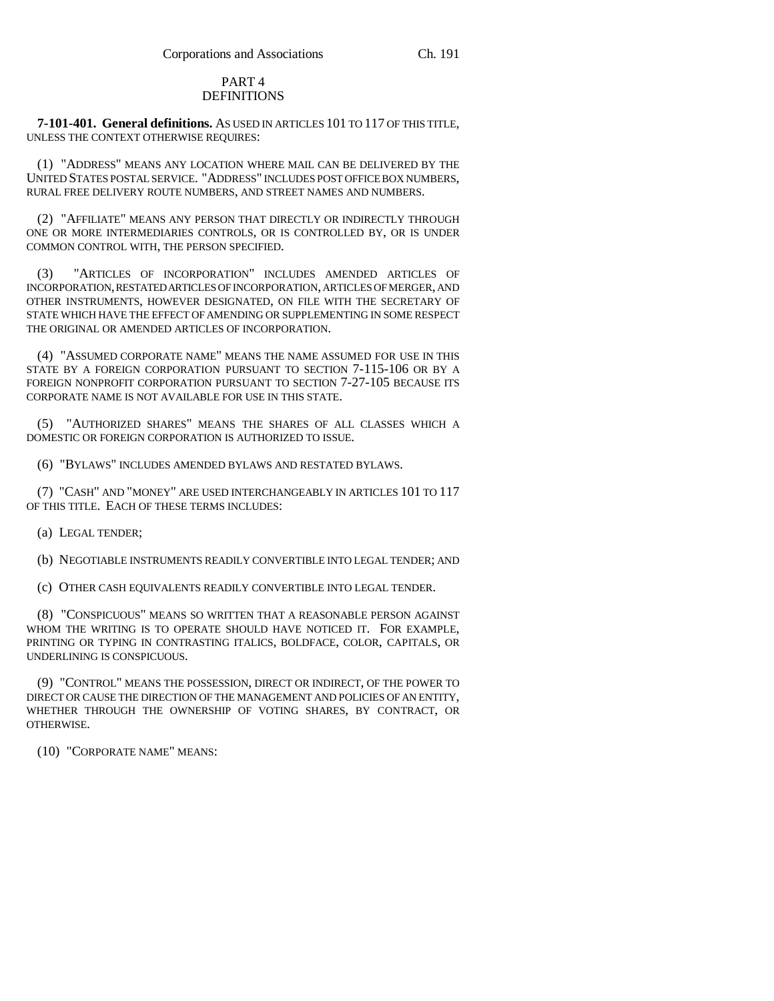#### PART 4 DEFINITIONS

**7-101-401. General definitions.** AS USED IN ARTICLES 101 TO 117 OF THIS TITLE, UNLESS THE CONTEXT OTHERWISE REQUIRES:

(1) "ADDRESS" MEANS ANY LOCATION WHERE MAIL CAN BE DELIVERED BY THE UNITED STATES POSTAL SERVICE. "ADDRESS" INCLUDES POST OFFICE BOX NUMBERS, RURAL FREE DELIVERY ROUTE NUMBERS, AND STREET NAMES AND NUMBERS.

(2) "AFFILIATE" MEANS ANY PERSON THAT DIRECTLY OR INDIRECTLY THROUGH ONE OR MORE INTERMEDIARIES CONTROLS, OR IS CONTROLLED BY, OR IS UNDER COMMON CONTROL WITH, THE PERSON SPECIFIED.

(3) "ARTICLES OF INCORPORATION" INCLUDES AMENDED ARTICLES OF INCORPORATION, RESTATED ARTICLES OF INCORPORATION, ARTICLES OF MERGER, AND OTHER INSTRUMENTS, HOWEVER DESIGNATED, ON FILE WITH THE SECRETARY OF STATE WHICH HAVE THE EFFECT OF AMENDING OR SUPPLEMENTING IN SOME RESPECT THE ORIGINAL OR AMENDED ARTICLES OF INCORPORATION.

(4) "ASSUMED CORPORATE NAME" MEANS THE NAME ASSUMED FOR USE IN THIS STATE BY A FOREIGN CORPORATION PURSUANT TO SECTION 7-115-106 OR BY A FOREIGN NONPROFIT CORPORATION PURSUANT TO SECTION 7-27-105 BECAUSE ITS CORPORATE NAME IS NOT AVAILABLE FOR USE IN THIS STATE.

(5) "AUTHORIZED SHARES" MEANS THE SHARES OF ALL CLASSES WHICH A DOMESTIC OR FOREIGN CORPORATION IS AUTHORIZED TO ISSUE.

(6) "BYLAWS" INCLUDES AMENDED BYLAWS AND RESTATED BYLAWS.

(7) "CASH" AND "MONEY" ARE USED INTERCHANGEABLY IN ARTICLES 101 TO 117 OF THIS TITLE. EACH OF THESE TERMS INCLUDES:

(a) LEGAL TENDER;

(b) NEGOTIABLE INSTRUMENTS READILY CONVERTIBLE INTO LEGAL TENDER; AND

(c) OTHER CASH EQUIVALENTS READILY CONVERTIBLE INTO LEGAL TENDER.

(8) "CONSPICUOUS" MEANS SO WRITTEN THAT A REASONABLE PERSON AGAINST WHOM THE WRITING IS TO OPERATE SHOULD HAVE NOTICED IT. FOR EXAMPLE, PRINTING OR TYPING IN CONTRASTING ITALICS, BOLDFACE, COLOR, CAPITALS, OR UNDERLINING IS CONSPICUOUS.

(9) "CONTROL" MEANS THE POSSESSION, DIRECT OR INDIRECT, OF THE POWER TO DIRECT OR CAUSE THE DIRECTION OF THE MANAGEMENT AND POLICIES OF AN ENTITY, WHETHER THROUGH THE OWNERSHIP OF VOTING SHARES, BY CONTRACT, OR OTHERWISE.

(10) "CORPORATE NAME" MEANS: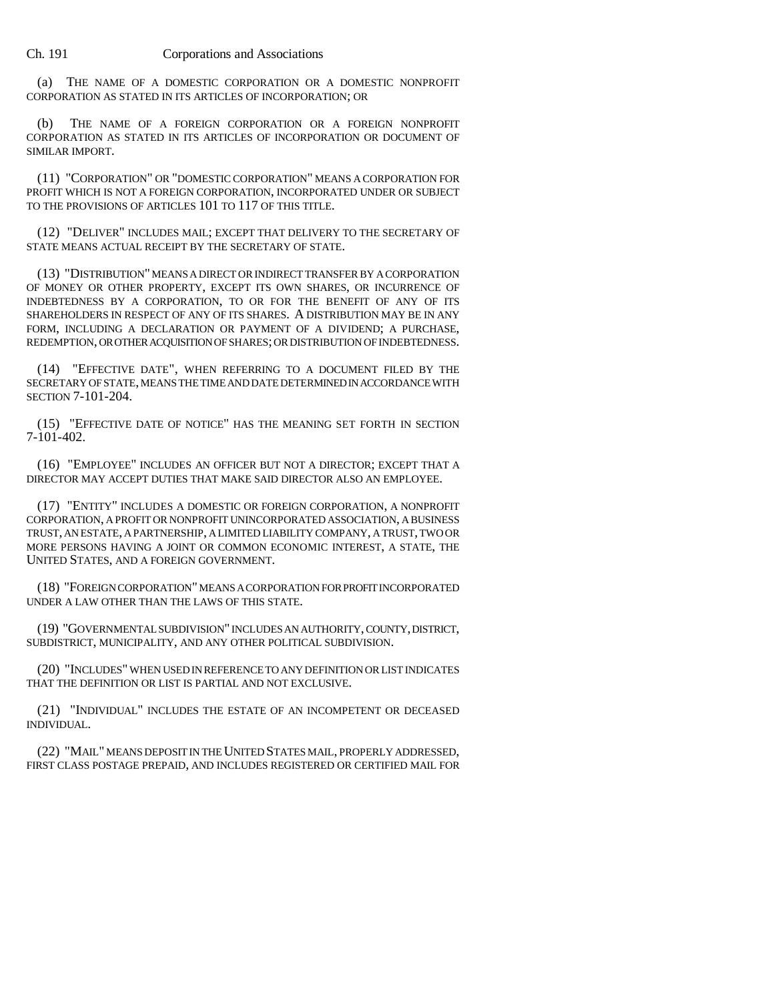(a) THE NAME OF A DOMESTIC CORPORATION OR A DOMESTIC NONPROFIT CORPORATION AS STATED IN ITS ARTICLES OF INCORPORATION; OR

(b) THE NAME OF A FOREIGN CORPORATION OR A FOREIGN NONPROFIT CORPORATION AS STATED IN ITS ARTICLES OF INCORPORATION OR DOCUMENT OF SIMILAR IMPORT.

(11) "CORPORATION" OR "DOMESTIC CORPORATION" MEANS A CORPORATION FOR PROFIT WHICH IS NOT A FOREIGN CORPORATION, INCORPORATED UNDER OR SUBJECT TO THE PROVISIONS OF ARTICLES 101 TO 117 OF THIS TITLE.

(12) "DELIVER" INCLUDES MAIL; EXCEPT THAT DELIVERY TO THE SECRETARY OF STATE MEANS ACTUAL RECEIPT BY THE SECRETARY OF STATE.

(13) "DISTRIBUTION" MEANS A DIRECT OR INDIRECT TRANSFER BY A CORPORATION OF MONEY OR OTHER PROPERTY, EXCEPT ITS OWN SHARES, OR INCURRENCE OF INDEBTEDNESS BY A CORPORATION, TO OR FOR THE BENEFIT OF ANY OF ITS SHAREHOLDERS IN RESPECT OF ANY OF ITS SHARES. A DISTRIBUTION MAY BE IN ANY FORM, INCLUDING A DECLARATION OR PAYMENT OF A DIVIDEND; A PURCHASE, REDEMPTION, OR OTHER ACQUISITION OF SHARES; OR DISTRIBUTION OF INDEBTEDNESS.

(14) "EFFECTIVE DATE", WHEN REFERRING TO A DOCUMENT FILED BY THE SECRETARY OF STATE, MEANS THE TIME AND DATE DETERMINED IN ACCORDANCE WITH SECTION 7-101-204.

(15) "EFFECTIVE DATE OF NOTICE" HAS THE MEANING SET FORTH IN SECTION 7-101-402.

(16) "EMPLOYEE" INCLUDES AN OFFICER BUT NOT A DIRECTOR; EXCEPT THAT A DIRECTOR MAY ACCEPT DUTIES THAT MAKE SAID DIRECTOR ALSO AN EMPLOYEE.

(17) "ENTITY" INCLUDES A DOMESTIC OR FOREIGN CORPORATION, A NONPROFIT CORPORATION, A PROFIT OR NONPROFIT UNINCORPORATED ASSOCIATION, A BUSINESS TRUST, AN ESTATE, A PARTNERSHIP, A LIMITED LIABILITY COMPANY, A TRUST, TWO OR MORE PERSONS HAVING A JOINT OR COMMON ECONOMIC INTEREST, A STATE, THE UNITED STATES, AND A FOREIGN GOVERNMENT.

(18) "FOREIGN CORPORATION" MEANS A CORPORATION FOR PROFIT INCORPORATED UNDER A LAW OTHER THAN THE LAWS OF THIS STATE.

(19) "GOVERNMENTAL SUBDIVISION" INCLUDES AN AUTHORITY, COUNTY, DISTRICT, SUBDISTRICT, MUNICIPALITY, AND ANY OTHER POLITICAL SUBDIVISION.

(20) "INCLUDES" WHEN USED IN REFERENCE TO ANY DEFINITION OR LIST INDICATES THAT THE DEFINITION OR LIST IS PARTIAL AND NOT EXCLUSIVE.

(21) "INDIVIDUAL" INCLUDES THE ESTATE OF AN INCOMPETENT OR DECEASED INDIVIDUAL.

(22) "MAIL" MEANS DEPOSIT IN THE UNITED STATES MAIL, PROPERLY ADDRESSED, FIRST CLASS POSTAGE PREPAID, AND INCLUDES REGISTERED OR CERTIFIED MAIL FOR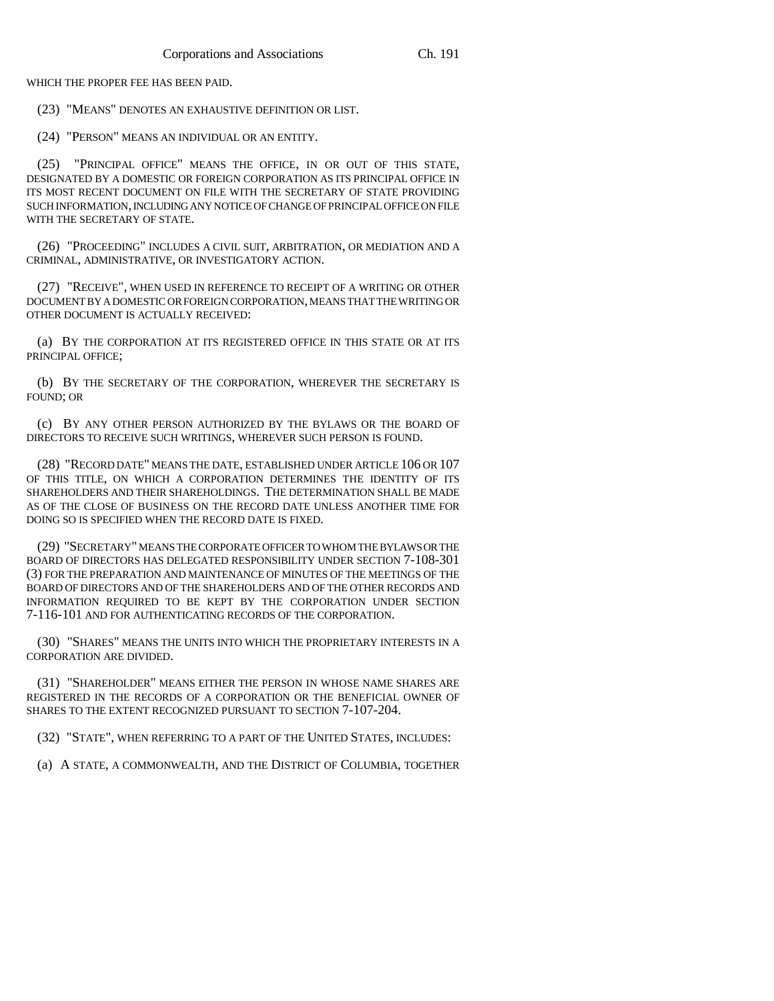WHICH THE PROPER FEE HAS BEEN PAID.

(23) "MEANS" DENOTES AN EXHAUSTIVE DEFINITION OR LIST.

(24) "PERSON" MEANS AN INDIVIDUAL OR AN ENTITY.

(25) "PRINCIPAL OFFICE" MEANS THE OFFICE, IN OR OUT OF THIS STATE, DESIGNATED BY A DOMESTIC OR FOREIGN CORPORATION AS ITS PRINCIPAL OFFICE IN ITS MOST RECENT DOCUMENT ON FILE WITH THE SECRETARY OF STATE PROVIDING SUCH INFORMATION, INCLUDING ANY NOTICE OF CHANGE OF PRINCIPAL OFFICE ON FILE WITH THE SECRETARY OF STATE.

(26) "PROCEEDING" INCLUDES A CIVIL SUIT, ARBITRATION, OR MEDIATION AND A CRIMINAL, ADMINISTRATIVE, OR INVESTIGATORY ACTION.

(27) "RECEIVE", WHEN USED IN REFERENCE TO RECEIPT OF A WRITING OR OTHER DOCUMENT BY A DOMESTIC OR FOREIGN CORPORATION, MEANS THAT THE WRITING OR OTHER DOCUMENT IS ACTUALLY RECEIVED:

(a) BY THE CORPORATION AT ITS REGISTERED OFFICE IN THIS STATE OR AT ITS PRINCIPAL OFFICE;

(b) BY THE SECRETARY OF THE CORPORATION, WHEREVER THE SECRETARY IS FOUND; OR

(c) BY ANY OTHER PERSON AUTHORIZED BY THE BYLAWS OR THE BOARD OF DIRECTORS TO RECEIVE SUCH WRITINGS, WHEREVER SUCH PERSON IS FOUND.

(28) "RECORD DATE" MEANS THE DATE, ESTABLISHED UNDER ARTICLE 106 OR 107 OF THIS TITLE, ON WHICH A CORPORATION DETERMINES THE IDENTITY OF ITS SHAREHOLDERS AND THEIR SHAREHOLDINGS. THE DETERMINATION SHALL BE MADE AS OF THE CLOSE OF BUSINESS ON THE RECORD DATE UNLESS ANOTHER TIME FOR DOING SO IS SPECIFIED WHEN THE RECORD DATE IS FIXED.

(29) "SECRETARY" MEANS THE CORPORATE OFFICER TO WHOM THE BYLAWS OR THE BOARD OF DIRECTORS HAS DELEGATED RESPONSIBILITY UNDER SECTION 7-108-301 (3) FOR THE PREPARATION AND MAINTENANCE OF MINUTES OF THE MEETINGS OF THE BOARD OF DIRECTORS AND OF THE SHAREHOLDERS AND OF THE OTHER RECORDS AND INFORMATION REQUIRED TO BE KEPT BY THE CORPORATION UNDER SECTION 7-116-101 AND FOR AUTHENTICATING RECORDS OF THE CORPORATION.

(30) "SHARES" MEANS THE UNITS INTO WHICH THE PROPRIETARY INTERESTS IN A CORPORATION ARE DIVIDED.

(31) "SHAREHOLDER" MEANS EITHER THE PERSON IN WHOSE NAME SHARES ARE REGISTERED IN THE RECORDS OF A CORPORATION OR THE BENEFICIAL OWNER OF SHARES TO THE EXTENT RECOGNIZED PURSUANT TO SECTION 7-107-204.

(32) "STATE", WHEN REFERRING TO A PART OF THE UNITED STATES, INCLUDES:

(a) A STATE, A COMMONWEALTH, AND THE DISTRICT OF COLUMBIA, TOGETHER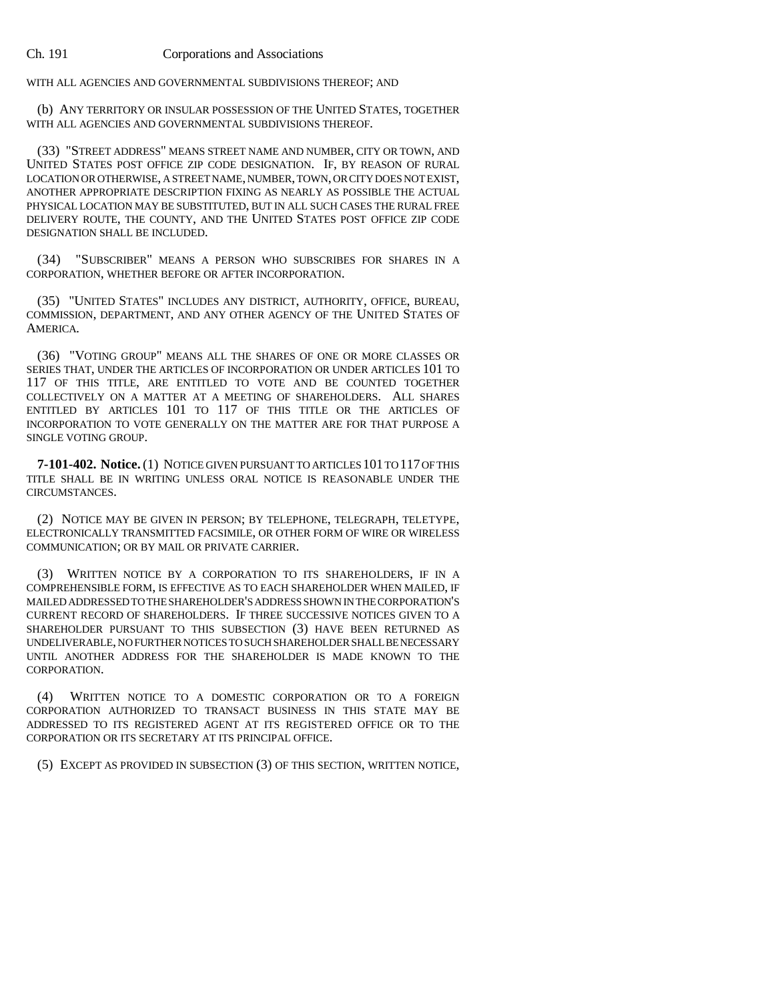WITH ALL AGENCIES AND GOVERNMENTAL SUBDIVISIONS THEREOF; AND

(b) ANY TERRITORY OR INSULAR POSSESSION OF THE UNITED STATES, TOGETHER WITH ALL AGENCIES AND GOVERNMENTAL SUBDIVISIONS THEREOF.

(33) "STREET ADDRESS" MEANS STREET NAME AND NUMBER, CITY OR TOWN, AND UNITED STATES POST OFFICE ZIP CODE DESIGNATION. IF, BY REASON OF RURAL LOCATION OR OTHERWISE, A STREET NAME, NUMBER, TOWN, OR CITY DOES NOT EXIST, ANOTHER APPROPRIATE DESCRIPTION FIXING AS NEARLY AS POSSIBLE THE ACTUAL PHYSICAL LOCATION MAY BE SUBSTITUTED, BUT IN ALL SUCH CASES THE RURAL FREE DELIVERY ROUTE, THE COUNTY, AND THE UNITED STATES POST OFFICE ZIP CODE DESIGNATION SHALL BE INCLUDED.

(34) "SUBSCRIBER" MEANS A PERSON WHO SUBSCRIBES FOR SHARES IN A CORPORATION, WHETHER BEFORE OR AFTER INCORPORATION.

(35) "UNITED STATES" INCLUDES ANY DISTRICT, AUTHORITY, OFFICE, BUREAU, COMMISSION, DEPARTMENT, AND ANY OTHER AGENCY OF THE UNITED STATES OF AMERICA.

(36) "VOTING GROUP" MEANS ALL THE SHARES OF ONE OR MORE CLASSES OR SERIES THAT, UNDER THE ARTICLES OF INCORPORATION OR UNDER ARTICLES 101 TO 117 OF THIS TITLE, ARE ENTITLED TO VOTE AND BE COUNTED TOGETHER COLLECTIVELY ON A MATTER AT A MEETING OF SHAREHOLDERS. ALL SHARES ENTITLED BY ARTICLES 101 TO 117 OF THIS TITLE OR THE ARTICLES OF INCORPORATION TO VOTE GENERALLY ON THE MATTER ARE FOR THAT PURPOSE A SINGLE VOTING GROUP.

**7-101-402. Notice.** (1) NOTICE GIVEN PURSUANT TO ARTICLES 101 TO 117 OF THIS TITLE SHALL BE IN WRITING UNLESS ORAL NOTICE IS REASONABLE UNDER THE CIRCUMSTANCES.

(2) NOTICE MAY BE GIVEN IN PERSON; BY TELEPHONE, TELEGRAPH, TELETYPE, ELECTRONICALLY TRANSMITTED FACSIMILE, OR OTHER FORM OF WIRE OR WIRELESS COMMUNICATION; OR BY MAIL OR PRIVATE CARRIER.

(3) WRITTEN NOTICE BY A CORPORATION TO ITS SHAREHOLDERS, IF IN A COMPREHENSIBLE FORM, IS EFFECTIVE AS TO EACH SHAREHOLDER WHEN MAILED, IF MAILED ADDRESSED TO THE SHAREHOLDER'S ADDRESS SHOWN IN THE CORPORATION'S CURRENT RECORD OF SHAREHOLDERS. IF THREE SUCCESSIVE NOTICES GIVEN TO A SHAREHOLDER PURSUANT TO THIS SUBSECTION (3) HAVE BEEN RETURNED AS UNDELIVERABLE, NO FURTHER NOTICES TO SUCH SHAREHOLDER SHALL BE NECESSARY UNTIL ANOTHER ADDRESS FOR THE SHAREHOLDER IS MADE KNOWN TO THE CORPORATION.

(4) WRITTEN NOTICE TO A DOMESTIC CORPORATION OR TO A FOREIGN CORPORATION AUTHORIZED TO TRANSACT BUSINESS IN THIS STATE MAY BE ADDRESSED TO ITS REGISTERED AGENT AT ITS REGISTERED OFFICE OR TO THE CORPORATION OR ITS SECRETARY AT ITS PRINCIPAL OFFICE.

(5) EXCEPT AS PROVIDED IN SUBSECTION (3) OF THIS SECTION, WRITTEN NOTICE,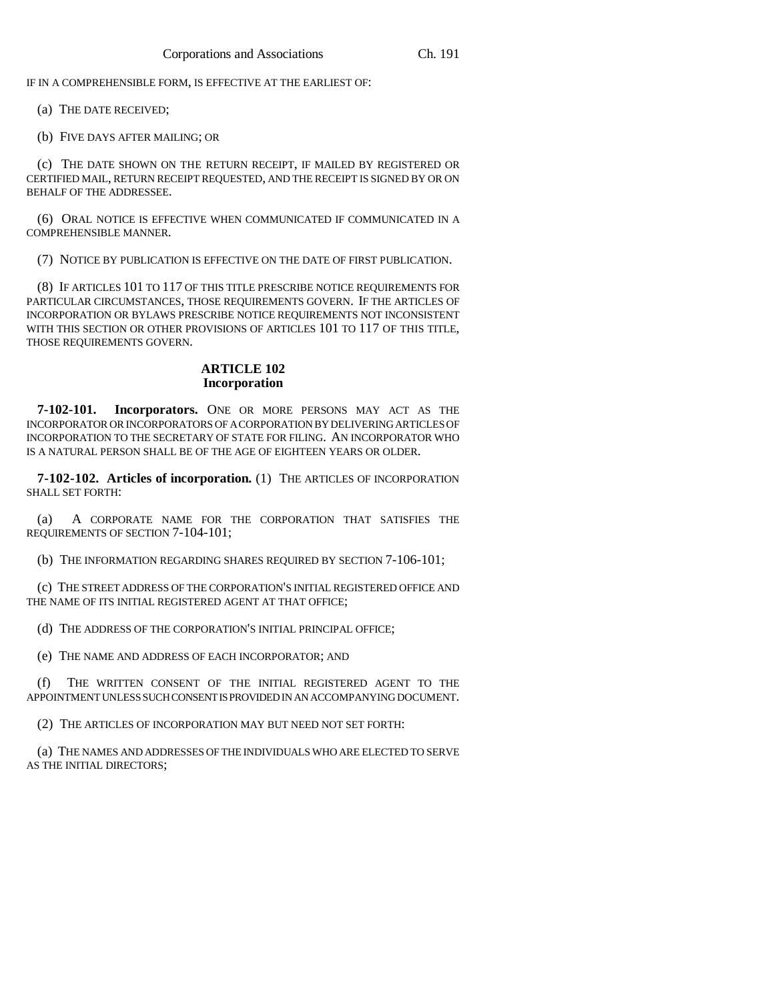IF IN A COMPREHENSIBLE FORM, IS EFFECTIVE AT THE EARLIEST OF:

(a) THE DATE RECEIVED;

(b) FIVE DAYS AFTER MAILING; OR

(c) THE DATE SHOWN ON THE RETURN RECEIPT, IF MAILED BY REGISTERED OR CERTIFIED MAIL, RETURN RECEIPT REQUESTED, AND THE RECEIPT IS SIGNED BY OR ON BEHALF OF THE ADDRESSEE.

(6) ORAL NOTICE IS EFFECTIVE WHEN COMMUNICATED IF COMMUNICATED IN A COMPREHENSIBLE MANNER.

(7) NOTICE BY PUBLICATION IS EFFECTIVE ON THE DATE OF FIRST PUBLICATION.

(8) IF ARTICLES 101 TO 117 OF THIS TITLE PRESCRIBE NOTICE REQUIREMENTS FOR PARTICULAR CIRCUMSTANCES, THOSE REQUIREMENTS GOVERN. IF THE ARTICLES OF INCORPORATION OR BYLAWS PRESCRIBE NOTICE REQUIREMENTS NOT INCONSISTENT WITH THIS SECTION OR OTHER PROVISIONS OF ARTICLES 101 TO 117 OF THIS TITLE, THOSE REQUIREMENTS GOVERN.

# **ARTICLE 102 Incorporation**

**7-102-101. Incorporators.** ONE OR MORE PERSONS MAY ACT AS THE INCORPORATOR OR INCORPORATORS OF A CORPORATION BY DELIVERING ARTICLES OF INCORPORATION TO THE SECRETARY OF STATE FOR FILING. AN INCORPORATOR WHO IS A NATURAL PERSON SHALL BE OF THE AGE OF EIGHTEEN YEARS OR OLDER.

**7-102-102. Articles of incorporation.** (1) THE ARTICLES OF INCORPORATION SHALL SET FORTH:

(a) A CORPORATE NAME FOR THE CORPORATION THAT SATISFIES THE REQUIREMENTS OF SECTION 7-104-101;

(b) THE INFORMATION REGARDING SHARES REQUIRED BY SECTION 7-106-101;

(c) THE STREET ADDRESS OF THE CORPORATION'S INITIAL REGISTERED OFFICE AND THE NAME OF ITS INITIAL REGISTERED AGENT AT THAT OFFICE;

(d) THE ADDRESS OF THE CORPORATION'S INITIAL PRINCIPAL OFFICE;

(e) THE NAME AND ADDRESS OF EACH INCORPORATOR; AND

(f) THE WRITTEN CONSENT OF THE INITIAL REGISTERED AGENT TO THE APPOINTMENT UNLESS SUCH CONSENT IS PROVIDED IN AN ACCOMPANYING DOCUMENT.

(2) THE ARTICLES OF INCORPORATION MAY BUT NEED NOT SET FORTH:

(a) THE NAMES AND ADDRESSES OF THE INDIVIDUALS WHO ARE ELECTED TO SERVE AS THE INITIAL DIRECTORS;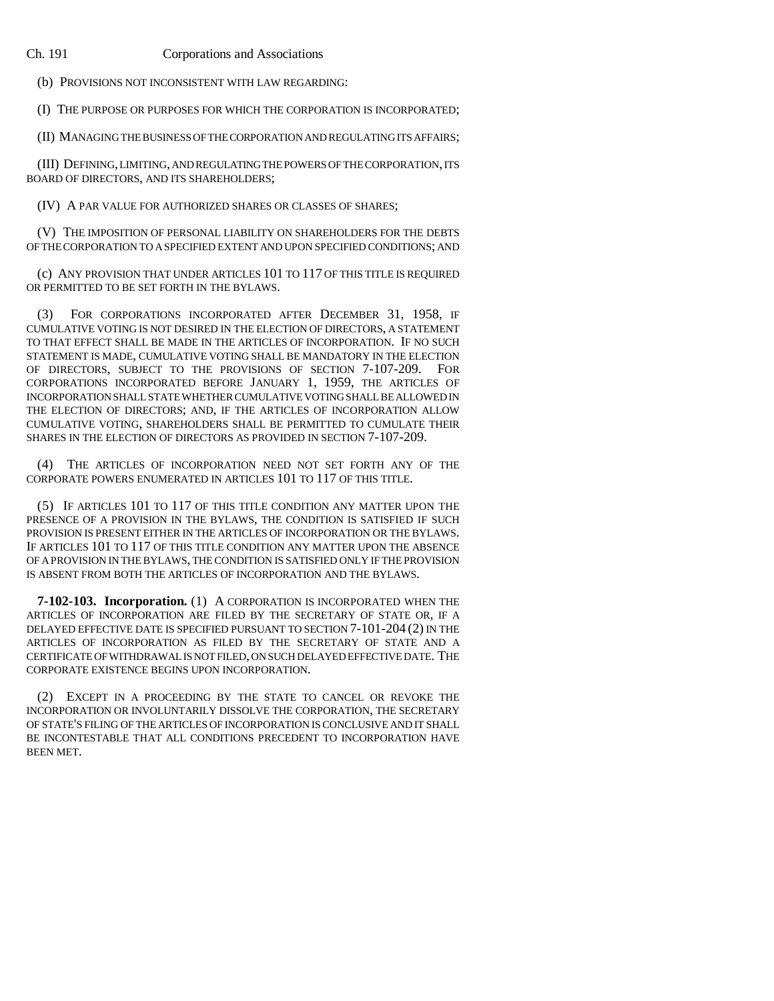(b) PROVISIONS NOT INCONSISTENT WITH LAW REGARDING:

(I) THE PURPOSE OR PURPOSES FOR WHICH THE CORPORATION IS INCORPORATED;

(II) MANAGING THE BUSINESS OF THE CORPORATION AND REGULATING ITS AFFAIRS;

(III) DEFINING, LIMITING, AND REGULATING THE POWERS OF THE CORPORATION, ITS BOARD OF DIRECTORS, AND ITS SHAREHOLDERS;

(IV) A PAR VALUE FOR AUTHORIZED SHARES OR CLASSES OF SHARES;

(V) THE IMPOSITION OF PERSONAL LIABILITY ON SHAREHOLDERS FOR THE DEBTS OF THE CORPORATION TO A SPECIFIED EXTENT AND UPON SPECIFIED CONDITIONS; AND

(c) ANY PROVISION THAT UNDER ARTICLES 101 TO 117 OF THIS TITLE IS REQUIRED OR PERMITTED TO BE SET FORTH IN THE BYLAWS.

(3) FOR CORPORATIONS INCORPORATED AFTER DECEMBER 31, 1958, IF CUMULATIVE VOTING IS NOT DESIRED IN THE ELECTION OF DIRECTORS, A STATEMENT TO THAT EFFECT SHALL BE MADE IN THE ARTICLES OF INCORPORATION. IF NO SUCH STATEMENT IS MADE, CUMULATIVE VOTING SHALL BE MANDATORY IN THE ELECTION OF DIRECTORS, SUBJECT TO THE PROVISIONS OF SECTION 7-107-209. FOR CORPORATIONS INCORPORATED BEFORE JANUARY 1, 1959, THE ARTICLES OF INCORPORATION SHALL STATE WHETHER CUMULATIVE VOTING SHALL BE ALLOWED IN THE ELECTION OF DIRECTORS; AND, IF THE ARTICLES OF INCORPORATION ALLOW CUMULATIVE VOTING, SHAREHOLDERS SHALL BE PERMITTED TO CUMULATE THEIR SHARES IN THE ELECTION OF DIRECTORS AS PROVIDED IN SECTION 7-107-209.

(4) THE ARTICLES OF INCORPORATION NEED NOT SET FORTH ANY OF THE CORPORATE POWERS ENUMERATED IN ARTICLES 101 TO 117 OF THIS TITLE.

(5) IF ARTICLES 101 TO 117 OF THIS TITLE CONDITION ANY MATTER UPON THE PRESENCE OF A PROVISION IN THE BYLAWS, THE CONDITION IS SATISFIED IF SUCH PROVISION IS PRESENT EITHER IN THE ARTICLES OF INCORPORATION OR THE BYLAWS. IF ARTICLES 101 TO 117 OF THIS TITLE CONDITION ANY MATTER UPON THE ABSENCE OF A PROVISION IN THE BYLAWS, THE CONDITION IS SATISFIED ONLY IF THE PROVISION IS ABSENT FROM BOTH THE ARTICLES OF INCORPORATION AND THE BYLAWS.

**7-102-103. Incorporation.** (1) A CORPORATION IS INCORPORATED WHEN THE ARTICLES OF INCORPORATION ARE FILED BY THE SECRETARY OF STATE OR, IF A DELAYED EFFECTIVE DATE IS SPECIFIED PURSUANT TO SECTION 7-101-204 (2) IN THE ARTICLES OF INCORPORATION AS FILED BY THE SECRETARY OF STATE AND A CERTIFICATE OF WITHDRAWAL IS NOT FILED, ON SUCH DELAYED EFFECTIVE DATE. THE CORPORATE EXISTENCE BEGINS UPON INCORPORATION.

(2) EXCEPT IN A PROCEEDING BY THE STATE TO CANCEL OR REVOKE THE INCORPORATION OR INVOLUNTARILY DISSOLVE THE CORPORATION, THE SECRETARY OF STATE'S FILING OF THE ARTICLES OF INCORPORATION IS CONCLUSIVE AND IT SHALL BE INCONTESTABLE THAT ALL CONDITIONS PRECEDENT TO INCORPORATION HAVE BEEN MET.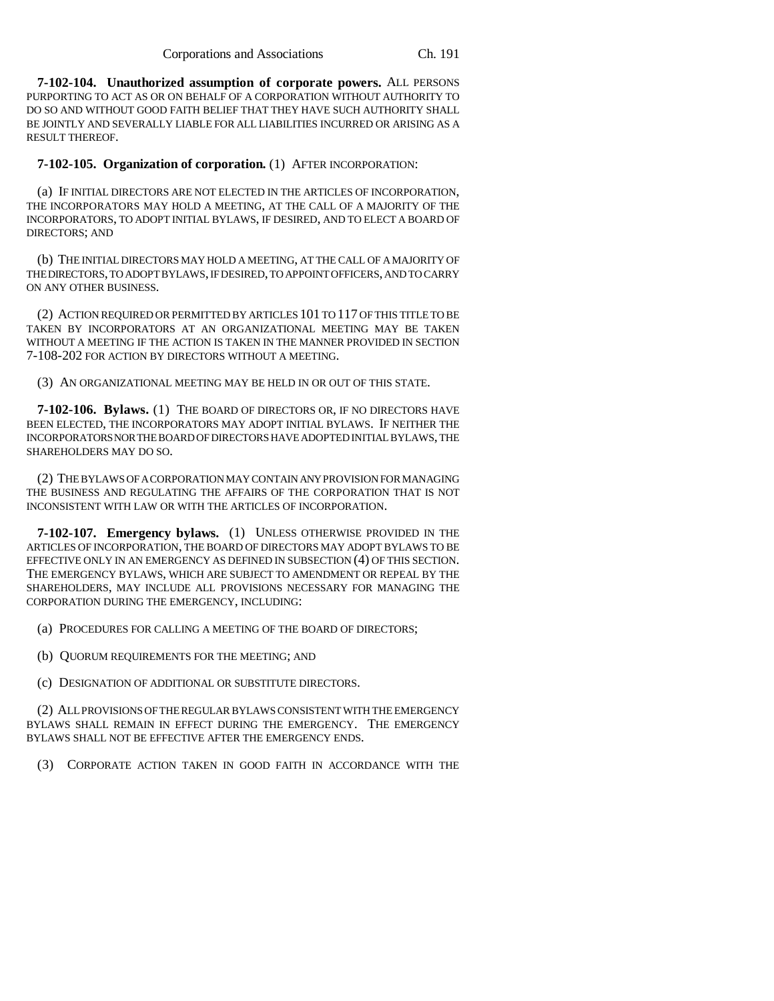**7-102-104. Unauthorized assumption of corporate powers.** ALL PERSONS PURPORTING TO ACT AS OR ON BEHALF OF A CORPORATION WITHOUT AUTHORITY TO DO SO AND WITHOUT GOOD FAITH BELIEF THAT THEY HAVE SUCH AUTHORITY SHALL BE JOINTLY AND SEVERALLY LIABLE FOR ALL LIABILITIES INCURRED OR ARISING AS A RESULT THEREOF.

**7-102-105. Organization of corporation.** (1) AFTER INCORPORATION:

(a) IF INITIAL DIRECTORS ARE NOT ELECTED IN THE ARTICLES OF INCORPORATION, THE INCORPORATORS MAY HOLD A MEETING, AT THE CALL OF A MAJORITY OF THE INCORPORATORS, TO ADOPT INITIAL BYLAWS, IF DESIRED, AND TO ELECT A BOARD OF DIRECTORS; AND

(b) THE INITIAL DIRECTORS MAY HOLD A MEETING, AT THE CALL OF A MAJORITY OF THE DIRECTORS, TO ADOPT BYLAWS, IF DESIRED, TO APPOINT OFFICERS, AND TO CARRY ON ANY OTHER BUSINESS.

(2) ACTION REQUIRED OR PERMITTED BY ARTICLES 101 TO 117 OF THIS TITLE TO BE TAKEN BY INCORPORATORS AT AN ORGANIZATIONAL MEETING MAY BE TAKEN WITHOUT A MEETING IF THE ACTION IS TAKEN IN THE MANNER PROVIDED IN SECTION 7-108-202 FOR ACTION BY DIRECTORS WITHOUT A MEETING.

(3) AN ORGANIZATIONAL MEETING MAY BE HELD IN OR OUT OF THIS STATE.

**7-102-106. Bylaws.** (1) THE BOARD OF DIRECTORS OR, IF NO DIRECTORS HAVE BEEN ELECTED, THE INCORPORATORS MAY ADOPT INITIAL BYLAWS. IF NEITHER THE INCORPORATORS NOR THE BOARD OF DIRECTORS HAVE ADOPTED INITIAL BYLAWS, THE SHAREHOLDERS MAY DO SO.

(2) THE BYLAWS OF A CORPORATION MAY CONTAIN ANY PROVISION FOR MANAGING THE BUSINESS AND REGULATING THE AFFAIRS OF THE CORPORATION THAT IS NOT INCONSISTENT WITH LAW OR WITH THE ARTICLES OF INCORPORATION.

**7-102-107. Emergency bylaws.** (1) UNLESS OTHERWISE PROVIDED IN THE ARTICLES OF INCORPORATION, THE BOARD OF DIRECTORS MAY ADOPT BYLAWS TO BE EFFECTIVE ONLY IN AN EMERGENCY AS DEFINED IN SUBSECTION (4) OF THIS SECTION. THE EMERGENCY BYLAWS, WHICH ARE SUBJECT TO AMENDMENT OR REPEAL BY THE SHAREHOLDERS, MAY INCLUDE ALL PROVISIONS NECESSARY FOR MANAGING THE CORPORATION DURING THE EMERGENCY, INCLUDING:

(a) PROCEDURES FOR CALLING A MEETING OF THE BOARD OF DIRECTORS;

(b) QUORUM REQUIREMENTS FOR THE MEETING; AND

(c) DESIGNATION OF ADDITIONAL OR SUBSTITUTE DIRECTORS.

(2) ALL PROVISIONS OF THE REGULAR BYLAWS CONSISTENT WITH THE EMERGENCY BYLAWS SHALL REMAIN IN EFFECT DURING THE EMERGENCY. THE EMERGENCY BYLAWS SHALL NOT BE EFFECTIVE AFTER THE EMERGENCY ENDS.

(3) CORPORATE ACTION TAKEN IN GOOD FAITH IN ACCORDANCE WITH THE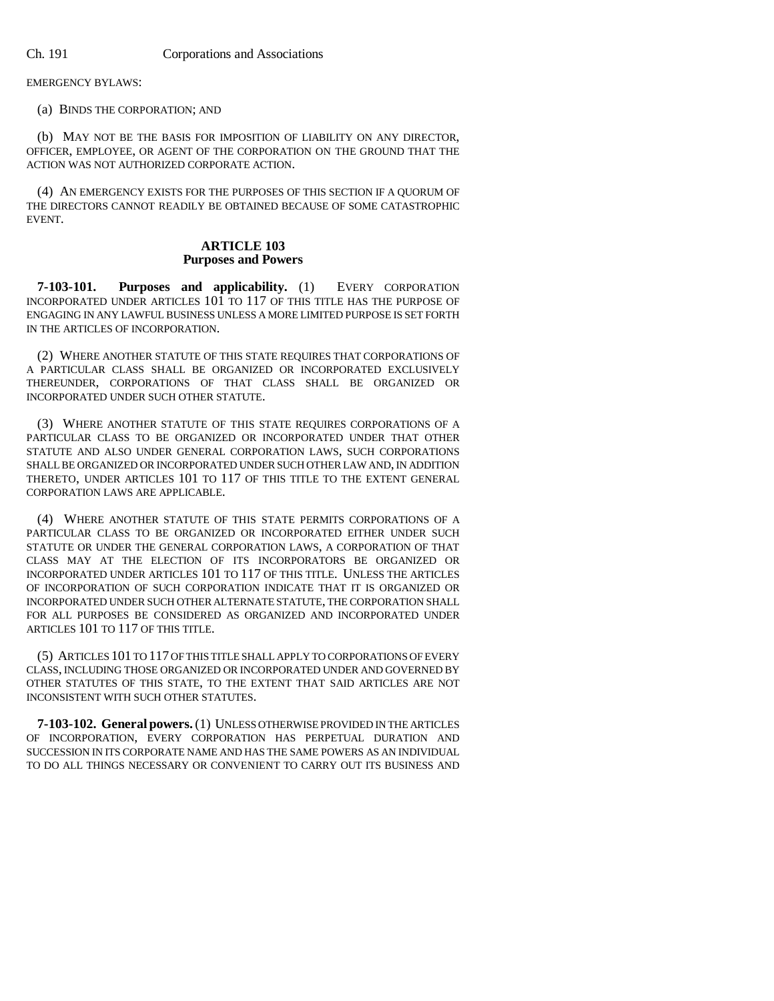EMERGENCY BYLAWS:

(a) BINDS THE CORPORATION; AND

(b) MAY NOT BE THE BASIS FOR IMPOSITION OF LIABILITY ON ANY DIRECTOR, OFFICER, EMPLOYEE, OR AGENT OF THE CORPORATION ON THE GROUND THAT THE ACTION WAS NOT AUTHORIZED CORPORATE ACTION.

(4) AN EMERGENCY EXISTS FOR THE PURPOSES OF THIS SECTION IF A QUORUM OF THE DIRECTORS CANNOT READILY BE OBTAINED BECAUSE OF SOME CATASTROPHIC EVENT.

## **ARTICLE 103 Purposes and Powers**

**7-103-101. Purposes and applicability.** (1) EVERY CORPORATION INCORPORATED UNDER ARTICLES 101 TO 117 OF THIS TITLE HAS THE PURPOSE OF ENGAGING IN ANY LAWFUL BUSINESS UNLESS A MORE LIMITED PURPOSE IS SET FORTH IN THE ARTICLES OF INCORPORATION.

(2) WHERE ANOTHER STATUTE OF THIS STATE REQUIRES THAT CORPORATIONS OF A PARTICULAR CLASS SHALL BE ORGANIZED OR INCORPORATED EXCLUSIVELY THEREUNDER, CORPORATIONS OF THAT CLASS SHALL BE ORGANIZED OR INCORPORATED UNDER SUCH OTHER STATUTE.

(3) WHERE ANOTHER STATUTE OF THIS STATE REQUIRES CORPORATIONS OF A PARTICULAR CLASS TO BE ORGANIZED OR INCORPORATED UNDER THAT OTHER STATUTE AND ALSO UNDER GENERAL CORPORATION LAWS, SUCH CORPORATIONS SHALL BE ORGANIZED OR INCORPORATED UNDER SUCH OTHER LAW AND, IN ADDITION THERETO, UNDER ARTICLES 101 TO 117 OF THIS TITLE TO THE EXTENT GENERAL CORPORATION LAWS ARE APPLICABLE.

(4) WHERE ANOTHER STATUTE OF THIS STATE PERMITS CORPORATIONS OF A PARTICULAR CLASS TO BE ORGANIZED OR INCORPORATED EITHER UNDER SUCH STATUTE OR UNDER THE GENERAL CORPORATION LAWS, A CORPORATION OF THAT CLASS MAY AT THE ELECTION OF ITS INCORPORATORS BE ORGANIZED OR INCORPORATED UNDER ARTICLES 101 TO 117 OF THIS TITLE. UNLESS THE ARTICLES OF INCORPORATION OF SUCH CORPORATION INDICATE THAT IT IS ORGANIZED OR INCORPORATED UNDER SUCH OTHER ALTERNATE STATUTE, THE CORPORATION SHALL FOR ALL PURPOSES BE CONSIDERED AS ORGANIZED AND INCORPORATED UNDER ARTICLES 101 TO 117 OF THIS TITLE.

(5) ARTICLES 101 TO 117 OF THIS TITLE SHALL APPLY TO CORPORATIONS OF EVERY CLASS, INCLUDING THOSE ORGANIZED OR INCORPORATED UNDER AND GOVERNED BY OTHER STATUTES OF THIS STATE, TO THE EXTENT THAT SAID ARTICLES ARE NOT INCONSISTENT WITH SUCH OTHER STATUTES.

**7-103-102. General powers.** (1) UNLESS OTHERWISE PROVIDED IN THE ARTICLES OF INCORPORATION, EVERY CORPORATION HAS PERPETUAL DURATION AND SUCCESSION IN ITS CORPORATE NAME AND HAS THE SAME POWERS AS AN INDIVIDUAL TO DO ALL THINGS NECESSARY OR CONVENIENT TO CARRY OUT ITS BUSINESS AND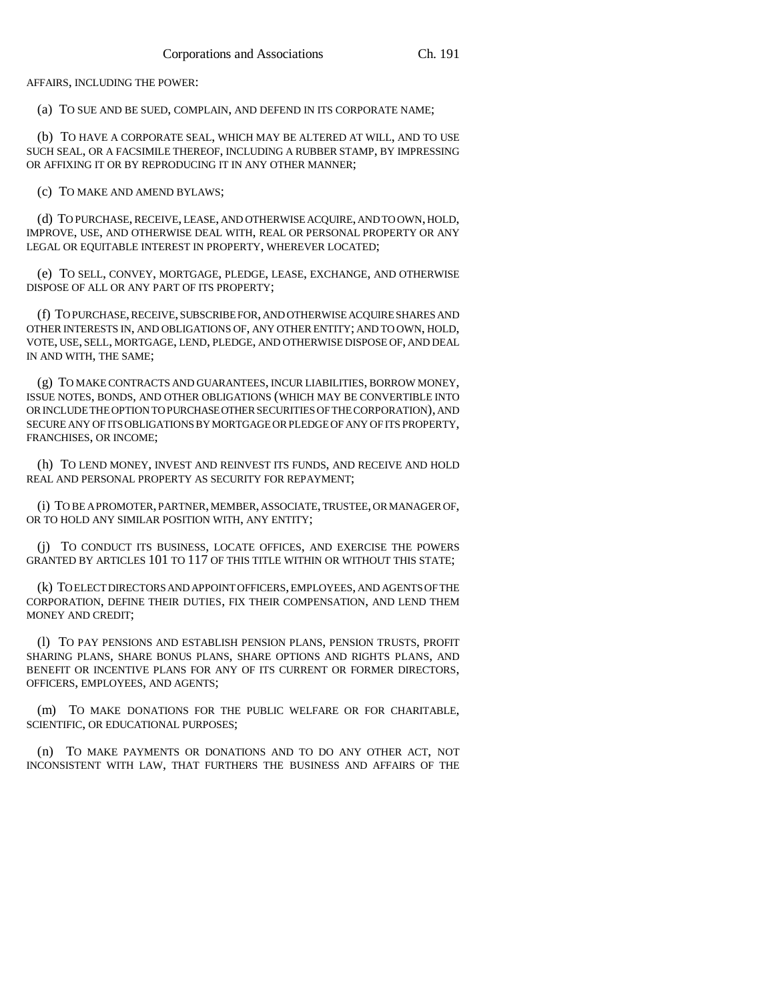AFFAIRS, INCLUDING THE POWER:

(a) TO SUE AND BE SUED, COMPLAIN, AND DEFEND IN ITS CORPORATE NAME;

(b) TO HAVE A CORPORATE SEAL, WHICH MAY BE ALTERED AT WILL, AND TO USE SUCH SEAL, OR A FACSIMILE THEREOF, INCLUDING A RUBBER STAMP, BY IMPRESSING OR AFFIXING IT OR BY REPRODUCING IT IN ANY OTHER MANNER;

(c) TO MAKE AND AMEND BYLAWS;

(d) TO PURCHASE, RECEIVE, LEASE, AND OTHERWISE ACQUIRE, AND TO OWN, HOLD, IMPROVE, USE, AND OTHERWISE DEAL WITH, REAL OR PERSONAL PROPERTY OR ANY LEGAL OR EQUITABLE INTEREST IN PROPERTY, WHEREVER LOCATED;

(e) TO SELL, CONVEY, MORTGAGE, PLEDGE, LEASE, EXCHANGE, AND OTHERWISE DISPOSE OF ALL OR ANY PART OF ITS PROPERTY;

(f) TO PURCHASE, RECEIVE, SUBSCRIBE FOR, AND OTHERWISE ACQUIRE SHARES AND OTHER INTERESTS IN, AND OBLIGATIONS OF, ANY OTHER ENTITY; AND TO OWN, HOLD, VOTE, USE, SELL, MORTGAGE, LEND, PLEDGE, AND OTHERWISE DISPOSE OF, AND DEAL IN AND WITH, THE SAME;

(g) TO MAKE CONTRACTS AND GUARANTEES, INCUR LIABILITIES, BORROW MONEY, ISSUE NOTES, BONDS, AND OTHER OBLIGATIONS (WHICH MAY BE CONVERTIBLE INTO OR INCLUDE THE OPTION TO PURCHASE OTHER SECURITIES OF THE CORPORATION), AND SECURE ANY OF ITS OBLIGATIONS BY MORTGAGE OR PLEDGE OF ANY OF ITS PROPERTY, FRANCHISES, OR INCOME;

(h) TO LEND MONEY, INVEST AND REINVEST ITS FUNDS, AND RECEIVE AND HOLD REAL AND PERSONAL PROPERTY AS SECURITY FOR REPAYMENT;

(i) TO BE A PROMOTER, PARTNER, MEMBER, ASSOCIATE, TRUSTEE, OR MANAGER OF, OR TO HOLD ANY SIMILAR POSITION WITH, ANY ENTITY;

(j) TO CONDUCT ITS BUSINESS, LOCATE OFFICES, AND EXERCISE THE POWERS GRANTED BY ARTICLES 101 TO 117 OF THIS TITLE WITHIN OR WITHOUT THIS STATE;

(k) TO ELECT DIRECTORS AND APPOINT OFFICERS, EMPLOYEES, AND AGENTS OF THE CORPORATION, DEFINE THEIR DUTIES, FIX THEIR COMPENSATION, AND LEND THEM MONEY AND CREDIT;

(l) TO PAY PENSIONS AND ESTABLISH PENSION PLANS, PENSION TRUSTS, PROFIT SHARING PLANS, SHARE BONUS PLANS, SHARE OPTIONS AND RIGHTS PLANS, AND BENEFIT OR INCENTIVE PLANS FOR ANY OF ITS CURRENT OR FORMER DIRECTORS, OFFICERS, EMPLOYEES, AND AGENTS;

(m) TO MAKE DONATIONS FOR THE PUBLIC WELFARE OR FOR CHARITABLE, SCIENTIFIC, OR EDUCATIONAL PURPOSES;

(n) TO MAKE PAYMENTS OR DONATIONS AND TO DO ANY OTHER ACT, NOT INCONSISTENT WITH LAW, THAT FURTHERS THE BUSINESS AND AFFAIRS OF THE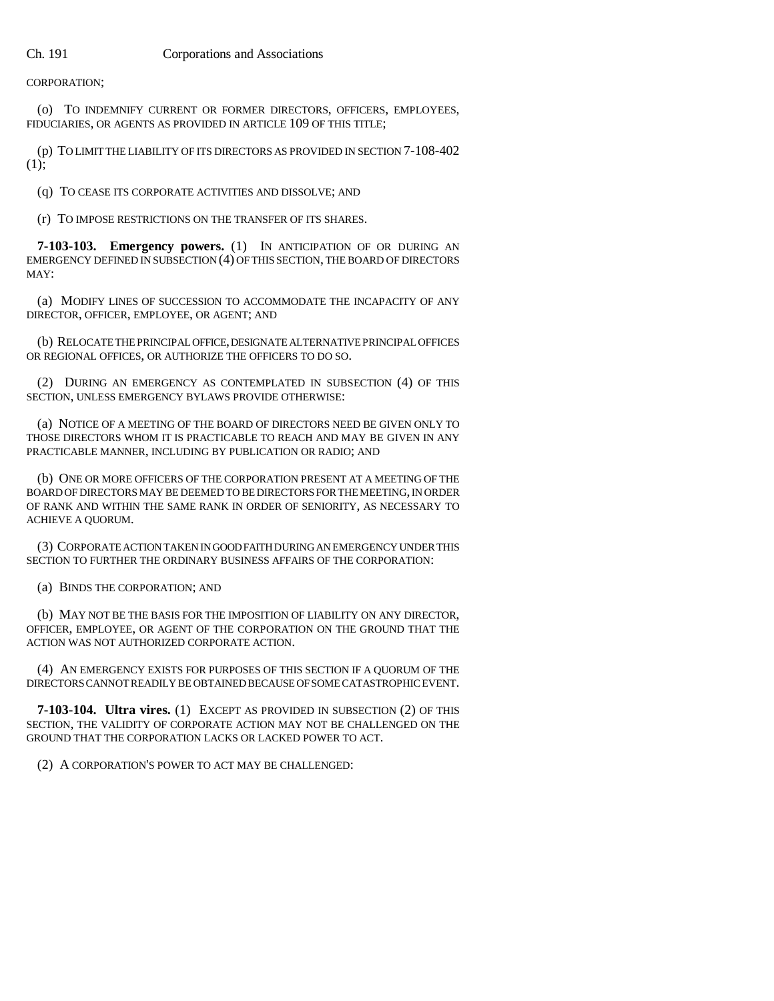CORPORATION;

(o) TO INDEMNIFY CURRENT OR FORMER DIRECTORS, OFFICERS, EMPLOYEES, FIDUCIARIES, OR AGENTS AS PROVIDED IN ARTICLE 109 OF THIS TITLE;

(p) TO LIMIT THE LIABILITY OF ITS DIRECTORS AS PROVIDED IN SECTION 7-108-402 (1);

(q) TO CEASE ITS CORPORATE ACTIVITIES AND DISSOLVE; AND

(r) TO IMPOSE RESTRICTIONS ON THE TRANSFER OF ITS SHARES.

**7-103-103. Emergency powers.** (1) IN ANTICIPATION OF OR DURING AN EMERGENCY DEFINED IN SUBSECTION (4) OF THIS SECTION, THE BOARD OF DIRECTORS MAY:

(a) MODIFY LINES OF SUCCESSION TO ACCOMMODATE THE INCAPACITY OF ANY DIRECTOR, OFFICER, EMPLOYEE, OR AGENT; AND

(b) RELOCATE THE PRINCIPAL OFFICE, DESIGNATE ALTERNATIVE PRINCIPAL OFFICES OR REGIONAL OFFICES, OR AUTHORIZE THE OFFICERS TO DO SO.

(2) DURING AN EMERGENCY AS CONTEMPLATED IN SUBSECTION (4) OF THIS SECTION, UNLESS EMERGENCY BYLAWS PROVIDE OTHERWISE:

(a) NOTICE OF A MEETING OF THE BOARD OF DIRECTORS NEED BE GIVEN ONLY TO THOSE DIRECTORS WHOM IT IS PRACTICABLE TO REACH AND MAY BE GIVEN IN ANY PRACTICABLE MANNER, INCLUDING BY PUBLICATION OR RADIO; AND

(b) ONE OR MORE OFFICERS OF THE CORPORATION PRESENT AT A MEETING OF THE BOARD OF DIRECTORS MAY BE DEEMED TO BE DIRECTORS FOR THE MEETING, IN ORDER OF RANK AND WITHIN THE SAME RANK IN ORDER OF SENIORITY, AS NECESSARY TO ACHIEVE A QUORUM.

(3) CORPORATE ACTION TAKEN IN GOOD FAITH DURING AN EMERGENCY UNDER THIS SECTION TO FURTHER THE ORDINARY BUSINESS AFFAIRS OF THE CORPORATION:

(a) BINDS THE CORPORATION; AND

(b) MAY NOT BE THE BASIS FOR THE IMPOSITION OF LIABILITY ON ANY DIRECTOR, OFFICER, EMPLOYEE, OR AGENT OF THE CORPORATION ON THE GROUND THAT THE ACTION WAS NOT AUTHORIZED CORPORATE ACTION.

(4) AN EMERGENCY EXISTS FOR PURPOSES OF THIS SECTION IF A QUORUM OF THE DIRECTORS CANNOT READILY BE OBTAINED BECAUSE OF SOME CATASTROPHIC EVENT.

**7-103-104. Ultra vires.** (1) EXCEPT AS PROVIDED IN SUBSECTION (2) OF THIS SECTION, THE VALIDITY OF CORPORATE ACTION MAY NOT BE CHALLENGED ON THE GROUND THAT THE CORPORATION LACKS OR LACKED POWER TO ACT.

(2) A CORPORATION'S POWER TO ACT MAY BE CHALLENGED: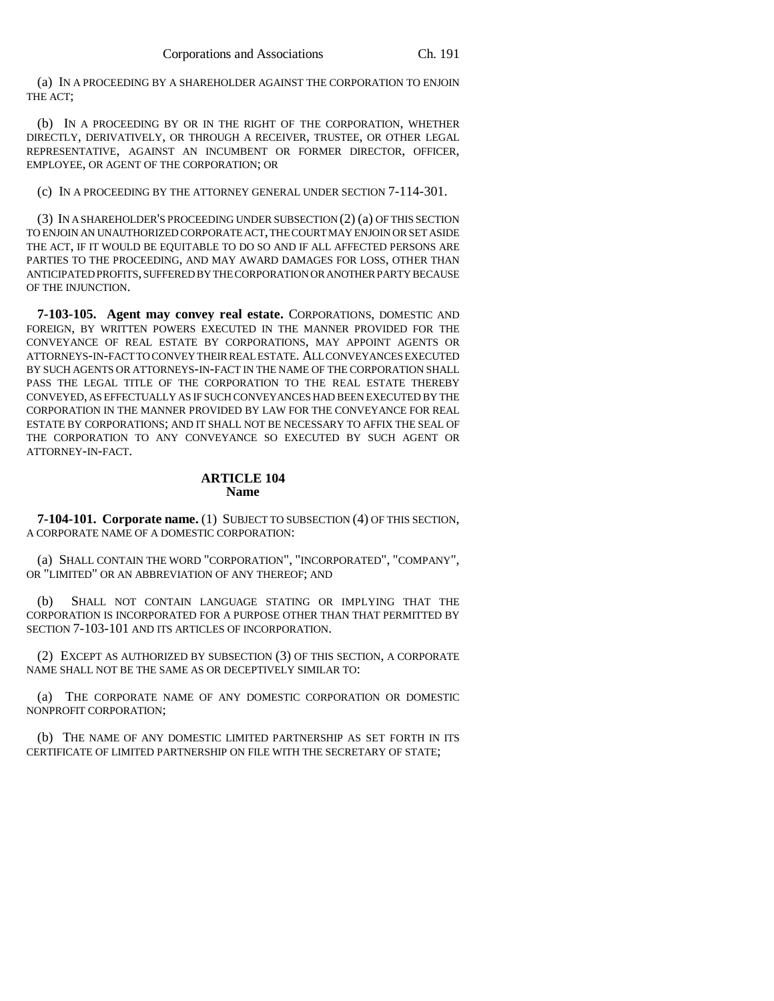(a) IN A PROCEEDING BY A SHAREHOLDER AGAINST THE CORPORATION TO ENJOIN THE ACT;

(b) IN A PROCEEDING BY OR IN THE RIGHT OF THE CORPORATION, WHETHER DIRECTLY, DERIVATIVELY, OR THROUGH A RECEIVER, TRUSTEE, OR OTHER LEGAL REPRESENTATIVE, AGAINST AN INCUMBENT OR FORMER DIRECTOR, OFFICER, EMPLOYEE, OR AGENT OF THE CORPORATION; OR

(c) IN A PROCEEDING BY THE ATTORNEY GENERAL UNDER SECTION 7-114-301.

(3) IN A SHAREHOLDER'S PROCEEDING UNDER SUBSECTION (2) (a) OF THIS SECTION TO ENJOIN AN UNAUTHORIZED CORPORATE ACT, THE COURT MAY ENJOIN OR SET ASIDE THE ACT, IF IT WOULD BE EQUITABLE TO DO SO AND IF ALL AFFECTED PERSONS ARE PARTIES TO THE PROCEEDING, AND MAY AWARD DAMAGES FOR LOSS, OTHER THAN ANTICIPATED PROFITS, SUFFERED BY THE CORPORATION OR ANOTHER PARTY BECAUSE OF THE INJUNCTION.

**7-103-105. Agent may convey real estate.** CORPORATIONS, DOMESTIC AND FOREIGN, BY WRITTEN POWERS EXECUTED IN THE MANNER PROVIDED FOR THE CONVEYANCE OF REAL ESTATE BY CORPORATIONS, MAY APPOINT AGENTS OR ATTORNEYS-IN-FACT TO CONVEY THEIR REAL ESTATE. ALL CONVEYANCES EXECUTED BY SUCH AGENTS OR ATTORNEYS-IN-FACT IN THE NAME OF THE CORPORATION SHALL PASS THE LEGAL TITLE OF THE CORPORATION TO THE REAL ESTATE THEREBY CONVEYED, AS EFFECTUALLY AS IF SUCH CONVEYANCES HAD BEEN EXECUTED BY THE CORPORATION IN THE MANNER PROVIDED BY LAW FOR THE CONVEYANCE FOR REAL ESTATE BY CORPORATIONS; AND IT SHALL NOT BE NECESSARY TO AFFIX THE SEAL OF THE CORPORATION TO ANY CONVEYANCE SO EXECUTED BY SUCH AGENT OR ATTORNEY-IN-FACT.

## **ARTICLE 104 Name**

**7-104-101. Corporate name.** (1) SUBJECT TO SUBSECTION (4) OF THIS SECTION, A CORPORATE NAME OF A DOMESTIC CORPORATION:

(a) SHALL CONTAIN THE WORD "CORPORATION", "INCORPORATED", "COMPANY", OR "LIMITED" OR AN ABBREVIATION OF ANY THEREOF; AND

(b) SHALL NOT CONTAIN LANGUAGE STATING OR IMPLYING THAT THE CORPORATION IS INCORPORATED FOR A PURPOSE OTHER THAN THAT PERMITTED BY SECTION 7-103-101 AND ITS ARTICLES OF INCORPORATION.

(2) EXCEPT AS AUTHORIZED BY SUBSECTION (3) OF THIS SECTION, A CORPORATE NAME SHALL NOT BE THE SAME AS OR DECEPTIVELY SIMILAR TO:

(a) THE CORPORATE NAME OF ANY DOMESTIC CORPORATION OR DOMESTIC NONPROFIT CORPORATION;

(b) THE NAME OF ANY DOMESTIC LIMITED PARTNERSHIP AS SET FORTH IN ITS CERTIFICATE OF LIMITED PARTNERSHIP ON FILE WITH THE SECRETARY OF STATE;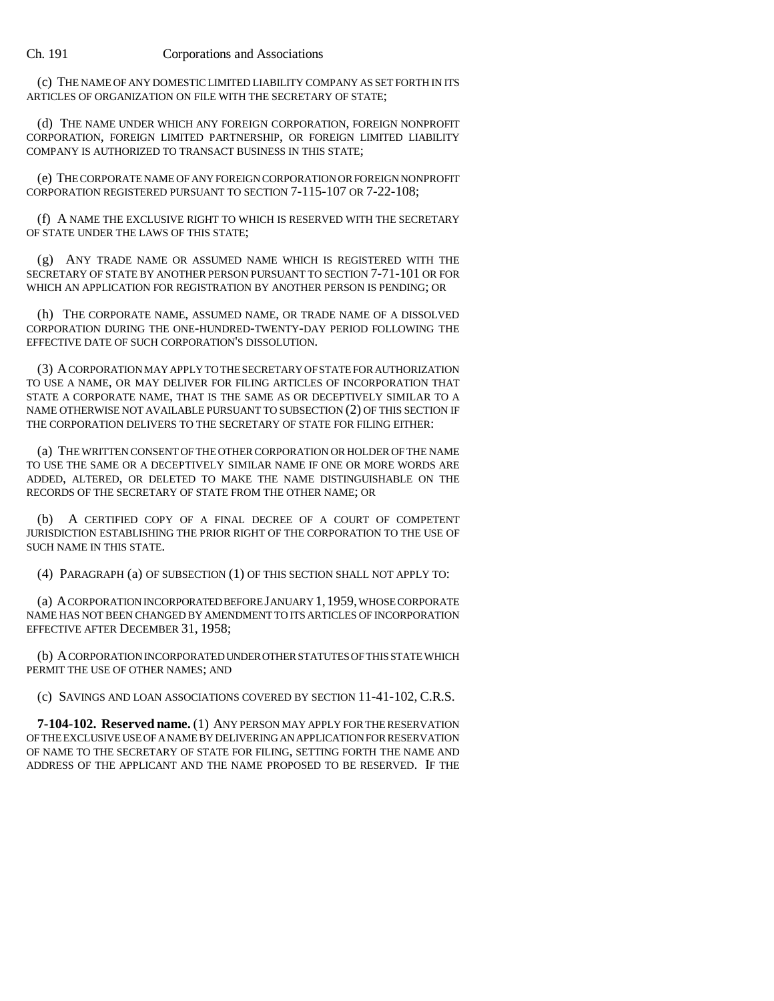(c) THE NAME OF ANY DOMESTIC LIMITED LIABILITY COMPANY AS SET FORTH IN ITS ARTICLES OF ORGANIZATION ON FILE WITH THE SECRETARY OF STATE;

(d) THE NAME UNDER WHICH ANY FOREIGN CORPORATION, FOREIGN NONPROFIT CORPORATION, FOREIGN LIMITED PARTNERSHIP, OR FOREIGN LIMITED LIABILITY COMPANY IS AUTHORIZED TO TRANSACT BUSINESS IN THIS STATE;

(e) THE CORPORATE NAME OF ANY FOREIGN CORPORATION OR FOREIGN NONPROFIT CORPORATION REGISTERED PURSUANT TO SECTION 7-115-107 OR 7-22-108;

(f) A NAME THE EXCLUSIVE RIGHT TO WHICH IS RESERVED WITH THE SECRETARY OF STATE UNDER THE LAWS OF THIS STATE;

(g) ANY TRADE NAME OR ASSUMED NAME WHICH IS REGISTERED WITH THE SECRETARY OF STATE BY ANOTHER PERSON PURSUANT TO SECTION 7-71-101 OR FOR WHICH AN APPLICATION FOR REGISTRATION BY ANOTHER PERSON IS PENDING; OR

(h) THE CORPORATE NAME, ASSUMED NAME, OR TRADE NAME OF A DISSOLVED CORPORATION DURING THE ONE-HUNDRED-TWENTY-DAY PERIOD FOLLOWING THE EFFECTIVE DATE OF SUCH CORPORATION'S DISSOLUTION.

(3) A CORPORATION MAY APPLY TO THE SECRETARY OF STATE FOR AUTHORIZATION TO USE A NAME, OR MAY DELIVER FOR FILING ARTICLES OF INCORPORATION THAT STATE A CORPORATE NAME, THAT IS THE SAME AS OR DECEPTIVELY SIMILAR TO A NAME OTHERWISE NOT AVAILABLE PURSUANT TO SUBSECTION (2) OF THIS SECTION IF THE CORPORATION DELIVERS TO THE SECRETARY OF STATE FOR FILING EITHER:

(a) THE WRITTEN CONSENT OF THE OTHER CORPORATION OR HOLDER OF THE NAME TO USE THE SAME OR A DECEPTIVELY SIMILAR NAME IF ONE OR MORE WORDS ARE ADDED, ALTERED, OR DELETED TO MAKE THE NAME DISTINGUISHABLE ON THE RECORDS OF THE SECRETARY OF STATE FROM THE OTHER NAME; OR

(b) A CERTIFIED COPY OF A FINAL DECREE OF A COURT OF COMPETENT JURISDICTION ESTABLISHING THE PRIOR RIGHT OF THE CORPORATION TO THE USE OF SUCH NAME IN THIS STATE.

(4) PARAGRAPH (a) OF SUBSECTION (1) OF THIS SECTION SHALL NOT APPLY TO:

(a) A CORPORATION INCORPORATED BEFORE JANUARY 1,1959, WHOSE CORPORATE NAME HAS NOT BEEN CHANGED BY AMENDMENT TO ITS ARTICLES OF INCORPORATION EFFECTIVE AFTER DECEMBER 31, 1958;

(b) A CORPORATION INCORPORATED UNDER OTHER STATUTES OF THIS STATE WHICH PERMIT THE USE OF OTHER NAMES; AND

(c) SAVINGS AND LOAN ASSOCIATIONS COVERED BY SECTION 11-41-102, C.R.S.

**7-104-102. Reserved name.** (1) ANY PERSON MAY APPLY FOR THE RESERVATION OF THE EXCLUSIVE USE OF A NAME BY DELIVERING AN APPLICATION FOR RESERVATION OF NAME TO THE SECRETARY OF STATE FOR FILING, SETTING FORTH THE NAME AND ADDRESS OF THE APPLICANT AND THE NAME PROPOSED TO BE RESERVED. IF THE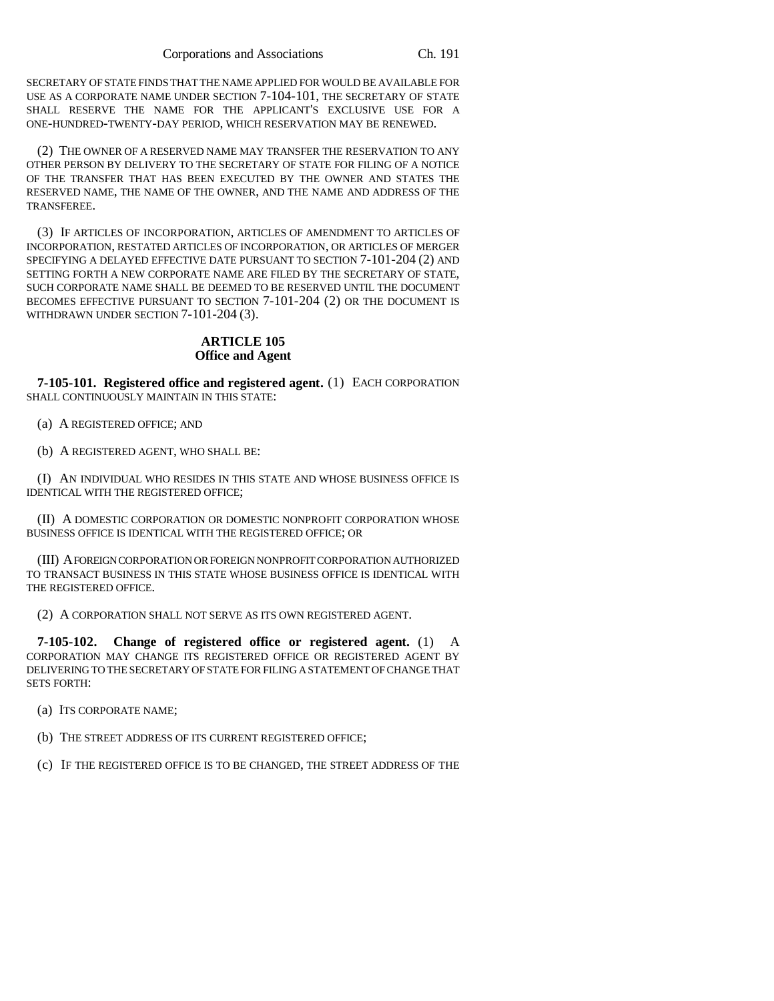SECRETARY OF STATE FINDS THAT THE NAME APPLIED FOR WOULD BE AVAILABLE FOR USE AS A CORPORATE NAME UNDER SECTION 7-104-101, THE SECRETARY OF STATE SHALL RESERVE THE NAME FOR THE APPLICANT'S EXCLUSIVE USE FOR A ONE-HUNDRED-TWENTY-DAY PERIOD, WHICH RESERVATION MAY BE RENEWED.

(2) THE OWNER OF A RESERVED NAME MAY TRANSFER THE RESERVATION TO ANY OTHER PERSON BY DELIVERY TO THE SECRETARY OF STATE FOR FILING OF A NOTICE OF THE TRANSFER THAT HAS BEEN EXECUTED BY THE OWNER AND STATES THE RESERVED NAME, THE NAME OF THE OWNER, AND THE NAME AND ADDRESS OF THE TRANSFEREE.

(3) IF ARTICLES OF INCORPORATION, ARTICLES OF AMENDMENT TO ARTICLES OF INCORPORATION, RESTATED ARTICLES OF INCORPORATION, OR ARTICLES OF MERGER SPECIFYING A DELAYED EFFECTIVE DATE PURSUANT TO SECTION 7-101-204 (2) AND SETTING FORTH A NEW CORPORATE NAME ARE FILED BY THE SECRETARY OF STATE, SUCH CORPORATE NAME SHALL BE DEEMED TO BE RESERVED UNTIL THE DOCUMENT BECOMES EFFECTIVE PURSUANT TO SECTION 7-101-204 (2) OR THE DOCUMENT IS WITHDRAWN UNDER SECTION 7-101-204 (3).

# **ARTICLE 105 Office and Agent**

**7-105-101. Registered office and registered agent.** (1) EACH CORPORATION SHALL CONTINUOUSLY MAINTAIN IN THIS STATE:

(a) A REGISTERED OFFICE; AND

(b) A REGISTERED AGENT, WHO SHALL BE:

(I) AN INDIVIDUAL WHO RESIDES IN THIS STATE AND WHOSE BUSINESS OFFICE IS IDENTICAL WITH THE REGISTERED OFFICE;

(II) A DOMESTIC CORPORATION OR DOMESTIC NONPROFIT CORPORATION WHOSE BUSINESS OFFICE IS IDENTICAL WITH THE REGISTERED OFFICE; OR

(III) A FOREIGN CORPORATION OR FOREIGN NONPROFIT CORPORATION AUTHORIZED TO TRANSACT BUSINESS IN THIS STATE WHOSE BUSINESS OFFICE IS IDENTICAL WITH THE REGISTERED OFFICE.

(2) A CORPORATION SHALL NOT SERVE AS ITS OWN REGISTERED AGENT.

**7-105-102. Change of registered office or registered agent.** (1) A CORPORATION MAY CHANGE ITS REGISTERED OFFICE OR REGISTERED AGENT BY DELIVERING TO THE SECRETARY OF STATE FOR FILING A STATEMENT OF CHANGE THAT SETS FORTH:

(a) ITS CORPORATE NAME;

(b) THE STREET ADDRESS OF ITS CURRENT REGISTERED OFFICE;

(c) IF THE REGISTERED OFFICE IS TO BE CHANGED, THE STREET ADDRESS OF THE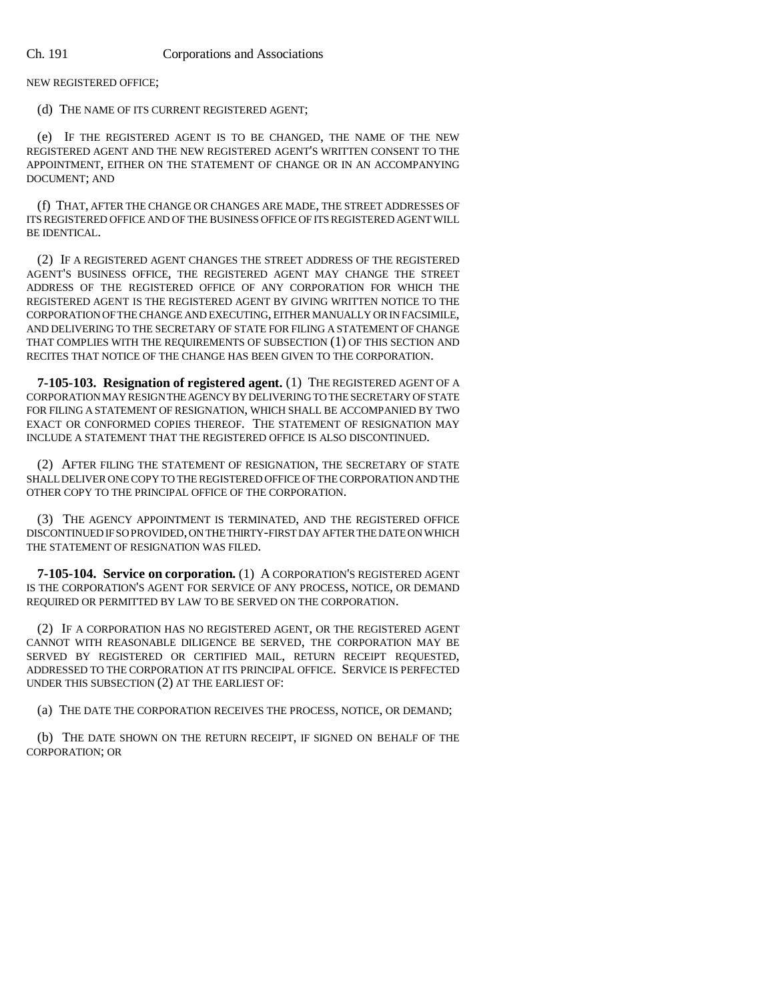NEW REGISTERED OFFICE;

(d) THE NAME OF ITS CURRENT REGISTERED AGENT;

(e) IF THE REGISTERED AGENT IS TO BE CHANGED, THE NAME OF THE NEW REGISTERED AGENT AND THE NEW REGISTERED AGENT'S WRITTEN CONSENT TO THE APPOINTMENT, EITHER ON THE STATEMENT OF CHANGE OR IN AN ACCOMPANYING DOCUMENT; AND

(f) THAT, AFTER THE CHANGE OR CHANGES ARE MADE, THE STREET ADDRESSES OF ITS REGISTERED OFFICE AND OF THE BUSINESS OFFICE OF ITS REGISTERED AGENT WILL BE IDENTICAL.

(2) IF A REGISTERED AGENT CHANGES THE STREET ADDRESS OF THE REGISTERED AGENT'S BUSINESS OFFICE, THE REGISTERED AGENT MAY CHANGE THE STREET ADDRESS OF THE REGISTERED OFFICE OF ANY CORPORATION FOR WHICH THE REGISTERED AGENT IS THE REGISTERED AGENT BY GIVING WRITTEN NOTICE TO THE CORPORATION OF THE CHANGE AND EXECUTING, EITHER MANUALLY OR IN FACSIMILE, AND DELIVERING TO THE SECRETARY OF STATE FOR FILING A STATEMENT OF CHANGE THAT COMPLIES WITH THE REQUIREMENTS OF SUBSECTION (1) OF THIS SECTION AND RECITES THAT NOTICE OF THE CHANGE HAS BEEN GIVEN TO THE CORPORATION.

**7-105-103. Resignation of registered agent.** (1) THE REGISTERED AGENT OF A CORPORATION MAY RESIGN THE AGENCY BY DELIVERING TO THE SECRETARY OF STATE FOR FILING A STATEMENT OF RESIGNATION, WHICH SHALL BE ACCOMPANIED BY TWO EXACT OR CONFORMED COPIES THEREOF. THE STATEMENT OF RESIGNATION MAY INCLUDE A STATEMENT THAT THE REGISTERED OFFICE IS ALSO DISCONTINUED.

(2) AFTER FILING THE STATEMENT OF RESIGNATION, THE SECRETARY OF STATE SHALL DELIVER ONE COPY TO THE REGISTERED OFFICE OF THE CORPORATION AND THE OTHER COPY TO THE PRINCIPAL OFFICE OF THE CORPORATION.

(3) THE AGENCY APPOINTMENT IS TERMINATED, AND THE REGISTERED OFFICE DISCONTINUED IF SO PROVIDED, ON THE THIRTY-FIRST DAY AFTER THE DATE ON WHICH THE STATEMENT OF RESIGNATION WAS FILED.

**7-105-104. Service on corporation.** (1) A CORPORATION'S REGISTERED AGENT IS THE CORPORATION'S AGENT FOR SERVICE OF ANY PROCESS, NOTICE, OR DEMAND REQUIRED OR PERMITTED BY LAW TO BE SERVED ON THE CORPORATION.

(2) IF A CORPORATION HAS NO REGISTERED AGENT, OR THE REGISTERED AGENT CANNOT WITH REASONABLE DILIGENCE BE SERVED, THE CORPORATION MAY BE SERVED BY REGISTERED OR CERTIFIED MAIL, RETURN RECEIPT REQUESTED, ADDRESSED TO THE CORPORATION AT ITS PRINCIPAL OFFICE. SERVICE IS PERFECTED UNDER THIS SUBSECTION (2) AT THE EARLIEST OF:

(a) THE DATE THE CORPORATION RECEIVES THE PROCESS, NOTICE, OR DEMAND;

(b) THE DATE SHOWN ON THE RETURN RECEIPT, IF SIGNED ON BEHALF OF THE CORPORATION; OR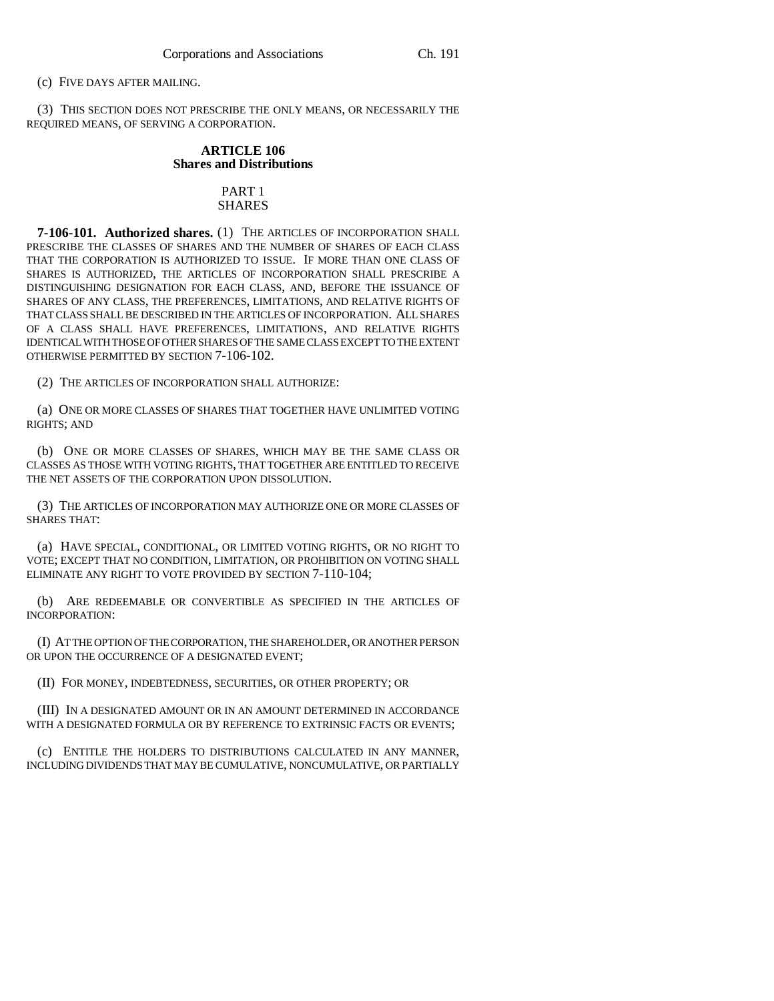(c) FIVE DAYS AFTER MAILING.

(3) THIS SECTION DOES NOT PRESCRIBE THE ONLY MEANS, OR NECESSARILY THE REQUIRED MEANS, OF SERVING A CORPORATION.

## **ARTICLE 106 Shares and Distributions**

#### PART 1 SHARES

**7-106-101. Authorized shares.** (1) THE ARTICLES OF INCORPORATION SHALL PRESCRIBE THE CLASSES OF SHARES AND THE NUMBER OF SHARES OF EACH CLASS THAT THE CORPORATION IS AUTHORIZED TO ISSUE. IF MORE THAN ONE CLASS OF SHARES IS AUTHORIZED, THE ARTICLES OF INCORPORATION SHALL PRESCRIBE A DISTINGUISHING DESIGNATION FOR EACH CLASS, AND, BEFORE THE ISSUANCE OF SHARES OF ANY CLASS, THE PREFERENCES, LIMITATIONS, AND RELATIVE RIGHTS OF THAT CLASS SHALL BE DESCRIBED IN THE ARTICLES OF INCORPORATION. ALL SHARES OF A CLASS SHALL HAVE PREFERENCES, LIMITATIONS, AND RELATIVE RIGHTS IDENTICAL WITH THOSE OF OTHER SHARES OF THE SAME CLASS EXCEPT TO THE EXTENT OTHERWISE PERMITTED BY SECTION 7-106-102.

(2) THE ARTICLES OF INCORPORATION SHALL AUTHORIZE:

(a) ONE OR MORE CLASSES OF SHARES THAT TOGETHER HAVE UNLIMITED VOTING RIGHTS; AND

(b) ONE OR MORE CLASSES OF SHARES, WHICH MAY BE THE SAME CLASS OR CLASSES AS THOSE WITH VOTING RIGHTS, THAT TOGETHER ARE ENTITLED TO RECEIVE THE NET ASSETS OF THE CORPORATION UPON DISSOLUTION.

(3) THE ARTICLES OF INCORPORATION MAY AUTHORIZE ONE OR MORE CLASSES OF SHARES THAT:

(a) HAVE SPECIAL, CONDITIONAL, OR LIMITED VOTING RIGHTS, OR NO RIGHT TO VOTE; EXCEPT THAT NO CONDITION, LIMITATION, OR PROHIBITION ON VOTING SHALL ELIMINATE ANY RIGHT TO VOTE PROVIDED BY SECTION 7-110-104;

(b) ARE REDEEMABLE OR CONVERTIBLE AS SPECIFIED IN THE ARTICLES OF INCORPORATION:

(I) AT THE OPTION OF THE CORPORATION, THE SHAREHOLDER, OR ANOTHER PERSON OR UPON THE OCCURRENCE OF A DESIGNATED EVENT;

(II) FOR MONEY, INDEBTEDNESS, SECURITIES, OR OTHER PROPERTY; OR

(III) IN A DESIGNATED AMOUNT OR IN AN AMOUNT DETERMINED IN ACCORDANCE WITH A DESIGNATED FORMULA OR BY REFERENCE TO EXTRINSIC FACTS OR EVENTS;

(c) ENTITLE THE HOLDERS TO DISTRIBUTIONS CALCULATED IN ANY MANNER, INCLUDING DIVIDENDS THAT MAY BE CUMULATIVE, NONCUMULATIVE, OR PARTIALLY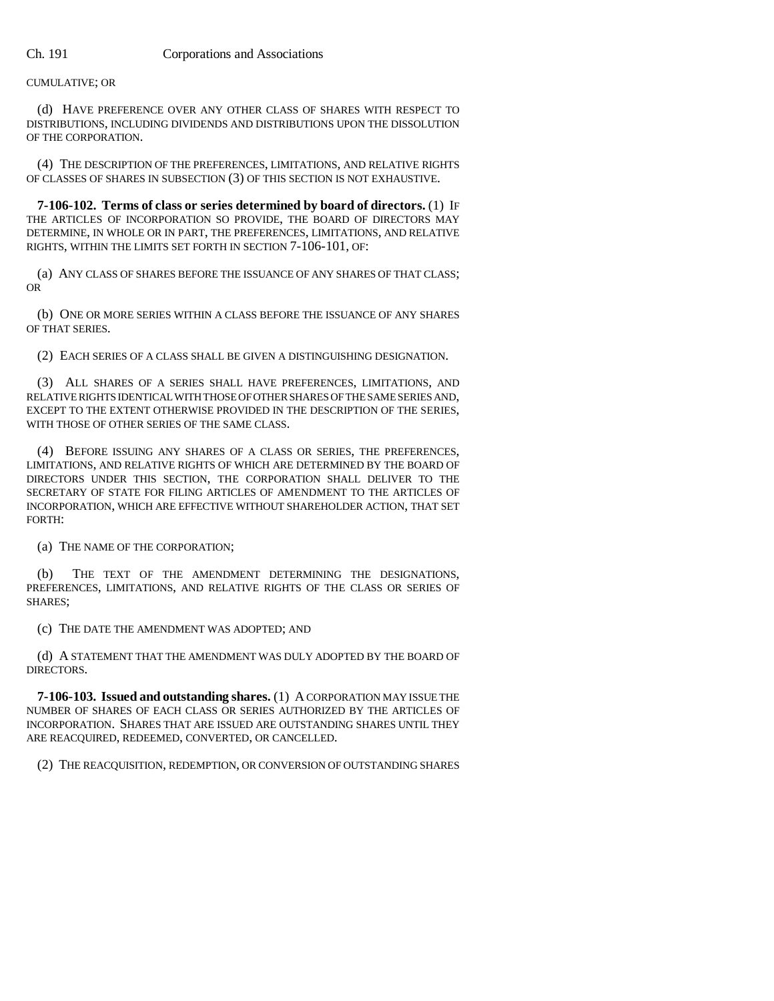CUMULATIVE; OR

(d) HAVE PREFERENCE OVER ANY OTHER CLASS OF SHARES WITH RESPECT TO DISTRIBUTIONS, INCLUDING DIVIDENDS AND DISTRIBUTIONS UPON THE DISSOLUTION OF THE CORPORATION.

(4) THE DESCRIPTION OF THE PREFERENCES, LIMITATIONS, AND RELATIVE RIGHTS OF CLASSES OF SHARES IN SUBSECTION (3) OF THIS SECTION IS NOT EXHAUSTIVE.

**7-106-102. Terms of class or series determined by board of directors.** (1) IF THE ARTICLES OF INCORPORATION SO PROVIDE, THE BOARD OF DIRECTORS MAY DETERMINE, IN WHOLE OR IN PART, THE PREFERENCES, LIMITATIONS, AND RELATIVE RIGHTS, WITHIN THE LIMITS SET FORTH IN SECTION 7-106-101, OF:

(a) ANY CLASS OF SHARES BEFORE THE ISSUANCE OF ANY SHARES OF THAT CLASS; OR

(b) ONE OR MORE SERIES WITHIN A CLASS BEFORE THE ISSUANCE OF ANY SHARES OF THAT SERIES.

(2) EACH SERIES OF A CLASS SHALL BE GIVEN A DISTINGUISHING DESIGNATION.

(3) ALL SHARES OF A SERIES SHALL HAVE PREFERENCES, LIMITATIONS, AND RELATIVE RIGHTS IDENTICAL WITH THOSE OF OTHER SHARES OF THE SAME SERIES AND, EXCEPT TO THE EXTENT OTHERWISE PROVIDED IN THE DESCRIPTION OF THE SERIES, WITH THOSE OF OTHER SERIES OF THE SAME CLASS.

(4) BEFORE ISSUING ANY SHARES OF A CLASS OR SERIES, THE PREFERENCES, LIMITATIONS, AND RELATIVE RIGHTS OF WHICH ARE DETERMINED BY THE BOARD OF DIRECTORS UNDER THIS SECTION, THE CORPORATION SHALL DELIVER TO THE SECRETARY OF STATE FOR FILING ARTICLES OF AMENDMENT TO THE ARTICLES OF INCORPORATION, WHICH ARE EFFECTIVE WITHOUT SHAREHOLDER ACTION, THAT SET FORTH:

(a) THE NAME OF THE CORPORATION;

(b) THE TEXT OF THE AMENDMENT DETERMINING THE DESIGNATIONS, PREFERENCES, LIMITATIONS, AND RELATIVE RIGHTS OF THE CLASS OR SERIES OF SHARES;

(c) THE DATE THE AMENDMENT WAS ADOPTED; AND

(d) A STATEMENT THAT THE AMENDMENT WAS DULY ADOPTED BY THE BOARD OF DIRECTORS.

**7-106-103. Issued and outstanding shares.** (1) A CORPORATION MAY ISSUE THE NUMBER OF SHARES OF EACH CLASS OR SERIES AUTHORIZED BY THE ARTICLES OF INCORPORATION. SHARES THAT ARE ISSUED ARE OUTSTANDING SHARES UNTIL THEY ARE REACQUIRED, REDEEMED, CONVERTED, OR CANCELLED.

(2) THE REACQUISITION, REDEMPTION, OR CONVERSION OF OUTSTANDING SHARES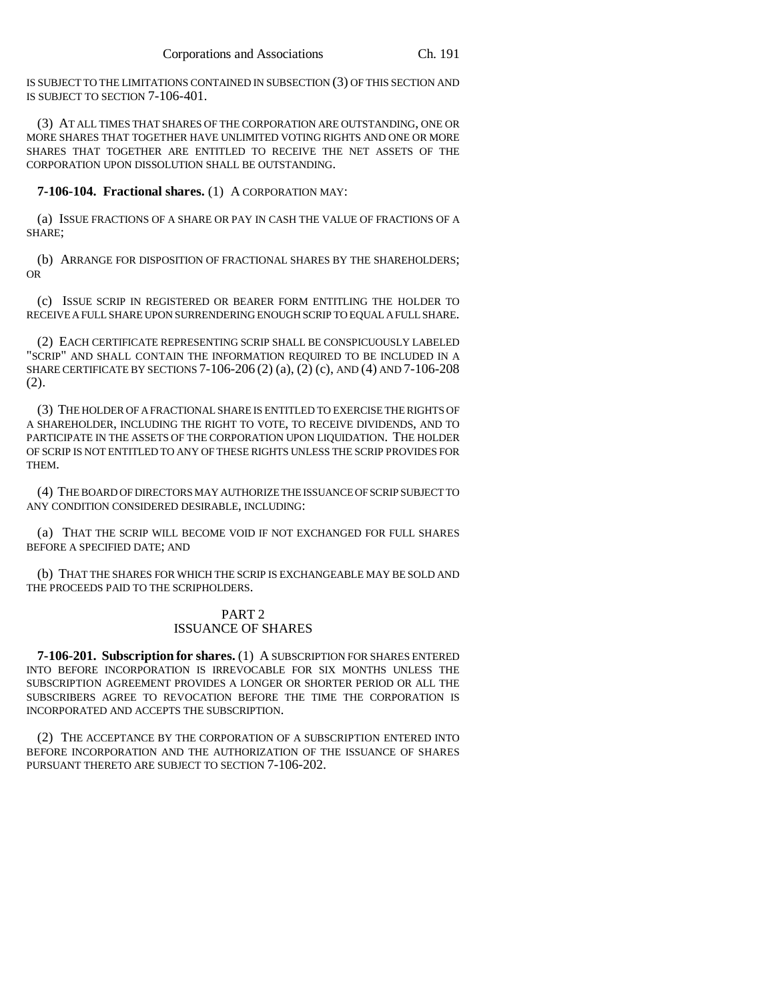IS SUBJECT TO THE LIMITATIONS CONTAINED IN SUBSECTION (3) OF THIS SECTION AND IS SUBJECT TO SECTION 7-106-401.

(3) AT ALL TIMES THAT SHARES OF THE CORPORATION ARE OUTSTANDING, ONE OR MORE SHARES THAT TOGETHER HAVE UNLIMITED VOTING RIGHTS AND ONE OR MORE SHARES THAT TOGETHER ARE ENTITLED TO RECEIVE THE NET ASSETS OF THE CORPORATION UPON DISSOLUTION SHALL BE OUTSTANDING.

**7-106-104. Fractional shares.** (1) A CORPORATION MAY:

(a) ISSUE FRACTIONS OF A SHARE OR PAY IN CASH THE VALUE OF FRACTIONS OF A SHARE;

(b) ARRANGE FOR DISPOSITION OF FRACTIONAL SHARES BY THE SHAREHOLDERS; OR

(c) ISSUE SCRIP IN REGISTERED OR BEARER FORM ENTITLING THE HOLDER TO RECEIVE A FULL SHARE UPON SURRENDERING ENOUGH SCRIP TO EQUAL A FULL SHARE.

(2) EACH CERTIFICATE REPRESENTING SCRIP SHALL BE CONSPICUOUSLY LABELED "SCRIP" AND SHALL CONTAIN THE INFORMATION REQUIRED TO BE INCLUDED IN A SHARE CERTIFICATE BY SECTIONS 7-106-206 (2) (a), (2) (c), AND (4) AND 7-106-208 (2).

(3) THE HOLDER OF A FRACTIONAL SHARE IS ENTITLED TO EXERCISE THE RIGHTS OF A SHAREHOLDER, INCLUDING THE RIGHT TO VOTE, TO RECEIVE DIVIDENDS, AND TO PARTICIPATE IN THE ASSETS OF THE CORPORATION UPON LIQUIDATION. THE HOLDER OF SCRIP IS NOT ENTITLED TO ANY OF THESE RIGHTS UNLESS THE SCRIP PROVIDES FOR THEM.

(4) THE BOARD OF DIRECTORS MAY AUTHORIZE THE ISSUANCE OF SCRIP SUBJECT TO ANY CONDITION CONSIDERED DESIRABLE, INCLUDING:

(a) THAT THE SCRIP WILL BECOME VOID IF NOT EXCHANGED FOR FULL SHARES BEFORE A SPECIFIED DATE; AND

(b) THAT THE SHARES FOR WHICH THE SCRIP IS EXCHANGEABLE MAY BE SOLD AND THE PROCEEDS PAID TO THE SCRIPHOLDERS.

# PART 2 ISSUANCE OF SHARES

**7-106-201. Subscription for shares.** (1) A SUBSCRIPTION FOR SHARES ENTERED INTO BEFORE INCORPORATION IS IRREVOCABLE FOR SIX MONTHS UNLESS THE SUBSCRIPTION AGREEMENT PROVIDES A LONGER OR SHORTER PERIOD OR ALL THE SUBSCRIBERS AGREE TO REVOCATION BEFORE THE TIME THE CORPORATION IS INCORPORATED AND ACCEPTS THE SUBSCRIPTION.

(2) THE ACCEPTANCE BY THE CORPORATION OF A SUBSCRIPTION ENTERED INTO BEFORE INCORPORATION AND THE AUTHORIZATION OF THE ISSUANCE OF SHARES PURSUANT THERETO ARE SUBJECT TO SECTION 7-106-202.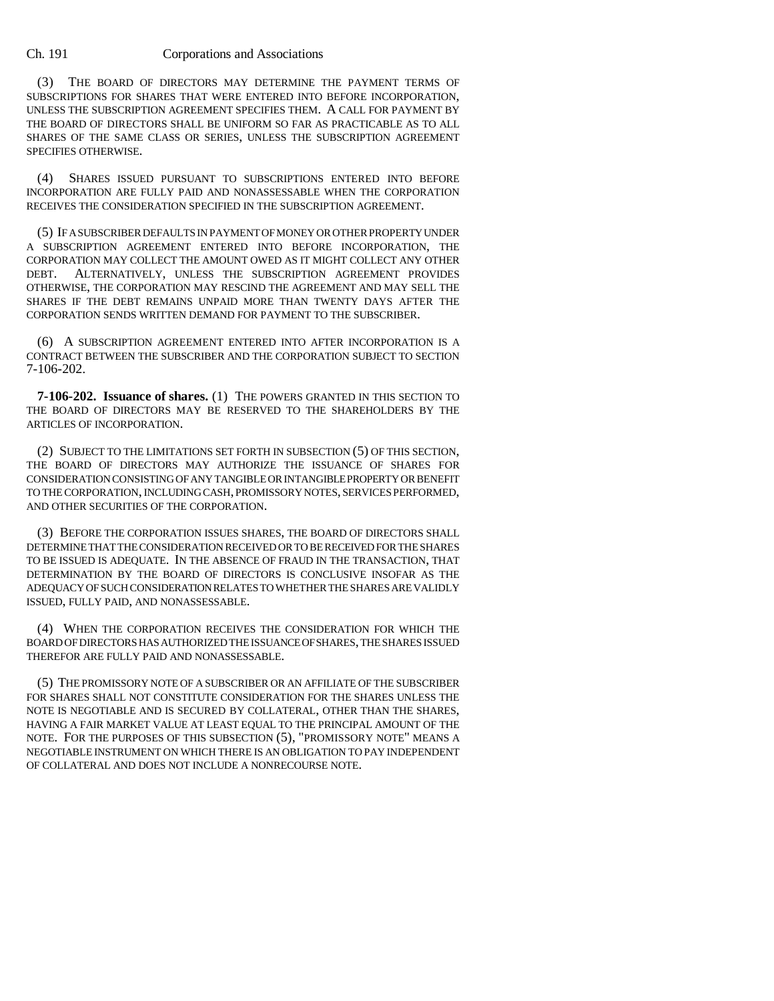(3) THE BOARD OF DIRECTORS MAY DETERMINE THE PAYMENT TERMS OF SUBSCRIPTIONS FOR SHARES THAT WERE ENTERED INTO BEFORE INCORPORATION, UNLESS THE SUBSCRIPTION AGREEMENT SPECIFIES THEM. A CALL FOR PAYMENT BY THE BOARD OF DIRECTORS SHALL BE UNIFORM SO FAR AS PRACTICABLE AS TO ALL SHARES OF THE SAME CLASS OR SERIES, UNLESS THE SUBSCRIPTION AGREEMENT SPECIFIES OTHERWISE.

(4) SHARES ISSUED PURSUANT TO SUBSCRIPTIONS ENTERED INTO BEFORE INCORPORATION ARE FULLY PAID AND NONASSESSABLE WHEN THE CORPORATION RECEIVES THE CONSIDERATION SPECIFIED IN THE SUBSCRIPTION AGREEMENT.

(5) IF A SUBSCRIBER DEFAULTS IN PAYMENT OF MONEY OR OTHER PROPERTY UNDER A SUBSCRIPTION AGREEMENT ENTERED INTO BEFORE INCORPORATION, THE CORPORATION MAY COLLECT THE AMOUNT OWED AS IT MIGHT COLLECT ANY OTHER DEBT. ALTERNATIVELY, UNLESS THE SUBSCRIPTION AGREEMENT PROVIDES OTHERWISE, THE CORPORATION MAY RESCIND THE AGREEMENT AND MAY SELL THE SHARES IF THE DEBT REMAINS UNPAID MORE THAN TWENTY DAYS AFTER THE CORPORATION SENDS WRITTEN DEMAND FOR PAYMENT TO THE SUBSCRIBER.

(6) A SUBSCRIPTION AGREEMENT ENTERED INTO AFTER INCORPORATION IS A CONTRACT BETWEEN THE SUBSCRIBER AND THE CORPORATION SUBJECT TO SECTION 7-106-202.

**7-106-202. Issuance of shares.** (1) THE POWERS GRANTED IN THIS SECTION TO THE BOARD OF DIRECTORS MAY BE RESERVED TO THE SHAREHOLDERS BY THE ARTICLES OF INCORPORATION.

(2) SUBJECT TO THE LIMITATIONS SET FORTH IN SUBSECTION (5) OF THIS SECTION, THE BOARD OF DIRECTORS MAY AUTHORIZE THE ISSUANCE OF SHARES FOR CONSIDERATION CONSISTING OF ANY TANGIBLE OR INTANGIBLE PROPERTY OR BENEFIT TO THE CORPORATION, INCLUDING CASH, PROMISSORY NOTES, SERVICES PERFORMED, AND OTHER SECURITIES OF THE CORPORATION.

(3) BEFORE THE CORPORATION ISSUES SHARES, THE BOARD OF DIRECTORS SHALL DETERMINE THAT THE CONSIDERATION RECEIVED OR TO BE RECEIVED FOR THE SHARES TO BE ISSUED IS ADEQUATE. IN THE ABSENCE OF FRAUD IN THE TRANSACTION, THAT DETERMINATION BY THE BOARD OF DIRECTORS IS CONCLUSIVE INSOFAR AS THE ADEQUACY OF SUCH CONSIDERATION RELATES TO WHETHER THE SHARES ARE VALIDLY ISSUED, FULLY PAID, AND NONASSESSABLE.

(4) WHEN THE CORPORATION RECEIVES THE CONSIDERATION FOR WHICH THE BOARD OF DIRECTORS HAS AUTHORIZED THE ISSUANCE OF SHARES, THE SHARES ISSUED THEREFOR ARE FULLY PAID AND NONASSESSABLE.

(5) THE PROMISSORY NOTE OF A SUBSCRIBER OR AN AFFILIATE OF THE SUBSCRIBER FOR SHARES SHALL NOT CONSTITUTE CONSIDERATION FOR THE SHARES UNLESS THE NOTE IS NEGOTIABLE AND IS SECURED BY COLLATERAL, OTHER THAN THE SHARES, HAVING A FAIR MARKET VALUE AT LEAST EQUAL TO THE PRINCIPAL AMOUNT OF THE NOTE. FOR THE PURPOSES OF THIS SUBSECTION (5), "PROMISSORY NOTE" MEANS A NEGOTIABLE INSTRUMENT ON WHICH THERE IS AN OBLIGATION TO PAY INDEPENDENT OF COLLATERAL AND DOES NOT INCLUDE A NONRECOURSE NOTE.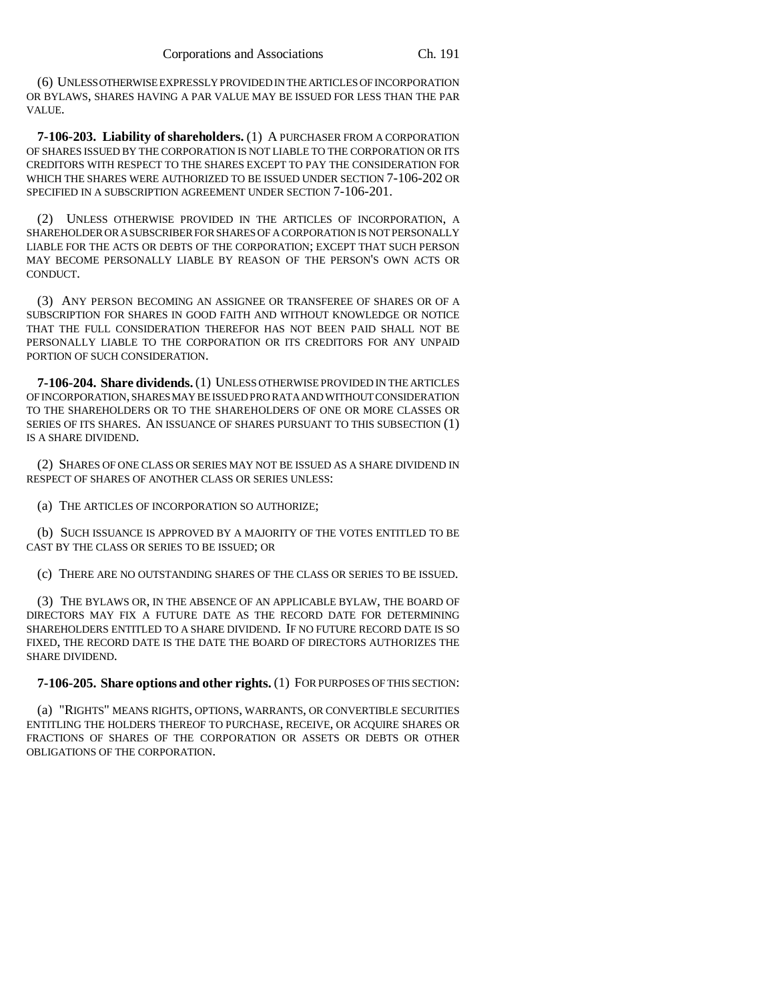(6) UNLESS OTHERWISE EXPRESSLY PROVIDED IN THE ARTICLES OF INCORPORATION OR BYLAWS, SHARES HAVING A PAR VALUE MAY BE ISSUED FOR LESS THAN THE PAR VALUE.

**7-106-203. Liability of shareholders.** (1) A PURCHASER FROM A CORPORATION OF SHARES ISSUED BY THE CORPORATION IS NOT LIABLE TO THE CORPORATION OR ITS CREDITORS WITH RESPECT TO THE SHARES EXCEPT TO PAY THE CONSIDERATION FOR WHICH THE SHARES WERE AUTHORIZED TO BE ISSUED UNDER SECTION 7-106-202 OR SPECIFIED IN A SUBSCRIPTION AGREEMENT UNDER SECTION 7-106-201.

(2) UNLESS OTHERWISE PROVIDED IN THE ARTICLES OF INCORPORATION, A SHAREHOLDER OR A SUBSCRIBER FOR SHARES OF A CORPORATION IS NOT PERSONALLY LIABLE FOR THE ACTS OR DEBTS OF THE CORPORATION; EXCEPT THAT SUCH PERSON MAY BECOME PERSONALLY LIABLE BY REASON OF THE PERSON'S OWN ACTS OR CONDUCT.

(3) ANY PERSON BECOMING AN ASSIGNEE OR TRANSFEREE OF SHARES OR OF A SUBSCRIPTION FOR SHARES IN GOOD FAITH AND WITHOUT KNOWLEDGE OR NOTICE THAT THE FULL CONSIDERATION THEREFOR HAS NOT BEEN PAID SHALL NOT BE PERSONALLY LIABLE TO THE CORPORATION OR ITS CREDITORS FOR ANY UNPAID PORTION OF SUCH CONSIDERATION.

**7-106-204. Share dividends.** (1) UNLESS OTHERWISE PROVIDED IN THE ARTICLES OF INCORPORATION, SHARES MAY BE ISSUED PRO RATA AND WITHOUT CONSIDERATION TO THE SHAREHOLDERS OR TO THE SHAREHOLDERS OF ONE OR MORE CLASSES OR SERIES OF ITS SHARES. AN ISSUANCE OF SHARES PURSUANT TO THIS SUBSECTION (1) IS A SHARE DIVIDEND.

(2) SHARES OF ONE CLASS OR SERIES MAY NOT BE ISSUED AS A SHARE DIVIDEND IN RESPECT OF SHARES OF ANOTHER CLASS OR SERIES UNLESS:

(a) THE ARTICLES OF INCORPORATION SO AUTHORIZE;

(b) SUCH ISSUANCE IS APPROVED BY A MAJORITY OF THE VOTES ENTITLED TO BE CAST BY THE CLASS OR SERIES TO BE ISSUED; OR

(c) THERE ARE NO OUTSTANDING SHARES OF THE CLASS OR SERIES TO BE ISSUED.

(3) THE BYLAWS OR, IN THE ABSENCE OF AN APPLICABLE BYLAW, THE BOARD OF DIRECTORS MAY FIX A FUTURE DATE AS THE RECORD DATE FOR DETERMINING SHAREHOLDERS ENTITLED TO A SHARE DIVIDEND. IF NO FUTURE RECORD DATE IS SO FIXED, THE RECORD DATE IS THE DATE THE BOARD OF DIRECTORS AUTHORIZES THE SHARE DIVIDEND.

**7-106-205. Share options and other rights.** (1) FOR PURPOSES OF THIS SECTION:

(a) "RIGHTS" MEANS RIGHTS, OPTIONS, WARRANTS, OR CONVERTIBLE SECURITIES ENTITLING THE HOLDERS THEREOF TO PURCHASE, RECEIVE, OR ACQUIRE SHARES OR FRACTIONS OF SHARES OF THE CORPORATION OR ASSETS OR DEBTS OR OTHER OBLIGATIONS OF THE CORPORATION.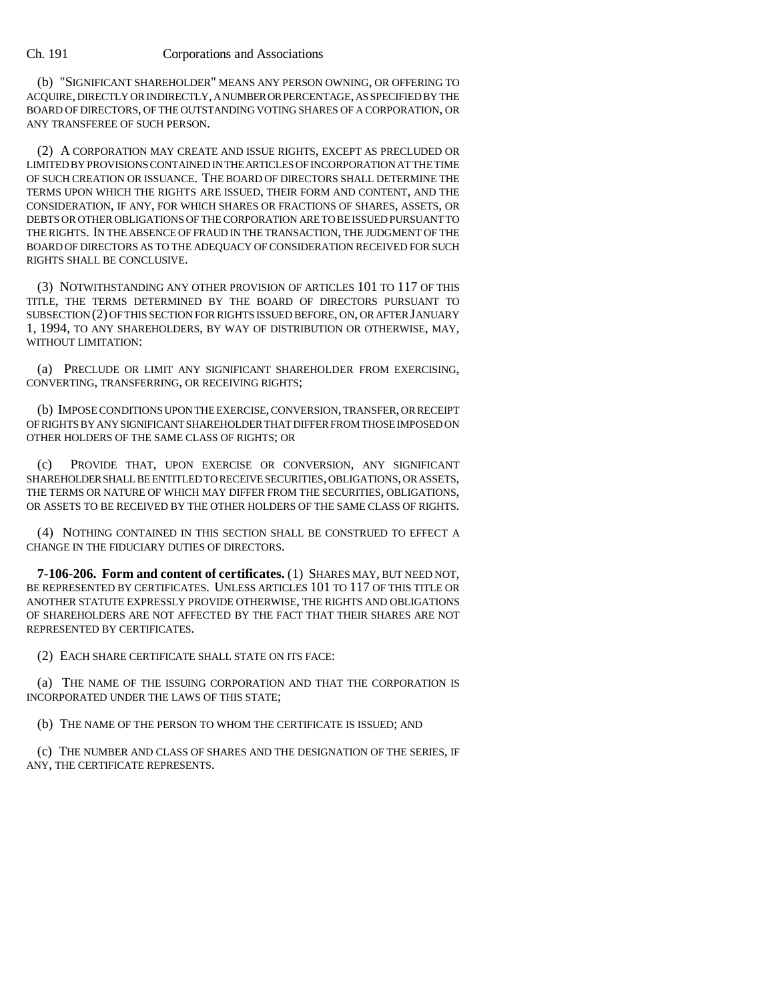(b) "SIGNIFICANT SHAREHOLDER" MEANS ANY PERSON OWNING, OR OFFERING TO ACQUIRE, DIRECTLY OR INDIRECTLY, A NUMBER OR PERCENTAGE, AS SPECIFIED BY THE BOARD OF DIRECTORS, OF THE OUTSTANDING VOTING SHARES OF A CORPORATION, OR ANY TRANSFEREE OF SUCH PERSON.

(2) A CORPORATION MAY CREATE AND ISSUE RIGHTS, EXCEPT AS PRECLUDED OR LIMITED BY PROVISIONS CONTAINED IN THE ARTICLES OF INCORPORATION AT THE TIME OF SUCH CREATION OR ISSUANCE. THE BOARD OF DIRECTORS SHALL DETERMINE THE TERMS UPON WHICH THE RIGHTS ARE ISSUED, THEIR FORM AND CONTENT, AND THE CONSIDERATION, IF ANY, FOR WHICH SHARES OR FRACTIONS OF SHARES, ASSETS, OR DEBTS OR OTHER OBLIGATIONS OF THE CORPORATION ARE TO BE ISSUED PURSUANT TO THE RIGHTS. IN THE ABSENCE OF FRAUD IN THE TRANSACTION, THE JUDGMENT OF THE BOARD OF DIRECTORS AS TO THE ADEQUACY OF CONSIDERATION RECEIVED FOR SUCH RIGHTS SHALL BE CONCLUSIVE.

(3) NOTWITHSTANDING ANY OTHER PROVISION OF ARTICLES 101 TO 117 OF THIS TITLE, THE TERMS DETERMINED BY THE BOARD OF DIRECTORS PURSUANT TO SUBSECTION (2) OF THIS SECTION FOR RIGHTS ISSUED BEFORE, ON, OR AFTER JANUARY 1, 1994, TO ANY SHAREHOLDERS, BY WAY OF DISTRIBUTION OR OTHERWISE, MAY, WITHOUT LIMITATION:

(a) PRECLUDE OR LIMIT ANY SIGNIFICANT SHAREHOLDER FROM EXERCISING, CONVERTING, TRANSFERRING, OR RECEIVING RIGHTS;

(b) IMPOSE CONDITIONS UPON THE EXERCISE, CONVERSION, TRANSFER, OR RECEIPT OF RIGHTS BY ANY SIGNIFICANT SHAREHOLDER THAT DIFFER FROM THOSE IMPOSED ON OTHER HOLDERS OF THE SAME CLASS OF RIGHTS; OR

(c) PROVIDE THAT, UPON EXERCISE OR CONVERSION, ANY SIGNIFICANT SHAREHOLDER SHALL BE ENTITLED TO RECEIVE SECURITIES, OBLIGATIONS, OR ASSETS, THE TERMS OR NATURE OF WHICH MAY DIFFER FROM THE SECURITIES, OBLIGATIONS, OR ASSETS TO BE RECEIVED BY THE OTHER HOLDERS OF THE SAME CLASS OF RIGHTS.

(4) NOTHING CONTAINED IN THIS SECTION SHALL BE CONSTRUED TO EFFECT A CHANGE IN THE FIDUCIARY DUTIES OF DIRECTORS.

**7-106-206. Form and content of certificates.** (1) SHARES MAY, BUT NEED NOT, BE REPRESENTED BY CERTIFICATES. UNLESS ARTICLES 101 TO 117 OF THIS TITLE OR ANOTHER STATUTE EXPRESSLY PROVIDE OTHERWISE, THE RIGHTS AND OBLIGATIONS OF SHAREHOLDERS ARE NOT AFFECTED BY THE FACT THAT THEIR SHARES ARE NOT REPRESENTED BY CERTIFICATES.

(2) EACH SHARE CERTIFICATE SHALL STATE ON ITS FACE:

(a) THE NAME OF THE ISSUING CORPORATION AND THAT THE CORPORATION IS INCORPORATED UNDER THE LAWS OF THIS STATE;

(b) THE NAME OF THE PERSON TO WHOM THE CERTIFICATE IS ISSUED; AND

(c) THE NUMBER AND CLASS OF SHARES AND THE DESIGNATION OF THE SERIES, IF ANY, THE CERTIFICATE REPRESENTS.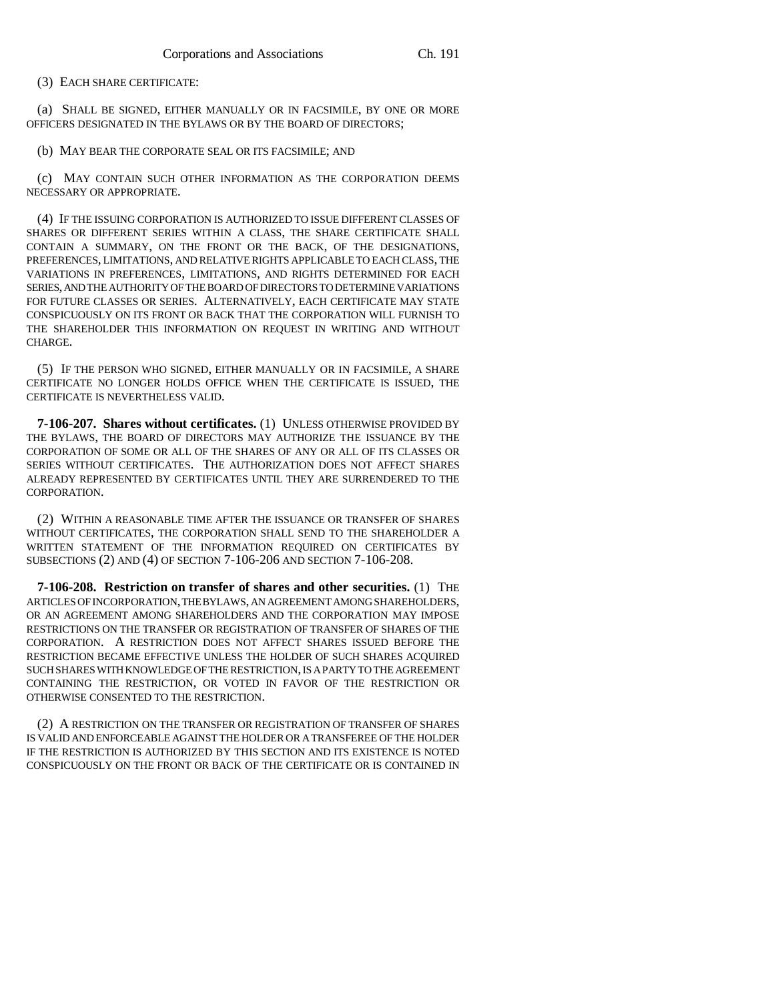(3) EACH SHARE CERTIFICATE:

(a) SHALL BE SIGNED, EITHER MANUALLY OR IN FACSIMILE, BY ONE OR MORE OFFICERS DESIGNATED IN THE BYLAWS OR BY THE BOARD OF DIRECTORS;

(b) MAY BEAR THE CORPORATE SEAL OR ITS FACSIMILE; AND

(c) MAY CONTAIN SUCH OTHER INFORMATION AS THE CORPORATION DEEMS NECESSARY OR APPROPRIATE.

(4) IF THE ISSUING CORPORATION IS AUTHORIZED TO ISSUE DIFFERENT CLASSES OF SHARES OR DIFFERENT SERIES WITHIN A CLASS, THE SHARE CERTIFICATE SHALL CONTAIN A SUMMARY, ON THE FRONT OR THE BACK, OF THE DESIGNATIONS, PREFERENCES, LIMITATIONS, AND RELATIVE RIGHTS APPLICABLE TO EACH CLASS, THE VARIATIONS IN PREFERENCES, LIMITATIONS, AND RIGHTS DETERMINED FOR EACH SERIES, AND THE AUTHORITY OF THE BOARD OF DIRECTORS TO DETERMINE VARIATIONS FOR FUTURE CLASSES OR SERIES. ALTERNATIVELY, EACH CERTIFICATE MAY STATE CONSPICUOUSLY ON ITS FRONT OR BACK THAT THE CORPORATION WILL FURNISH TO THE SHAREHOLDER THIS INFORMATION ON REQUEST IN WRITING AND WITHOUT CHARGE.

(5) IF THE PERSON WHO SIGNED, EITHER MANUALLY OR IN FACSIMILE, A SHARE CERTIFICATE NO LONGER HOLDS OFFICE WHEN THE CERTIFICATE IS ISSUED, THE CERTIFICATE IS NEVERTHELESS VALID.

**7-106-207. Shares without certificates.** (1) UNLESS OTHERWISE PROVIDED BY THE BYLAWS, THE BOARD OF DIRECTORS MAY AUTHORIZE THE ISSUANCE BY THE CORPORATION OF SOME OR ALL OF THE SHARES OF ANY OR ALL OF ITS CLASSES OR SERIES WITHOUT CERTIFICATES. THE AUTHORIZATION DOES NOT AFFECT SHARES ALREADY REPRESENTED BY CERTIFICATES UNTIL THEY ARE SURRENDERED TO THE CORPORATION.

(2) WITHIN A REASONABLE TIME AFTER THE ISSUANCE OR TRANSFER OF SHARES WITHOUT CERTIFICATES, THE CORPORATION SHALL SEND TO THE SHAREHOLDER A WRITTEN STATEMENT OF THE INFORMATION REQUIRED ON CERTIFICATES BY SUBSECTIONS (2) AND (4) OF SECTION 7-106-206 AND SECTION 7-106-208.

**7-106-208. Restriction on transfer of shares and other securities.** (1) THE ARTICLES OF INCORPORATION, THE BYLAWS, AN AGREEMENT AMONG SHAREHOLDERS, OR AN AGREEMENT AMONG SHAREHOLDERS AND THE CORPORATION MAY IMPOSE RESTRICTIONS ON THE TRANSFER OR REGISTRATION OF TRANSFER OF SHARES OF THE CORPORATION. A RESTRICTION DOES NOT AFFECT SHARES ISSUED BEFORE THE RESTRICTION BECAME EFFECTIVE UNLESS THE HOLDER OF SUCH SHARES ACQUIRED SUCH SHARES WITH KNOWLEDGE OF THE RESTRICTION, IS A PARTY TO THE AGREEMENT CONTAINING THE RESTRICTION, OR VOTED IN FAVOR OF THE RESTRICTION OR OTHERWISE CONSENTED TO THE RESTRICTION.

(2) A RESTRICTION ON THE TRANSFER OR REGISTRATION OF TRANSFER OF SHARES IS VALID AND ENFORCEABLE AGAINST THE HOLDER OR A TRANSFEREE OF THE HOLDER IF THE RESTRICTION IS AUTHORIZED BY THIS SECTION AND ITS EXISTENCE IS NOTED CONSPICUOUSLY ON THE FRONT OR BACK OF THE CERTIFICATE OR IS CONTAINED IN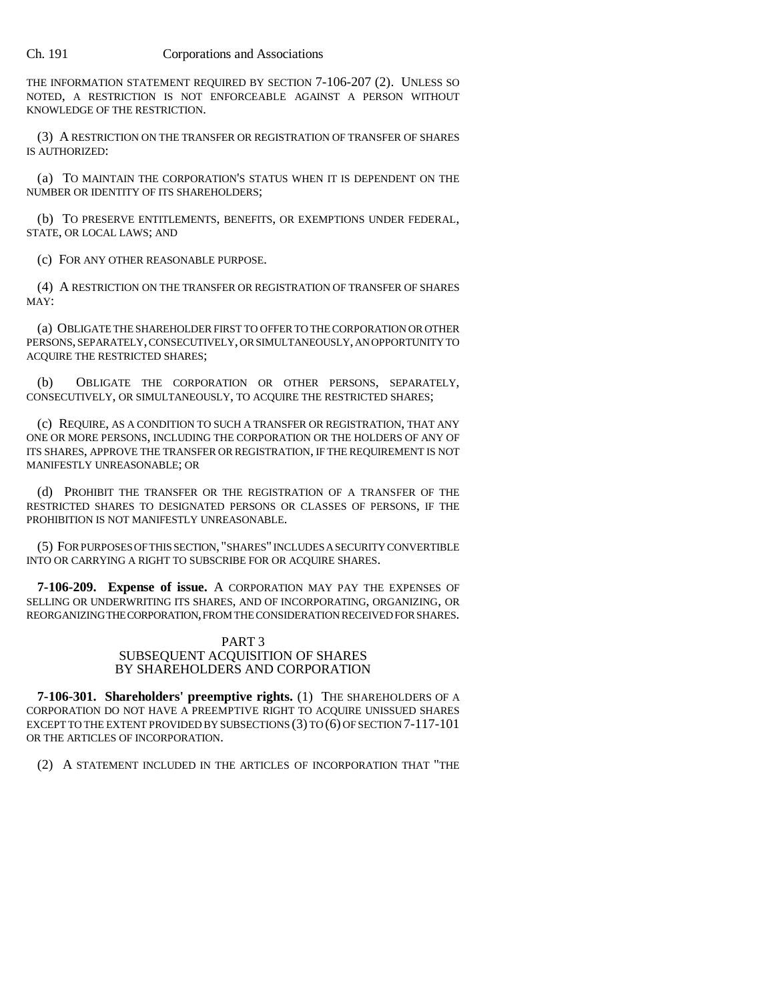THE INFORMATION STATEMENT REQUIRED BY SECTION 7-106-207 (2). UNLESS SO NOTED, A RESTRICTION IS NOT ENFORCEABLE AGAINST A PERSON WITHOUT KNOWLEDGE OF THE RESTRICTION.

(3) A RESTRICTION ON THE TRANSFER OR REGISTRATION OF TRANSFER OF SHARES IS AUTHORIZED:

(a) TO MAINTAIN THE CORPORATION'S STATUS WHEN IT IS DEPENDENT ON THE NUMBER OR IDENTITY OF ITS SHAREHOLDERS;

(b) TO PRESERVE ENTITLEMENTS, BENEFITS, OR EXEMPTIONS UNDER FEDERAL, STATE, OR LOCAL LAWS; AND

(c) FOR ANY OTHER REASONABLE PURPOSE.

(4) A RESTRICTION ON THE TRANSFER OR REGISTRATION OF TRANSFER OF SHARES MAY:

(a) OBLIGATE THE SHAREHOLDER FIRST TO OFFER TO THE CORPORATION OR OTHER PERSONS, SEPARATELY, CONSECUTIVELY, OR SIMULTANEOUSLY, AN OPPORTUNITY TO ACQUIRE THE RESTRICTED SHARES;

(b) OBLIGATE THE CORPORATION OR OTHER PERSONS, SEPARATELY, CONSECUTIVELY, OR SIMULTANEOUSLY, TO ACQUIRE THE RESTRICTED SHARES;

(c) REQUIRE, AS A CONDITION TO SUCH A TRANSFER OR REGISTRATION, THAT ANY ONE OR MORE PERSONS, INCLUDING THE CORPORATION OR THE HOLDERS OF ANY OF ITS SHARES, APPROVE THE TRANSFER OR REGISTRATION, IF THE REQUIREMENT IS NOT MANIFESTLY UNREASONABLE; OR

(d) PROHIBIT THE TRANSFER OR THE REGISTRATION OF A TRANSFER OF THE RESTRICTED SHARES TO DESIGNATED PERSONS OR CLASSES OF PERSONS, IF THE PROHIBITION IS NOT MANIFESTLY UNREASONABLE.

(5) FOR PURPOSES OF THIS SECTION, "SHARES" INCLUDES A SECURITY CONVERTIBLE INTO OR CARRYING A RIGHT TO SUBSCRIBE FOR OR ACQUIRE SHARES.

**7-106-209. Expense of issue.** A CORPORATION MAY PAY THE EXPENSES OF SELLING OR UNDERWRITING ITS SHARES, AND OF INCORPORATING, ORGANIZING, OR REORGANIZING THE CORPORATION, FROM THE CONSIDERATION RECEIVED FOR SHARES.

## PART 3 SUBSEQUENT ACQUISITION OF SHARES BY SHAREHOLDERS AND CORPORATION

**7-106-301. Shareholders' preemptive rights.** (1) THE SHAREHOLDERS OF A CORPORATION DO NOT HAVE A PREEMPTIVE RIGHT TO ACQUIRE UNISSUED SHARES EXCEPT TO THE EXTENT PROVIDED BY SUBSECTIONS (3) TO (6) OF SECTION 7-117-101 OR THE ARTICLES OF INCORPORATION.

(2) A STATEMENT INCLUDED IN THE ARTICLES OF INCORPORATION THAT "THE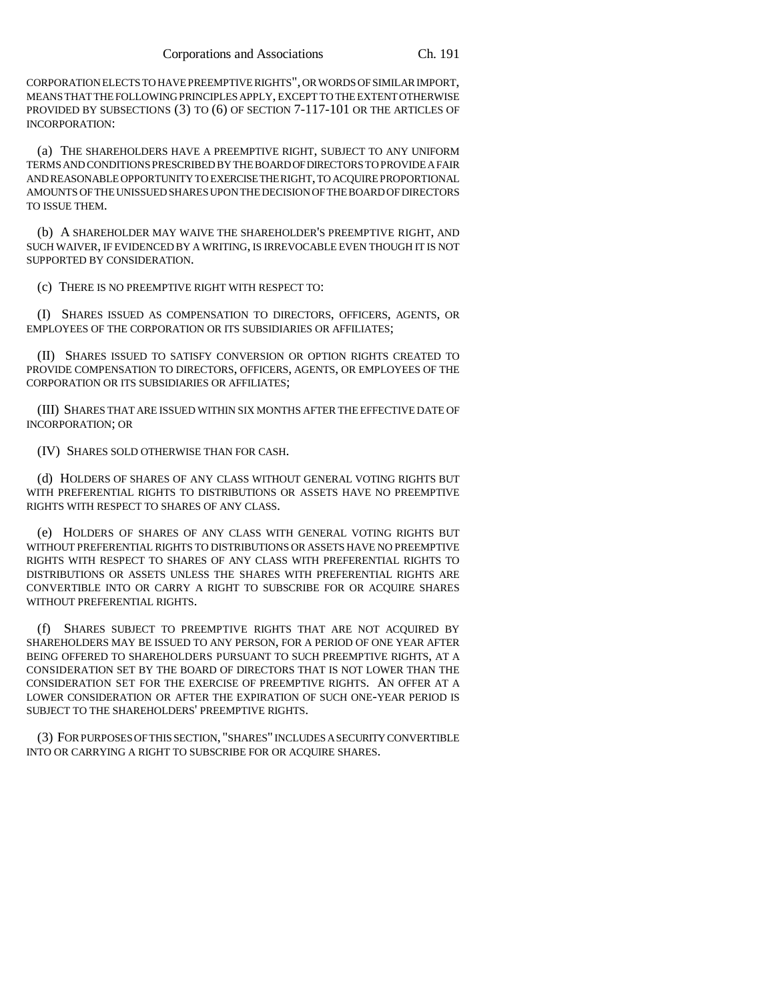CORPORATION ELECTS TO HAVE PREEMPTIVE RIGHTS", OR WORDS OF SIMILAR IMPORT, MEANS THAT THE FOLLOWING PRINCIPLES APPLY, EXCEPT TO THE EXTENT OTHERWISE PROVIDED BY SUBSECTIONS (3) TO (6) OF SECTION 7-117-101 OR THE ARTICLES OF INCORPORATION:

(a) THE SHAREHOLDERS HAVE A PREEMPTIVE RIGHT, SUBJECT TO ANY UNIFORM TERMS AND CONDITIONS PRESCRIBED BY THE BOARD OF DIRECTORS TO PROVIDE A FAIR AND REASONABLE OPPORTUNITY TO EXERCISE THE RIGHT, TO ACQUIRE PROPORTIONAL AMOUNTS OF THE UNISSUED SHARES UPON THE DECISION OF THE BOARD OF DIRECTORS TO ISSUE THEM.

(b) A SHAREHOLDER MAY WAIVE THE SHAREHOLDER'S PREEMPTIVE RIGHT, AND SUCH WAIVER, IF EVIDENCED BY A WRITING, IS IRREVOCABLE EVEN THOUGH IT IS NOT SUPPORTED BY CONSIDERATION.

(c) THERE IS NO PREEMPTIVE RIGHT WITH RESPECT TO:

(I) SHARES ISSUED AS COMPENSATION TO DIRECTORS, OFFICERS, AGENTS, OR EMPLOYEES OF THE CORPORATION OR ITS SUBSIDIARIES OR AFFILIATES;

(II) SHARES ISSUED TO SATISFY CONVERSION OR OPTION RIGHTS CREATED TO PROVIDE COMPENSATION TO DIRECTORS, OFFICERS, AGENTS, OR EMPLOYEES OF THE CORPORATION OR ITS SUBSIDIARIES OR AFFILIATES;

(III) SHARES THAT ARE ISSUED WITHIN SIX MONTHS AFTER THE EFFECTIVE DATE OF INCORPORATION; OR

(IV) SHARES SOLD OTHERWISE THAN FOR CASH.

(d) HOLDERS OF SHARES OF ANY CLASS WITHOUT GENERAL VOTING RIGHTS BUT WITH PREFERENTIAL RIGHTS TO DISTRIBUTIONS OR ASSETS HAVE NO PREEMPTIVE RIGHTS WITH RESPECT TO SHARES OF ANY CLASS.

(e) HOLDERS OF SHARES OF ANY CLASS WITH GENERAL VOTING RIGHTS BUT WITHOUT PREFERENTIAL RIGHTS TO DISTRIBUTIONS OR ASSETS HAVE NO PREEMPTIVE RIGHTS WITH RESPECT TO SHARES OF ANY CLASS WITH PREFERENTIAL RIGHTS TO DISTRIBUTIONS OR ASSETS UNLESS THE SHARES WITH PREFERENTIAL RIGHTS ARE CONVERTIBLE INTO OR CARRY A RIGHT TO SUBSCRIBE FOR OR ACQUIRE SHARES WITHOUT PREFERENTIAL RIGHTS.

(f) SHARES SUBJECT TO PREEMPTIVE RIGHTS THAT ARE NOT ACQUIRED BY SHAREHOLDERS MAY BE ISSUED TO ANY PERSON, FOR A PERIOD OF ONE YEAR AFTER BEING OFFERED TO SHAREHOLDERS PURSUANT TO SUCH PREEMPTIVE RIGHTS, AT A CONSIDERATION SET BY THE BOARD OF DIRECTORS THAT IS NOT LOWER THAN THE CONSIDERATION SET FOR THE EXERCISE OF PREEMPTIVE RIGHTS. AN OFFER AT A LOWER CONSIDERATION OR AFTER THE EXPIRATION OF SUCH ONE-YEAR PERIOD IS SUBJECT TO THE SHAREHOLDERS' PREEMPTIVE RIGHTS.

(3) FOR PURPOSES OF THIS SECTION, "SHARES" INCLUDES A SECURITY CONVERTIBLE INTO OR CARRYING A RIGHT TO SUBSCRIBE FOR OR ACQUIRE SHARES.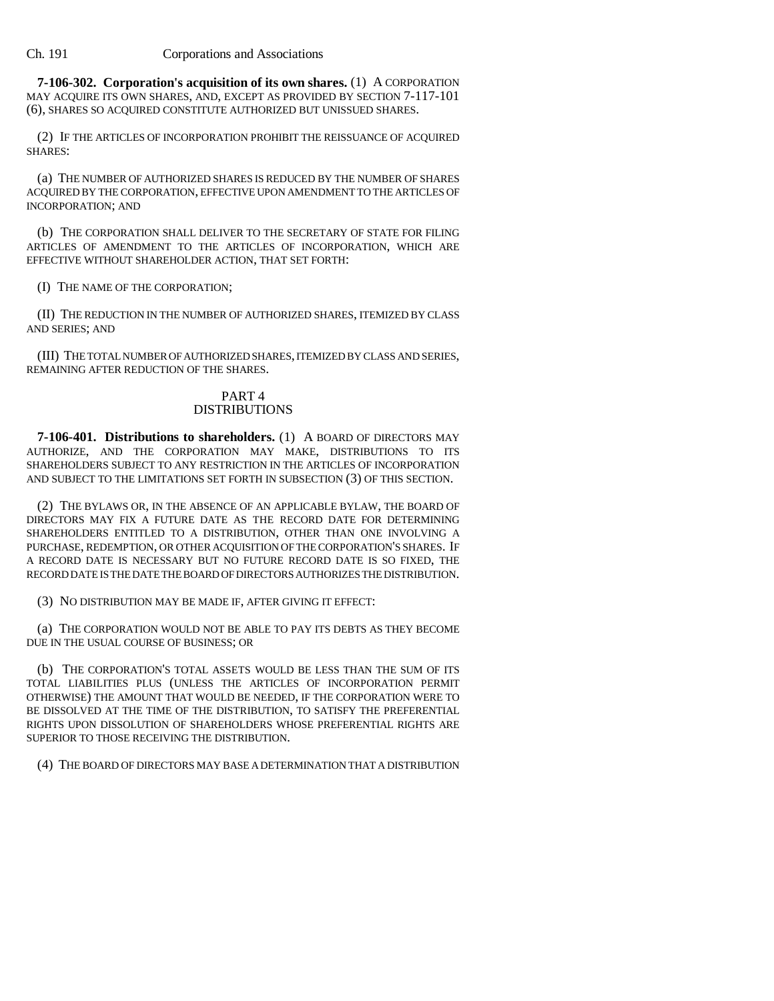**7-106-302. Corporation's acquisition of its own shares.** (1) A CORPORATION MAY ACQUIRE ITS OWN SHARES, AND, EXCEPT AS PROVIDED BY SECTION 7-117-101 (6), SHARES SO ACQUIRED CONSTITUTE AUTHORIZED BUT UNISSUED SHARES.

(2) IF THE ARTICLES OF INCORPORATION PROHIBIT THE REISSUANCE OF ACQUIRED SHARES:

(a) THE NUMBER OF AUTHORIZED SHARES IS REDUCED BY THE NUMBER OF SHARES ACQUIRED BY THE CORPORATION, EFFECTIVE UPON AMENDMENT TO THE ARTICLES OF INCORPORATION; AND

(b) THE CORPORATION SHALL DELIVER TO THE SECRETARY OF STATE FOR FILING ARTICLES OF AMENDMENT TO THE ARTICLES OF INCORPORATION, WHICH ARE EFFECTIVE WITHOUT SHAREHOLDER ACTION, THAT SET FORTH:

(I) THE NAME OF THE CORPORATION;

(II) THE REDUCTION IN THE NUMBER OF AUTHORIZED SHARES, ITEMIZED BY CLASS AND SERIES; AND

(III) THE TOTAL NUMBER OF AUTHORIZED SHARES, ITEMIZED BY CLASS AND SERIES, REMAINING AFTER REDUCTION OF THE SHARES.

# PART 4 DISTRIBUTIONS

**7-106-401. Distributions to shareholders.** (1) A BOARD OF DIRECTORS MAY AUTHORIZE, AND THE CORPORATION MAY MAKE, DISTRIBUTIONS TO ITS SHAREHOLDERS SUBJECT TO ANY RESTRICTION IN THE ARTICLES OF INCORPORATION AND SUBJECT TO THE LIMITATIONS SET FORTH IN SUBSECTION (3) OF THIS SECTION.

(2) THE BYLAWS OR, IN THE ABSENCE OF AN APPLICABLE BYLAW, THE BOARD OF DIRECTORS MAY FIX A FUTURE DATE AS THE RECORD DATE FOR DETERMINING SHAREHOLDERS ENTITLED TO A DISTRIBUTION, OTHER THAN ONE INVOLVING A PURCHASE, REDEMPTION, OR OTHER ACQUISITION OF THE CORPORATION'S SHARES. IF A RECORD DATE IS NECESSARY BUT NO FUTURE RECORD DATE IS SO FIXED, THE RECORD DATE IS THE DATE THE BOARD OF DIRECTORS AUTHORIZES THE DISTRIBUTION.

(3) NO DISTRIBUTION MAY BE MADE IF, AFTER GIVING IT EFFECT:

(a) THE CORPORATION WOULD NOT BE ABLE TO PAY ITS DEBTS AS THEY BECOME DUE IN THE USUAL COURSE OF BUSINESS; OR

(b) THE CORPORATION'S TOTAL ASSETS WOULD BE LESS THAN THE SUM OF ITS TOTAL LIABILITIES PLUS (UNLESS THE ARTICLES OF INCORPORATION PERMIT OTHERWISE) THE AMOUNT THAT WOULD BE NEEDED, IF THE CORPORATION WERE TO BE DISSOLVED AT THE TIME OF THE DISTRIBUTION, TO SATISFY THE PREFERENTIAL RIGHTS UPON DISSOLUTION OF SHAREHOLDERS WHOSE PREFERENTIAL RIGHTS ARE SUPERIOR TO THOSE RECEIVING THE DISTRIBUTION.

(4) THE BOARD OF DIRECTORS MAY BASE A DETERMINATION THAT A DISTRIBUTION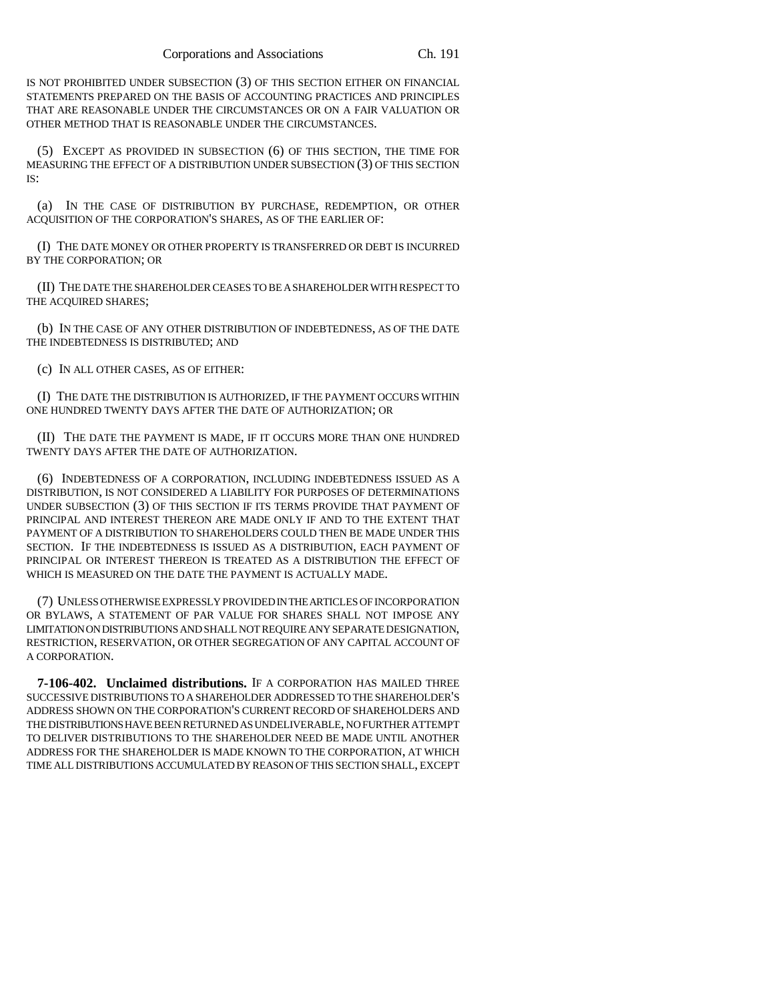IS NOT PROHIBITED UNDER SUBSECTION (3) OF THIS SECTION EITHER ON FINANCIAL STATEMENTS PREPARED ON THE BASIS OF ACCOUNTING PRACTICES AND PRINCIPLES THAT ARE REASONABLE UNDER THE CIRCUMSTANCES OR ON A FAIR VALUATION OR OTHER METHOD THAT IS REASONABLE UNDER THE CIRCUMSTANCES.

(5) EXCEPT AS PROVIDED IN SUBSECTION (6) OF THIS SECTION, THE TIME FOR MEASURING THE EFFECT OF A DISTRIBUTION UNDER SUBSECTION (3) OF THIS SECTION IS:

(a) IN THE CASE OF DISTRIBUTION BY PURCHASE, REDEMPTION, OR OTHER ACQUISITION OF THE CORPORATION'S SHARES, AS OF THE EARLIER OF:

(I) THE DATE MONEY OR OTHER PROPERTY IS TRANSFERRED OR DEBT IS INCURRED BY THE CORPORATION; OR

(II) THE DATE THE SHAREHOLDER CEASES TO BE A SHAREHOLDER WITH RESPECT TO THE ACOUIRED SHARES:

(b) IN THE CASE OF ANY OTHER DISTRIBUTION OF INDEBTEDNESS, AS OF THE DATE THE INDEBTEDNESS IS DISTRIBUTED; AND

(c) IN ALL OTHER CASES, AS OF EITHER:

(I) THE DATE THE DISTRIBUTION IS AUTHORIZED, IF THE PAYMENT OCCURS WITHIN ONE HUNDRED TWENTY DAYS AFTER THE DATE OF AUTHORIZATION; OR

(II) THE DATE THE PAYMENT IS MADE, IF IT OCCURS MORE THAN ONE HUNDRED TWENTY DAYS AFTER THE DATE OF AUTHORIZATION.

(6) INDEBTEDNESS OF A CORPORATION, INCLUDING INDEBTEDNESS ISSUED AS A DISTRIBUTION, IS NOT CONSIDERED A LIABILITY FOR PURPOSES OF DETERMINATIONS UNDER SUBSECTION (3) OF THIS SECTION IF ITS TERMS PROVIDE THAT PAYMENT OF PRINCIPAL AND INTEREST THEREON ARE MADE ONLY IF AND TO THE EXTENT THAT PAYMENT OF A DISTRIBUTION TO SHAREHOLDERS COULD THEN BE MADE UNDER THIS SECTION. IF THE INDEBTEDNESS IS ISSUED AS A DISTRIBUTION, EACH PAYMENT OF PRINCIPAL OR INTEREST THEREON IS TREATED AS A DISTRIBUTION THE EFFECT OF WHICH IS MEASURED ON THE DATE THE PAYMENT IS ACTUALLY MADE.

(7) UNLESS OTHERWISE EXPRESSLY PROVIDED IN THE ARTICLES OF INCORPORATION OR BYLAWS, A STATEMENT OF PAR VALUE FOR SHARES SHALL NOT IMPOSE ANY LIMITATION ON DISTRIBUTIONS AND SHALL NOT REQUIRE ANY SEPARATE DESIGNATION, RESTRICTION, RESERVATION, OR OTHER SEGREGATION OF ANY CAPITAL ACCOUNT OF A CORPORATION.

**7-106-402. Unclaimed distributions.** IF A CORPORATION HAS MAILED THREE SUCCESSIVE DISTRIBUTIONS TO A SHAREHOLDER ADDRESSED TO THE SHAREHOLDER'S ADDRESS SHOWN ON THE CORPORATION'S CURRENT RECORD OF SHAREHOLDERS AND THE DISTRIBUTIONS HAVE BEEN RETURNED AS UNDELIVERABLE, NO FURTHER ATTEMPT TO DELIVER DISTRIBUTIONS TO THE SHAREHOLDER NEED BE MADE UNTIL ANOTHER ADDRESS FOR THE SHAREHOLDER IS MADE KNOWN TO THE CORPORATION, AT WHICH TIME ALL DISTRIBUTIONS ACCUMULATED BY REASON OF THIS SECTION SHALL, EXCEPT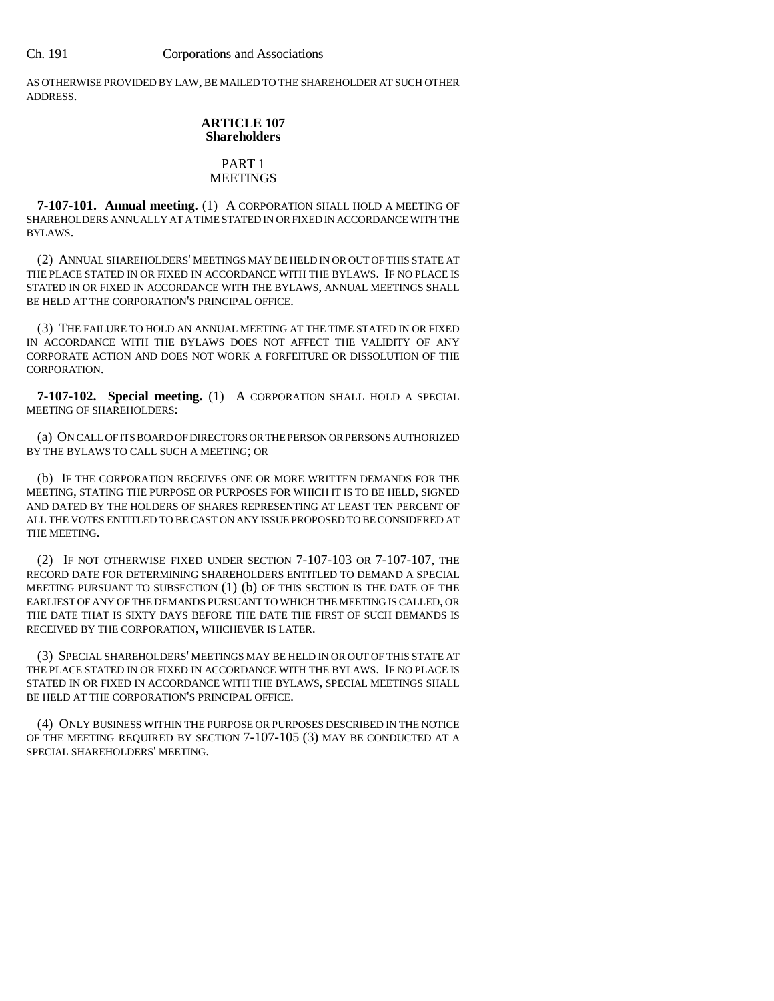AS OTHERWISE PROVIDED BY LAW, BE MAILED TO THE SHAREHOLDER AT SUCH OTHER ADDRESS.

#### **ARTICLE 107 Shareholders**

## PART 1 **MEETINGS**

**7-107-101. Annual meeting.** (1) A CORPORATION SHALL HOLD A MEETING OF SHAREHOLDERS ANNUALLY AT A TIME STATED IN OR FIXED IN ACCORDANCE WITH THE BYLAWS.

(2) ANNUAL SHAREHOLDERS' MEETINGS MAY BE HELD IN OR OUT OF THIS STATE AT THE PLACE STATED IN OR FIXED IN ACCORDANCE WITH THE BYLAWS. IF NO PLACE IS STATED IN OR FIXED IN ACCORDANCE WITH THE BYLAWS, ANNUAL MEETINGS SHALL BE HELD AT THE CORPORATION'S PRINCIPAL OFFICE.

(3) THE FAILURE TO HOLD AN ANNUAL MEETING AT THE TIME STATED IN OR FIXED IN ACCORDANCE WITH THE BYLAWS DOES NOT AFFECT THE VALIDITY OF ANY CORPORATE ACTION AND DOES NOT WORK A FORFEITURE OR DISSOLUTION OF THE CORPORATION.

**7-107-102. Special meeting.** (1) A CORPORATION SHALL HOLD A SPECIAL MEETING OF SHAREHOLDERS:

(a) ON CALL OF ITS BOARD OF DIRECTORS OR THE PERSON OR PERSONS AUTHORIZED BY THE BYLAWS TO CALL SUCH A MEETING; OR

(b) IF THE CORPORATION RECEIVES ONE OR MORE WRITTEN DEMANDS FOR THE MEETING, STATING THE PURPOSE OR PURPOSES FOR WHICH IT IS TO BE HELD, SIGNED AND DATED BY THE HOLDERS OF SHARES REPRESENTING AT LEAST TEN PERCENT OF ALL THE VOTES ENTITLED TO BE CAST ON ANY ISSUE PROPOSED TO BE CONSIDERED AT THE MEETING.

(2) IF NOT OTHERWISE FIXED UNDER SECTION 7-107-103 OR 7-107-107, THE RECORD DATE FOR DETERMINING SHAREHOLDERS ENTITLED TO DEMAND A SPECIAL MEETING PURSUANT TO SUBSECTION (1) (b) OF THIS SECTION IS THE DATE OF THE EARLIEST OF ANY OF THE DEMANDS PURSUANT TO WHICH THE MEETING IS CALLED, OR THE DATE THAT IS SIXTY DAYS BEFORE THE DATE THE FIRST OF SUCH DEMANDS IS RECEIVED BY THE CORPORATION, WHICHEVER IS LATER.

(3) SPECIAL SHAREHOLDERS' MEETINGS MAY BE HELD IN OR OUT OF THIS STATE AT THE PLACE STATED IN OR FIXED IN ACCORDANCE WITH THE BYLAWS. IF NO PLACE IS STATED IN OR FIXED IN ACCORDANCE WITH THE BYLAWS, SPECIAL MEETINGS SHALL BE HELD AT THE CORPORATION'S PRINCIPAL OFFICE.

(4) ONLY BUSINESS WITHIN THE PURPOSE OR PURPOSES DESCRIBED IN THE NOTICE OF THE MEETING REQUIRED BY SECTION 7-107-105 (3) MAY BE CONDUCTED AT A SPECIAL SHAREHOLDERS' MEETING.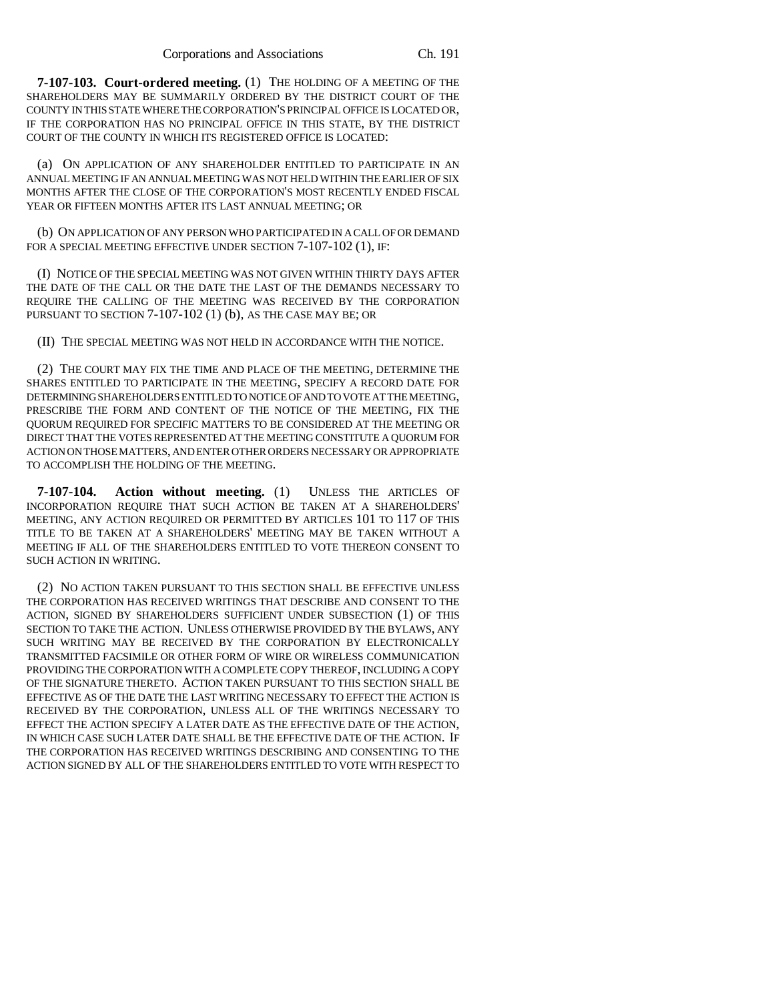**7-107-103. Court-ordered meeting.** (1) THE HOLDING OF A MEETING OF THE SHAREHOLDERS MAY BE SUMMARILY ORDERED BY THE DISTRICT COURT OF THE COUNTY IN THIS STATE WHERE THE CORPORATION'S PRINCIPAL OFFICE IS LOCATED OR, IF THE CORPORATION HAS NO PRINCIPAL OFFICE IN THIS STATE, BY THE DISTRICT COURT OF THE COUNTY IN WHICH ITS REGISTERED OFFICE IS LOCATED:

(a) ON APPLICATION OF ANY SHAREHOLDER ENTITLED TO PARTICIPATE IN AN ANNUAL MEETING IF AN ANNUAL MEETING WAS NOT HELD WITHIN THE EARLIER OF SIX MONTHS AFTER THE CLOSE OF THE CORPORATION'S MOST RECENTLY ENDED FISCAL YEAR OR FIFTEEN MONTHS AFTER ITS LAST ANNUAL MEETING; OR

(b) ON APPLICATION OF ANY PERSON WHO PARTICIPATED IN A CALL OF OR DEMAND FOR A SPECIAL MEETING EFFECTIVE UNDER SECTION 7-107-102 (1), IF:

(I) NOTICE OF THE SPECIAL MEETING WAS NOT GIVEN WITHIN THIRTY DAYS AFTER THE DATE OF THE CALL OR THE DATE THE LAST OF THE DEMANDS NECESSARY TO REQUIRE THE CALLING OF THE MEETING WAS RECEIVED BY THE CORPORATION PURSUANT TO SECTION 7-107-102 (1) (b), AS THE CASE MAY BE; OR

(II) THE SPECIAL MEETING WAS NOT HELD IN ACCORDANCE WITH THE NOTICE.

(2) THE COURT MAY FIX THE TIME AND PLACE OF THE MEETING, DETERMINE THE SHARES ENTITLED TO PARTICIPATE IN THE MEETING, SPECIFY A RECORD DATE FOR DETERMINING SHAREHOLDERS ENTITLED TO NOTICE OF AND TO VOTE AT THE MEETING, PRESCRIBE THE FORM AND CONTENT OF THE NOTICE OF THE MEETING, FIX THE QUORUM REQUIRED FOR SPECIFIC MATTERS TO BE CONSIDERED AT THE MEETING OR DIRECT THAT THE VOTES REPRESENTED AT THE MEETING CONSTITUTE A QUORUM FOR ACTION ON THOSE MATTERS, AND ENTER OTHER ORDERS NECESSARY OR APPROPRIATE TO ACCOMPLISH THE HOLDING OF THE MEETING.

**7-107-104. Action without meeting.** (1) UNLESS THE ARTICLES OF INCORPORATION REQUIRE THAT SUCH ACTION BE TAKEN AT A SHAREHOLDERS' MEETING, ANY ACTION REQUIRED OR PERMITTED BY ARTICLES 101 TO 117 OF THIS TITLE TO BE TAKEN AT A SHAREHOLDERS' MEETING MAY BE TAKEN WITHOUT A MEETING IF ALL OF THE SHAREHOLDERS ENTITLED TO VOTE THEREON CONSENT TO SUCH ACTION IN WRITING.

(2) NO ACTION TAKEN PURSUANT TO THIS SECTION SHALL BE EFFECTIVE UNLESS THE CORPORATION HAS RECEIVED WRITINGS THAT DESCRIBE AND CONSENT TO THE ACTION, SIGNED BY SHAREHOLDERS SUFFICIENT UNDER SUBSECTION (1) OF THIS SECTION TO TAKE THE ACTION. UNLESS OTHERWISE PROVIDED BY THE BYLAWS, ANY SUCH WRITING MAY BE RECEIVED BY THE CORPORATION BY ELECTRONICALLY TRANSMITTED FACSIMILE OR OTHER FORM OF WIRE OR WIRELESS COMMUNICATION PROVIDING THE CORPORATION WITH A COMPLETE COPY THEREOF, INCLUDING A COPY OF THE SIGNATURE THERETO. ACTION TAKEN PURSUANT TO THIS SECTION SHALL BE EFFECTIVE AS OF THE DATE THE LAST WRITING NECESSARY TO EFFECT THE ACTION IS RECEIVED BY THE CORPORATION, UNLESS ALL OF THE WRITINGS NECESSARY TO EFFECT THE ACTION SPECIFY A LATER DATE AS THE EFFECTIVE DATE OF THE ACTION, IN WHICH CASE SUCH LATER DATE SHALL BE THE EFFECTIVE DATE OF THE ACTION. IF THE CORPORATION HAS RECEIVED WRITINGS DESCRIBING AND CONSENTING TO THE ACTION SIGNED BY ALL OF THE SHAREHOLDERS ENTITLED TO VOTE WITH RESPECT TO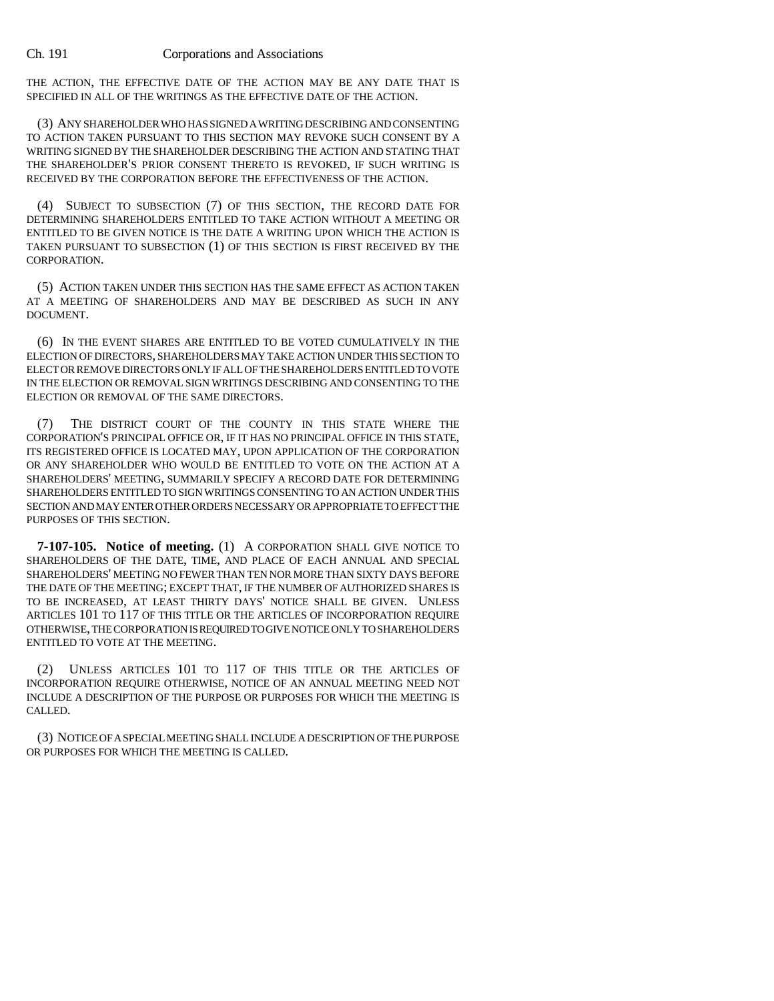THE ACTION, THE EFFECTIVE DATE OF THE ACTION MAY BE ANY DATE THAT IS SPECIFIED IN ALL OF THE WRITINGS AS THE EFFECTIVE DATE OF THE ACTION.

(3) ANY SHAREHOLDER WHO HAS SIGNED A WRITING DESCRIBING AND CONSENTING TO ACTION TAKEN PURSUANT TO THIS SECTION MAY REVOKE SUCH CONSENT BY A WRITING SIGNED BY THE SHAREHOLDER DESCRIBING THE ACTION AND STATING THAT THE SHAREHOLDER'S PRIOR CONSENT THERETO IS REVOKED, IF SUCH WRITING IS RECEIVED BY THE CORPORATION BEFORE THE EFFECTIVENESS OF THE ACTION.

(4) SUBJECT TO SUBSECTION (7) OF THIS SECTION, THE RECORD DATE FOR DETERMINING SHAREHOLDERS ENTITLED TO TAKE ACTION WITHOUT A MEETING OR ENTITLED TO BE GIVEN NOTICE IS THE DATE A WRITING UPON WHICH THE ACTION IS TAKEN PURSUANT TO SUBSECTION (1) OF THIS SECTION IS FIRST RECEIVED BY THE CORPORATION.

(5) ACTION TAKEN UNDER THIS SECTION HAS THE SAME EFFECT AS ACTION TAKEN AT A MEETING OF SHAREHOLDERS AND MAY BE DESCRIBED AS SUCH IN ANY DOCUMENT.

(6) IN THE EVENT SHARES ARE ENTITLED TO BE VOTED CUMULATIVELY IN THE ELECTION OF DIRECTORS, SHAREHOLDERS MAY TAKE ACTION UNDER THIS SECTION TO ELECT OR REMOVE DIRECTORS ONLY IF ALL OF THE SHAREHOLDERS ENTITLED TO VOTE IN THE ELECTION OR REMOVAL SIGN WRITINGS DESCRIBING AND CONSENTING TO THE ELECTION OR REMOVAL OF THE SAME DIRECTORS.

(7) THE DISTRICT COURT OF THE COUNTY IN THIS STATE WHERE THE CORPORATION'S PRINCIPAL OFFICE OR, IF IT HAS NO PRINCIPAL OFFICE IN THIS STATE, ITS REGISTERED OFFICE IS LOCATED MAY, UPON APPLICATION OF THE CORPORATION OR ANY SHAREHOLDER WHO WOULD BE ENTITLED TO VOTE ON THE ACTION AT A SHAREHOLDERS' MEETING, SUMMARILY SPECIFY A RECORD DATE FOR DETERMINING SHAREHOLDERS ENTITLED TO SIGN WRITINGS CONSENTING TO AN ACTION UNDER THIS SECTION AND MAY ENTER OTHER ORDERS NECESSARY OR APPROPRIATE TO EFFECT THE PURPOSES OF THIS SECTION.

**7-107-105. Notice of meeting.** (1) A CORPORATION SHALL GIVE NOTICE TO SHAREHOLDERS OF THE DATE, TIME, AND PLACE OF EACH ANNUAL AND SPECIAL SHAREHOLDERS' MEETING NO FEWER THAN TEN NOR MORE THAN SIXTY DAYS BEFORE THE DATE OF THE MEETING; EXCEPT THAT, IF THE NUMBER OF AUTHORIZED SHARES IS TO BE INCREASED, AT LEAST THIRTY DAYS' NOTICE SHALL BE GIVEN. UNLESS ARTICLES 101 TO 117 OF THIS TITLE OR THE ARTICLES OF INCORPORATION REQUIRE OTHERWISE, THE CORPORATION IS REQUIRED TO GIVE NOTICE ONLY TO SHAREHOLDERS ENTITLED TO VOTE AT THE MEETING.

(2) UNLESS ARTICLES 101 TO 117 OF THIS TITLE OR THE ARTICLES OF INCORPORATION REQUIRE OTHERWISE, NOTICE OF AN ANNUAL MEETING NEED NOT INCLUDE A DESCRIPTION OF THE PURPOSE OR PURPOSES FOR WHICH THE MEETING IS CALLED.

(3) NOTICE OF A SPECIAL MEETING SHALL INCLUDE A DESCRIPTION OF THE PURPOSE OR PURPOSES FOR WHICH THE MEETING IS CALLED.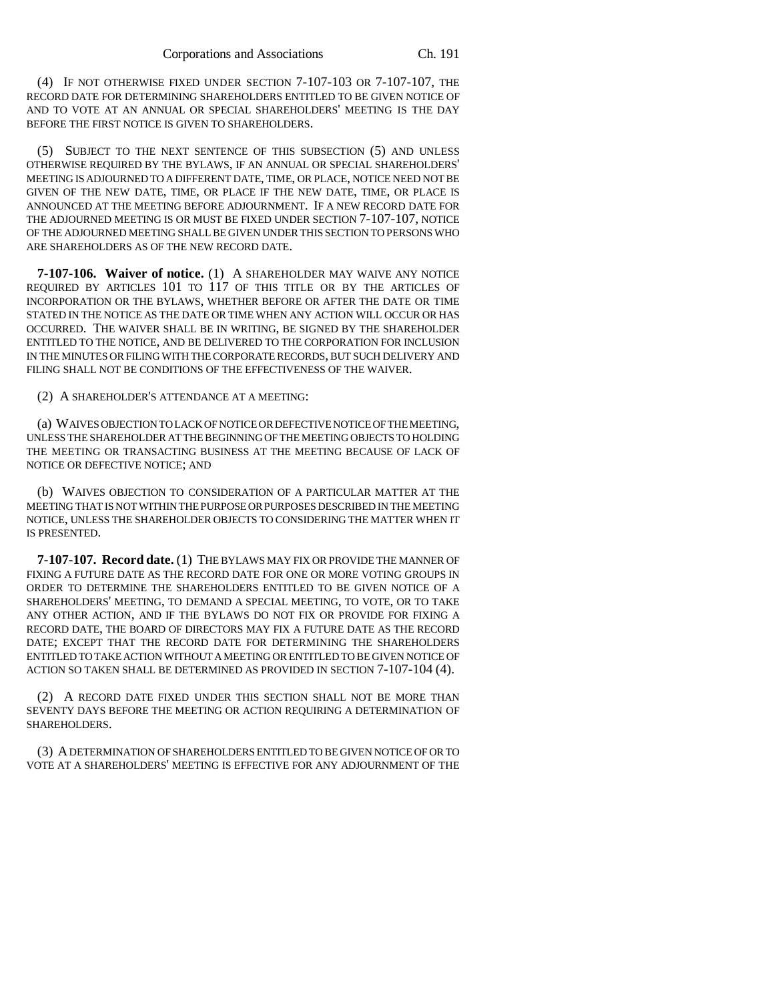(4) IF NOT OTHERWISE FIXED UNDER SECTION 7-107-103 OR 7-107-107, THE RECORD DATE FOR DETERMINING SHAREHOLDERS ENTITLED TO BE GIVEN NOTICE OF AND TO VOTE AT AN ANNUAL OR SPECIAL SHAREHOLDERS' MEETING IS THE DAY BEFORE THE FIRST NOTICE IS GIVEN TO SHAREHOLDERS.

(5) SUBJECT TO THE NEXT SENTENCE OF THIS SUBSECTION (5) AND UNLESS OTHERWISE REQUIRED BY THE BYLAWS, IF AN ANNUAL OR SPECIAL SHAREHOLDERS' MEETING IS ADJOURNED TO A DIFFERENT DATE, TIME, OR PLACE, NOTICE NEED NOT BE GIVEN OF THE NEW DATE, TIME, OR PLACE IF THE NEW DATE, TIME, OR PLACE IS ANNOUNCED AT THE MEETING BEFORE ADJOURNMENT. IF A NEW RECORD DATE FOR THE ADJOURNED MEETING IS OR MUST BE FIXED UNDER SECTION 7-107-107, NOTICE OF THE ADJOURNED MEETING SHALL BE GIVEN UNDER THIS SECTION TO PERSONS WHO ARE SHAREHOLDERS AS OF THE NEW RECORD DATE.

**7-107-106. Waiver of notice.** (1) A SHAREHOLDER MAY WAIVE ANY NOTICE REQUIRED BY ARTICLES 101 TO 117 OF THIS TITLE OR BY THE ARTICLES OF INCORPORATION OR THE BYLAWS, WHETHER BEFORE OR AFTER THE DATE OR TIME STATED IN THE NOTICE AS THE DATE OR TIME WHEN ANY ACTION WILL OCCUR OR HAS OCCURRED. THE WAIVER SHALL BE IN WRITING, BE SIGNED BY THE SHAREHOLDER ENTITLED TO THE NOTICE, AND BE DELIVERED TO THE CORPORATION FOR INCLUSION IN THE MINUTES OR FILING WITH THE CORPORATE RECORDS, BUT SUCH DELIVERY AND FILING SHALL NOT BE CONDITIONS OF THE EFFECTIVENESS OF THE WAIVER.

(2) A SHAREHOLDER'S ATTENDANCE AT A MEETING:

(a) WAIVES OBJECTION TO LACK OF NOTICE OR DEFECTIVE NOTICE OF THE MEETING, UNLESS THE SHAREHOLDER AT THE BEGINNING OF THE MEETING OBJECTS TO HOLDING THE MEETING OR TRANSACTING BUSINESS AT THE MEETING BECAUSE OF LACK OF NOTICE OR DEFECTIVE NOTICE; AND

(b) WAIVES OBJECTION TO CONSIDERATION OF A PARTICULAR MATTER AT THE MEETING THAT IS NOT WITHIN THE PURPOSE OR PURPOSES DESCRIBED IN THE MEETING NOTICE, UNLESS THE SHAREHOLDER OBJECTS TO CONSIDERING THE MATTER WHEN IT IS PRESENTED.

**7-107-107. Record date.** (1) THE BYLAWS MAY FIX OR PROVIDE THE MANNER OF FIXING A FUTURE DATE AS THE RECORD DATE FOR ONE OR MORE VOTING GROUPS IN ORDER TO DETERMINE THE SHAREHOLDERS ENTITLED TO BE GIVEN NOTICE OF A SHAREHOLDERS' MEETING, TO DEMAND A SPECIAL MEETING, TO VOTE, OR TO TAKE ANY OTHER ACTION, AND IF THE BYLAWS DO NOT FIX OR PROVIDE FOR FIXING A RECORD DATE, THE BOARD OF DIRECTORS MAY FIX A FUTURE DATE AS THE RECORD DATE; EXCEPT THAT THE RECORD DATE FOR DETERMINING THE SHAREHOLDERS ENTITLED TO TAKE ACTION WITHOUT A MEETING OR ENTITLED TO BE GIVEN NOTICE OF ACTION SO TAKEN SHALL BE DETERMINED AS PROVIDED IN SECTION 7-107-104 (4).

(2) A RECORD DATE FIXED UNDER THIS SECTION SHALL NOT BE MORE THAN SEVENTY DAYS BEFORE THE MEETING OR ACTION REQUIRING A DETERMINATION OF SHAREHOLDERS.

(3) A DETERMINATION OF SHAREHOLDERS ENTITLED TO BE GIVEN NOTICE OF OR TO VOTE AT A SHAREHOLDERS' MEETING IS EFFECTIVE FOR ANY ADJOURNMENT OF THE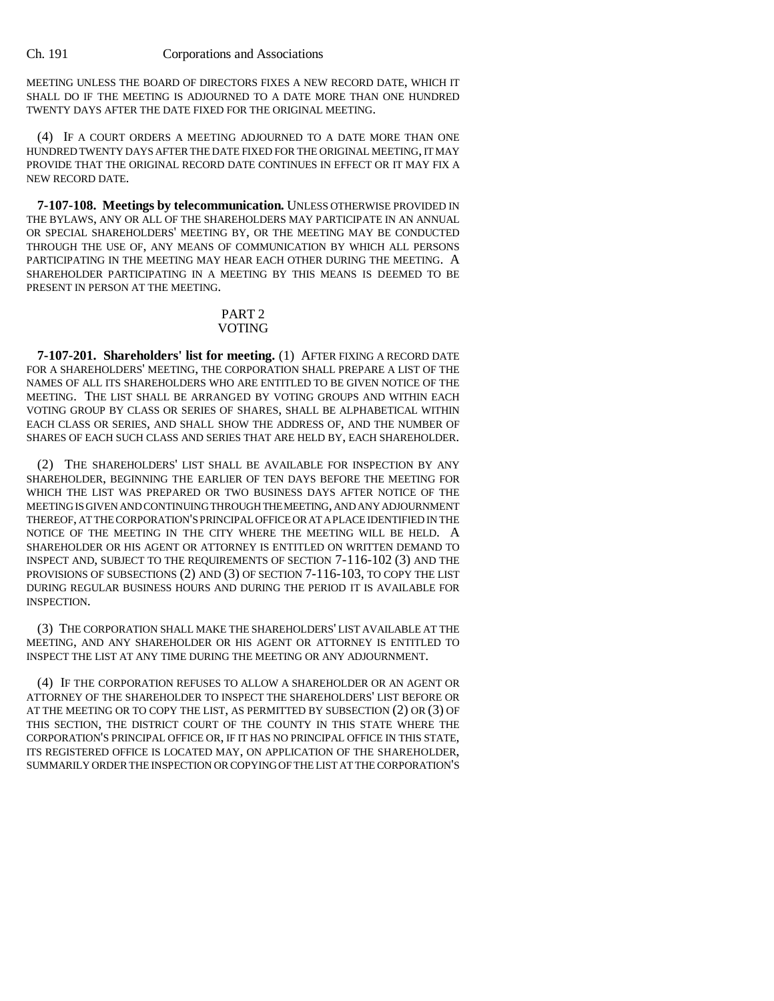MEETING UNLESS THE BOARD OF DIRECTORS FIXES A NEW RECORD DATE, WHICH IT SHALL DO IF THE MEETING IS ADJOURNED TO A DATE MORE THAN ONE HUNDRED TWENTY DAYS AFTER THE DATE FIXED FOR THE ORIGINAL MEETING.

(4) IF A COURT ORDERS A MEETING ADJOURNED TO A DATE MORE THAN ONE HUNDRED TWENTY DAYS AFTER THE DATE FIXED FOR THE ORIGINAL MEETING, IT MAY PROVIDE THAT THE ORIGINAL RECORD DATE CONTINUES IN EFFECT OR IT MAY FIX A NEW RECORD DATE.

**7-107-108. Meetings by telecommunication.** UNLESS OTHERWISE PROVIDED IN THE BYLAWS, ANY OR ALL OF THE SHAREHOLDERS MAY PARTICIPATE IN AN ANNUAL OR SPECIAL SHAREHOLDERS' MEETING BY, OR THE MEETING MAY BE CONDUCTED THROUGH THE USE OF, ANY MEANS OF COMMUNICATION BY WHICH ALL PERSONS PARTICIPATING IN THE MEETING MAY HEAR EACH OTHER DURING THE MEETING. A SHAREHOLDER PARTICIPATING IN A MEETING BY THIS MEANS IS DEEMED TO BE PRESENT IN PERSON AT THE MEETING.

## PART 2 VOTING

**7-107-201. Shareholders' list for meeting.** (1) AFTER FIXING A RECORD DATE FOR A SHAREHOLDERS' MEETING, THE CORPORATION SHALL PREPARE A LIST OF THE NAMES OF ALL ITS SHAREHOLDERS WHO ARE ENTITLED TO BE GIVEN NOTICE OF THE MEETING. THE LIST SHALL BE ARRANGED BY VOTING GROUPS AND WITHIN EACH VOTING GROUP BY CLASS OR SERIES OF SHARES, SHALL BE ALPHABETICAL WITHIN EACH CLASS OR SERIES, AND SHALL SHOW THE ADDRESS OF, AND THE NUMBER OF SHARES OF EACH SUCH CLASS AND SERIES THAT ARE HELD BY, EACH SHAREHOLDER.

(2) THE SHAREHOLDERS' LIST SHALL BE AVAILABLE FOR INSPECTION BY ANY SHAREHOLDER, BEGINNING THE EARLIER OF TEN DAYS BEFORE THE MEETING FOR WHICH THE LIST WAS PREPARED OR TWO BUSINESS DAYS AFTER NOTICE OF THE MEETING IS GIVEN AND CONTINUING THROUGH THE MEETING, AND ANY ADJOURNMENT THEREOF, AT THE CORPORATION'S PRINCIPAL OFFICE OR AT A PLACE IDENTIFIED IN THE NOTICE OF THE MEETING IN THE CITY WHERE THE MEETING WILL BE HELD. A SHAREHOLDER OR HIS AGENT OR ATTORNEY IS ENTITLED ON WRITTEN DEMAND TO INSPECT AND, SUBJECT TO THE REQUIREMENTS OF SECTION 7-116-102 (3) AND THE PROVISIONS OF SUBSECTIONS (2) AND (3) OF SECTION 7-116-103, TO COPY THE LIST DURING REGULAR BUSINESS HOURS AND DURING THE PERIOD IT IS AVAILABLE FOR INSPECTION.

(3) THE CORPORATION SHALL MAKE THE SHAREHOLDERS' LIST AVAILABLE AT THE MEETING, AND ANY SHAREHOLDER OR HIS AGENT OR ATTORNEY IS ENTITLED TO INSPECT THE LIST AT ANY TIME DURING THE MEETING OR ANY ADJOURNMENT.

(4) IF THE CORPORATION REFUSES TO ALLOW A SHAREHOLDER OR AN AGENT OR ATTORNEY OF THE SHAREHOLDER TO INSPECT THE SHAREHOLDERS' LIST BEFORE OR AT THE MEETING OR TO COPY THE LIST, AS PERMITTED BY SUBSECTION (2) OR (3) OF THIS SECTION, THE DISTRICT COURT OF THE COUNTY IN THIS STATE WHERE THE CORPORATION'S PRINCIPAL OFFICE OR, IF IT HAS NO PRINCIPAL OFFICE IN THIS STATE, ITS REGISTERED OFFICE IS LOCATED MAY, ON APPLICATION OF THE SHAREHOLDER, SUMMARILY ORDER THE INSPECTION OR COPYING OF THE LIST AT THE CORPORATION'S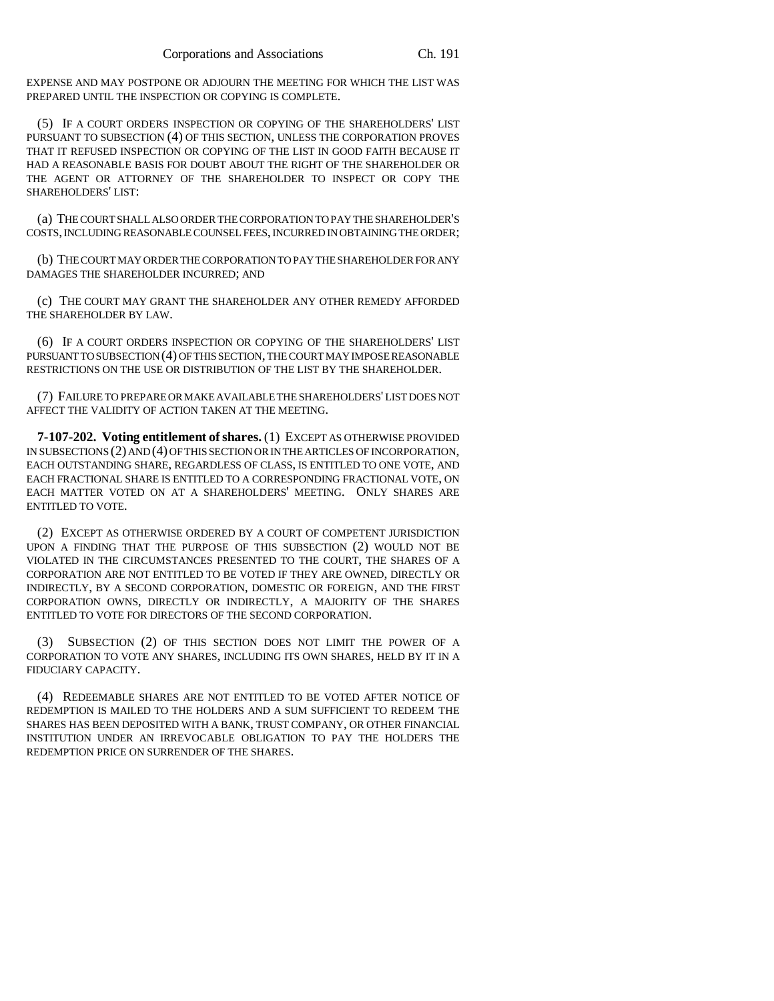EXPENSE AND MAY POSTPONE OR ADJOURN THE MEETING FOR WHICH THE LIST WAS PREPARED UNTIL THE INSPECTION OR COPYING IS COMPLETE.

(5) IF A COURT ORDERS INSPECTION OR COPYING OF THE SHAREHOLDERS' LIST PURSUANT TO SUBSECTION (4) OF THIS SECTION, UNLESS THE CORPORATION PROVES THAT IT REFUSED INSPECTION OR COPYING OF THE LIST IN GOOD FAITH BECAUSE IT HAD A REASONABLE BASIS FOR DOUBT ABOUT THE RIGHT OF THE SHAREHOLDER OR THE AGENT OR ATTORNEY OF THE SHAREHOLDER TO INSPECT OR COPY THE SHAREHOLDERS' LIST:

(a) THE COURT SHALL ALSO ORDER THE CORPORATION TO PAY THE SHAREHOLDER'S COSTS, INCLUDING REASONABLE COUNSEL FEES, INCURRED IN OBTAINING THE ORDER;

(b) THE COURT MAY ORDER THE CORPORATION TO PAY THE SHAREHOLDER FOR ANY DAMAGES THE SHAREHOLDER INCURRED; AND

(c) THE COURT MAY GRANT THE SHAREHOLDER ANY OTHER REMEDY AFFORDED THE SHAREHOLDER BY LAW.

(6) IF A COURT ORDERS INSPECTION OR COPYING OF THE SHAREHOLDERS' LIST PURSUANT TO SUBSECTION (4) OF THIS SECTION, THE COURT MAY IMPOSE REASONABLE RESTRICTIONS ON THE USE OR DISTRIBUTION OF THE LIST BY THE SHAREHOLDER.

(7) FAILURE TO PREPARE OR MAKE AVAILABLE THE SHAREHOLDERS' LIST DOES NOT AFFECT THE VALIDITY OF ACTION TAKEN AT THE MEETING.

**7-107-202. Voting entitlement of shares.** (1) EXCEPT AS OTHERWISE PROVIDED IN SUBSECTIONS (2) AND (4) OF THIS SECTION OR IN THE ARTICLES OF INCORPORATION, EACH OUTSTANDING SHARE, REGARDLESS OF CLASS, IS ENTITLED TO ONE VOTE, AND EACH FRACTIONAL SHARE IS ENTITLED TO A CORRESPONDING FRACTIONAL VOTE, ON EACH MATTER VOTED ON AT A SHAREHOLDERS' MEETING. ONLY SHARES ARE ENTITLED TO VOTE.

(2) EXCEPT AS OTHERWISE ORDERED BY A COURT OF COMPETENT JURISDICTION UPON A FINDING THAT THE PURPOSE OF THIS SUBSECTION (2) WOULD NOT BE VIOLATED IN THE CIRCUMSTANCES PRESENTED TO THE COURT, THE SHARES OF A CORPORATION ARE NOT ENTITLED TO BE VOTED IF THEY ARE OWNED, DIRECTLY OR INDIRECTLY, BY A SECOND CORPORATION, DOMESTIC OR FOREIGN, AND THE FIRST CORPORATION OWNS, DIRECTLY OR INDIRECTLY, A MAJORITY OF THE SHARES ENTITLED TO VOTE FOR DIRECTORS OF THE SECOND CORPORATION.

(3) SUBSECTION (2) OF THIS SECTION DOES NOT LIMIT THE POWER OF A CORPORATION TO VOTE ANY SHARES, INCLUDING ITS OWN SHARES, HELD BY IT IN A FIDUCIARY CAPACITY.

(4) REDEEMABLE SHARES ARE NOT ENTITLED TO BE VOTED AFTER NOTICE OF REDEMPTION IS MAILED TO THE HOLDERS AND A SUM SUFFICIENT TO REDEEM THE SHARES HAS BEEN DEPOSITED WITH A BANK, TRUST COMPANY, OR OTHER FINANCIAL INSTITUTION UNDER AN IRREVOCABLE OBLIGATION TO PAY THE HOLDERS THE REDEMPTION PRICE ON SURRENDER OF THE SHARES.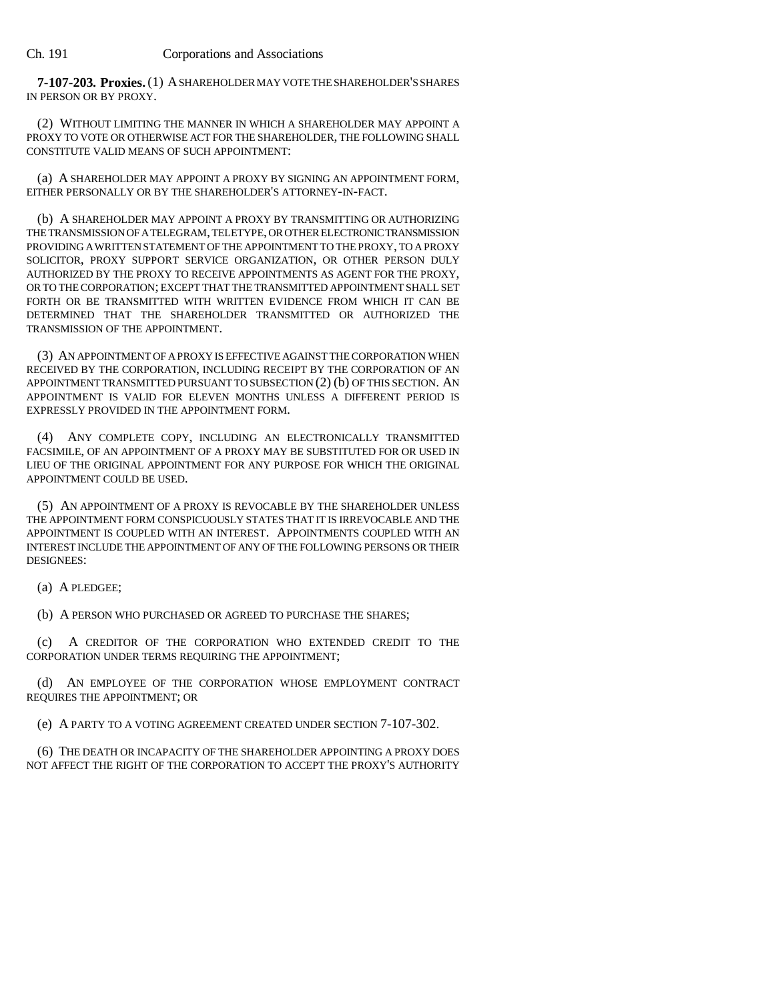**7-107-203. Proxies.** (1) A SHAREHOLDER MAY VOTE THE SHAREHOLDER'S SHARES IN PERSON OR BY PROXY.

(2) WITHOUT LIMITING THE MANNER IN WHICH A SHAREHOLDER MAY APPOINT A PROXY TO VOTE OR OTHERWISE ACT FOR THE SHAREHOLDER, THE FOLLOWING SHALL CONSTITUTE VALID MEANS OF SUCH APPOINTMENT:

(a) A SHAREHOLDER MAY APPOINT A PROXY BY SIGNING AN APPOINTMENT FORM, EITHER PERSONALLY OR BY THE SHAREHOLDER'S ATTORNEY-IN-FACT.

(b) A SHAREHOLDER MAY APPOINT A PROXY BY TRANSMITTING OR AUTHORIZING THE TRANSMISSION OF A TELEGRAM, TELETYPE, OR OTHER ELECTRONIC TRANSMISSION PROVIDING A WRITTEN STATEMENT OF THE APPOINTMENT TO THE PROXY, TO A PROXY SOLICITOR, PROXY SUPPORT SERVICE ORGANIZATION, OR OTHER PERSON DULY AUTHORIZED BY THE PROXY TO RECEIVE APPOINTMENTS AS AGENT FOR THE PROXY, OR TO THE CORPORATION; EXCEPT THAT THE TRANSMITTED APPOINTMENT SHALL SET FORTH OR BE TRANSMITTED WITH WRITTEN EVIDENCE FROM WHICH IT CAN BE DETERMINED THAT THE SHAREHOLDER TRANSMITTED OR AUTHORIZED THE TRANSMISSION OF THE APPOINTMENT.

(3) AN APPOINTMENT OF A PROXY IS EFFECTIVE AGAINST THE CORPORATION WHEN RECEIVED BY THE CORPORATION, INCLUDING RECEIPT BY THE CORPORATION OF AN APPOINTMENT TRANSMITTED PURSUANT TO SUBSECTION (2) (b) OF THIS SECTION. AN APPOINTMENT IS VALID FOR ELEVEN MONTHS UNLESS A DIFFERENT PERIOD IS EXPRESSLY PROVIDED IN THE APPOINTMENT FORM.

(4) ANY COMPLETE COPY, INCLUDING AN ELECTRONICALLY TRANSMITTED FACSIMILE, OF AN APPOINTMENT OF A PROXY MAY BE SUBSTITUTED FOR OR USED IN LIEU OF THE ORIGINAL APPOINTMENT FOR ANY PURPOSE FOR WHICH THE ORIGINAL APPOINTMENT COULD BE USED.

(5) AN APPOINTMENT OF A PROXY IS REVOCABLE BY THE SHAREHOLDER UNLESS THE APPOINTMENT FORM CONSPICUOUSLY STATES THAT IT IS IRREVOCABLE AND THE APPOINTMENT IS COUPLED WITH AN INTEREST. APPOINTMENTS COUPLED WITH AN INTEREST INCLUDE THE APPOINTMENT OF ANY OF THE FOLLOWING PERSONS OR THEIR DESIGNEES:

(a) A PLEDGEE;

(b) A PERSON WHO PURCHASED OR AGREED TO PURCHASE THE SHARES;

(c) A CREDITOR OF THE CORPORATION WHO EXTENDED CREDIT TO THE CORPORATION UNDER TERMS REQUIRING THE APPOINTMENT;

(d) AN EMPLOYEE OF THE CORPORATION WHOSE EMPLOYMENT CONTRACT REQUIRES THE APPOINTMENT; OR

(e) A PARTY TO A VOTING AGREEMENT CREATED UNDER SECTION 7-107-302.

(6) THE DEATH OR INCAPACITY OF THE SHAREHOLDER APPOINTING A PROXY DOES NOT AFFECT THE RIGHT OF THE CORPORATION TO ACCEPT THE PROXY'S AUTHORITY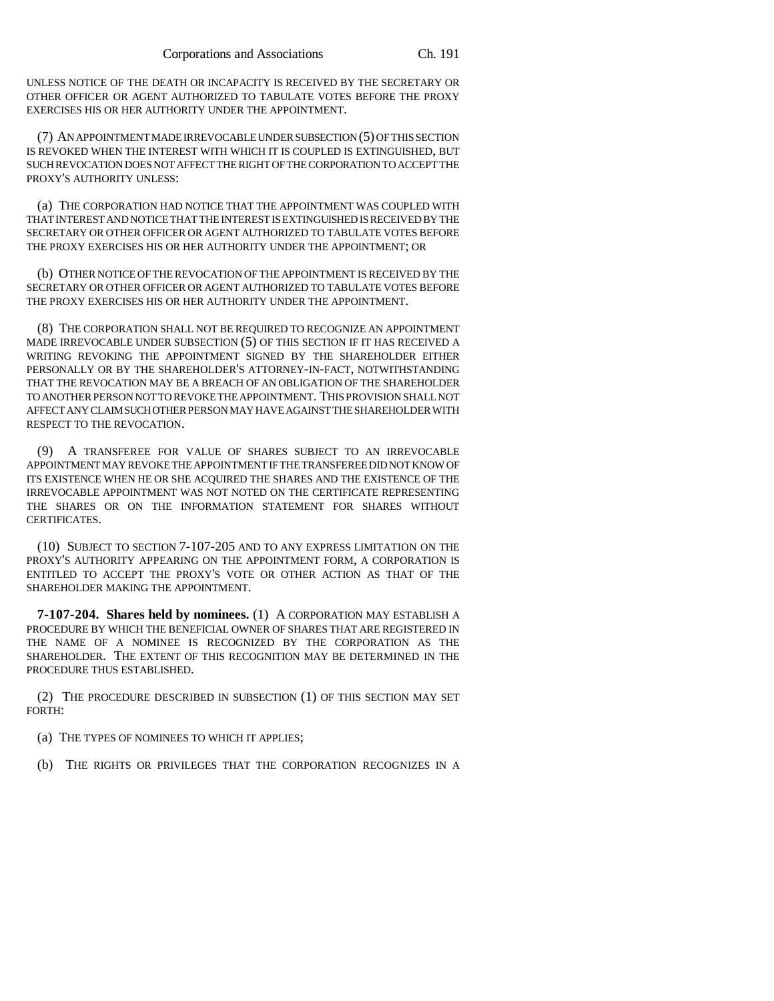UNLESS NOTICE OF THE DEATH OR INCAPACITY IS RECEIVED BY THE SECRETARY OR OTHER OFFICER OR AGENT AUTHORIZED TO TABULATE VOTES BEFORE THE PROXY EXERCISES HIS OR HER AUTHORITY UNDER THE APPOINTMENT.

(7) AN APPOINTMENT MADE IRREVOCABLE UNDER SUBSECTION (5) OF THIS SECTION IS REVOKED WHEN THE INTEREST WITH WHICH IT IS COUPLED IS EXTINGUISHED, BUT SUCH REVOCATION DOES NOT AFFECT THE RIGHT OF THE CORPORATION TO ACCEPT THE PROXY'S AUTHORITY UNLESS:

(a) THE CORPORATION HAD NOTICE THAT THE APPOINTMENT WAS COUPLED WITH THAT INTEREST AND NOTICE THAT THE INTEREST IS EXTINGUISHED IS RECEIVED BY THE SECRETARY OR OTHER OFFICER OR AGENT AUTHORIZED TO TABULATE VOTES BEFORE THE PROXY EXERCISES HIS OR HER AUTHORITY UNDER THE APPOINTMENT; OR

(b) OTHER NOTICE OF THE REVOCATION OF THE APPOINTMENT IS RECEIVED BY THE SECRETARY OR OTHER OFFICER OR AGENT AUTHORIZED TO TABULATE VOTES BEFORE THE PROXY EXERCISES HIS OR HER AUTHORITY UNDER THE APPOINTMENT.

(8) THE CORPORATION SHALL NOT BE REQUIRED TO RECOGNIZE AN APPOINTMENT MADE IRREVOCABLE UNDER SUBSECTION (5) OF THIS SECTION IF IT HAS RECEIVED A WRITING REVOKING THE APPOINTMENT SIGNED BY THE SHAREHOLDER EITHER PERSONALLY OR BY THE SHAREHOLDER'S ATTORNEY-IN-FACT, NOTWITHSTANDING THAT THE REVOCATION MAY BE A BREACH OF AN OBLIGATION OF THE SHAREHOLDER TO ANOTHER PERSON NOT TO REVOKE THE APPOINTMENT. THIS PROVISION SHALL NOT AFFECT ANY CLAIM SUCH OTHER PERSON MAY HAVE AGAINST THE SHAREHOLDER WITH RESPECT TO THE REVOCATION.

(9) A TRANSFEREE FOR VALUE OF SHARES SUBJECT TO AN IRREVOCABLE APPOINTMENT MAY REVOKE THE APPOINTMENT IF THE TRANSFEREE DID NOT KNOW OF ITS EXISTENCE WHEN HE OR SHE ACQUIRED THE SHARES AND THE EXISTENCE OF THE IRREVOCABLE APPOINTMENT WAS NOT NOTED ON THE CERTIFICATE REPRESENTING THE SHARES OR ON THE INFORMATION STATEMENT FOR SHARES WITHOUT CERTIFICATES.

(10) SUBJECT TO SECTION 7-107-205 AND TO ANY EXPRESS LIMITATION ON THE PROXY'S AUTHORITY APPEARING ON THE APPOINTMENT FORM, A CORPORATION IS ENTITLED TO ACCEPT THE PROXY'S VOTE OR OTHER ACTION AS THAT OF THE SHAREHOLDER MAKING THE APPOINTMENT.

**7-107-204. Shares held by nominees.** (1) A CORPORATION MAY ESTABLISH A PROCEDURE BY WHICH THE BENEFICIAL OWNER OF SHARES THAT ARE REGISTERED IN THE NAME OF A NOMINEE IS RECOGNIZED BY THE CORPORATION AS THE SHAREHOLDER. THE EXTENT OF THIS RECOGNITION MAY BE DETERMINED IN THE PROCEDURE THUS ESTABLISHED.

(2) THE PROCEDURE DESCRIBED IN SUBSECTION (1) OF THIS SECTION MAY SET FORTH:

(a) THE TYPES OF NOMINEES TO WHICH IT APPLIES;

(b) THE RIGHTS OR PRIVILEGES THAT THE CORPORATION RECOGNIZES IN A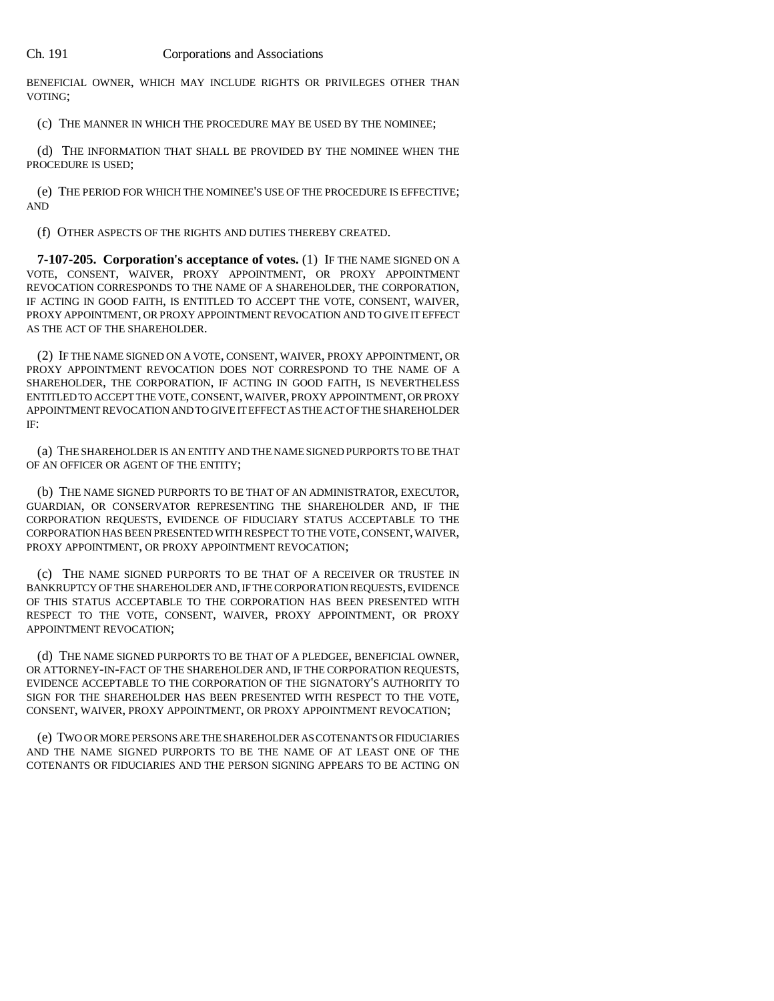BENEFICIAL OWNER, WHICH MAY INCLUDE RIGHTS OR PRIVILEGES OTHER THAN VOTING;

(c) THE MANNER IN WHICH THE PROCEDURE MAY BE USED BY THE NOMINEE;

(d) THE INFORMATION THAT SHALL BE PROVIDED BY THE NOMINEE WHEN THE PROCEDURE IS USED;

(e) THE PERIOD FOR WHICH THE NOMINEE'S USE OF THE PROCEDURE IS EFFECTIVE; AND

(f) OTHER ASPECTS OF THE RIGHTS AND DUTIES THEREBY CREATED.

**7-107-205. Corporation's acceptance of votes.** (1) IF THE NAME SIGNED ON A VOTE, CONSENT, WAIVER, PROXY APPOINTMENT, OR PROXY APPOINTMENT REVOCATION CORRESPONDS TO THE NAME OF A SHAREHOLDER, THE CORPORATION, IF ACTING IN GOOD FAITH, IS ENTITLED TO ACCEPT THE VOTE, CONSENT, WAIVER, PROXY APPOINTMENT, OR PROXY APPOINTMENT REVOCATION AND TO GIVE IT EFFECT AS THE ACT OF THE SHAREHOLDER.

(2) IF THE NAME SIGNED ON A VOTE, CONSENT, WAIVER, PROXY APPOINTMENT, OR PROXY APPOINTMENT REVOCATION DOES NOT CORRESPOND TO THE NAME OF A SHAREHOLDER, THE CORPORATION, IF ACTING IN GOOD FAITH, IS NEVERTHELESS ENTITLED TO ACCEPT THE VOTE, CONSENT, WAIVER, PROXY APPOINTMENT, OR PROXY APPOINTMENT REVOCATION AND TO GIVE IT EFFECT AS THE ACT OF THE SHAREHOLDER IF:

(a) THE SHAREHOLDER IS AN ENTITY AND THE NAME SIGNED PURPORTS TO BE THAT OF AN OFFICER OR AGENT OF THE ENTITY;

(b) THE NAME SIGNED PURPORTS TO BE THAT OF AN ADMINISTRATOR, EXECUTOR, GUARDIAN, OR CONSERVATOR REPRESENTING THE SHAREHOLDER AND, IF THE CORPORATION REQUESTS, EVIDENCE OF FIDUCIARY STATUS ACCEPTABLE TO THE CORPORATION HAS BEEN PRESENTED WITH RESPECT TO THE VOTE, CONSENT, WAIVER, PROXY APPOINTMENT, OR PROXY APPOINTMENT REVOCATION;

(c) THE NAME SIGNED PURPORTS TO BE THAT OF A RECEIVER OR TRUSTEE IN BANKRUPTCY OF THE SHAREHOLDER AND, IF THE CORPORATION REQUESTS, EVIDENCE OF THIS STATUS ACCEPTABLE TO THE CORPORATION HAS BEEN PRESENTED WITH RESPECT TO THE VOTE, CONSENT, WAIVER, PROXY APPOINTMENT, OR PROXY APPOINTMENT REVOCATION;

(d) THE NAME SIGNED PURPORTS TO BE THAT OF A PLEDGEE, BENEFICIAL OWNER, OR ATTORNEY-IN-FACT OF THE SHAREHOLDER AND, IF THE CORPORATION REQUESTS, EVIDENCE ACCEPTABLE TO THE CORPORATION OF THE SIGNATORY'S AUTHORITY TO SIGN FOR THE SHAREHOLDER HAS BEEN PRESENTED WITH RESPECT TO THE VOTE, CONSENT, WAIVER, PROXY APPOINTMENT, OR PROXY APPOINTMENT REVOCATION;

(e) TWO OR MORE PERSONS ARE THE SHAREHOLDER AS COTENANTS OR FIDUCIARIES AND THE NAME SIGNED PURPORTS TO BE THE NAME OF AT LEAST ONE OF THE COTENANTS OR FIDUCIARIES AND THE PERSON SIGNING APPEARS TO BE ACTING ON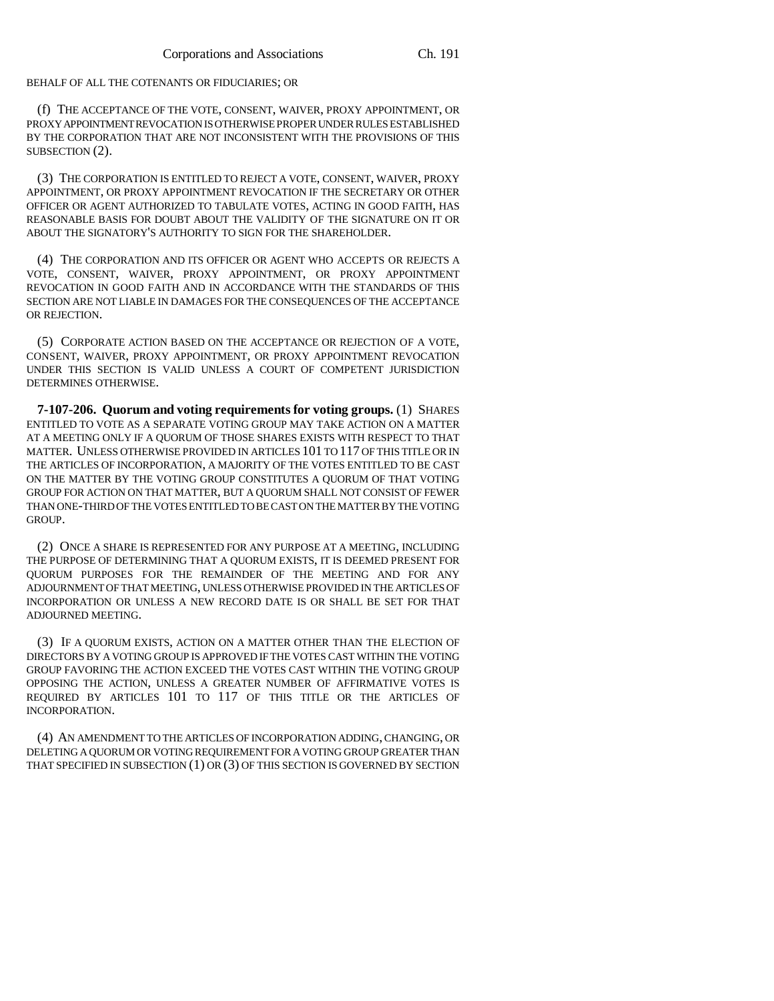BEHALF OF ALL THE COTENANTS OR FIDUCIARIES; OR

(f) THE ACCEPTANCE OF THE VOTE, CONSENT, WAIVER, PROXY APPOINTMENT, OR PROXY APPOINTMENT REVOCATION IS OTHERWISE PROPER UNDER RULES ESTABLISHED BY THE CORPORATION THAT ARE NOT INCONSISTENT WITH THE PROVISIONS OF THIS SUBSECTION (2).

(3) THE CORPORATION IS ENTITLED TO REJECT A VOTE, CONSENT, WAIVER, PROXY APPOINTMENT, OR PROXY APPOINTMENT REVOCATION IF THE SECRETARY OR OTHER OFFICER OR AGENT AUTHORIZED TO TABULATE VOTES, ACTING IN GOOD FAITH, HAS REASONABLE BASIS FOR DOUBT ABOUT THE VALIDITY OF THE SIGNATURE ON IT OR ABOUT THE SIGNATORY'S AUTHORITY TO SIGN FOR THE SHAREHOLDER.

(4) THE CORPORATION AND ITS OFFICER OR AGENT WHO ACCEPTS OR REJECTS A VOTE, CONSENT, WAIVER, PROXY APPOINTMENT, OR PROXY APPOINTMENT REVOCATION IN GOOD FAITH AND IN ACCORDANCE WITH THE STANDARDS OF THIS SECTION ARE NOT LIABLE IN DAMAGES FOR THE CONSEQUENCES OF THE ACCEPTANCE OR REJECTION.

(5) CORPORATE ACTION BASED ON THE ACCEPTANCE OR REJECTION OF A VOTE, CONSENT, WAIVER, PROXY APPOINTMENT, OR PROXY APPOINTMENT REVOCATION UNDER THIS SECTION IS VALID UNLESS A COURT OF COMPETENT JURISDICTION DETERMINES OTHERWISE.

**7-107-206. Quorum and voting requirements for voting groups.** (1) SHARES ENTITLED TO VOTE AS A SEPARATE VOTING GROUP MAY TAKE ACTION ON A MATTER AT A MEETING ONLY IF A QUORUM OF THOSE SHARES EXISTS WITH RESPECT TO THAT MATTER. UNLESS OTHERWISE PROVIDED IN ARTICLES 101 TO 117 OF THIS TITLE OR IN THE ARTICLES OF INCORPORATION, A MAJORITY OF THE VOTES ENTITLED TO BE CAST ON THE MATTER BY THE VOTING GROUP CONSTITUTES A QUORUM OF THAT VOTING GROUP FOR ACTION ON THAT MATTER, BUT A QUORUM SHALL NOT CONSIST OF FEWER THAN ONE-THIRD OF THE VOTES ENTITLED TO BE CAST ON THE MATTER BY THE VOTING GROUP.

(2) ONCE A SHARE IS REPRESENTED FOR ANY PURPOSE AT A MEETING, INCLUDING THE PURPOSE OF DETERMINING THAT A QUORUM EXISTS, IT IS DEEMED PRESENT FOR QUORUM PURPOSES FOR THE REMAINDER OF THE MEETING AND FOR ANY ADJOURNMENT OF THAT MEETING, UNLESS OTHERWISE PROVIDED IN THE ARTICLES OF INCORPORATION OR UNLESS A NEW RECORD DATE IS OR SHALL BE SET FOR THAT ADJOURNED MEETING.

(3) IF A QUORUM EXISTS, ACTION ON A MATTER OTHER THAN THE ELECTION OF DIRECTORS BY A VOTING GROUP IS APPROVED IF THE VOTES CAST WITHIN THE VOTING GROUP FAVORING THE ACTION EXCEED THE VOTES CAST WITHIN THE VOTING GROUP OPPOSING THE ACTION, UNLESS A GREATER NUMBER OF AFFIRMATIVE VOTES IS REQUIRED BY ARTICLES 101 TO 117 OF THIS TITLE OR THE ARTICLES OF INCORPORATION.

(4) AN AMENDMENT TO THE ARTICLES OF INCORPORATION ADDING, CHANGING, OR DELETING A QUORUM OR VOTING REQUIREMENT FOR A VOTING GROUP GREATER THAN THAT SPECIFIED IN SUBSECTION (1) OR (3) OF THIS SECTION IS GOVERNED BY SECTION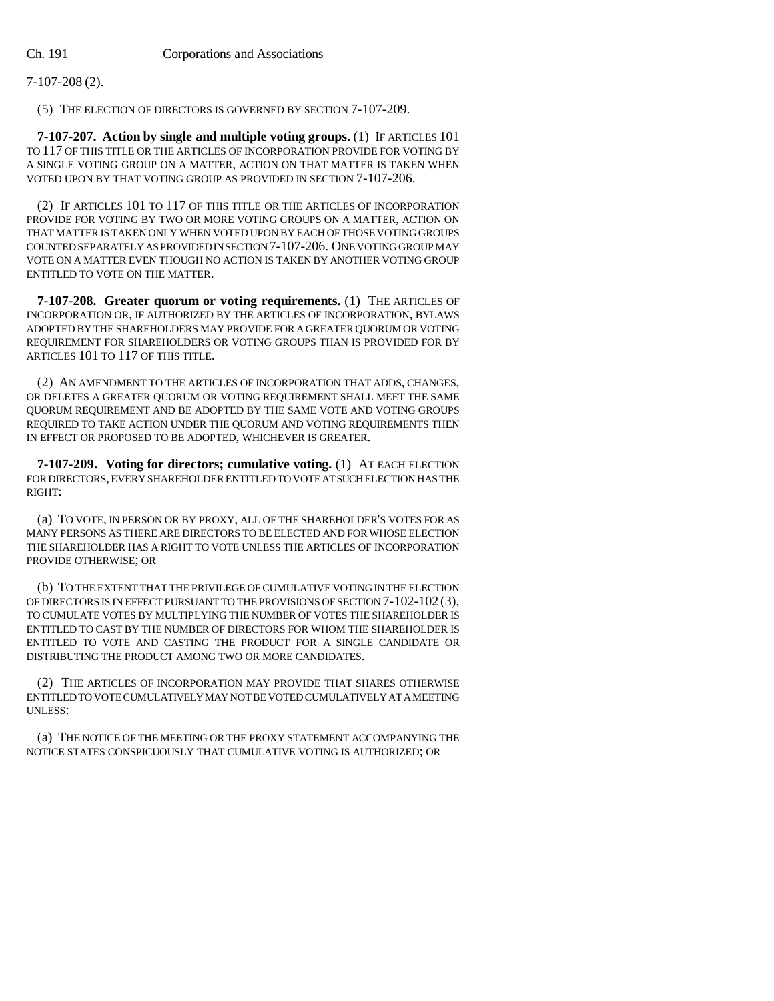7-107-208 (2).

(5) THE ELECTION OF DIRECTORS IS GOVERNED BY SECTION 7-107-209.

**7-107-207. Action by single and multiple voting groups.** (1) IF ARTICLES 101 TO 117 OF THIS TITLE OR THE ARTICLES OF INCORPORATION PROVIDE FOR VOTING BY A SINGLE VOTING GROUP ON A MATTER, ACTION ON THAT MATTER IS TAKEN WHEN VOTED UPON BY THAT VOTING GROUP AS PROVIDED IN SECTION 7-107-206.

(2) IF ARTICLES 101 TO 117 OF THIS TITLE OR THE ARTICLES OF INCORPORATION PROVIDE FOR VOTING BY TWO OR MORE VOTING GROUPS ON A MATTER, ACTION ON THAT MATTER IS TAKEN ONLY WHEN VOTED UPON BY EACH OF THOSE VOTING GROUPS COUNTED SEPARATELY AS PROVIDED IN SECTION 7-107-206. ONE VOTING GROUP MAY VOTE ON A MATTER EVEN THOUGH NO ACTION IS TAKEN BY ANOTHER VOTING GROUP ENTITLED TO VOTE ON THE MATTER.

**7-107-208. Greater quorum or voting requirements.** (1) THE ARTICLES OF INCORPORATION OR, IF AUTHORIZED BY THE ARTICLES OF INCORPORATION, BYLAWS ADOPTED BY THE SHAREHOLDERS MAY PROVIDE FOR A GREATER QUORUM OR VOTING REQUIREMENT FOR SHAREHOLDERS OR VOTING GROUPS THAN IS PROVIDED FOR BY ARTICLES 101 TO 117 OF THIS TITLE.

(2) AN AMENDMENT TO THE ARTICLES OF INCORPORATION THAT ADDS, CHANGES, OR DELETES A GREATER QUORUM OR VOTING REQUIREMENT SHALL MEET THE SAME QUORUM REQUIREMENT AND BE ADOPTED BY THE SAME VOTE AND VOTING GROUPS REQUIRED TO TAKE ACTION UNDER THE QUORUM AND VOTING REQUIREMENTS THEN IN EFFECT OR PROPOSED TO BE ADOPTED, WHICHEVER IS GREATER.

**7-107-209. Voting for directors; cumulative voting.** (1) AT EACH ELECTION FOR DIRECTORS, EVERY SHAREHOLDER ENTITLED TO VOTE AT SUCH ELECTION HAS THE RIGHT:

(a) TO VOTE, IN PERSON OR BY PROXY, ALL OF THE SHAREHOLDER'S VOTES FOR AS MANY PERSONS AS THERE ARE DIRECTORS TO BE ELECTED AND FOR WHOSE ELECTION THE SHAREHOLDER HAS A RIGHT TO VOTE UNLESS THE ARTICLES OF INCORPORATION PROVIDE OTHERWISE; OR

(b) TO THE EXTENT THAT THE PRIVILEGE OF CUMULATIVE VOTING IN THE ELECTION OF DIRECTORS IS IN EFFECT PURSUANT TO THE PROVISIONS OF SECTION 7-102-102 (3), TO CUMULATE VOTES BY MULTIPLYING THE NUMBER OF VOTES THE SHAREHOLDER IS ENTITLED TO CAST BY THE NUMBER OF DIRECTORS FOR WHOM THE SHAREHOLDER IS ENTITLED TO VOTE AND CASTING THE PRODUCT FOR A SINGLE CANDIDATE OR DISTRIBUTING THE PRODUCT AMONG TWO OR MORE CANDIDATES.

(2) THE ARTICLES OF INCORPORATION MAY PROVIDE THAT SHARES OTHERWISE ENTITLED TO VOTE CUMULATIVELY MAY NOT BE VOTED CUMULATIVELY AT A MEETING UNLESS:

(a) THE NOTICE OF THE MEETING OR THE PROXY STATEMENT ACCOMPANYING THE NOTICE STATES CONSPICUOUSLY THAT CUMULATIVE VOTING IS AUTHORIZED; OR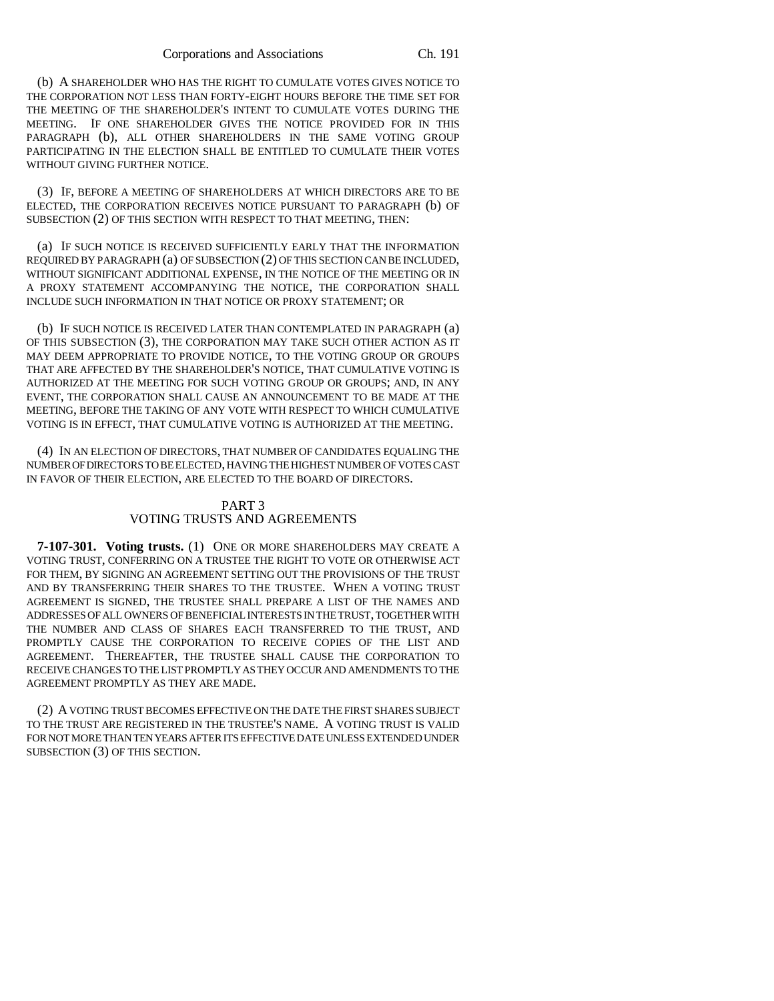(b) A SHAREHOLDER WHO HAS THE RIGHT TO CUMULATE VOTES GIVES NOTICE TO THE CORPORATION NOT LESS THAN FORTY-EIGHT HOURS BEFORE THE TIME SET FOR THE MEETING OF THE SHAREHOLDER'S INTENT TO CUMULATE VOTES DURING THE MEETING. IF ONE SHAREHOLDER GIVES THE NOTICE PROVIDED FOR IN THIS PARAGRAPH (b), ALL OTHER SHAREHOLDERS IN THE SAME VOTING GROUP PARTICIPATING IN THE ELECTION SHALL BE ENTITLED TO CUMULATE THEIR VOTES WITHOUT GIVING FURTHER NOTICE.

(3) IF, BEFORE A MEETING OF SHAREHOLDERS AT WHICH DIRECTORS ARE TO BE ELECTED, THE CORPORATION RECEIVES NOTICE PURSUANT TO PARAGRAPH (b) OF SUBSECTION (2) OF THIS SECTION WITH RESPECT TO THAT MEETING, THEN:

(a) IF SUCH NOTICE IS RECEIVED SUFFICIENTLY EARLY THAT THE INFORMATION REQUIRED BY PARAGRAPH (a) OF SUBSECTION (2) OF THIS SECTION CAN BE INCLUDED, WITHOUT SIGNIFICANT ADDITIONAL EXPENSE, IN THE NOTICE OF THE MEETING OR IN A PROXY STATEMENT ACCOMPANYING THE NOTICE, THE CORPORATION SHALL INCLUDE SUCH INFORMATION IN THAT NOTICE OR PROXY STATEMENT; OR

(b) IF SUCH NOTICE IS RECEIVED LATER THAN CONTEMPLATED IN PARAGRAPH (a) OF THIS SUBSECTION (3), THE CORPORATION MAY TAKE SUCH OTHER ACTION AS IT MAY DEEM APPROPRIATE TO PROVIDE NOTICE, TO THE VOTING GROUP OR GROUPS THAT ARE AFFECTED BY THE SHAREHOLDER'S NOTICE, THAT CUMULATIVE VOTING IS AUTHORIZED AT THE MEETING FOR SUCH VOTING GROUP OR GROUPS; AND, IN ANY EVENT, THE CORPORATION SHALL CAUSE AN ANNOUNCEMENT TO BE MADE AT THE MEETING, BEFORE THE TAKING OF ANY VOTE WITH RESPECT TO WHICH CUMULATIVE VOTING IS IN EFFECT, THAT CUMULATIVE VOTING IS AUTHORIZED AT THE MEETING.

(4) IN AN ELECTION OF DIRECTORS, THAT NUMBER OF CANDIDATES EQUALING THE NUMBER OF DIRECTORS TO BE ELECTED, HAVING THE HIGHEST NUMBER OF VOTES CAST IN FAVOR OF THEIR ELECTION, ARE ELECTED TO THE BOARD OF DIRECTORS.

## PART 3 VOTING TRUSTS AND AGREEMENTS

**7-107-301. Voting trusts.** (1) ONE OR MORE SHAREHOLDERS MAY CREATE A VOTING TRUST, CONFERRING ON A TRUSTEE THE RIGHT TO VOTE OR OTHERWISE ACT FOR THEM, BY SIGNING AN AGREEMENT SETTING OUT THE PROVISIONS OF THE TRUST AND BY TRANSFERRING THEIR SHARES TO THE TRUSTEE. WHEN A VOTING TRUST AGREEMENT IS SIGNED, THE TRUSTEE SHALL PREPARE A LIST OF THE NAMES AND ADDRESSES OF ALL OWNERS OF BENEFICIAL INTERESTS IN THE TRUST, TOGETHER WITH THE NUMBER AND CLASS OF SHARES EACH TRANSFERRED TO THE TRUST, AND PROMPTLY CAUSE THE CORPORATION TO RECEIVE COPIES OF THE LIST AND AGREEMENT. THEREAFTER, THE TRUSTEE SHALL CAUSE THE CORPORATION TO RECEIVE CHANGES TO THE LIST PROMPTLY AS THEY OCCUR AND AMENDMENTS TO THE AGREEMENT PROMPTLY AS THEY ARE MADE.

(2) A VOTING TRUST BECOMES EFFECTIVE ON THE DATE THE FIRST SHARES SUBJECT TO THE TRUST ARE REGISTERED IN THE TRUSTEE'S NAME. A VOTING TRUST IS VALID FOR NOT MORE THAN TEN YEARS AFTER ITS EFFECTIVE DATE UNLESS EXTENDED UNDER SUBSECTION (3) OF THIS SECTION.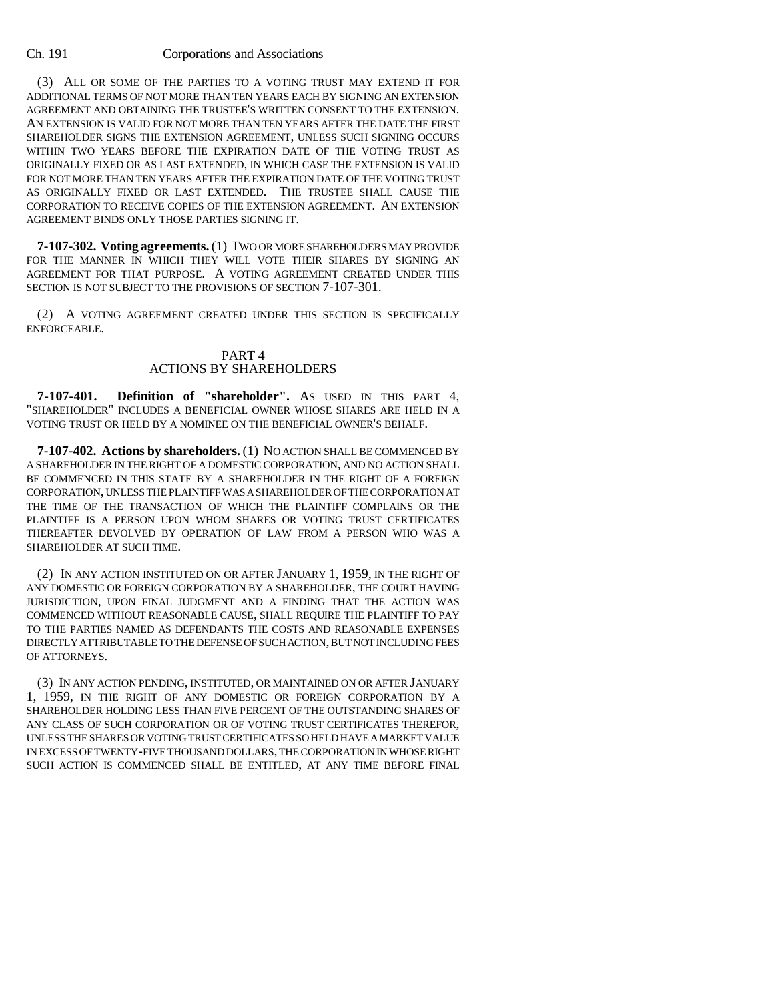(3) ALL OR SOME OF THE PARTIES TO A VOTING TRUST MAY EXTEND IT FOR ADDITIONAL TERMS OF NOT MORE THAN TEN YEARS EACH BY SIGNING AN EXTENSION AGREEMENT AND OBTAINING THE TRUSTEE'S WRITTEN CONSENT TO THE EXTENSION. AN EXTENSION IS VALID FOR NOT MORE THAN TEN YEARS AFTER THE DATE THE FIRST SHAREHOLDER SIGNS THE EXTENSION AGREEMENT, UNLESS SUCH SIGNING OCCURS WITHIN TWO YEARS BEFORE THE EXPIRATION DATE OF THE VOTING TRUST AS ORIGINALLY FIXED OR AS LAST EXTENDED, IN WHICH CASE THE EXTENSION IS VALID FOR NOT MORE THAN TEN YEARS AFTER THE EXPIRATION DATE OF THE VOTING TRUST AS ORIGINALLY FIXED OR LAST EXTENDED. THE TRUSTEE SHALL CAUSE THE CORPORATION TO RECEIVE COPIES OF THE EXTENSION AGREEMENT. AN EXTENSION AGREEMENT BINDS ONLY THOSE PARTIES SIGNING IT.

**7-107-302. Voting agreements.** (1) TWO OR MORE SHAREHOLDERS MAY PROVIDE FOR THE MANNER IN WHICH THEY WILL VOTE THEIR SHARES BY SIGNING AN AGREEMENT FOR THAT PURPOSE. A VOTING AGREEMENT CREATED UNDER THIS SECTION IS NOT SUBJECT TO THE PROVISIONS OF SECTION 7-107-301.

(2) A VOTING AGREEMENT CREATED UNDER THIS SECTION IS SPECIFICALLY ENFORCEABLE.

## PART 4 ACTIONS BY SHAREHOLDERS

**7-107-401. Definition of "shareholder".** AS USED IN THIS PART 4, "SHAREHOLDER" INCLUDES A BENEFICIAL OWNER WHOSE SHARES ARE HELD IN A VOTING TRUST OR HELD BY A NOMINEE ON THE BENEFICIAL OWNER'S BEHALF.

**7-107-402. Actions by shareholders.** (1) NO ACTION SHALL BE COMMENCED BY A SHAREHOLDER IN THE RIGHT OF A DOMESTIC CORPORATION, AND NO ACTION SHALL BE COMMENCED IN THIS STATE BY A SHAREHOLDER IN THE RIGHT OF A FOREIGN CORPORATION, UNLESS THE PLAINTIFF WAS A SHAREHOLDER OF THE CORPORATION AT THE TIME OF THE TRANSACTION OF WHICH THE PLAINTIFF COMPLAINS OR THE PLAINTIFF IS A PERSON UPON WHOM SHARES OR VOTING TRUST CERTIFICATES THEREAFTER DEVOLVED BY OPERATION OF LAW FROM A PERSON WHO WAS A SHAREHOLDER AT SUCH TIME.

(2) IN ANY ACTION INSTITUTED ON OR AFTER JANUARY 1, 1959, IN THE RIGHT OF ANY DOMESTIC OR FOREIGN CORPORATION BY A SHAREHOLDER, THE COURT HAVING JURISDICTION, UPON FINAL JUDGMENT AND A FINDING THAT THE ACTION WAS COMMENCED WITHOUT REASONABLE CAUSE, SHALL REQUIRE THE PLAINTIFF TO PAY TO THE PARTIES NAMED AS DEFENDANTS THE COSTS AND REASONABLE EXPENSES DIRECTLY ATTRIBUTABLE TO THE DEFENSE OF SUCH ACTION, BUT NOT INCLUDING FEES OF ATTORNEYS.

(3) IN ANY ACTION PENDING, INSTITUTED, OR MAINTAINED ON OR AFTER JANUARY 1, 1959, IN THE RIGHT OF ANY DOMESTIC OR FOREIGN CORPORATION BY A SHAREHOLDER HOLDING LESS THAN FIVE PERCENT OF THE OUTSTANDING SHARES OF ANY CLASS OF SUCH CORPORATION OR OF VOTING TRUST CERTIFICATES THEREFOR, UNLESS THE SHARES OR VOTING TRUST CERTIFICATES SO HELD HAVE A MARKET VALUE IN EXCESS OF TWENTY-FIVE THOUSAND DOLLARS, THE CORPORATION IN WHOSE RIGHT SUCH ACTION IS COMMENCED SHALL BE ENTITLED, AT ANY TIME BEFORE FINAL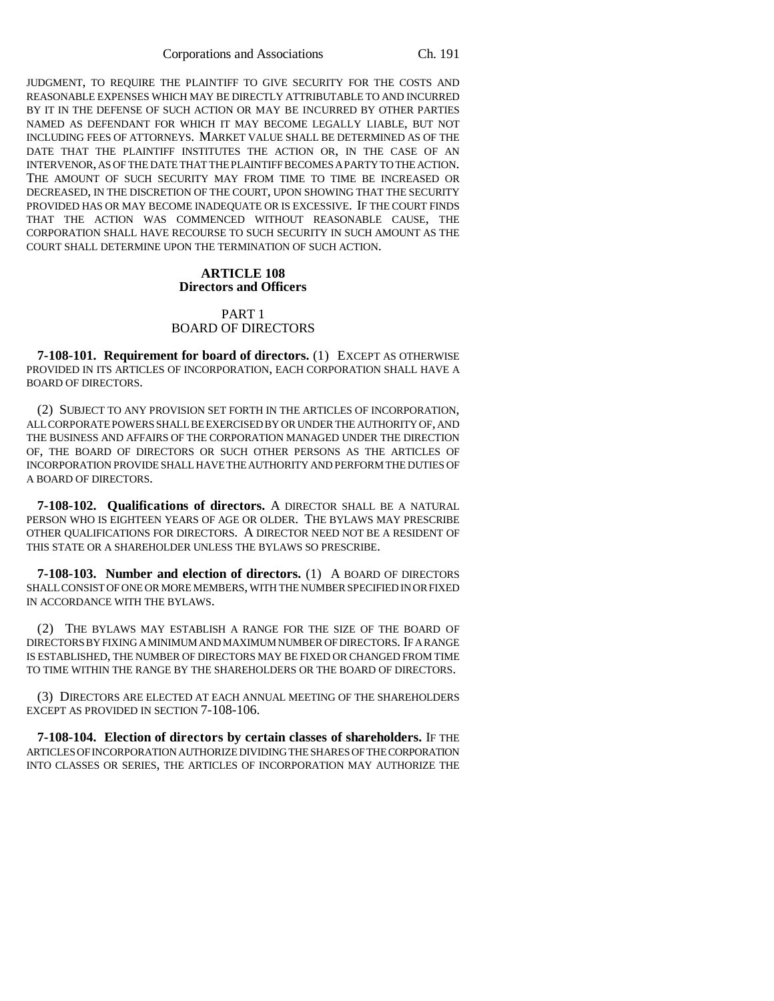Corporations and Associations Ch. 191

JUDGMENT, TO REQUIRE THE PLAINTIFF TO GIVE SECURITY FOR THE COSTS AND REASONABLE EXPENSES WHICH MAY BE DIRECTLY ATTRIBUTABLE TO AND INCURRED BY IT IN THE DEFENSE OF SUCH ACTION OR MAY BE INCURRED BY OTHER PARTIES NAMED AS DEFENDANT FOR WHICH IT MAY BECOME LEGALLY LIABLE, BUT NOT INCLUDING FEES OF ATTORNEYS. MARKET VALUE SHALL BE DETERMINED AS OF THE DATE THAT THE PLAINTIFF INSTITUTES THE ACTION OR, IN THE CASE OF AN INTERVENOR, AS OF THE DATE THAT THE PLAINTIFF BECOMES A PARTY TO THE ACTION. THE AMOUNT OF SUCH SECURITY MAY FROM TIME TO TIME BE INCREASED OR DECREASED, IN THE DISCRETION OF THE COURT, UPON SHOWING THAT THE SECURITY PROVIDED HAS OR MAY BECOME INADEQUATE OR IS EXCESSIVE. IF THE COURT FINDS THAT THE ACTION WAS COMMENCED WITHOUT REASONABLE CAUSE, THE CORPORATION SHALL HAVE RECOURSE TO SUCH SECURITY IN SUCH AMOUNT AS THE COURT SHALL DETERMINE UPON THE TERMINATION OF SUCH ACTION.

# **ARTICLE 108 Directors and Officers**

# PART 1 BOARD OF DIRECTORS

**7-108-101. Requirement for board of directors.** (1) EXCEPT AS OTHERWISE PROVIDED IN ITS ARTICLES OF INCORPORATION, EACH CORPORATION SHALL HAVE A BOARD OF DIRECTORS.

(2) SUBJECT TO ANY PROVISION SET FORTH IN THE ARTICLES OF INCORPORATION, ALL CORPORATE POWERS SHALL BE EXERCISED BY OR UNDER THE AUTHORITY OF, AND THE BUSINESS AND AFFAIRS OF THE CORPORATION MANAGED UNDER THE DIRECTION OF, THE BOARD OF DIRECTORS OR SUCH OTHER PERSONS AS THE ARTICLES OF INCORPORATION PROVIDE SHALL HAVE THE AUTHORITY AND PERFORM THE DUTIES OF A BOARD OF DIRECTORS.

**7-108-102. Qualifications of directors.** A DIRECTOR SHALL BE A NATURAL PERSON WHO IS EIGHTEEN YEARS OF AGE OR OLDER. THE BYLAWS MAY PRESCRIBE OTHER QUALIFICATIONS FOR DIRECTORS. A DIRECTOR NEED NOT BE A RESIDENT OF THIS STATE OR A SHAREHOLDER UNLESS THE BYLAWS SO PRESCRIBE.

**7-108-103. Number and election of directors.** (1) A BOARD OF DIRECTORS SHALL CONSIST OF ONE OR MORE MEMBERS, WITH THE NUMBER SPECIFIED IN OR FIXED IN ACCORDANCE WITH THE BYLAWS.

(2) THE BYLAWS MAY ESTABLISH A RANGE FOR THE SIZE OF THE BOARD OF DIRECTORS BY FIXING A MINIMUM AND MAXIMUM NUMBER OF DIRECTORS. IF A RANGE IS ESTABLISHED, THE NUMBER OF DIRECTORS MAY BE FIXED OR CHANGED FROM TIME TO TIME WITHIN THE RANGE BY THE SHAREHOLDERS OR THE BOARD OF DIRECTORS.

(3) DIRECTORS ARE ELECTED AT EACH ANNUAL MEETING OF THE SHAREHOLDERS EXCEPT AS PROVIDED IN SECTION 7-108-106.

**7-108-104. Election of directors by certain classes of shareholders.** IF THE ARTICLES OF INCORPORATION AUTHORIZE DIVIDING THE SHARES OF THE CORPORATION INTO CLASSES OR SERIES, THE ARTICLES OF INCORPORATION MAY AUTHORIZE THE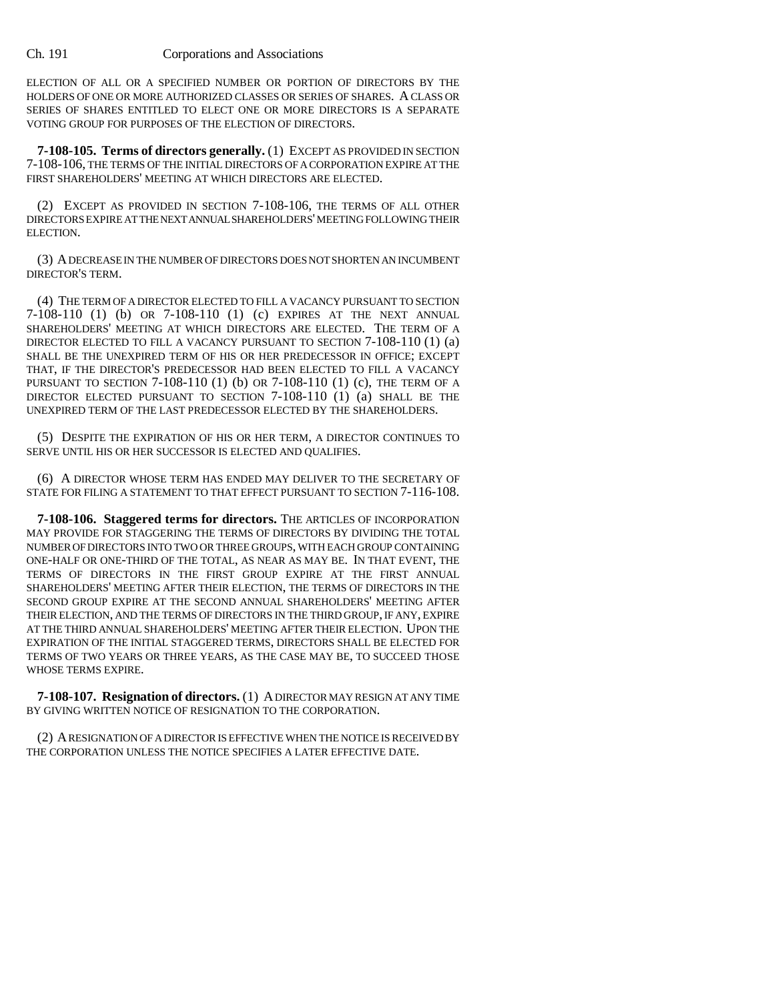ELECTION OF ALL OR A SPECIFIED NUMBER OR PORTION OF DIRECTORS BY THE HOLDERS OF ONE OR MORE AUTHORIZED CLASSES OR SERIES OF SHARES. A CLASS OR SERIES OF SHARES ENTITLED TO ELECT ONE OR MORE DIRECTORS IS A SEPARATE VOTING GROUP FOR PURPOSES OF THE ELECTION OF DIRECTORS.

**7-108-105. Terms of directors generally.** (1) EXCEPT AS PROVIDED IN SECTION 7-108-106, THE TERMS OF THE INITIAL DIRECTORS OF A CORPORATION EXPIRE AT THE FIRST SHAREHOLDERS' MEETING AT WHICH DIRECTORS ARE ELECTED.

(2) EXCEPT AS PROVIDED IN SECTION 7-108-106, THE TERMS OF ALL OTHER DIRECTORS EXPIRE AT THE NEXT ANNUAL SHAREHOLDERS' MEETING FOLLOWING THEIR ELECTION.

(3) A DECREASE IN THE NUMBER OF DIRECTORS DOES NOT SHORTEN AN INCUMBENT DIRECTOR'S TERM.

(4) THE TERM OF A DIRECTOR ELECTED TO FILL A VACANCY PURSUANT TO SECTION 7-108-110 (1) (b) OR 7-108-110 (1) (c) EXPIRES AT THE NEXT ANNUAL SHAREHOLDERS' MEETING AT WHICH DIRECTORS ARE ELECTED. THE TERM OF A DIRECTOR ELECTED TO FILL A VACANCY PURSUANT TO SECTION 7-108-110 (1) (a) SHALL BE THE UNEXPIRED TERM OF HIS OR HER PREDECESSOR IN OFFICE; EXCEPT THAT, IF THE DIRECTOR'S PREDECESSOR HAD BEEN ELECTED TO FILL A VACANCY PURSUANT TO SECTION 7-108-110 (1) (b) OR 7-108-110 (1) (c), THE TERM OF A DIRECTOR ELECTED PURSUANT TO SECTION 7-108-110 (1) (a) SHALL BE THE UNEXPIRED TERM OF THE LAST PREDECESSOR ELECTED BY THE SHAREHOLDERS.

(5) DESPITE THE EXPIRATION OF HIS OR HER TERM, A DIRECTOR CONTINUES TO SERVE UNTIL HIS OR HER SUCCESSOR IS ELECTED AND QUALIFIES.

(6) A DIRECTOR WHOSE TERM HAS ENDED MAY DELIVER TO THE SECRETARY OF STATE FOR FILING A STATEMENT TO THAT EFFECT PURSUANT TO SECTION 7-116-108.

**7-108-106. Staggered terms for directors.** THE ARTICLES OF INCORPORATION MAY PROVIDE FOR STAGGERING THE TERMS OF DIRECTORS BY DIVIDING THE TOTAL NUMBER OF DIRECTORS INTO TWO OR THREE GROUPS, WITH EACH GROUP CONTAINING ONE-HALF OR ONE-THIRD OF THE TOTAL, AS NEAR AS MAY BE. IN THAT EVENT, THE TERMS OF DIRECTORS IN THE FIRST GROUP EXPIRE AT THE FIRST ANNUAL SHAREHOLDERS' MEETING AFTER THEIR ELECTION, THE TERMS OF DIRECTORS IN THE SECOND GROUP EXPIRE AT THE SECOND ANNUAL SHAREHOLDERS' MEETING AFTER THEIR ELECTION, AND THE TERMS OF DIRECTORS IN THE THIRD GROUP, IF ANY, EXPIRE AT THE THIRD ANNUAL SHAREHOLDERS' MEETING AFTER THEIR ELECTION. UPON THE EXPIRATION OF THE INITIAL STAGGERED TERMS, DIRECTORS SHALL BE ELECTED FOR TERMS OF TWO YEARS OR THREE YEARS, AS THE CASE MAY BE, TO SUCCEED THOSE WHOSE TERMS EXPIRE.

**7-108-107. Resignation of directors.** (1) A DIRECTOR MAY RESIGN AT ANY TIME BY GIVING WRITTEN NOTICE OF RESIGNATION TO THE CORPORATION.

(2) A RESIGNATION OF A DIRECTOR IS EFFECTIVE WHEN THE NOTICE IS RECEIVED BY THE CORPORATION UNLESS THE NOTICE SPECIFIES A LATER EFFECTIVE DATE.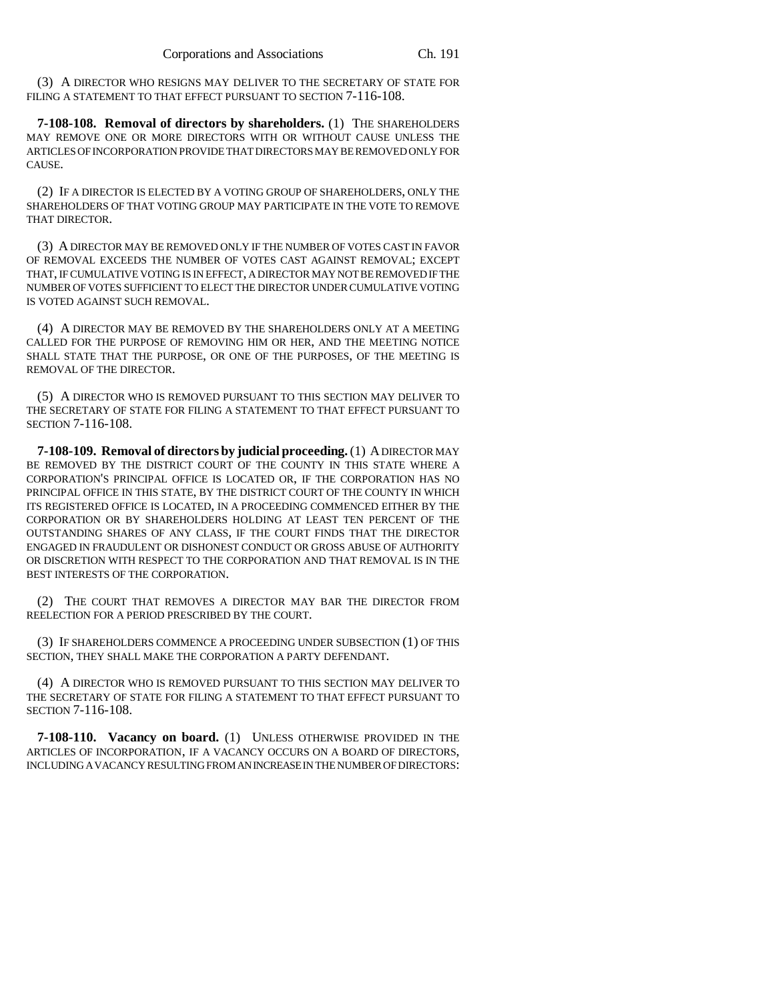(3) A DIRECTOR WHO RESIGNS MAY DELIVER TO THE SECRETARY OF STATE FOR FILING A STATEMENT TO THAT EFFECT PURSUANT TO SECTION 7-116-108.

**7-108-108. Removal of directors by shareholders.** (1) THE SHAREHOLDERS MAY REMOVE ONE OR MORE DIRECTORS WITH OR WITHOUT CAUSE UNLESS THE ARTICLES OF INCORPORATION PROVIDE THAT DIRECTORS MAY BE REMOVED ONLY FOR CAUSE.

(2) IF A DIRECTOR IS ELECTED BY A VOTING GROUP OF SHAREHOLDERS, ONLY THE SHAREHOLDERS OF THAT VOTING GROUP MAY PARTICIPATE IN THE VOTE TO REMOVE THAT DIRECTOR.

(3) A DIRECTOR MAY BE REMOVED ONLY IF THE NUMBER OF VOTES CAST IN FAVOR OF REMOVAL EXCEEDS THE NUMBER OF VOTES CAST AGAINST REMOVAL; EXCEPT THAT, IF CUMULATIVE VOTING IS IN EFFECT, A DIRECTOR MAY NOT BE REMOVED IF THE NUMBER OF VOTES SUFFICIENT TO ELECT THE DIRECTOR UNDER CUMULATIVE VOTING IS VOTED AGAINST SUCH REMOVAL.

(4) A DIRECTOR MAY BE REMOVED BY THE SHAREHOLDERS ONLY AT A MEETING CALLED FOR THE PURPOSE OF REMOVING HIM OR HER, AND THE MEETING NOTICE SHALL STATE THAT THE PURPOSE, OR ONE OF THE PURPOSES, OF THE MEETING IS REMOVAL OF THE DIRECTOR.

(5) A DIRECTOR WHO IS REMOVED PURSUANT TO THIS SECTION MAY DELIVER TO THE SECRETARY OF STATE FOR FILING A STATEMENT TO THAT EFFECT PURSUANT TO SECTION 7-116-108.

**7-108-109. Removal of directors by judicial proceeding.** (1) A DIRECTOR MAY BE REMOVED BY THE DISTRICT COURT OF THE COUNTY IN THIS STATE WHERE A CORPORATION'S PRINCIPAL OFFICE IS LOCATED OR, IF THE CORPORATION HAS NO PRINCIPAL OFFICE IN THIS STATE, BY THE DISTRICT COURT OF THE COUNTY IN WHICH ITS REGISTERED OFFICE IS LOCATED, IN A PROCEEDING COMMENCED EITHER BY THE CORPORATION OR BY SHAREHOLDERS HOLDING AT LEAST TEN PERCENT OF THE OUTSTANDING SHARES OF ANY CLASS, IF THE COURT FINDS THAT THE DIRECTOR ENGAGED IN FRAUDULENT OR DISHONEST CONDUCT OR GROSS ABUSE OF AUTHORITY OR DISCRETION WITH RESPECT TO THE CORPORATION AND THAT REMOVAL IS IN THE BEST INTERESTS OF THE CORPORATION.

(2) THE COURT THAT REMOVES A DIRECTOR MAY BAR THE DIRECTOR FROM REELECTION FOR A PERIOD PRESCRIBED BY THE COURT.

(3) IF SHAREHOLDERS COMMENCE A PROCEEDING UNDER SUBSECTION (1) OF THIS SECTION, THEY SHALL MAKE THE CORPORATION A PARTY DEFENDANT.

(4) A DIRECTOR WHO IS REMOVED PURSUANT TO THIS SECTION MAY DELIVER TO THE SECRETARY OF STATE FOR FILING A STATEMENT TO THAT EFFECT PURSUANT TO SECTION 7-116-108.

**7-108-110. Vacancy on board.** (1) UNLESS OTHERWISE PROVIDED IN THE ARTICLES OF INCORPORATION, IF A VACANCY OCCURS ON A BOARD OF DIRECTORS, INCLUDING A VACANCY RESULTING FROM AN INCREASE IN THE NUMBER OF DIRECTORS: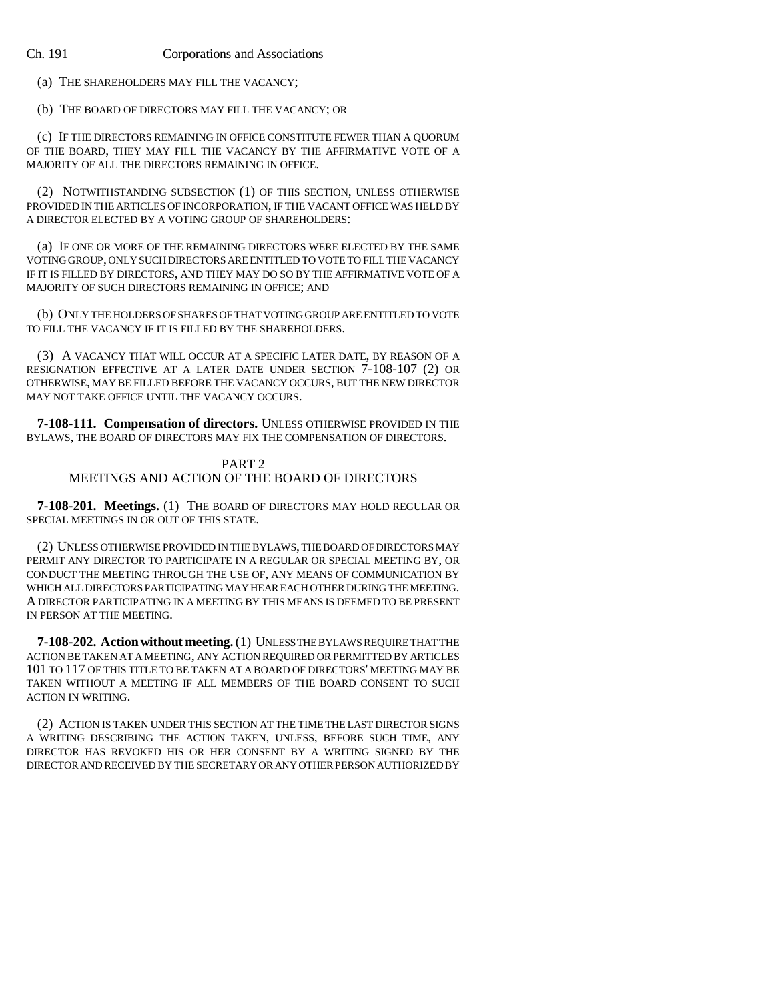(a) THE SHAREHOLDERS MAY FILL THE VACANCY;

(b) THE BOARD OF DIRECTORS MAY FILL THE VACANCY; OR

(c) IF THE DIRECTORS REMAINING IN OFFICE CONSTITUTE FEWER THAN A QUORUM OF THE BOARD, THEY MAY FILL THE VACANCY BY THE AFFIRMATIVE VOTE OF A MAJORITY OF ALL THE DIRECTORS REMAINING IN OFFICE.

(2) NOTWITHSTANDING SUBSECTION (1) OF THIS SECTION, UNLESS OTHERWISE PROVIDED IN THE ARTICLES OF INCORPORATION, IF THE VACANT OFFICE WAS HELD BY A DIRECTOR ELECTED BY A VOTING GROUP OF SHAREHOLDERS:

(a) IF ONE OR MORE OF THE REMAINING DIRECTORS WERE ELECTED BY THE SAME VOTING GROUP, ONLY SUCH DIRECTORS ARE ENTITLED TO VOTE TO FILL THE VACANCY IF IT IS FILLED BY DIRECTORS, AND THEY MAY DO SO BY THE AFFIRMATIVE VOTE OF A MAJORITY OF SUCH DIRECTORS REMAINING IN OFFICE; AND

(b) ONLY THE HOLDERS OF SHARES OF THAT VOTING GROUP ARE ENTITLED TO VOTE TO FILL THE VACANCY IF IT IS FILLED BY THE SHAREHOLDERS.

(3) A VACANCY THAT WILL OCCUR AT A SPECIFIC LATER DATE, BY REASON OF A RESIGNATION EFFECTIVE AT A LATER DATE UNDER SECTION 7-108-107 (2) OR OTHERWISE, MAY BE FILLED BEFORE THE VACANCY OCCURS, BUT THE NEW DIRECTOR MAY NOT TAKE OFFICE UNTIL THE VACANCY OCCURS.

**7-108-111. Compensation of directors.** UNLESS OTHERWISE PROVIDED IN THE BYLAWS, THE BOARD OF DIRECTORS MAY FIX THE COMPENSATION OF DIRECTORS.

# PART 2 MEETINGS AND ACTION OF THE BOARD OF DIRECTORS

**7-108-201. Meetings.** (1) THE BOARD OF DIRECTORS MAY HOLD REGULAR OR SPECIAL MEETINGS IN OR OUT OF THIS STATE.

(2) UNLESS OTHERWISE PROVIDED IN THE BYLAWS, THE BOARD OF DIRECTORS MAY PERMIT ANY DIRECTOR TO PARTICIPATE IN A REGULAR OR SPECIAL MEETING BY, OR CONDUCT THE MEETING THROUGH THE USE OF, ANY MEANS OF COMMUNICATION BY WHICH ALL DIRECTORS PARTICIPATING MAY HEAR EACH OTHER DURING THE MEETING. A DIRECTOR PARTICIPATING IN A MEETING BY THIS MEANS IS DEEMED TO BE PRESENT IN PERSON AT THE MEETING.

**7-108-202. Action without meeting.** (1) UNLESS THE BYLAWS REQUIRE THAT THE ACTION BE TAKEN AT A MEETING, ANY ACTION REQUIRED OR PERMITTED BY ARTICLES 101 TO 117 OF THIS TITLE TO BE TAKEN AT A BOARD OF DIRECTORS' MEETING MAY BE TAKEN WITHOUT A MEETING IF ALL MEMBERS OF THE BOARD CONSENT TO SUCH ACTION IN WRITING.

(2) ACTION IS TAKEN UNDER THIS SECTION AT THE TIME THE LAST DIRECTOR SIGNS A WRITING DESCRIBING THE ACTION TAKEN, UNLESS, BEFORE SUCH TIME, ANY DIRECTOR HAS REVOKED HIS OR HER CONSENT BY A WRITING SIGNED BY THE DIRECTOR AND RECEIVED BY THE SECRETARY OR ANY OTHER PERSON AUTHORIZED BY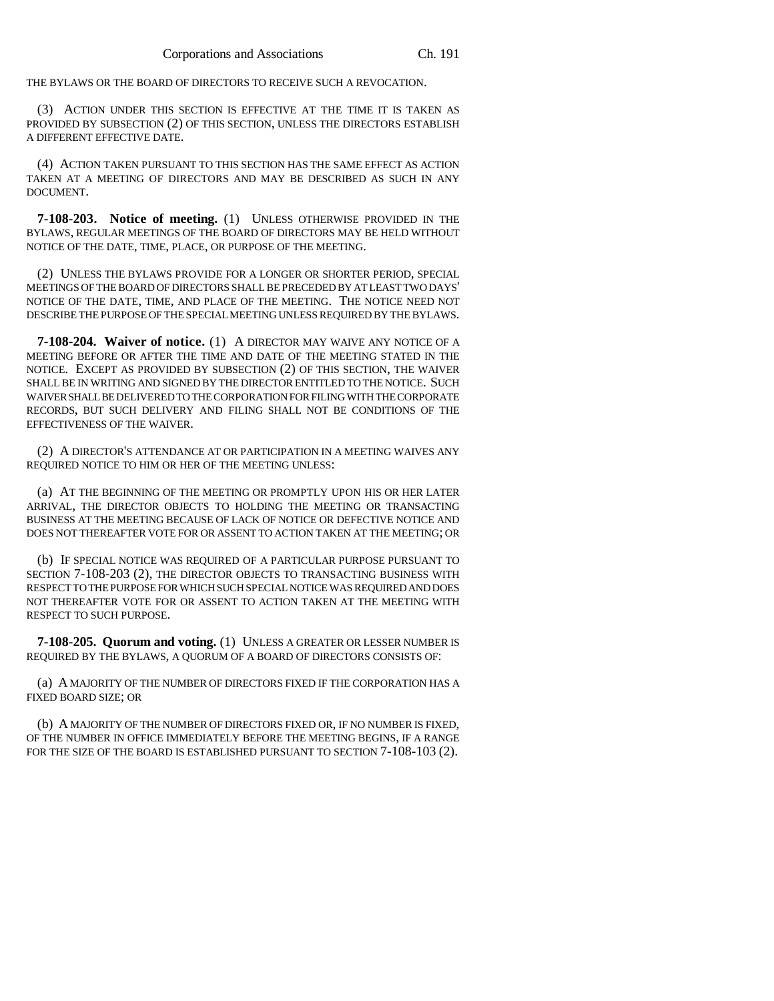THE BYLAWS OR THE BOARD OF DIRECTORS TO RECEIVE SUCH A REVOCATION.

(3) ACTION UNDER THIS SECTION IS EFFECTIVE AT THE TIME IT IS TAKEN AS PROVIDED BY SUBSECTION (2) OF THIS SECTION, UNLESS THE DIRECTORS ESTABLISH A DIFFERENT EFFECTIVE DATE.

(4) ACTION TAKEN PURSUANT TO THIS SECTION HAS THE SAME EFFECT AS ACTION TAKEN AT A MEETING OF DIRECTORS AND MAY BE DESCRIBED AS SUCH IN ANY DOCUMENT.

**7-108-203. Notice of meeting.** (1) UNLESS OTHERWISE PROVIDED IN THE BYLAWS, REGULAR MEETINGS OF THE BOARD OF DIRECTORS MAY BE HELD WITHOUT NOTICE OF THE DATE, TIME, PLACE, OR PURPOSE OF THE MEETING.

(2) UNLESS THE BYLAWS PROVIDE FOR A LONGER OR SHORTER PERIOD, SPECIAL MEETINGS OF THE BOARD OF DIRECTORS SHALL BE PRECEDED BY AT LEAST TWO DAYS' NOTICE OF THE DATE, TIME, AND PLACE OF THE MEETING. THE NOTICE NEED NOT DESCRIBE THE PURPOSE OF THE SPECIAL MEETING UNLESS REQUIRED BY THE BYLAWS.

**7-108-204. Waiver of notice.** (1) A DIRECTOR MAY WAIVE ANY NOTICE OF A MEETING BEFORE OR AFTER THE TIME AND DATE OF THE MEETING STATED IN THE NOTICE. EXCEPT AS PROVIDED BY SUBSECTION (2) OF THIS SECTION, THE WAIVER SHALL BE IN WRITING AND SIGNED BY THE DIRECTOR ENTITLED TO THE NOTICE. SUCH WAIVER SHALL BE DELIVERED TO THE CORPORATION FOR FILING WITH THE CORPORATE RECORDS, BUT SUCH DELIVERY AND FILING SHALL NOT BE CONDITIONS OF THE EFFECTIVENESS OF THE WAIVER.

(2) A DIRECTOR'S ATTENDANCE AT OR PARTICIPATION IN A MEETING WAIVES ANY REQUIRED NOTICE TO HIM OR HER OF THE MEETING UNLESS:

(a) AT THE BEGINNING OF THE MEETING OR PROMPTLY UPON HIS OR HER LATER ARRIVAL, THE DIRECTOR OBJECTS TO HOLDING THE MEETING OR TRANSACTING BUSINESS AT THE MEETING BECAUSE OF LACK OF NOTICE OR DEFECTIVE NOTICE AND DOES NOT THEREAFTER VOTE FOR OR ASSENT TO ACTION TAKEN AT THE MEETING; OR

(b) IF SPECIAL NOTICE WAS REQUIRED OF A PARTICULAR PURPOSE PURSUANT TO SECTION 7-108-203 (2), THE DIRECTOR OBJECTS TO TRANSACTING BUSINESS WITH RESPECT TO THE PURPOSE FOR WHICH SUCH SPECIAL NOTICE WAS REQUIRED AND DOES NOT THEREAFTER VOTE FOR OR ASSENT TO ACTION TAKEN AT THE MEETING WITH RESPECT TO SUCH PURPOSE.

**7-108-205. Quorum and voting.** (1) UNLESS A GREATER OR LESSER NUMBER IS REQUIRED BY THE BYLAWS, A QUORUM OF A BOARD OF DIRECTORS CONSISTS OF:

(a) A MAJORITY OF THE NUMBER OF DIRECTORS FIXED IF THE CORPORATION HAS A FIXED BOARD SIZE; OR

(b) A MAJORITY OF THE NUMBER OF DIRECTORS FIXED OR, IF NO NUMBER IS FIXED, OF THE NUMBER IN OFFICE IMMEDIATELY BEFORE THE MEETING BEGINS, IF A RANGE FOR THE SIZE OF THE BOARD IS ESTABLISHED PURSUANT TO SECTION 7-108-103 (2).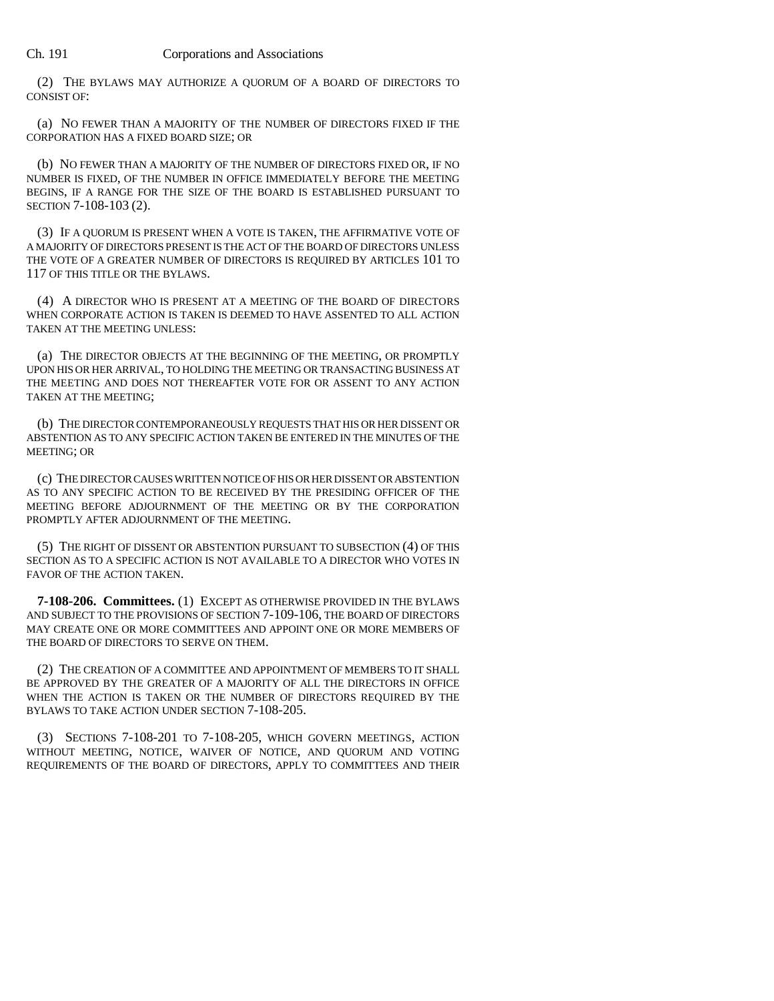(2) THE BYLAWS MAY AUTHORIZE A QUORUM OF A BOARD OF DIRECTORS TO CONSIST OF:

(a) NO FEWER THAN A MAJORITY OF THE NUMBER OF DIRECTORS FIXED IF THE CORPORATION HAS A FIXED BOARD SIZE; OR

(b) NO FEWER THAN A MAJORITY OF THE NUMBER OF DIRECTORS FIXED OR, IF NO NUMBER IS FIXED, OF THE NUMBER IN OFFICE IMMEDIATELY BEFORE THE MEETING BEGINS, IF A RANGE FOR THE SIZE OF THE BOARD IS ESTABLISHED PURSUANT TO SECTION 7-108-103 (2).

(3) IF A QUORUM IS PRESENT WHEN A VOTE IS TAKEN, THE AFFIRMATIVE VOTE OF A MAJORITY OF DIRECTORS PRESENT IS THE ACT OF THE BOARD OF DIRECTORS UNLESS THE VOTE OF A GREATER NUMBER OF DIRECTORS IS REQUIRED BY ARTICLES 101 TO 117 OF THIS TITLE OR THE BYLAWS.

(4) A DIRECTOR WHO IS PRESENT AT A MEETING OF THE BOARD OF DIRECTORS WHEN CORPORATE ACTION IS TAKEN IS DEEMED TO HAVE ASSENTED TO ALL ACTION TAKEN AT THE MEETING UNLESS:

(a) THE DIRECTOR OBJECTS AT THE BEGINNING OF THE MEETING, OR PROMPTLY UPON HIS OR HER ARRIVAL, TO HOLDING THE MEETING OR TRANSACTING BUSINESS AT THE MEETING AND DOES NOT THEREAFTER VOTE FOR OR ASSENT TO ANY ACTION TAKEN AT THE MEETING;

(b) THE DIRECTOR CONTEMPORANEOUSLY REQUESTS THAT HIS OR HER DISSENT OR ABSTENTION AS TO ANY SPECIFIC ACTION TAKEN BE ENTERED IN THE MINUTES OF THE MEETING; OR

(c) THE DIRECTOR CAUSES WRITTEN NOTICE OF HIS OR HER DISSENT OR ABSTENTION AS TO ANY SPECIFIC ACTION TO BE RECEIVED BY THE PRESIDING OFFICER OF THE MEETING BEFORE ADJOURNMENT OF THE MEETING OR BY THE CORPORATION PROMPTLY AFTER ADJOURNMENT OF THE MEETING.

(5) THE RIGHT OF DISSENT OR ABSTENTION PURSUANT TO SUBSECTION (4) OF THIS SECTION AS TO A SPECIFIC ACTION IS NOT AVAILABLE TO A DIRECTOR WHO VOTES IN FAVOR OF THE ACTION TAKEN.

**7-108-206. Committees.** (1) EXCEPT AS OTHERWISE PROVIDED IN THE BYLAWS AND SUBJECT TO THE PROVISIONS OF SECTION 7-109-106, THE BOARD OF DIRECTORS MAY CREATE ONE OR MORE COMMITTEES AND APPOINT ONE OR MORE MEMBERS OF THE BOARD OF DIRECTORS TO SERVE ON THEM.

(2) THE CREATION OF A COMMITTEE AND APPOINTMENT OF MEMBERS TO IT SHALL BE APPROVED BY THE GREATER OF A MAJORITY OF ALL THE DIRECTORS IN OFFICE WHEN THE ACTION IS TAKEN OR THE NUMBER OF DIRECTORS REQUIRED BY THE BYLAWS TO TAKE ACTION UNDER SECTION 7-108-205.

(3) SECTIONS 7-108-201 TO 7-108-205, WHICH GOVERN MEETINGS, ACTION WITHOUT MEETING, NOTICE, WAIVER OF NOTICE, AND QUORUM AND VOTING REQUIREMENTS OF THE BOARD OF DIRECTORS, APPLY TO COMMITTEES AND THEIR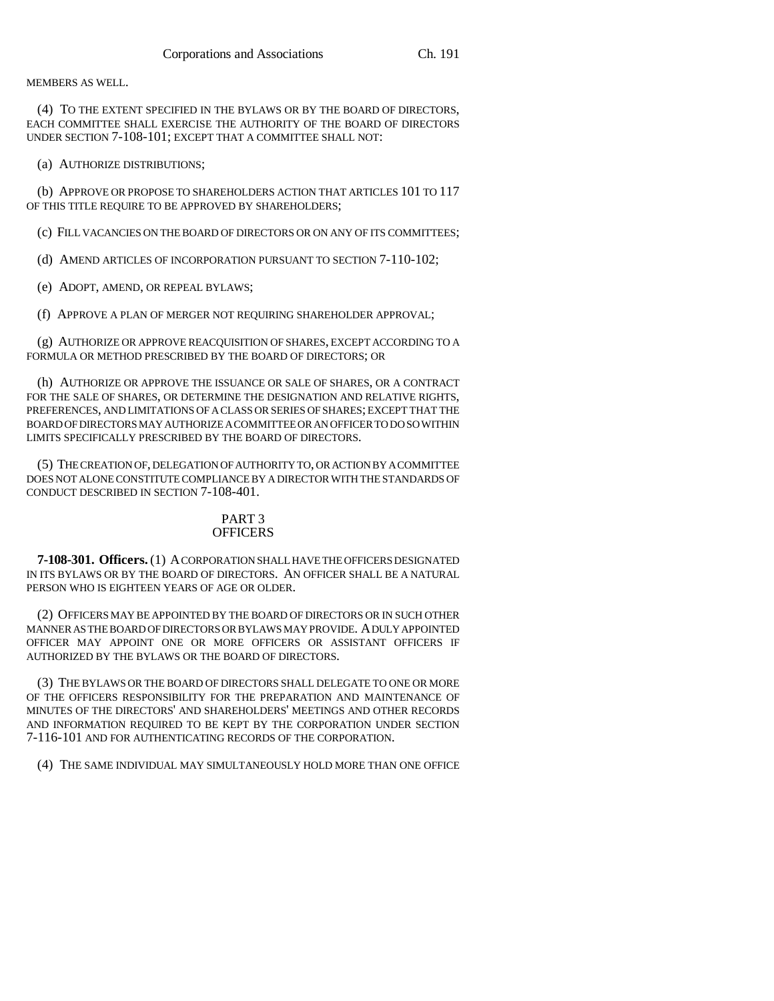MEMBERS AS WELL.

(4) TO THE EXTENT SPECIFIED IN THE BYLAWS OR BY THE BOARD OF DIRECTORS, EACH COMMITTEE SHALL EXERCISE THE AUTHORITY OF THE BOARD OF DIRECTORS UNDER SECTION 7-108-101; EXCEPT THAT A COMMITTEE SHALL NOT:

(a) AUTHORIZE DISTRIBUTIONS;

(b) APPROVE OR PROPOSE TO SHAREHOLDERS ACTION THAT ARTICLES 101 TO 117 OF THIS TITLE REQUIRE TO BE APPROVED BY SHAREHOLDERS;

(c) FILL VACANCIES ON THE BOARD OF DIRECTORS OR ON ANY OF ITS COMMITTEES;

(d) AMEND ARTICLES OF INCORPORATION PURSUANT TO SECTION 7-110-102;

(e) ADOPT, AMEND, OR REPEAL BYLAWS;

(f) APPROVE A PLAN OF MERGER NOT REQUIRING SHAREHOLDER APPROVAL;

(g) AUTHORIZE OR APPROVE REACQUISITION OF SHARES, EXCEPT ACCORDING TO A FORMULA OR METHOD PRESCRIBED BY THE BOARD OF DIRECTORS; OR

(h) AUTHORIZE OR APPROVE THE ISSUANCE OR SALE OF SHARES, OR A CONTRACT FOR THE SALE OF SHARES, OR DETERMINE THE DESIGNATION AND RELATIVE RIGHTS, PREFERENCES, AND LIMITATIONS OF A CLASS OR SERIES OF SHARES; EXCEPT THAT THE BOARD OF DIRECTORS MAY AUTHORIZE A COMMITTEE OR AN OFFICER TO DO SO WITHIN LIMITS SPECIFICALLY PRESCRIBED BY THE BOARD OF DIRECTORS.

(5) THE CREATION OF, DELEGATION OF AUTHORITY TO, OR ACTION BY A COMMITTEE DOES NOT ALONE CONSTITUTE COMPLIANCE BY A DIRECTOR WITH THE STANDARDS OF CONDUCT DESCRIBED IN SECTION 7-108-401.

# PART 3 **OFFICERS**

**7-108-301. Officers.** (1) A CORPORATION SHALL HAVE THE OFFICERS DESIGNATED IN ITS BYLAWS OR BY THE BOARD OF DIRECTORS. AN OFFICER SHALL BE A NATURAL PERSON WHO IS EIGHTEEN YEARS OF AGE OR OLDER.

(2) OFFICERS MAY BE APPOINTED BY THE BOARD OF DIRECTORS OR IN SUCH OTHER MANNER AS THE BOARD OF DIRECTORS OR BYLAWS MAY PROVIDE. A DULY APPOINTED OFFICER MAY APPOINT ONE OR MORE OFFICERS OR ASSISTANT OFFICERS IF AUTHORIZED BY THE BYLAWS OR THE BOARD OF DIRECTORS.

(3) THE BYLAWS OR THE BOARD OF DIRECTORS SHALL DELEGATE TO ONE OR MORE OF THE OFFICERS RESPONSIBILITY FOR THE PREPARATION AND MAINTENANCE OF MINUTES OF THE DIRECTORS' AND SHAREHOLDERS' MEETINGS AND OTHER RECORDS AND INFORMATION REQUIRED TO BE KEPT BY THE CORPORATION UNDER SECTION 7-116-101 AND FOR AUTHENTICATING RECORDS OF THE CORPORATION.

(4) THE SAME INDIVIDUAL MAY SIMULTANEOUSLY HOLD MORE THAN ONE OFFICE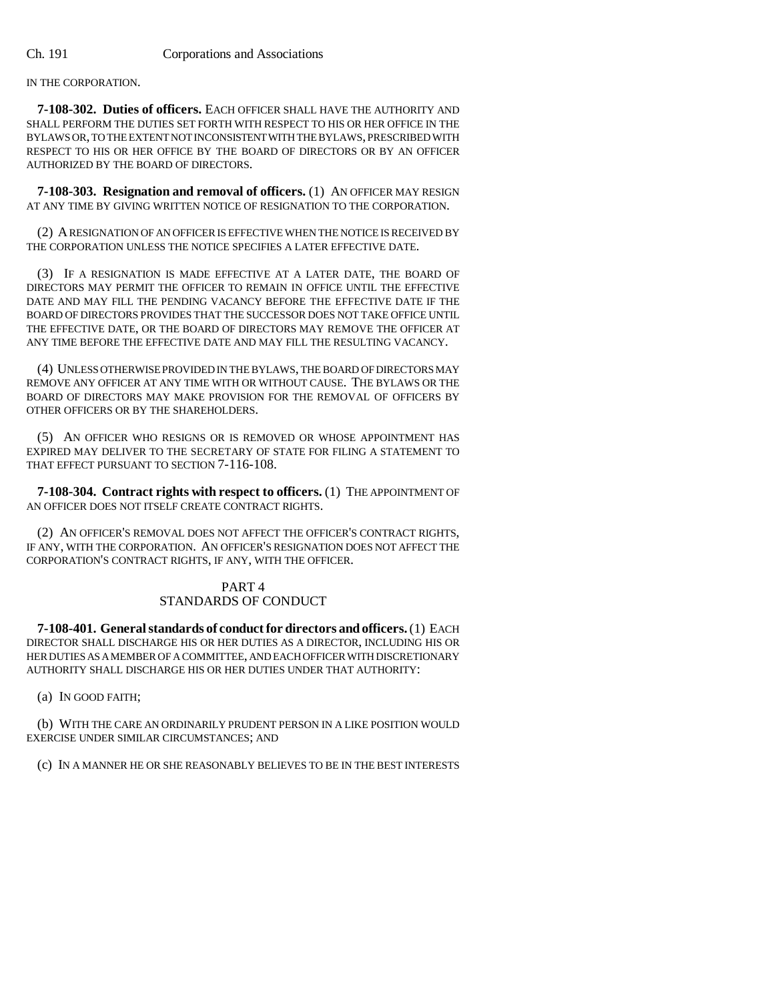IN THE CORPORATION.

**7-108-302. Duties of officers.** EACH OFFICER SHALL HAVE THE AUTHORITY AND SHALL PERFORM THE DUTIES SET FORTH WITH RESPECT TO HIS OR HER OFFICE IN THE BYLAWS OR, TO THE EXTENT NOT INCONSISTENT WITH THE BYLAWS, PRESCRIBED WITH RESPECT TO HIS OR HER OFFICE BY THE BOARD OF DIRECTORS OR BY AN OFFICER AUTHORIZED BY THE BOARD OF DIRECTORS.

**7-108-303. Resignation and removal of officers.** (1) AN OFFICER MAY RESIGN AT ANY TIME BY GIVING WRITTEN NOTICE OF RESIGNATION TO THE CORPORATION.

(2) A RESIGNATION OF AN OFFICER IS EFFECTIVE WHEN THE NOTICE IS RECEIVED BY THE CORPORATION UNLESS THE NOTICE SPECIFIES A LATER EFFECTIVE DATE.

(3) IF A RESIGNATION IS MADE EFFECTIVE AT A LATER DATE, THE BOARD OF DIRECTORS MAY PERMIT THE OFFICER TO REMAIN IN OFFICE UNTIL THE EFFECTIVE DATE AND MAY FILL THE PENDING VACANCY BEFORE THE EFFECTIVE DATE IF THE BOARD OF DIRECTORS PROVIDES THAT THE SUCCESSOR DOES NOT TAKE OFFICE UNTIL THE EFFECTIVE DATE, OR THE BOARD OF DIRECTORS MAY REMOVE THE OFFICER AT ANY TIME BEFORE THE EFFECTIVE DATE AND MAY FILL THE RESULTING VACANCY.

(4) UNLESS OTHERWISE PROVIDED IN THE BYLAWS, THE BOARD OF DIRECTORS MAY REMOVE ANY OFFICER AT ANY TIME WITH OR WITHOUT CAUSE. THE BYLAWS OR THE BOARD OF DIRECTORS MAY MAKE PROVISION FOR THE REMOVAL OF OFFICERS BY OTHER OFFICERS OR BY THE SHAREHOLDERS.

(5) AN OFFICER WHO RESIGNS OR IS REMOVED OR WHOSE APPOINTMENT HAS EXPIRED MAY DELIVER TO THE SECRETARY OF STATE FOR FILING A STATEMENT TO THAT EFFECT PURSUANT TO SECTION 7-116-108.

**7-108-304. Contract rights with respect to officers.** (1) THE APPOINTMENT OF AN OFFICER DOES NOT ITSELF CREATE CONTRACT RIGHTS.

(2) AN OFFICER'S REMOVAL DOES NOT AFFECT THE OFFICER'S CONTRACT RIGHTS, IF ANY, WITH THE CORPORATION. AN OFFICER'S RESIGNATION DOES NOT AFFECT THE CORPORATION'S CONTRACT RIGHTS, IF ANY, WITH THE OFFICER.

# PART 4 STANDARDS OF CONDUCT

**7-108-401. General standards of conduct for directors and officers.** (1) EACH DIRECTOR SHALL DISCHARGE HIS OR HER DUTIES AS A DIRECTOR, INCLUDING HIS OR HER DUTIES AS A MEMBER OF A COMMITTEE, AND EACH OFFICER WITH DISCRETIONARY AUTHORITY SHALL DISCHARGE HIS OR HER DUTIES UNDER THAT AUTHORITY:

(a) IN GOOD FAITH;

(b) WITH THE CARE AN ORDINARILY PRUDENT PERSON IN A LIKE POSITION WOULD EXERCISE UNDER SIMILAR CIRCUMSTANCES; AND

(c) IN A MANNER HE OR SHE REASONABLY BELIEVES TO BE IN THE BEST INTERESTS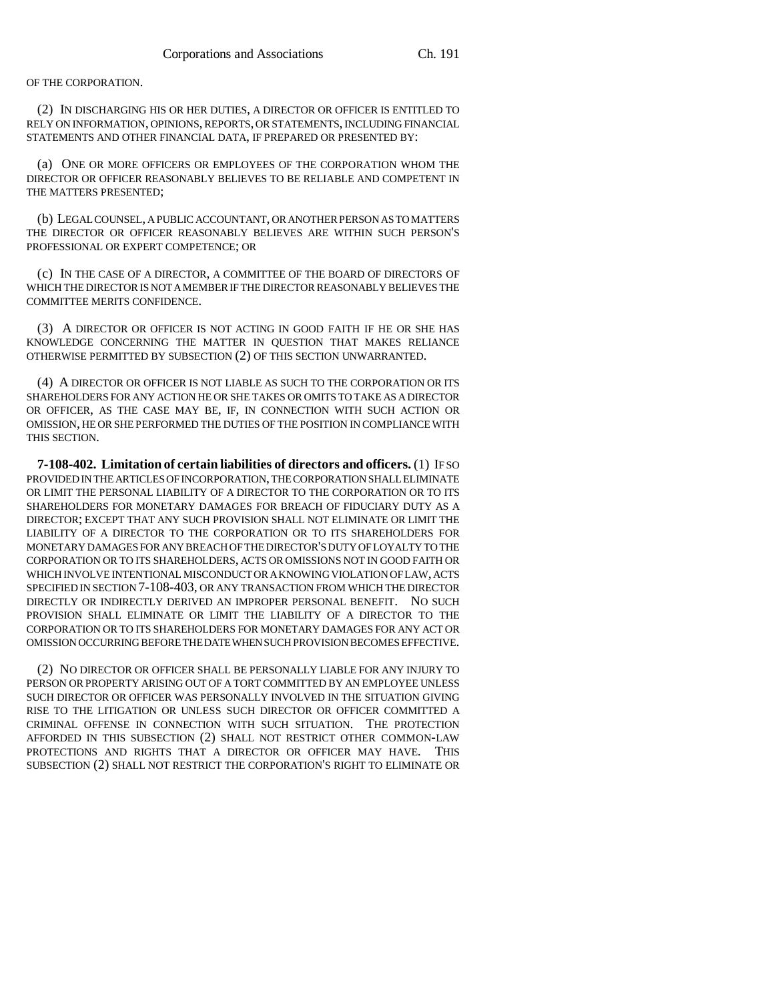OF THE CORPORATION.

(2) IN DISCHARGING HIS OR HER DUTIES, A DIRECTOR OR OFFICER IS ENTITLED TO RELY ON INFORMATION, OPINIONS, REPORTS, OR STATEMENTS, INCLUDING FINANCIAL STATEMENTS AND OTHER FINANCIAL DATA, IF PREPARED OR PRESENTED BY:

(a) ONE OR MORE OFFICERS OR EMPLOYEES OF THE CORPORATION WHOM THE DIRECTOR OR OFFICER REASONABLY BELIEVES TO BE RELIABLE AND COMPETENT IN THE MATTERS PRESENTED;

(b) LEGAL COUNSEL, A PUBLIC ACCOUNTANT, OR ANOTHER PERSON AS TO MATTERS THE DIRECTOR OR OFFICER REASONABLY BELIEVES ARE WITHIN SUCH PERSON'S PROFESSIONAL OR EXPERT COMPETENCE; OR

(c) IN THE CASE OF A DIRECTOR, A COMMITTEE OF THE BOARD OF DIRECTORS OF WHICH THE DIRECTOR IS NOT A MEMBER IF THE DIRECTOR REASONABLY BELIEVES THE COMMITTEE MERITS CONFIDENCE.

(3) A DIRECTOR OR OFFICER IS NOT ACTING IN GOOD FAITH IF HE OR SHE HAS KNOWLEDGE CONCERNING THE MATTER IN QUESTION THAT MAKES RELIANCE OTHERWISE PERMITTED BY SUBSECTION (2) OF THIS SECTION UNWARRANTED.

(4) A DIRECTOR OR OFFICER IS NOT LIABLE AS SUCH TO THE CORPORATION OR ITS SHAREHOLDERS FOR ANY ACTION HE OR SHE TAKES OR OMITS TO TAKE AS A DIRECTOR OR OFFICER, AS THE CASE MAY BE, IF, IN CONNECTION WITH SUCH ACTION OR OMISSION, HE OR SHE PERFORMED THE DUTIES OF THE POSITION IN COMPLIANCE WITH THIS SECTION.

**7-108-402. Limitation of certain liabilities of directors and officers.** (1) IF SO PROVIDED IN THE ARTICLES OF INCORPORATION, THE CORPORATION SHALL ELIMINATE OR LIMIT THE PERSONAL LIABILITY OF A DIRECTOR TO THE CORPORATION OR TO ITS SHAREHOLDERS FOR MONETARY DAMAGES FOR BREACH OF FIDUCIARY DUTY AS A DIRECTOR; EXCEPT THAT ANY SUCH PROVISION SHALL NOT ELIMINATE OR LIMIT THE LIABILITY OF A DIRECTOR TO THE CORPORATION OR TO ITS SHAREHOLDERS FOR MONETARY DAMAGES FOR ANY BREACH OF THE DIRECTOR'S DUTY OF LOYALTY TO THE CORPORATION OR TO ITS SHAREHOLDERS, ACTS OR OMISSIONS NOT IN GOOD FAITH OR WHICH INVOLVE INTENTIONAL MISCONDUCT OR A KNOWING VIOLATION OF LAW, ACTS SPECIFIED IN SECTION 7-108-403, OR ANY TRANSACTION FROM WHICH THE DIRECTOR DIRECTLY OR INDIRECTLY DERIVED AN IMPROPER PERSONAL BENEFIT. NO SUCH PROVISION SHALL ELIMINATE OR LIMIT THE LIABILITY OF A DIRECTOR TO THE CORPORATION OR TO ITS SHAREHOLDERS FOR MONETARY DAMAGES FOR ANY ACT OR OMISSION OCCURRING BEFORE THE DATE WHEN SUCH PROVISION BECOMES EFFECTIVE.

(2) NO DIRECTOR OR OFFICER SHALL BE PERSONALLY LIABLE FOR ANY INJURY TO PERSON OR PROPERTY ARISING OUT OF A TORT COMMITTED BY AN EMPLOYEE UNLESS SUCH DIRECTOR OR OFFICER WAS PERSONALLY INVOLVED IN THE SITUATION GIVING RISE TO THE LITIGATION OR UNLESS SUCH DIRECTOR OR OFFICER COMMITTED A CRIMINAL OFFENSE IN CONNECTION WITH SUCH SITUATION. THE PROTECTION AFFORDED IN THIS SUBSECTION (2) SHALL NOT RESTRICT OTHER COMMON-LAW PROTECTIONS AND RIGHTS THAT A DIRECTOR OR OFFICER MAY HAVE. THIS SUBSECTION (2) SHALL NOT RESTRICT THE CORPORATION'S RIGHT TO ELIMINATE OR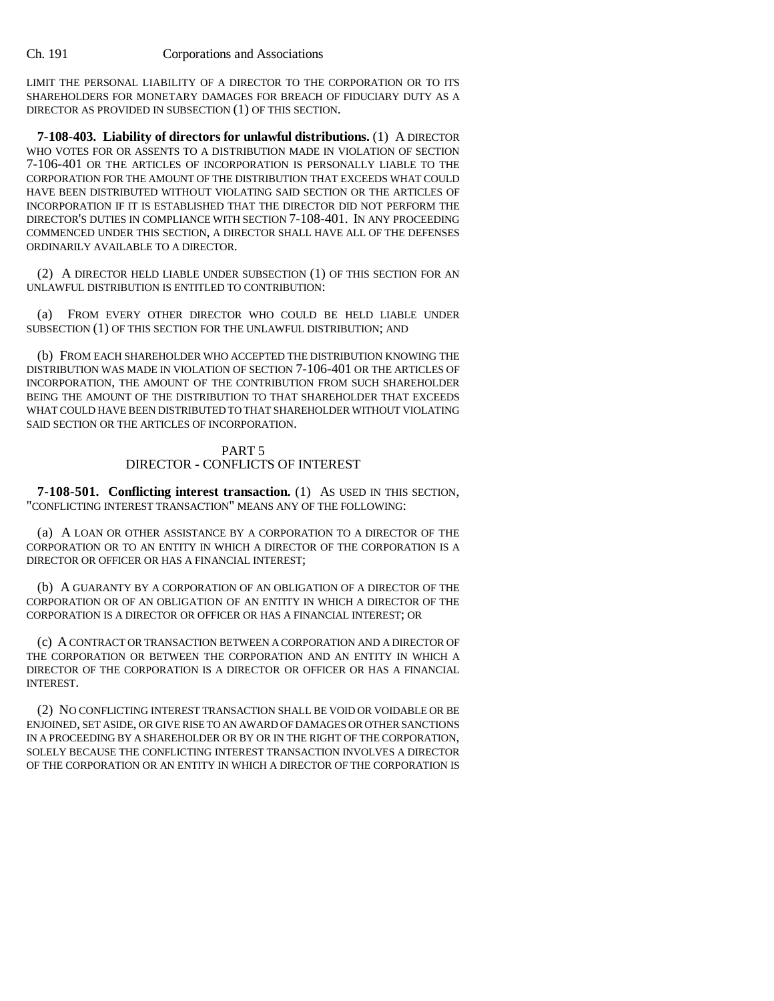LIMIT THE PERSONAL LIABILITY OF A DIRECTOR TO THE CORPORATION OR TO ITS SHAREHOLDERS FOR MONETARY DAMAGES FOR BREACH OF FIDUCIARY DUTY AS A DIRECTOR AS PROVIDED IN SUBSECTION (1) OF THIS SECTION.

**7-108-403. Liability of directors for unlawful distributions.** (1) A DIRECTOR WHO VOTES FOR OR ASSENTS TO A DISTRIBUTION MADE IN VIOLATION OF SECTION 7-106-401 OR THE ARTICLES OF INCORPORATION IS PERSONALLY LIABLE TO THE CORPORATION FOR THE AMOUNT OF THE DISTRIBUTION THAT EXCEEDS WHAT COULD HAVE BEEN DISTRIBUTED WITHOUT VIOLATING SAID SECTION OR THE ARTICLES OF INCORPORATION IF IT IS ESTABLISHED THAT THE DIRECTOR DID NOT PERFORM THE DIRECTOR'S DUTIES IN COMPLIANCE WITH SECTION 7-108-401. IN ANY PROCEEDING COMMENCED UNDER THIS SECTION, A DIRECTOR SHALL HAVE ALL OF THE DEFENSES ORDINARILY AVAILABLE TO A DIRECTOR.

(2) A DIRECTOR HELD LIABLE UNDER SUBSECTION (1) OF THIS SECTION FOR AN UNLAWFUL DISTRIBUTION IS ENTITLED TO CONTRIBUTION:

(a) FROM EVERY OTHER DIRECTOR WHO COULD BE HELD LIABLE UNDER SUBSECTION (1) OF THIS SECTION FOR THE UNLAWFUL DISTRIBUTION; AND

(b) FROM EACH SHAREHOLDER WHO ACCEPTED THE DISTRIBUTION KNOWING THE DISTRIBUTION WAS MADE IN VIOLATION OF SECTION 7-106-401 OR THE ARTICLES OF INCORPORATION, THE AMOUNT OF THE CONTRIBUTION FROM SUCH SHAREHOLDER BEING THE AMOUNT OF THE DISTRIBUTION TO THAT SHAREHOLDER THAT EXCEEDS WHAT COULD HAVE BEEN DISTRIBUTED TO THAT SHAREHOLDER WITHOUT VIOLATING SAID SECTION OR THE ARTICLES OF INCORPORATION.

## PART 5 DIRECTOR - CONFLICTS OF INTEREST

**7-108-501. Conflicting interest transaction.** (1) AS USED IN THIS SECTION, "CONFLICTING INTEREST TRANSACTION" MEANS ANY OF THE FOLLOWING:

(a) A LOAN OR OTHER ASSISTANCE BY A CORPORATION TO A DIRECTOR OF THE CORPORATION OR TO AN ENTITY IN WHICH A DIRECTOR OF THE CORPORATION IS A DIRECTOR OR OFFICER OR HAS A FINANCIAL INTEREST;

(b) A GUARANTY BY A CORPORATION OF AN OBLIGATION OF A DIRECTOR OF THE CORPORATION OR OF AN OBLIGATION OF AN ENTITY IN WHICH A DIRECTOR OF THE CORPORATION IS A DIRECTOR OR OFFICER OR HAS A FINANCIAL INTEREST; OR

(c) A CONTRACT OR TRANSACTION BETWEEN A CORPORATION AND A DIRECTOR OF THE CORPORATION OR BETWEEN THE CORPORATION AND AN ENTITY IN WHICH A DIRECTOR OF THE CORPORATION IS A DIRECTOR OR OFFICER OR HAS A FINANCIAL INTEREST.

(2) NO CONFLICTING INTEREST TRANSACTION SHALL BE VOID OR VOIDABLE OR BE ENJOINED, SET ASIDE, OR GIVE RISE TO AN AWARD OF DAMAGES OR OTHER SANCTIONS IN A PROCEEDING BY A SHAREHOLDER OR BY OR IN THE RIGHT OF THE CORPORATION, SOLELY BECAUSE THE CONFLICTING INTEREST TRANSACTION INVOLVES A DIRECTOR OF THE CORPORATION OR AN ENTITY IN WHICH A DIRECTOR OF THE CORPORATION IS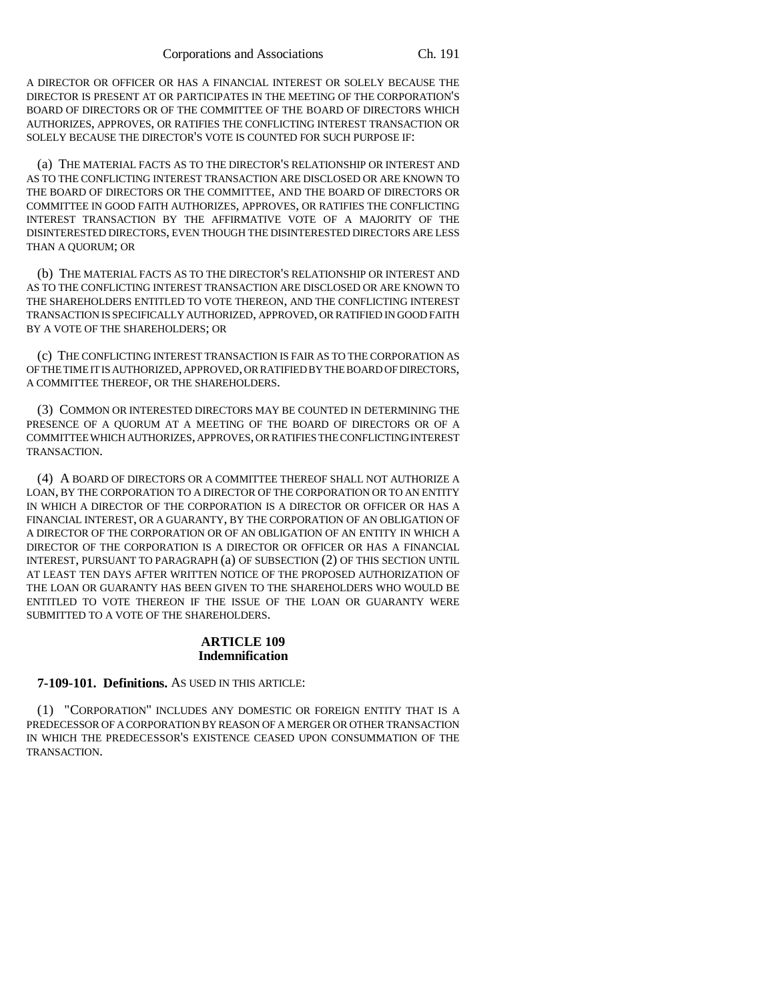A DIRECTOR OR OFFICER OR HAS A FINANCIAL INTEREST OR SOLELY BECAUSE THE DIRECTOR IS PRESENT AT OR PARTICIPATES IN THE MEETING OF THE CORPORATION'S BOARD OF DIRECTORS OR OF THE COMMITTEE OF THE BOARD OF DIRECTORS WHICH AUTHORIZES, APPROVES, OR RATIFIES THE CONFLICTING INTEREST TRANSACTION OR SOLELY BECAUSE THE DIRECTOR'S VOTE IS COUNTED FOR SUCH PURPOSE IF:

(a) THE MATERIAL FACTS AS TO THE DIRECTOR'S RELATIONSHIP OR INTEREST AND AS TO THE CONFLICTING INTEREST TRANSACTION ARE DISCLOSED OR ARE KNOWN TO THE BOARD OF DIRECTORS OR THE COMMITTEE, AND THE BOARD OF DIRECTORS OR COMMITTEE IN GOOD FAITH AUTHORIZES, APPROVES, OR RATIFIES THE CONFLICTING INTEREST TRANSACTION BY THE AFFIRMATIVE VOTE OF A MAJORITY OF THE DISINTERESTED DIRECTORS, EVEN THOUGH THE DISINTERESTED DIRECTORS ARE LESS THAN A QUORUM; OR

(b) THE MATERIAL FACTS AS TO THE DIRECTOR'S RELATIONSHIP OR INTEREST AND AS TO THE CONFLICTING INTEREST TRANSACTION ARE DISCLOSED OR ARE KNOWN TO THE SHAREHOLDERS ENTITLED TO VOTE THEREON, AND THE CONFLICTING INTEREST TRANSACTION IS SPECIFICALLY AUTHORIZED, APPROVED, OR RATIFIED IN GOOD FAITH BY A VOTE OF THE SHAREHOLDERS; OR

(c) THE CONFLICTING INTEREST TRANSACTION IS FAIR AS TO THE CORPORATION AS OF THE TIME IT IS AUTHORIZED, APPROVED, OR RATIFIED BY THE BOARD OF DIRECTORS, A COMMITTEE THEREOF, OR THE SHAREHOLDERS.

(3) COMMON OR INTERESTED DIRECTORS MAY BE COUNTED IN DETERMINING THE PRESENCE OF A QUORUM AT A MEETING OF THE BOARD OF DIRECTORS OR OF A COMMITTEE WHICH AUTHORIZES, APPROVES, OR RATIFIES THE CONFLICTING INTEREST TRANSACTION.

(4) A BOARD OF DIRECTORS OR A COMMITTEE THEREOF SHALL NOT AUTHORIZE A LOAN, BY THE CORPORATION TO A DIRECTOR OF THE CORPORATION OR TO AN ENTITY IN WHICH A DIRECTOR OF THE CORPORATION IS A DIRECTOR OR OFFICER OR HAS A FINANCIAL INTEREST, OR A GUARANTY, BY THE CORPORATION OF AN OBLIGATION OF A DIRECTOR OF THE CORPORATION OR OF AN OBLIGATION OF AN ENTITY IN WHICH A DIRECTOR OF THE CORPORATION IS A DIRECTOR OR OFFICER OR HAS A FINANCIAL INTEREST, PURSUANT TO PARAGRAPH (a) OF SUBSECTION (2) OF THIS SECTION UNTIL AT LEAST TEN DAYS AFTER WRITTEN NOTICE OF THE PROPOSED AUTHORIZATION OF THE LOAN OR GUARANTY HAS BEEN GIVEN TO THE SHAREHOLDERS WHO WOULD BE ENTITLED TO VOTE THEREON IF THE ISSUE OF THE LOAN OR GUARANTY WERE SUBMITTED TO A VOTE OF THE SHAREHOLDERS.

## **ARTICLE 109 Indemnification**

**7-109-101. Definitions.** AS USED IN THIS ARTICLE:

(1) "CORPORATION" INCLUDES ANY DOMESTIC OR FOREIGN ENTITY THAT IS A PREDECESSOR OF A CORPORATION BY REASON OF A MERGER OR OTHER TRANSACTION IN WHICH THE PREDECESSOR'S EXISTENCE CEASED UPON CONSUMMATION OF THE TRANSACTION.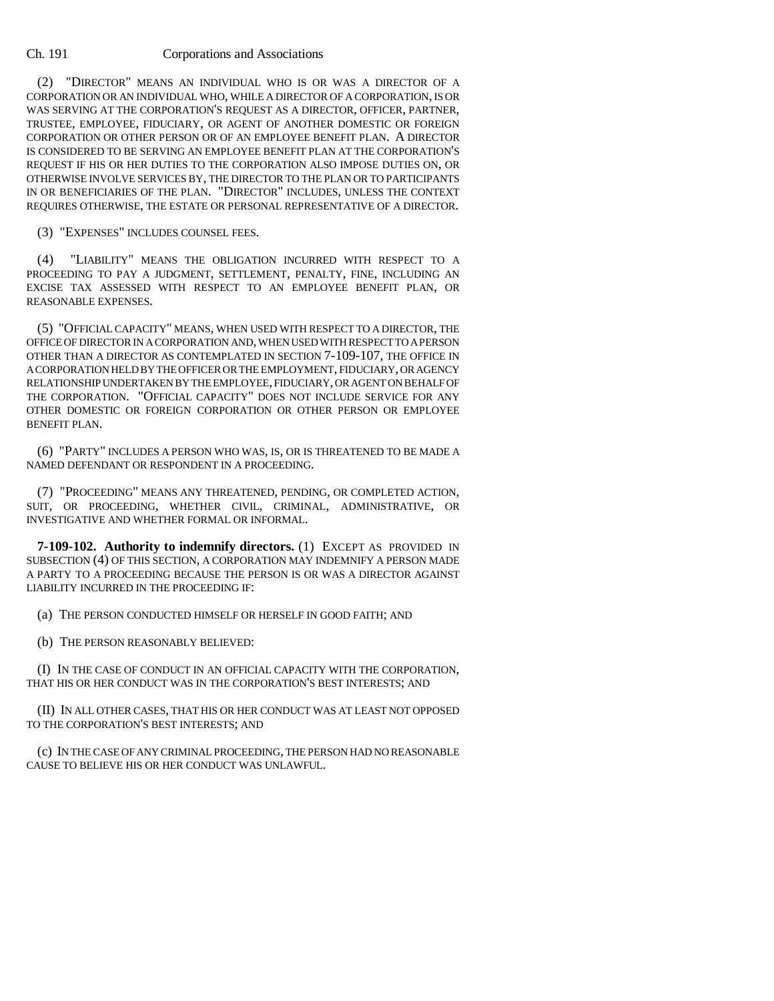(2) "DIRECTOR" MEANS AN INDIVIDUAL WHO IS OR WAS A DIRECTOR OF A CORPORATION OR AN INDIVIDUAL WHO, WHILE A DIRECTOR OF A CORPORATION, IS OR WAS SERVING AT THE CORPORATION'S REQUEST AS A DIRECTOR, OFFICER, PARTNER, TRUSTEE, EMPLOYEE, FIDUCIARY, OR AGENT OF ANOTHER DOMESTIC OR FOREIGN CORPORATION OR OTHER PERSON OR OF AN EMPLOYEE BENEFIT PLAN. A DIRECTOR IS CONSIDERED TO BE SERVING AN EMPLOYEE BENEFIT PLAN AT THE CORPORATION'S REQUEST IF HIS OR HER DUTIES TO THE CORPORATION ALSO IMPOSE DUTIES ON, OR OTHERWISE INVOLVE SERVICES BY, THE DIRECTOR TO THE PLAN OR TO PARTICIPANTS IN OR BENEFICIARIES OF THE PLAN. "DIRECTOR" INCLUDES, UNLESS THE CONTEXT REQUIRES OTHERWISE, THE ESTATE OR PERSONAL REPRESENTATIVE OF A DIRECTOR.

(3) "EXPENSES" INCLUDES COUNSEL FEES.

(4) "LIABILITY" MEANS THE OBLIGATION INCURRED WITH RESPECT TO A PROCEEDING TO PAY A JUDGMENT, SETTLEMENT, PENALTY, FINE, INCLUDING AN EXCISE TAX ASSESSED WITH RESPECT TO AN EMPLOYEE BENEFIT PLAN, OR REASONABLE EXPENSES.

(5) "OFFICIAL CAPACITY" MEANS, WHEN USED WITH RESPECT TO A DIRECTOR, THE OFFICE OF DIRECTOR IN A CORPORATION AND, WHEN USED WITH RESPECT TO A PERSON OTHER THAN A DIRECTOR AS CONTEMPLATED IN SECTION 7-109-107, THE OFFICE IN A CORPORATION HELD BY THE OFFICER OR THE EMPLOYMENT, FIDUCIARY, OR AGENCY RELATIONSHIP UNDERTAKEN BY THE EMPLOYEE, FIDUCIARY, OR AGENT ON BEHALF OF THE CORPORATION. "OFFICIAL CAPACITY" DOES NOT INCLUDE SERVICE FOR ANY OTHER DOMESTIC OR FOREIGN CORPORATION OR OTHER PERSON OR EMPLOYEE BENEFIT PLAN.

(6) "PARTY" INCLUDES A PERSON WHO WAS, IS, OR IS THREATENED TO BE MADE A NAMED DEFENDANT OR RESPONDENT IN A PROCEEDING.

(7) "PROCEEDING" MEANS ANY THREATENED, PENDING, OR COMPLETED ACTION, SUIT, OR PROCEEDING, WHETHER CIVIL, CRIMINAL, ADMINISTRATIVE, OR INVESTIGATIVE AND WHETHER FORMAL OR INFORMAL.

**7-109-102. Authority to indemnify directors.** (1) EXCEPT AS PROVIDED IN SUBSECTION (4) OF THIS SECTION, A CORPORATION MAY INDEMNIFY A PERSON MADE A PARTY TO A PROCEEDING BECAUSE THE PERSON IS OR WAS A DIRECTOR AGAINST LIABILITY INCURRED IN THE PROCEEDING IF:

(a) THE PERSON CONDUCTED HIMSELF OR HERSELF IN GOOD FAITH; AND

(b) THE PERSON REASONABLY BELIEVED:

(I) IN THE CASE OF CONDUCT IN AN OFFICIAL CAPACITY WITH THE CORPORATION, THAT HIS OR HER CONDUCT WAS IN THE CORPORATION'S BEST INTERESTS; AND

(II) IN ALL OTHER CASES, THAT HIS OR HER CONDUCT WAS AT LEAST NOT OPPOSED TO THE CORPORATION'S BEST INTERESTS; AND

(c) IN THE CASE OF ANY CRIMINAL PROCEEDING, THE PERSON HAD NO REASONABLE CAUSE TO BELIEVE HIS OR HER CONDUCT WAS UNLAWFUL.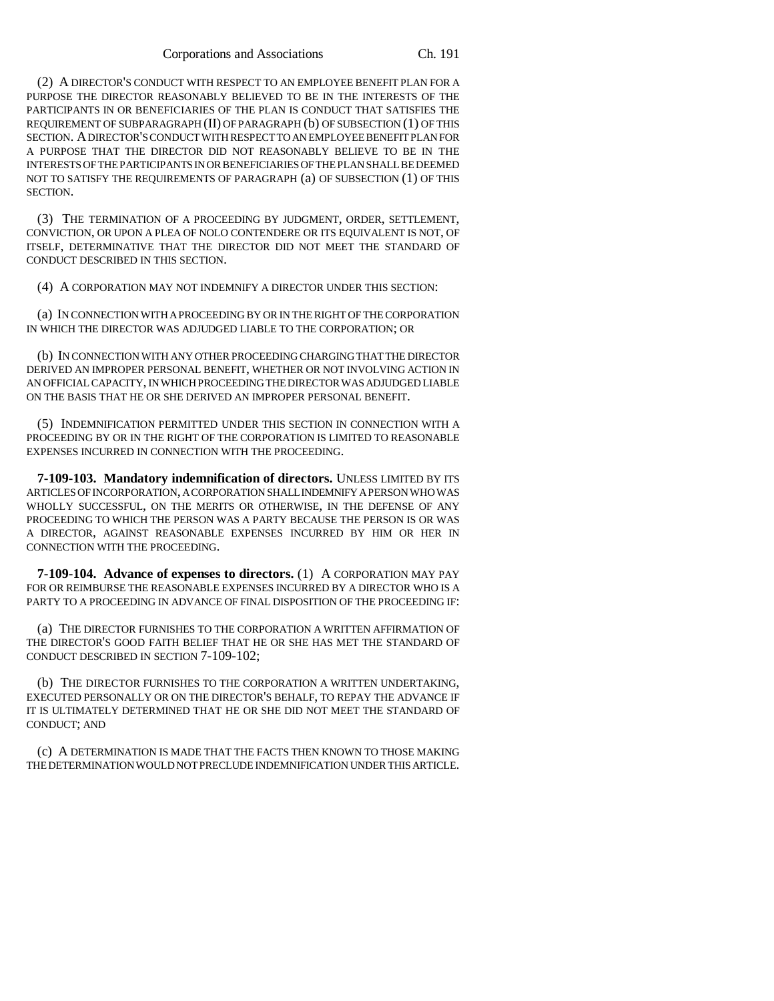(2) A DIRECTOR'S CONDUCT WITH RESPECT TO AN EMPLOYEE BENEFIT PLAN FOR A PURPOSE THE DIRECTOR REASONABLY BELIEVED TO BE IN THE INTERESTS OF THE PARTICIPANTS IN OR BENEFICIARIES OF THE PLAN IS CONDUCT THAT SATISFIES THE REQUIREMENT OF SUBPARAGRAPH (II) OF PARAGRAPH (b) OF SUBSECTION (1) OF THIS SECTION. A DIRECTOR'S CONDUCT WITH RESPECT TO AN EMPLOYEE BENEFIT PLAN FOR A PURPOSE THAT THE DIRECTOR DID NOT REASONABLY BELIEVE TO BE IN THE INTERESTS OF THE PARTICIPANTS IN OR BENEFICIARIES OF THE PLAN SHALL BE DEEMED NOT TO SATISFY THE REQUIREMENTS OF PARAGRAPH (a) OF SUBSECTION (1) OF THIS SECTION.

(3) THE TERMINATION OF A PROCEEDING BY JUDGMENT, ORDER, SETTLEMENT, CONVICTION, OR UPON A PLEA OF NOLO CONTENDERE OR ITS EQUIVALENT IS NOT, OF ITSELF, DETERMINATIVE THAT THE DIRECTOR DID NOT MEET THE STANDARD OF CONDUCT DESCRIBED IN THIS SECTION.

(4) A CORPORATION MAY NOT INDEMNIFY A DIRECTOR UNDER THIS SECTION:

(a) IN CONNECTION WITH A PROCEEDING BY OR IN THE RIGHT OF THE CORPORATION IN WHICH THE DIRECTOR WAS ADJUDGED LIABLE TO THE CORPORATION; OR

(b) IN CONNECTION WITH ANY OTHER PROCEEDING CHARGING THAT THE DIRECTOR DERIVED AN IMPROPER PERSONAL BENEFIT, WHETHER OR NOT INVOLVING ACTION IN AN OFFICIAL CAPACITY, IN WHICH PROCEEDING THE DIRECTOR WAS ADJUDGED LIABLE ON THE BASIS THAT HE OR SHE DERIVED AN IMPROPER PERSONAL BENEFIT.

(5) INDEMNIFICATION PERMITTED UNDER THIS SECTION IN CONNECTION WITH A PROCEEDING BY OR IN THE RIGHT OF THE CORPORATION IS LIMITED TO REASONABLE EXPENSES INCURRED IN CONNECTION WITH THE PROCEEDING.

**7-109-103. Mandatory indemnification of directors.** UNLESS LIMITED BY ITS ARTICLES OF INCORPORATION, A CORPORATION SHALL INDEMNIFY A PERSON WHO WAS WHOLLY SUCCESSFUL, ON THE MERITS OR OTHERWISE, IN THE DEFENSE OF ANY PROCEEDING TO WHICH THE PERSON WAS A PARTY BECAUSE THE PERSON IS OR WAS A DIRECTOR, AGAINST REASONABLE EXPENSES INCURRED BY HIM OR HER IN CONNECTION WITH THE PROCEEDING.

**7-109-104. Advance of expenses to directors.** (1) A CORPORATION MAY PAY FOR OR REIMBURSE THE REASONABLE EXPENSES INCURRED BY A DIRECTOR WHO IS A PARTY TO A PROCEEDING IN ADVANCE OF FINAL DISPOSITION OF THE PROCEEDING IF:

(a) THE DIRECTOR FURNISHES TO THE CORPORATION A WRITTEN AFFIRMATION OF THE DIRECTOR'S GOOD FAITH BELIEF THAT HE OR SHE HAS MET THE STANDARD OF CONDUCT DESCRIBED IN SECTION 7-109-102;

(b) THE DIRECTOR FURNISHES TO THE CORPORATION A WRITTEN UNDERTAKING, EXECUTED PERSONALLY OR ON THE DIRECTOR'S BEHALF, TO REPAY THE ADVANCE IF IT IS ULTIMATELY DETERMINED THAT HE OR SHE DID NOT MEET THE STANDARD OF CONDUCT; AND

(c) A DETERMINATION IS MADE THAT THE FACTS THEN KNOWN TO THOSE MAKING THE DETERMINATION WOULD NOT PRECLUDE INDEMNIFICATION UNDER THIS ARTICLE.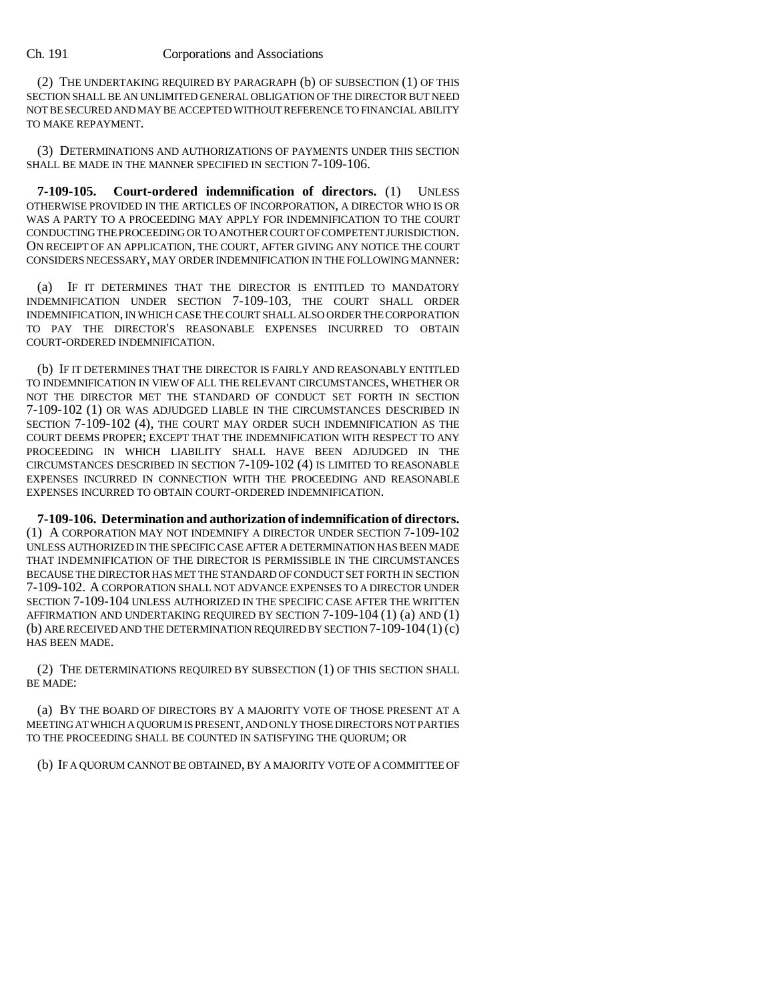(2) THE UNDERTAKING REQUIRED BY PARAGRAPH (b) OF SUBSECTION (1) OF THIS SECTION SHALL BE AN UNLIMITED GENERAL OBLIGATION OF THE DIRECTOR BUT NEED NOT BE SECURED AND MAY BE ACCEPTED WITHOUT REFERENCE TO FINANCIAL ABILITY TO MAKE REPAYMENT.

(3) DETERMINATIONS AND AUTHORIZATIONS OF PAYMENTS UNDER THIS SECTION SHALL BE MADE IN THE MANNER SPECIFIED IN SECTION 7-109-106.

**7-109-105. Court-ordered indemnification of directors.** (1) UNLESS OTHERWISE PROVIDED IN THE ARTICLES OF INCORPORATION, A DIRECTOR WHO IS OR WAS A PARTY TO A PROCEEDING MAY APPLY FOR INDEMNIFICATION TO THE COURT CONDUCTING THE PROCEEDING OR TO ANOTHER COURT OF COMPETENT JURISDICTION. ON RECEIPT OF AN APPLICATION, THE COURT, AFTER GIVING ANY NOTICE THE COURT CONSIDERS NECESSARY, MAY ORDER INDEMNIFICATION IN THE FOLLOWING MANNER:

(a) IF IT DETERMINES THAT THE DIRECTOR IS ENTITLED TO MANDATORY INDEMNIFICATION UNDER SECTION 7-109-103, THE COURT SHALL ORDER INDEMNIFICATION, IN WHICH CASE THE COURT SHALL ALSO ORDER THE CORPORATION TO PAY THE DIRECTOR'S REASONABLE EXPENSES INCURRED TO OBTAIN COURT-ORDERED INDEMNIFICATION.

(b) IF IT DETERMINES THAT THE DIRECTOR IS FAIRLY AND REASONABLY ENTITLED TO INDEMNIFICATION IN VIEW OF ALL THE RELEVANT CIRCUMSTANCES, WHETHER OR NOT THE DIRECTOR MET THE STANDARD OF CONDUCT SET FORTH IN SECTION 7-109-102 (1) OR WAS ADJUDGED LIABLE IN THE CIRCUMSTANCES DESCRIBED IN SECTION 7-109-102 (4), THE COURT MAY ORDER SUCH INDEMNIFICATION AS THE COURT DEEMS PROPER; EXCEPT THAT THE INDEMNIFICATION WITH RESPECT TO ANY PROCEEDING IN WHICH LIABILITY SHALL HAVE BEEN ADJUDGED IN THE CIRCUMSTANCES DESCRIBED IN SECTION 7-109-102 (4) IS LIMITED TO REASONABLE EXPENSES INCURRED IN CONNECTION WITH THE PROCEEDING AND REASONABLE EXPENSES INCURRED TO OBTAIN COURT-ORDERED INDEMNIFICATION.

**7-109-106. Determination and authorization of indemnification of directors.** (1) A CORPORATION MAY NOT INDEMNIFY A DIRECTOR UNDER SECTION 7-109-102 UNLESS AUTHORIZED IN THE SPECIFIC CASE AFTER A DETERMINATION HAS BEEN MADE THAT INDEMNIFICATION OF THE DIRECTOR IS PERMISSIBLE IN THE CIRCUMSTANCES BECAUSE THE DIRECTOR HAS MET THE STANDARD OF CONDUCT SET FORTH IN SECTION 7-109-102. A CORPORATION SHALL NOT ADVANCE EXPENSES TO A DIRECTOR UNDER SECTION 7-109-104 UNLESS AUTHORIZED IN THE SPECIFIC CASE AFTER THE WRITTEN AFFIRMATION AND UNDERTAKING REQUIRED BY SECTION 7-109-104 (1) (a) AND (1) (b) ARE RECEIVED AND THE DETERMINATION REQUIRED BY SECTION 7-109-104(1) (c) HAS BEEN MADE.

(2) THE DETERMINATIONS REQUIRED BY SUBSECTION (1) OF THIS SECTION SHALL BE MADE:

(a) BY THE BOARD OF DIRECTORS BY A MAJORITY VOTE OF THOSE PRESENT AT A MEETING AT WHICH A QUORUM IS PRESENT, AND ONLY THOSE DIRECTORS NOT PARTIES TO THE PROCEEDING SHALL BE COUNTED IN SATISFYING THE QUORUM; OR

(b) IF A QUORUM CANNOT BE OBTAINED, BY A MAJORITY VOTE OF A COMMITTEE OF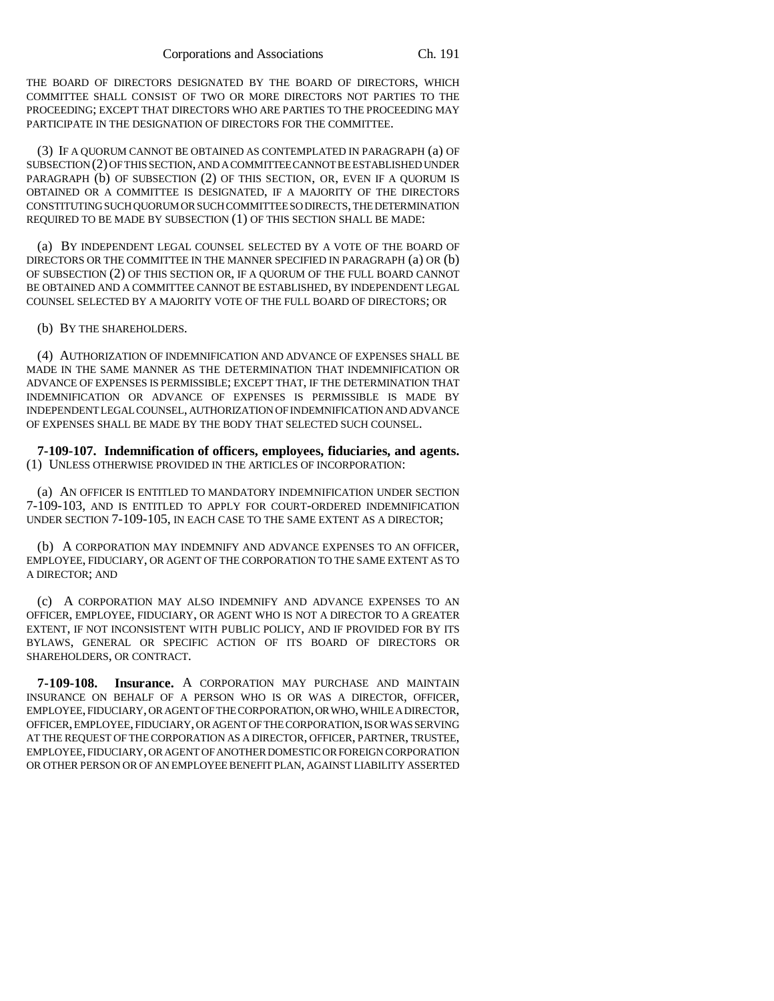THE BOARD OF DIRECTORS DESIGNATED BY THE BOARD OF DIRECTORS, WHICH COMMITTEE SHALL CONSIST OF TWO OR MORE DIRECTORS NOT PARTIES TO THE PROCEEDING; EXCEPT THAT DIRECTORS WHO ARE PARTIES TO THE PROCEEDING MAY PARTICIPATE IN THE DESIGNATION OF DIRECTORS FOR THE COMMITTEE.

(3) IF A QUORUM CANNOT BE OBTAINED AS CONTEMPLATED IN PARAGRAPH (a) OF SUBSECTION (2) OF THIS SECTION, AND A COMMITTEE CANNOT BE ESTABLISHED UNDER PARAGRAPH (b) OF SUBSECTION (2) OF THIS SECTION, OR, EVEN IF A QUORUM IS OBTAINED OR A COMMITTEE IS DESIGNATED, IF A MAJORITY OF THE DIRECTORS CONSTITUTING SUCH QUORUM OR SUCH COMMITTEE SO DIRECTS, THE DETERMINATION REQUIRED TO BE MADE BY SUBSECTION (1) OF THIS SECTION SHALL BE MADE:

(a) BY INDEPENDENT LEGAL COUNSEL SELECTED BY A VOTE OF THE BOARD OF DIRECTORS OR THE COMMITTEE IN THE MANNER SPECIFIED IN PARAGRAPH (a) OR (b) OF SUBSECTION (2) OF THIS SECTION OR, IF A QUORUM OF THE FULL BOARD CANNOT BE OBTAINED AND A COMMITTEE CANNOT BE ESTABLISHED, BY INDEPENDENT LEGAL COUNSEL SELECTED BY A MAJORITY VOTE OF THE FULL BOARD OF DIRECTORS; OR

(b) BY THE SHAREHOLDERS.

(4) AUTHORIZATION OF INDEMNIFICATION AND ADVANCE OF EXPENSES SHALL BE MADE IN THE SAME MANNER AS THE DETERMINATION THAT INDEMNIFICATION OR ADVANCE OF EXPENSES IS PERMISSIBLE; EXCEPT THAT, IF THE DETERMINATION THAT INDEMNIFICATION OR ADVANCE OF EXPENSES IS PERMISSIBLE IS MADE BY INDEPENDENT LEGAL COUNSEL, AUTHORIZATION OF INDEMNIFICATION AND ADVANCE OF EXPENSES SHALL BE MADE BY THE BODY THAT SELECTED SUCH COUNSEL.

**7-109-107. Indemnification of officers, employees, fiduciaries, and agents.** (1) UNLESS OTHERWISE PROVIDED IN THE ARTICLES OF INCORPORATION:

(a) AN OFFICER IS ENTITLED TO MANDATORY INDEMNIFICATION UNDER SECTION 7-109-103, AND IS ENTITLED TO APPLY FOR COURT-ORDERED INDEMNIFICATION UNDER SECTION 7-109-105, IN EACH CASE TO THE SAME EXTENT AS A DIRECTOR;

(b) A CORPORATION MAY INDEMNIFY AND ADVANCE EXPENSES TO AN OFFICER, EMPLOYEE, FIDUCIARY, OR AGENT OF THE CORPORATION TO THE SAME EXTENT AS TO A DIRECTOR; AND

(c) A CORPORATION MAY ALSO INDEMNIFY AND ADVANCE EXPENSES TO AN OFFICER, EMPLOYEE, FIDUCIARY, OR AGENT WHO IS NOT A DIRECTOR TO A GREATER EXTENT, IF NOT INCONSISTENT WITH PUBLIC POLICY, AND IF PROVIDED FOR BY ITS BYLAWS, GENERAL OR SPECIFIC ACTION OF ITS BOARD OF DIRECTORS OR SHAREHOLDERS, OR CONTRACT.

**7-109-108. Insurance.** A CORPORATION MAY PURCHASE AND MAINTAIN INSURANCE ON BEHALF OF A PERSON WHO IS OR WAS A DIRECTOR, OFFICER, EMPLOYEE, FIDUCIARY, OR AGENT OF THE CORPORATION, OR WHO, WHILE A DIRECTOR, OFFICER, EMPLOYEE, FIDUCIARY, OR AGENT OF THE CORPORATION, IS OR WAS SERVING AT THE REQUEST OF THE CORPORATION AS A DIRECTOR, OFFICER, PARTNER, TRUSTEE, EMPLOYEE, FIDUCIARY, OR AGENT OF ANOTHER DOMESTIC OR FOREIGN CORPORATION OR OTHER PERSON OR OF AN EMPLOYEE BENEFIT PLAN, AGAINST LIABILITY ASSERTED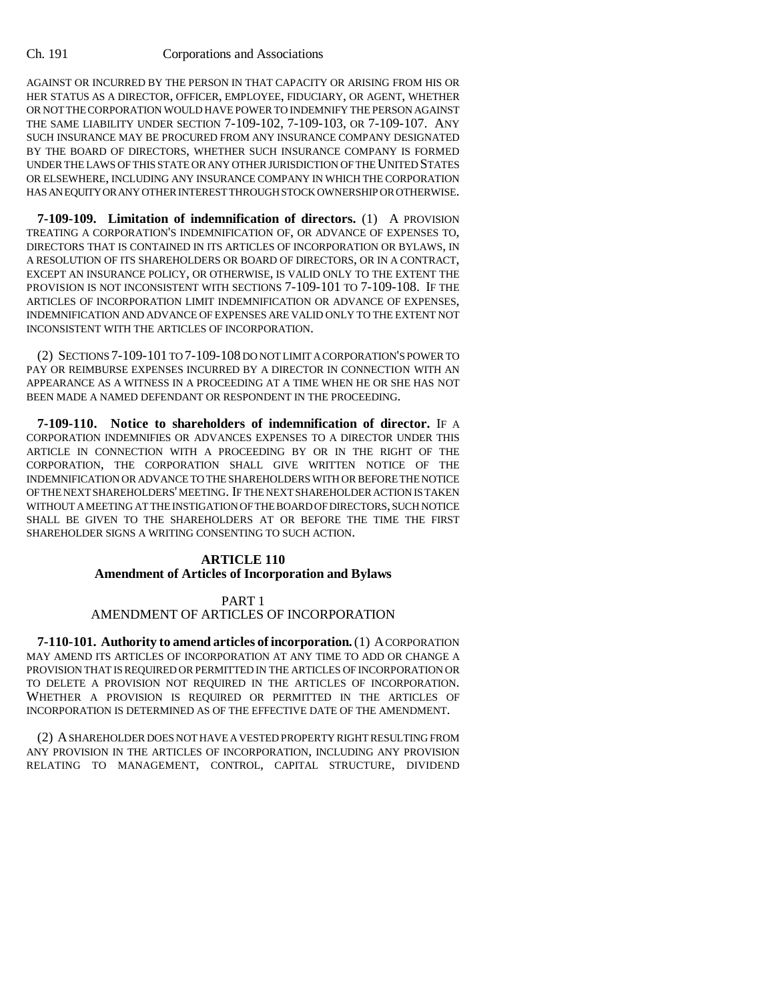AGAINST OR INCURRED BY THE PERSON IN THAT CAPACITY OR ARISING FROM HIS OR HER STATUS AS A DIRECTOR, OFFICER, EMPLOYEE, FIDUCIARY, OR AGENT, WHETHER OR NOT THE CORPORATION WOULD HAVE POWER TO INDEMNIFY THE PERSON AGAINST THE SAME LIABILITY UNDER SECTION 7-109-102, 7-109-103, OR 7-109-107. ANY SUCH INSURANCE MAY BE PROCURED FROM ANY INSURANCE COMPANY DESIGNATED BY THE BOARD OF DIRECTORS, WHETHER SUCH INSURANCE COMPANY IS FORMED UNDER THE LAWS OF THIS STATE OR ANY OTHER JURISDICTION OF THE UNITED STATES OR ELSEWHERE, INCLUDING ANY INSURANCE COMPANY IN WHICH THE CORPORATION HAS AN EQUITY OR ANY OTHER INTEREST THROUGH STOCK OWNERSHIP OR OTHERWISE.

**7-109-109. Limitation of indemnification of directors.** (1) A PROVISION TREATING A CORPORATION'S INDEMNIFICATION OF, OR ADVANCE OF EXPENSES TO, DIRECTORS THAT IS CONTAINED IN ITS ARTICLES OF INCORPORATION OR BYLAWS, IN A RESOLUTION OF ITS SHAREHOLDERS OR BOARD OF DIRECTORS, OR IN A CONTRACT, EXCEPT AN INSURANCE POLICY, OR OTHERWISE, IS VALID ONLY TO THE EXTENT THE PROVISION IS NOT INCONSISTENT WITH SECTIONS 7-109-101 TO 7-109-108. IF THE ARTICLES OF INCORPORATION LIMIT INDEMNIFICATION OR ADVANCE OF EXPENSES, INDEMNIFICATION AND ADVANCE OF EXPENSES ARE VALID ONLY TO THE EXTENT NOT INCONSISTENT WITH THE ARTICLES OF INCORPORATION.

(2) SECTIONS 7-109-101 TO 7-109-108 DO NOT LIMIT A CORPORATION'S POWER TO PAY OR REIMBURSE EXPENSES INCURRED BY A DIRECTOR IN CONNECTION WITH AN APPEARANCE AS A WITNESS IN A PROCEEDING AT A TIME WHEN HE OR SHE HAS NOT BEEN MADE A NAMED DEFENDANT OR RESPONDENT IN THE PROCEEDING.

**7-109-110. Notice to shareholders of indemnification of director.** IF A CORPORATION INDEMNIFIES OR ADVANCES EXPENSES TO A DIRECTOR UNDER THIS ARTICLE IN CONNECTION WITH A PROCEEDING BY OR IN THE RIGHT OF THE CORPORATION, THE CORPORATION SHALL GIVE WRITTEN NOTICE OF THE INDEMNIFICATION OR ADVANCE TO THE SHAREHOLDERS WITH OR BEFORE THE NOTICE OF THE NEXT SHAREHOLDERS' MEETING. IF THE NEXT SHAREHOLDER ACTION IS TAKEN WITHOUT A MEETING AT THE INSTIGATION OF THE BOARD OF DIRECTORS, SUCH NOTICE SHALL BE GIVEN TO THE SHAREHOLDERS AT OR BEFORE THE TIME THE FIRST SHAREHOLDER SIGNS A WRITING CONSENTING TO SUCH ACTION.

## **ARTICLE 110 Amendment of Articles of Incorporation and Bylaws**

## PART 1 AMENDMENT OF ARTICLES OF INCORPORATION

**7-110-101. Authority to amend articles of incorporation.** (1) A CORPORATION MAY AMEND ITS ARTICLES OF INCORPORATION AT ANY TIME TO ADD OR CHANGE A PROVISION THAT IS REQUIRED OR PERMITTED IN THE ARTICLES OF INCORPORATION OR TO DELETE A PROVISION NOT REQUIRED IN THE ARTICLES OF INCORPORATION. WHETHER A PROVISION IS REQUIRED OR PERMITTED IN THE ARTICLES OF INCORPORATION IS DETERMINED AS OF THE EFFECTIVE DATE OF THE AMENDMENT.

(2) A SHAREHOLDER DOES NOT HAVE A VESTED PROPERTY RIGHT RESULTING FROM ANY PROVISION IN THE ARTICLES OF INCORPORATION, INCLUDING ANY PROVISION RELATING TO MANAGEMENT, CONTROL, CAPITAL STRUCTURE, DIVIDEND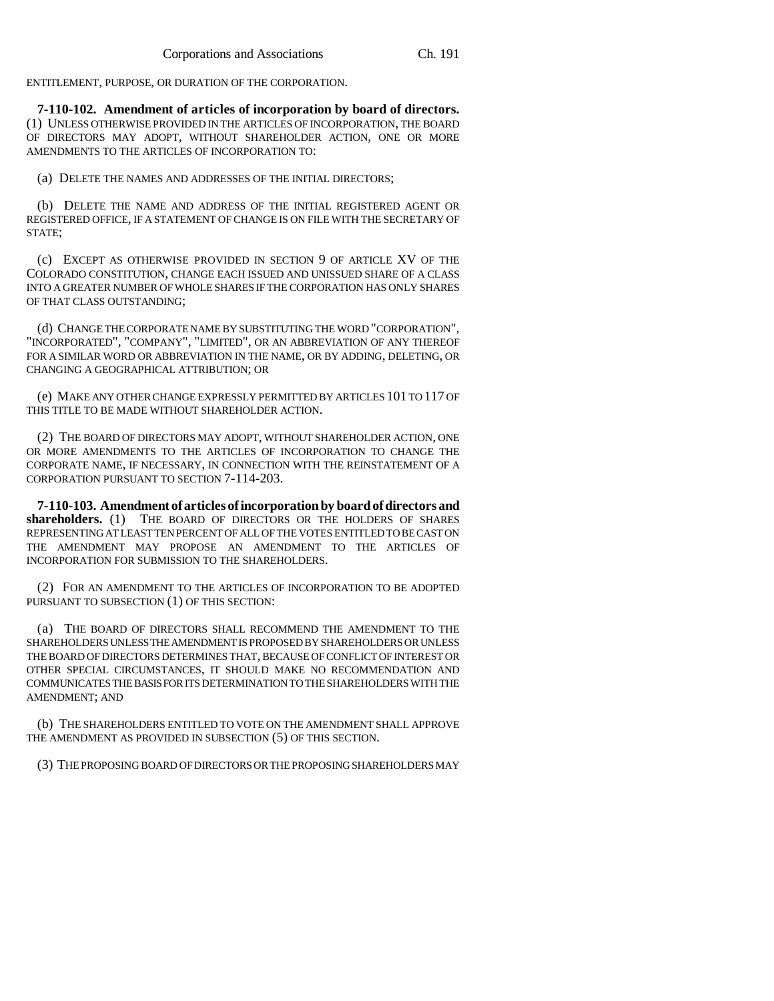ENTITLEMENT, PURPOSE, OR DURATION OF THE CORPORATION.

**7-110-102. Amendment of articles of incorporation by board of directors.** (1) UNLESS OTHERWISE PROVIDED IN THE ARTICLES OF INCORPORATION, THE BOARD OF DIRECTORS MAY ADOPT, WITHOUT SHAREHOLDER ACTION, ONE OR MORE AMENDMENTS TO THE ARTICLES OF INCORPORATION TO:

(a) DELETE THE NAMES AND ADDRESSES OF THE INITIAL DIRECTORS;

(b) DELETE THE NAME AND ADDRESS OF THE INITIAL REGISTERED AGENT OR REGISTERED OFFICE, IF A STATEMENT OF CHANGE IS ON FILE WITH THE SECRETARY OF STATE;

(c) EXCEPT AS OTHERWISE PROVIDED IN SECTION 9 OF ARTICLE XV OF THE COLORADO CONSTITUTION, CHANGE EACH ISSUED AND UNISSUED SHARE OF A CLASS INTO A GREATER NUMBER OF WHOLE SHARES IF THE CORPORATION HAS ONLY SHARES OF THAT CLASS OUTSTANDING;

(d) CHANGE THE CORPORATE NAME BY SUBSTITUTING THE WORD "CORPORATION", "INCORPORATED", "COMPANY", "LIMITED", OR AN ABBREVIATION OF ANY THEREOF FOR A SIMILAR WORD OR ABBREVIATION IN THE NAME, OR BY ADDING, DELETING, OR CHANGING A GEOGRAPHICAL ATTRIBUTION; OR

(e) MAKE ANY OTHER CHANGE EXPRESSLY PERMITTED BY ARTICLES 101 TO 117 OF THIS TITLE TO BE MADE WITHOUT SHAREHOLDER ACTION.

(2) THE BOARD OF DIRECTORS MAY ADOPT, WITHOUT SHAREHOLDER ACTION, ONE OR MORE AMENDMENTS TO THE ARTICLES OF INCORPORATION TO CHANGE THE CORPORATE NAME, IF NECESSARY, IN CONNECTION WITH THE REINSTATEMENT OF A CORPORATION PURSUANT TO SECTION 7-114-203.

**7-110-103. Amendment of articles of incorporation by board of directors and shareholders.** (1) THE BOARD OF DIRECTORS OR THE HOLDERS OF SHARES REPRESENTING AT LEAST TEN PERCENT OF ALL OF THE VOTES ENTITLED TO BE CAST ON THE AMENDMENT MAY PROPOSE AN AMENDMENT TO THE ARTICLES OF INCORPORATION FOR SUBMISSION TO THE SHAREHOLDERS.

(2) FOR AN AMENDMENT TO THE ARTICLES OF INCORPORATION TO BE ADOPTED PURSUANT TO SUBSECTION (1) OF THIS SECTION:

(a) THE BOARD OF DIRECTORS SHALL RECOMMEND THE AMENDMENT TO THE SHAREHOLDERS UNLESS THE AMENDMENT IS PROPOSED BY SHAREHOLDERS OR UNLESS THE BOARD OF DIRECTORS DETERMINES THAT, BECAUSE OF CONFLICT OF INTEREST OR OTHER SPECIAL CIRCUMSTANCES, IT SHOULD MAKE NO RECOMMENDATION AND COMMUNICATES THE BASIS FOR ITS DETERMINATION TO THE SHAREHOLDERS WITH THE AMENDMENT; AND

(b) THE SHAREHOLDERS ENTITLED TO VOTE ON THE AMENDMENT SHALL APPROVE THE AMENDMENT AS PROVIDED IN SUBSECTION (5) OF THIS SECTION.

(3) THE PROPOSING BOARD OF DIRECTORS OR THE PROPOSING SHAREHOLDERS MAY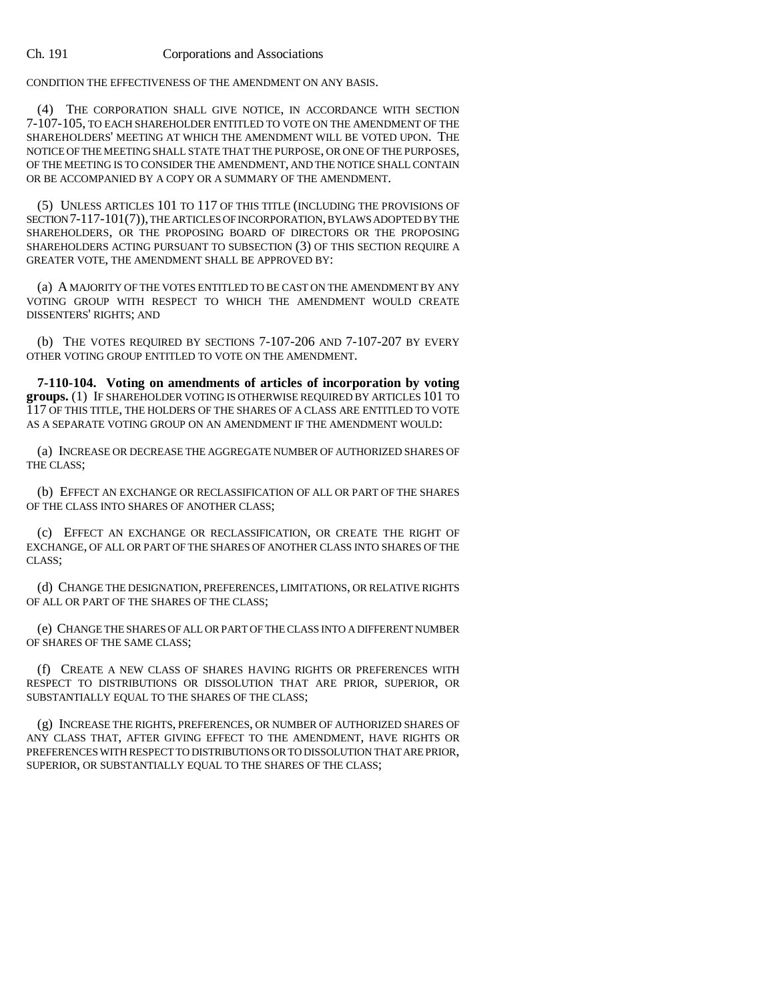CONDITION THE EFFECTIVENESS OF THE AMENDMENT ON ANY BASIS.

(4) THE CORPORATION SHALL GIVE NOTICE, IN ACCORDANCE WITH SECTION 7-107-105, TO EACH SHAREHOLDER ENTITLED TO VOTE ON THE AMENDMENT OF THE SHAREHOLDERS' MEETING AT WHICH THE AMENDMENT WILL BE VOTED UPON. THE NOTICE OF THE MEETING SHALL STATE THAT THE PURPOSE, OR ONE OF THE PURPOSES, OF THE MEETING IS TO CONSIDER THE AMENDMENT, AND THE NOTICE SHALL CONTAIN OR BE ACCOMPANIED BY A COPY OR A SUMMARY OF THE AMENDMENT.

(5) UNLESS ARTICLES 101 TO 117 OF THIS TITLE (INCLUDING THE PROVISIONS OF SECTION 7-117-101(7)), THE ARTICLES OF INCORPORATION, BYLAWS ADOPTED BY THE SHAREHOLDERS, OR THE PROPOSING BOARD OF DIRECTORS OR THE PROPOSING SHAREHOLDERS ACTING PURSUANT TO SUBSECTION (3) OF THIS SECTION REQUIRE A GREATER VOTE, THE AMENDMENT SHALL BE APPROVED BY:

(a) A MAJORITY OF THE VOTES ENTITLED TO BE CAST ON THE AMENDMENT BY ANY VOTING GROUP WITH RESPECT TO WHICH THE AMENDMENT WOULD CREATE DISSENTERS' RIGHTS; AND

(b) THE VOTES REQUIRED BY SECTIONS 7-107-206 AND 7-107-207 BY EVERY OTHER VOTING GROUP ENTITLED TO VOTE ON THE AMENDMENT.

**7-110-104. Voting on amendments of articles of incorporation by voting groups.** (1) IF SHAREHOLDER VOTING IS OTHERWISE REQUIRED BY ARTICLES 101 TO 117 OF THIS TITLE, THE HOLDERS OF THE SHARES OF A CLASS ARE ENTITLED TO VOTE AS A SEPARATE VOTING GROUP ON AN AMENDMENT IF THE AMENDMENT WOULD:

(a) INCREASE OR DECREASE THE AGGREGATE NUMBER OF AUTHORIZED SHARES OF THE CLASS;

(b) EFFECT AN EXCHANGE OR RECLASSIFICATION OF ALL OR PART OF THE SHARES OF THE CLASS INTO SHARES OF ANOTHER CLASS;

(c) EFFECT AN EXCHANGE OR RECLASSIFICATION, OR CREATE THE RIGHT OF EXCHANGE, OF ALL OR PART OF THE SHARES OF ANOTHER CLASS INTO SHARES OF THE CLASS;

(d) CHANGE THE DESIGNATION, PREFERENCES, LIMITATIONS, OR RELATIVE RIGHTS OF ALL OR PART OF THE SHARES OF THE CLASS;

(e) CHANGE THE SHARES OF ALL OR PART OF THE CLASS INTO A DIFFERENT NUMBER OF SHARES OF THE SAME CLASS;

(f) CREATE A NEW CLASS OF SHARES HAVING RIGHTS OR PREFERENCES WITH RESPECT TO DISTRIBUTIONS OR DISSOLUTION THAT ARE PRIOR, SUPERIOR, OR SUBSTANTIALLY EQUAL TO THE SHARES OF THE CLASS;

(g) INCREASE THE RIGHTS, PREFERENCES, OR NUMBER OF AUTHORIZED SHARES OF ANY CLASS THAT, AFTER GIVING EFFECT TO THE AMENDMENT, HAVE RIGHTS OR PREFERENCES WITH RESPECT TO DISTRIBUTIONS OR TO DISSOLUTION THAT ARE PRIOR, SUPERIOR, OR SUBSTANTIALLY EQUAL TO THE SHARES OF THE CLASS;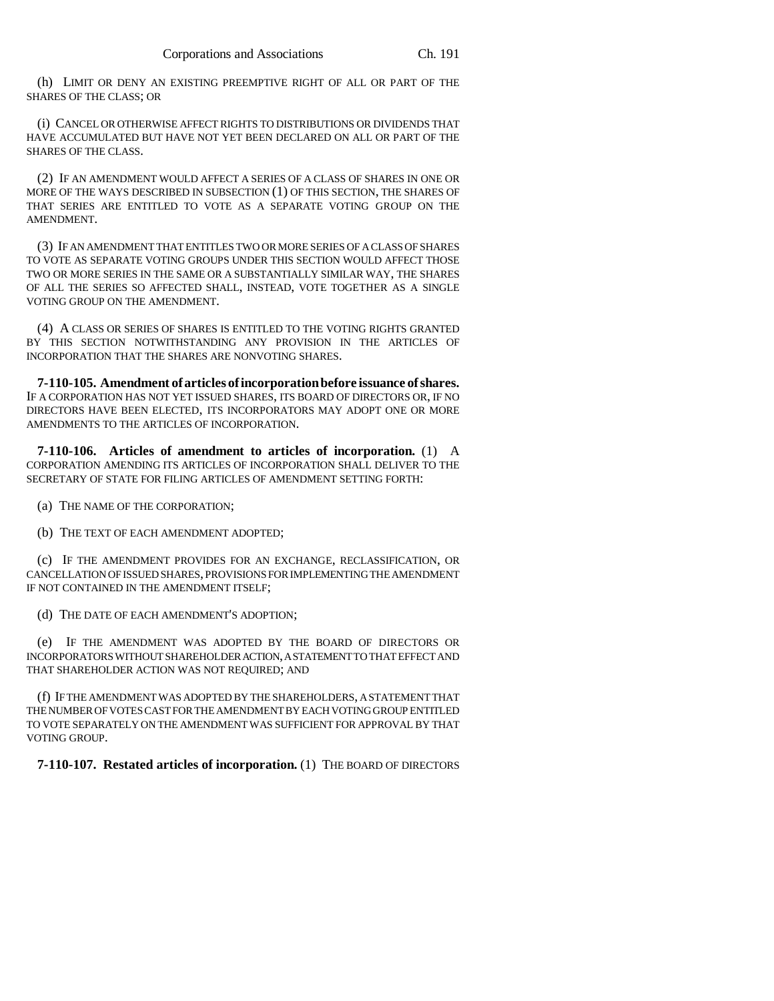(h) LIMIT OR DENY AN EXISTING PREEMPTIVE RIGHT OF ALL OR PART OF THE SHARES OF THE CLASS; OR

(i) CANCEL OR OTHERWISE AFFECT RIGHTS TO DISTRIBUTIONS OR DIVIDENDS THAT HAVE ACCUMULATED BUT HAVE NOT YET BEEN DECLARED ON ALL OR PART OF THE SHARES OF THE CLASS.

(2) IF AN AMENDMENT WOULD AFFECT A SERIES OF A CLASS OF SHARES IN ONE OR MORE OF THE WAYS DESCRIBED IN SUBSECTION (1) OF THIS SECTION, THE SHARES OF THAT SERIES ARE ENTITLED TO VOTE AS A SEPARATE VOTING GROUP ON THE AMENDMENT.

(3) IF AN AMENDMENT THAT ENTITLES TWO OR MORE SERIES OF A CLASS OF SHARES TO VOTE AS SEPARATE VOTING GROUPS UNDER THIS SECTION WOULD AFFECT THOSE TWO OR MORE SERIES IN THE SAME OR A SUBSTANTIALLY SIMILAR WAY, THE SHARES OF ALL THE SERIES SO AFFECTED SHALL, INSTEAD, VOTE TOGETHER AS A SINGLE VOTING GROUP ON THE AMENDMENT.

(4) A CLASS OR SERIES OF SHARES IS ENTITLED TO THE VOTING RIGHTS GRANTED BY THIS SECTION NOTWITHSTANDING ANY PROVISION IN THE ARTICLES OF INCORPORATION THAT THE SHARES ARE NONVOTING SHARES.

**7-110-105. Amendment of articles of incorporation before issuance of shares.** IF A CORPORATION HAS NOT YET ISSUED SHARES, ITS BOARD OF DIRECTORS OR, IF NO DIRECTORS HAVE BEEN ELECTED, ITS INCORPORATORS MAY ADOPT ONE OR MORE AMENDMENTS TO THE ARTICLES OF INCORPORATION.

**7-110-106. Articles of amendment to articles of incorporation.** (1) A CORPORATION AMENDING ITS ARTICLES OF INCORPORATION SHALL DELIVER TO THE SECRETARY OF STATE FOR FILING ARTICLES OF AMENDMENT SETTING FORTH:

- (a) THE NAME OF THE CORPORATION;
- (b) THE TEXT OF EACH AMENDMENT ADOPTED;

(c) IF THE AMENDMENT PROVIDES FOR AN EXCHANGE, RECLASSIFICATION, OR CANCELLATION OF ISSUED SHARES, PROVISIONS FOR IMPLEMENTING THE AMENDMENT IF NOT CONTAINED IN THE AMENDMENT ITSELF;

(d) THE DATE OF EACH AMENDMENT'S ADOPTION;

(e) IF THE AMENDMENT WAS ADOPTED BY THE BOARD OF DIRECTORS OR INCORPORATORS WITHOUT SHAREHOLDER ACTION, A STATEMENT TO THAT EFFECT AND THAT SHAREHOLDER ACTION WAS NOT REQUIRED; AND

(f) IF THE AMENDMENT WAS ADOPTED BY THE SHAREHOLDERS, A STATEMENT THAT THE NUMBER OF VOTES CAST FOR THE AMENDMENT BY EACH VOTING GROUP ENTITLED TO VOTE SEPARATELY ON THE AMENDMENT WAS SUFFICIENT FOR APPROVAL BY THAT VOTING GROUP.

## **7-110-107. Restated articles of incorporation.** (1) THE BOARD OF DIRECTORS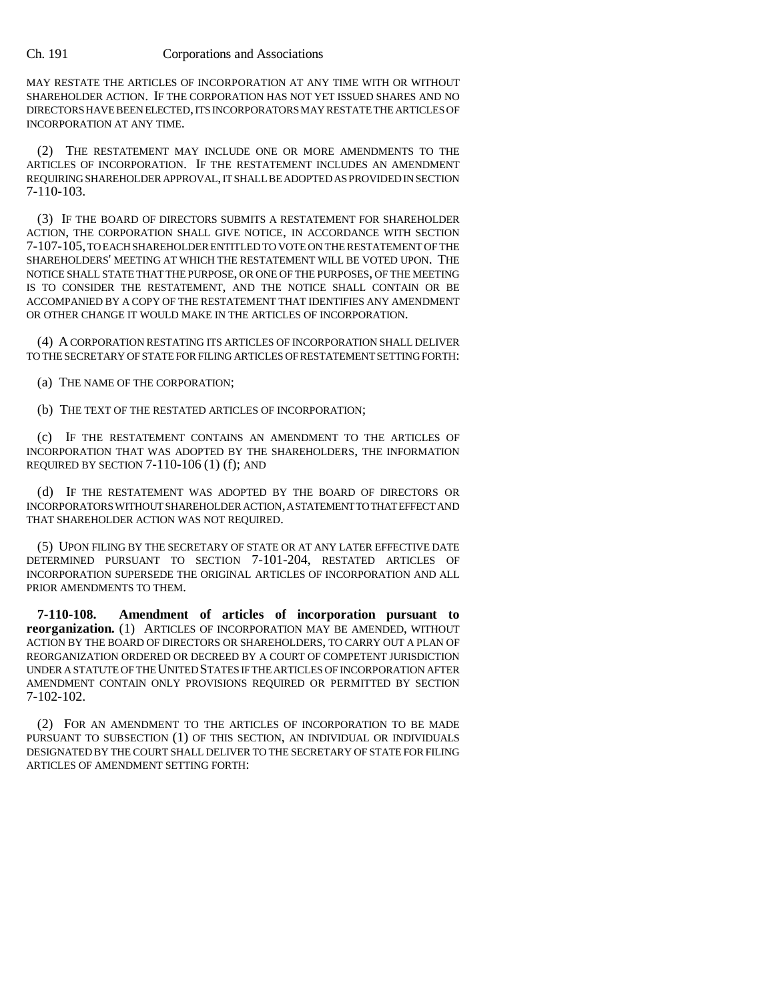MAY RESTATE THE ARTICLES OF INCORPORATION AT ANY TIME WITH OR WITHOUT SHAREHOLDER ACTION. IF THE CORPORATION HAS NOT YET ISSUED SHARES AND NO DIRECTORS HAVE BEEN ELECTED, ITS INCORPORATORS MAY RESTATE THE ARTICLES OF INCORPORATION AT ANY TIME.

(2) THE RESTATEMENT MAY INCLUDE ONE OR MORE AMENDMENTS TO THE ARTICLES OF INCORPORATION. IF THE RESTATEMENT INCLUDES AN AMENDMENT REQUIRING SHAREHOLDER APPROVAL, IT SHALL BE ADOPTED AS PROVIDED IN SECTION 7-110-103.

(3) IF THE BOARD OF DIRECTORS SUBMITS A RESTATEMENT FOR SHAREHOLDER ACTION, THE CORPORATION SHALL GIVE NOTICE, IN ACCORDANCE WITH SECTION 7-107-105, TO EACH SHAREHOLDER ENTITLED TO VOTE ON THE RESTATEMENT OF THE SHAREHOLDERS' MEETING AT WHICH THE RESTATEMENT WILL BE VOTED UPON. THE NOTICE SHALL STATE THAT THE PURPOSE, OR ONE OF THE PURPOSES, OF THE MEETING IS TO CONSIDER THE RESTATEMENT, AND THE NOTICE SHALL CONTAIN OR BE ACCOMPANIED BY A COPY OF THE RESTATEMENT THAT IDENTIFIES ANY AMENDMENT OR OTHER CHANGE IT WOULD MAKE IN THE ARTICLES OF INCORPORATION.

(4) A CORPORATION RESTATING ITS ARTICLES OF INCORPORATION SHALL DELIVER TO THE SECRETARY OF STATE FOR FILING ARTICLES OF RESTATEMENT SETTING FORTH:

(a) THE NAME OF THE CORPORATION;

(b) THE TEXT OF THE RESTATED ARTICLES OF INCORPORATION;

(c) IF THE RESTATEMENT CONTAINS AN AMENDMENT TO THE ARTICLES OF INCORPORATION THAT WAS ADOPTED BY THE SHAREHOLDERS, THE INFORMATION REQUIRED BY SECTION 7-110-106 (1) (f); AND

(d) IF THE RESTATEMENT WAS ADOPTED BY THE BOARD OF DIRECTORS OR INCORPORATORS WITHOUT SHAREHOLDER ACTION, A STATEMENT TO THAT EFFECT AND THAT SHAREHOLDER ACTION WAS NOT REQUIRED.

(5) UPON FILING BY THE SECRETARY OF STATE OR AT ANY LATER EFFECTIVE DATE DETERMINED PURSUANT TO SECTION 7-101-204, RESTATED ARTICLES OF INCORPORATION SUPERSEDE THE ORIGINAL ARTICLES OF INCORPORATION AND ALL PRIOR AMENDMENTS TO THEM.

**7-110-108. Amendment of articles of incorporation pursuant to reorganization.** (1) ARTICLES OF INCORPORATION MAY BE AMENDED, WITHOUT ACTION BY THE BOARD OF DIRECTORS OR SHAREHOLDERS, TO CARRY OUT A PLAN OF REORGANIZATION ORDERED OR DECREED BY A COURT OF COMPETENT JURISDICTION UNDER A STATUTE OF THE UNITED STATES IF THE ARTICLES OF INCORPORATION AFTER AMENDMENT CONTAIN ONLY PROVISIONS REQUIRED OR PERMITTED BY SECTION 7-102-102.

(2) FOR AN AMENDMENT TO THE ARTICLES OF INCORPORATION TO BE MADE PURSUANT TO SUBSECTION (1) OF THIS SECTION, AN INDIVIDUAL OR INDIVIDUALS DESIGNATED BY THE COURT SHALL DELIVER TO THE SECRETARY OF STATE FOR FILING ARTICLES OF AMENDMENT SETTING FORTH: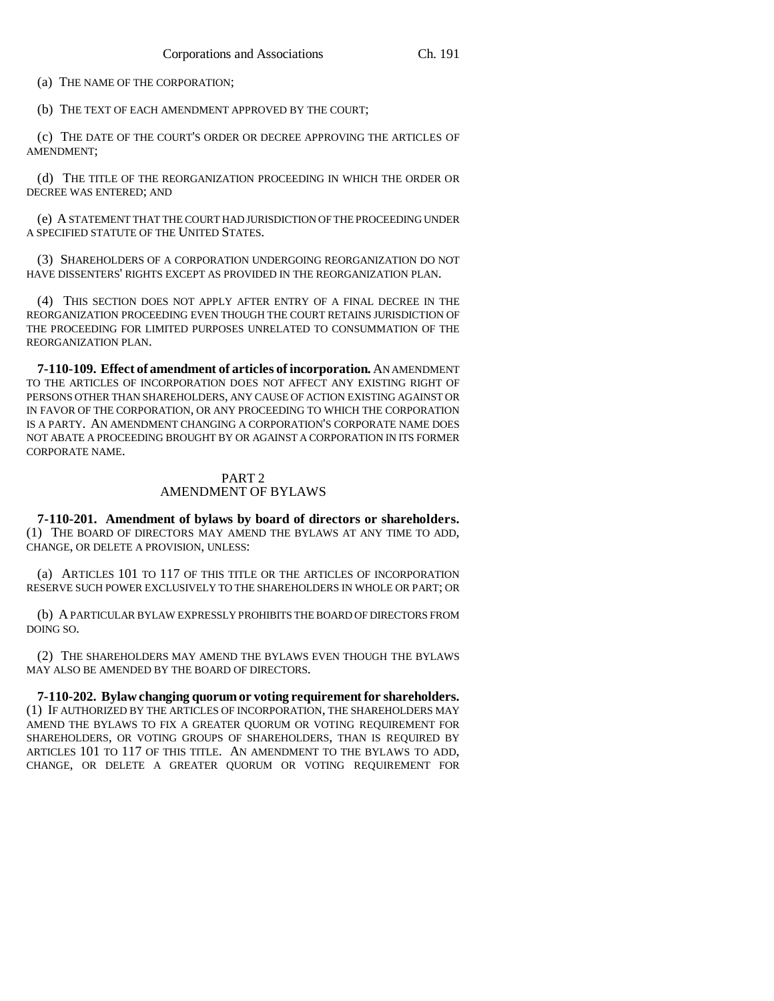(a) THE NAME OF THE CORPORATION;

(b) THE TEXT OF EACH AMENDMENT APPROVED BY THE COURT;

(c) THE DATE OF THE COURT'S ORDER OR DECREE APPROVING THE ARTICLES OF AMENDMENT;

(d) THE TITLE OF THE REORGANIZATION PROCEEDING IN WHICH THE ORDER OR DECREE WAS ENTERED; AND

(e) A STATEMENT THAT THE COURT HAD JURISDICTION OF THE PROCEEDING UNDER A SPECIFIED STATUTE OF THE UNITED STATES.

(3) SHAREHOLDERS OF A CORPORATION UNDERGOING REORGANIZATION DO NOT HAVE DISSENTERS' RIGHTS EXCEPT AS PROVIDED IN THE REORGANIZATION PLAN.

(4) THIS SECTION DOES NOT APPLY AFTER ENTRY OF A FINAL DECREE IN THE REORGANIZATION PROCEEDING EVEN THOUGH THE COURT RETAINS JURISDICTION OF THE PROCEEDING FOR LIMITED PURPOSES UNRELATED TO CONSUMMATION OF THE REORGANIZATION PLAN.

**7-110-109. Effect of amendment of articles of incorporation.** AN AMENDMENT TO THE ARTICLES OF INCORPORATION DOES NOT AFFECT ANY EXISTING RIGHT OF PERSONS OTHER THAN SHAREHOLDERS, ANY CAUSE OF ACTION EXISTING AGAINST OR IN FAVOR OF THE CORPORATION, OR ANY PROCEEDING TO WHICH THE CORPORATION IS A PARTY. AN AMENDMENT CHANGING A CORPORATION'S CORPORATE NAME DOES NOT ABATE A PROCEEDING BROUGHT BY OR AGAINST A CORPORATION IN ITS FORMER CORPORATE NAME.

# PART 2 AMENDMENT OF BYLAWS

**7-110-201. Amendment of bylaws by board of directors or shareholders.** (1) THE BOARD OF DIRECTORS MAY AMEND THE BYLAWS AT ANY TIME TO ADD, CHANGE, OR DELETE A PROVISION, UNLESS:

(a) ARTICLES 101 TO 117 OF THIS TITLE OR THE ARTICLES OF INCORPORATION RESERVE SUCH POWER EXCLUSIVELY TO THE SHAREHOLDERS IN WHOLE OR PART; OR

(b) A PARTICULAR BYLAW EXPRESSLY PROHIBITS THE BOARD OF DIRECTORS FROM DOING SO.

(2) THE SHAREHOLDERS MAY AMEND THE BYLAWS EVEN THOUGH THE BYLAWS MAY ALSO BE AMENDED BY THE BOARD OF DIRECTORS.

**7-110-202. Bylaw changing quorum or voting requirement for shareholders.** (1) IF AUTHORIZED BY THE ARTICLES OF INCORPORATION, THE SHAREHOLDERS MAY AMEND THE BYLAWS TO FIX A GREATER QUORUM OR VOTING REQUIREMENT FOR SHAREHOLDERS, OR VOTING GROUPS OF SHAREHOLDERS, THAN IS REQUIRED BY ARTICLES 101 TO 117 OF THIS TITLE. AN AMENDMENT TO THE BYLAWS TO ADD, CHANGE, OR DELETE A GREATER QUORUM OR VOTING REQUIREMENT FOR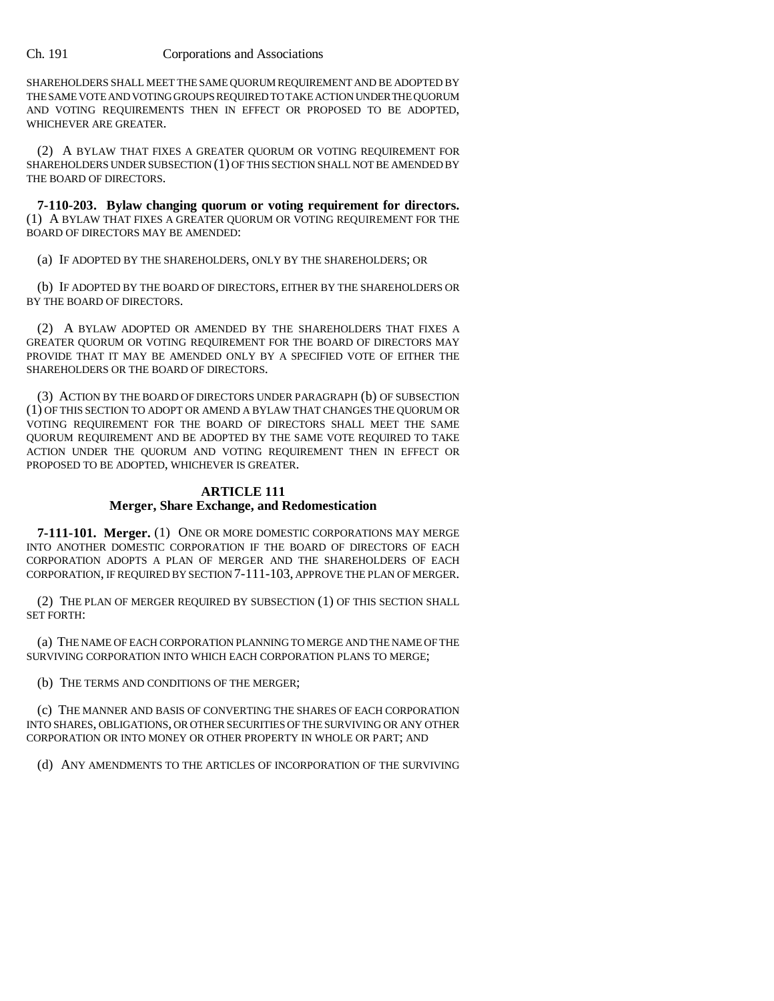SHAREHOLDERS SHALL MEET THE SAME QUORUM REQUIREMENT AND BE ADOPTED BY THE SAME VOTE AND VOTING GROUPS REQUIRED TO TAKE ACTION UNDER THE QUORUM AND VOTING REQUIREMENTS THEN IN EFFECT OR PROPOSED TO BE ADOPTED, WHICHEVER ARE GREATER.

(2) A BYLAW THAT FIXES A GREATER QUORUM OR VOTING REQUIREMENT FOR SHAREHOLDERS UNDER SUBSECTION (1) OF THIS SECTION SHALL NOT BE AMENDED BY THE BOARD OF DIRECTORS.

**7-110-203. Bylaw changing quorum or voting requirement for directors.** (1) A BYLAW THAT FIXES A GREATER QUORUM OR VOTING REQUIREMENT FOR THE BOARD OF DIRECTORS MAY BE AMENDED:

(a) IF ADOPTED BY THE SHAREHOLDERS, ONLY BY THE SHAREHOLDERS; OR

(b) IF ADOPTED BY THE BOARD OF DIRECTORS, EITHER BY THE SHAREHOLDERS OR BY THE BOARD OF DIRECTORS.

(2) A BYLAW ADOPTED OR AMENDED BY THE SHAREHOLDERS THAT FIXES A GREATER QUORUM OR VOTING REQUIREMENT FOR THE BOARD OF DIRECTORS MAY PROVIDE THAT IT MAY BE AMENDED ONLY BY A SPECIFIED VOTE OF EITHER THE SHAREHOLDERS OR THE BOARD OF DIRECTORS.

(3) ACTION BY THE BOARD OF DIRECTORS UNDER PARAGRAPH (b) OF SUBSECTION (1) OF THIS SECTION TO ADOPT OR AMEND A BYLAW THAT CHANGES THE QUORUM OR VOTING REQUIREMENT FOR THE BOARD OF DIRECTORS SHALL MEET THE SAME QUORUM REQUIREMENT AND BE ADOPTED BY THE SAME VOTE REQUIRED TO TAKE ACTION UNDER THE QUORUM AND VOTING REQUIREMENT THEN IN EFFECT OR PROPOSED TO BE ADOPTED, WHICHEVER IS GREATER.

# **ARTICLE 111 Merger, Share Exchange, and Redomestication**

**7-111-101. Merger.** (1) ONE OR MORE DOMESTIC CORPORATIONS MAY MERGE INTO ANOTHER DOMESTIC CORPORATION IF THE BOARD OF DIRECTORS OF EACH CORPORATION ADOPTS A PLAN OF MERGER AND THE SHAREHOLDERS OF EACH CORPORATION, IF REQUIRED BY SECTION 7-111-103, APPROVE THE PLAN OF MERGER.

(2) THE PLAN OF MERGER REQUIRED BY SUBSECTION (1) OF THIS SECTION SHALL SET FORTH:

(a) THE NAME OF EACH CORPORATION PLANNING TO MERGE AND THE NAME OF THE SURVIVING CORPORATION INTO WHICH EACH CORPORATION PLANS TO MERGE;

(b) THE TERMS AND CONDITIONS OF THE MERGER;

(c) THE MANNER AND BASIS OF CONVERTING THE SHARES OF EACH CORPORATION INTO SHARES, OBLIGATIONS, OR OTHER SECURITIES OF THE SURVIVING OR ANY OTHER CORPORATION OR INTO MONEY OR OTHER PROPERTY IN WHOLE OR PART; AND

(d) ANY AMENDMENTS TO THE ARTICLES OF INCORPORATION OF THE SURVIVING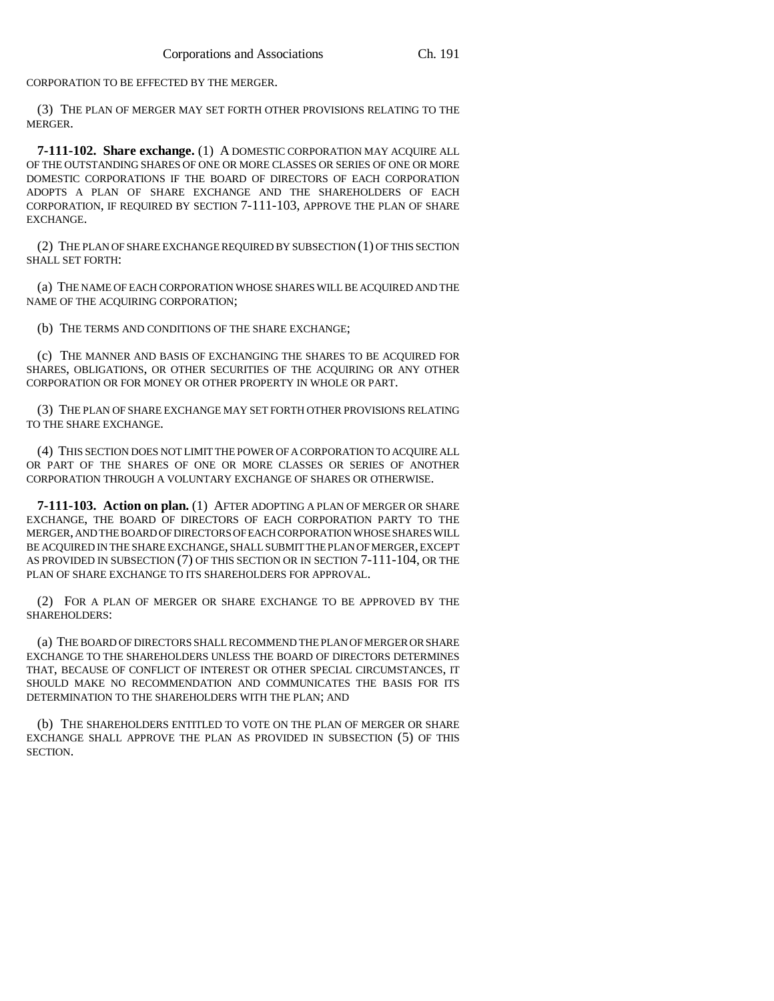CORPORATION TO BE EFFECTED BY THE MERGER.

(3) THE PLAN OF MERGER MAY SET FORTH OTHER PROVISIONS RELATING TO THE MERGER.

**7-111-102. Share exchange.** (1) A DOMESTIC CORPORATION MAY ACQUIRE ALL OF THE OUTSTANDING SHARES OF ONE OR MORE CLASSES OR SERIES OF ONE OR MORE DOMESTIC CORPORATIONS IF THE BOARD OF DIRECTORS OF EACH CORPORATION ADOPTS A PLAN OF SHARE EXCHANGE AND THE SHAREHOLDERS OF EACH CORPORATION, IF REQUIRED BY SECTION 7-111-103, APPROVE THE PLAN OF SHARE EXCHANGE.

(2) THE PLAN OF SHARE EXCHANGE REQUIRED BY SUBSECTION (1) OF THIS SECTION SHALL SET FORTH:

(a) THE NAME OF EACH CORPORATION WHOSE SHARES WILL BE ACQUIRED AND THE NAME OF THE ACQUIRING CORPORATION;

(b) THE TERMS AND CONDITIONS OF THE SHARE EXCHANGE;

(c) THE MANNER AND BASIS OF EXCHANGING THE SHARES TO BE ACQUIRED FOR SHARES, OBLIGATIONS, OR OTHER SECURITIES OF THE ACQUIRING OR ANY OTHER CORPORATION OR FOR MONEY OR OTHER PROPERTY IN WHOLE OR PART.

(3) THE PLAN OF SHARE EXCHANGE MAY SET FORTH OTHER PROVISIONS RELATING TO THE SHARE EXCHANGE.

(4) THIS SECTION DOES NOT LIMIT THE POWER OF A CORPORATION TO ACQUIRE ALL OR PART OF THE SHARES OF ONE OR MORE CLASSES OR SERIES OF ANOTHER CORPORATION THROUGH A VOLUNTARY EXCHANGE OF SHARES OR OTHERWISE.

**7-111-103. Action on plan.** (1) AFTER ADOPTING A PLAN OF MERGER OR SHARE EXCHANGE, THE BOARD OF DIRECTORS OF EACH CORPORATION PARTY TO THE MERGER, AND THE BOARD OF DIRECTORS OF EACH CORPORATION WHOSE SHARES WILL BE ACQUIRED IN THE SHARE EXCHANGE, SHALL SUBMIT THE PLAN OF MERGER, EXCEPT AS PROVIDED IN SUBSECTION (7) OF THIS SECTION OR IN SECTION 7-111-104, OR THE PLAN OF SHARE EXCHANGE TO ITS SHAREHOLDERS FOR APPROVAL.

(2) FOR A PLAN OF MERGER OR SHARE EXCHANGE TO BE APPROVED BY THE SHAREHOLDERS:

(a) THE BOARD OF DIRECTORS SHALL RECOMMEND THE PLAN OF MERGER OR SHARE EXCHANGE TO THE SHAREHOLDERS UNLESS THE BOARD OF DIRECTORS DETERMINES THAT, BECAUSE OF CONFLICT OF INTEREST OR OTHER SPECIAL CIRCUMSTANCES, IT SHOULD MAKE NO RECOMMENDATION AND COMMUNICATES THE BASIS FOR ITS DETERMINATION TO THE SHAREHOLDERS WITH THE PLAN; AND

(b) THE SHAREHOLDERS ENTITLED TO VOTE ON THE PLAN OF MERGER OR SHARE EXCHANGE SHALL APPROVE THE PLAN AS PROVIDED IN SUBSECTION (5) OF THIS SECTION.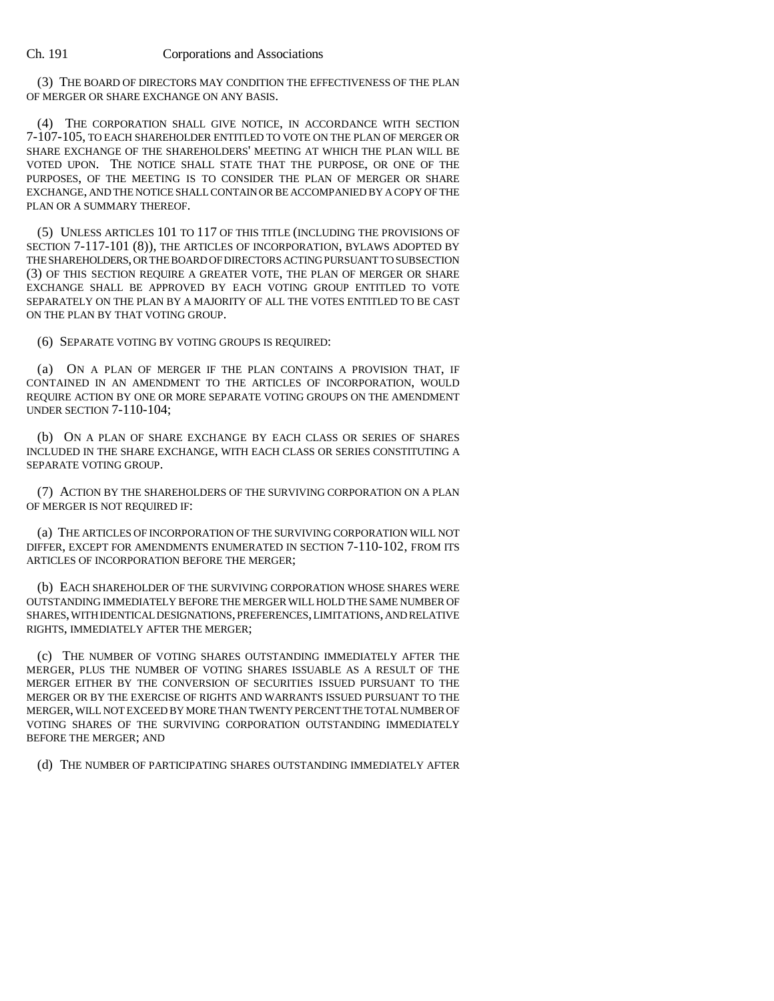(3) THE BOARD OF DIRECTORS MAY CONDITION THE EFFECTIVENESS OF THE PLAN OF MERGER OR SHARE EXCHANGE ON ANY BASIS.

(4) THE CORPORATION SHALL GIVE NOTICE, IN ACCORDANCE WITH SECTION 7-107-105, TO EACH SHAREHOLDER ENTITLED TO VOTE ON THE PLAN OF MERGER OR SHARE EXCHANGE OF THE SHAREHOLDERS' MEETING AT WHICH THE PLAN WILL BE VOTED UPON. THE NOTICE SHALL STATE THAT THE PURPOSE, OR ONE OF THE PURPOSES, OF THE MEETING IS TO CONSIDER THE PLAN OF MERGER OR SHARE EXCHANGE, AND THE NOTICE SHALL CONTAIN OR BE ACCOMPANIED BY A COPY OF THE PLAN OR A SUMMARY THEREOF.

(5) UNLESS ARTICLES 101 TO 117 OF THIS TITLE (INCLUDING THE PROVISIONS OF SECTION 7-117-101 (8)), THE ARTICLES OF INCORPORATION, BYLAWS ADOPTED BY THE SHAREHOLDERS, OR THE BOARD OF DIRECTORS ACTING PURSUANT TO SUBSECTION (3) OF THIS SECTION REQUIRE A GREATER VOTE, THE PLAN OF MERGER OR SHARE EXCHANGE SHALL BE APPROVED BY EACH VOTING GROUP ENTITLED TO VOTE SEPARATELY ON THE PLAN BY A MAJORITY OF ALL THE VOTES ENTITLED TO BE CAST ON THE PLAN BY THAT VOTING GROUP.

(6) SEPARATE VOTING BY VOTING GROUPS IS REQUIRED:

(a) ON A PLAN OF MERGER IF THE PLAN CONTAINS A PROVISION THAT, IF CONTAINED IN AN AMENDMENT TO THE ARTICLES OF INCORPORATION, WOULD REQUIRE ACTION BY ONE OR MORE SEPARATE VOTING GROUPS ON THE AMENDMENT UNDER SECTION 7-110-104;

(b) ON A PLAN OF SHARE EXCHANGE BY EACH CLASS OR SERIES OF SHARES INCLUDED IN THE SHARE EXCHANGE, WITH EACH CLASS OR SERIES CONSTITUTING A SEPARATE VOTING GROUP.

(7) ACTION BY THE SHAREHOLDERS OF THE SURVIVING CORPORATION ON A PLAN OF MERGER IS NOT REQUIRED IF:

(a) THE ARTICLES OF INCORPORATION OF THE SURVIVING CORPORATION WILL NOT DIFFER, EXCEPT FOR AMENDMENTS ENUMERATED IN SECTION 7-110-102, FROM ITS ARTICLES OF INCORPORATION BEFORE THE MERGER;

(b) EACH SHAREHOLDER OF THE SURVIVING CORPORATION WHOSE SHARES WERE OUTSTANDING IMMEDIATELY BEFORE THE MERGER WILL HOLD THE SAME NUMBER OF SHARES, WITH IDENTICAL DESIGNATIONS, PREFERENCES, LIMITATIONS, AND RELATIVE RIGHTS, IMMEDIATELY AFTER THE MERGER;

(c) THE NUMBER OF VOTING SHARES OUTSTANDING IMMEDIATELY AFTER THE MERGER, PLUS THE NUMBER OF VOTING SHARES ISSUABLE AS A RESULT OF THE MERGER EITHER BY THE CONVERSION OF SECURITIES ISSUED PURSUANT TO THE MERGER OR BY THE EXERCISE OF RIGHTS AND WARRANTS ISSUED PURSUANT TO THE MERGER, WILL NOT EXCEED BY MORE THAN TWENTY PERCENT THE TOTAL NUMBER OF VOTING SHARES OF THE SURVIVING CORPORATION OUTSTANDING IMMEDIATELY BEFORE THE MERGER; AND

(d) THE NUMBER OF PARTICIPATING SHARES OUTSTANDING IMMEDIATELY AFTER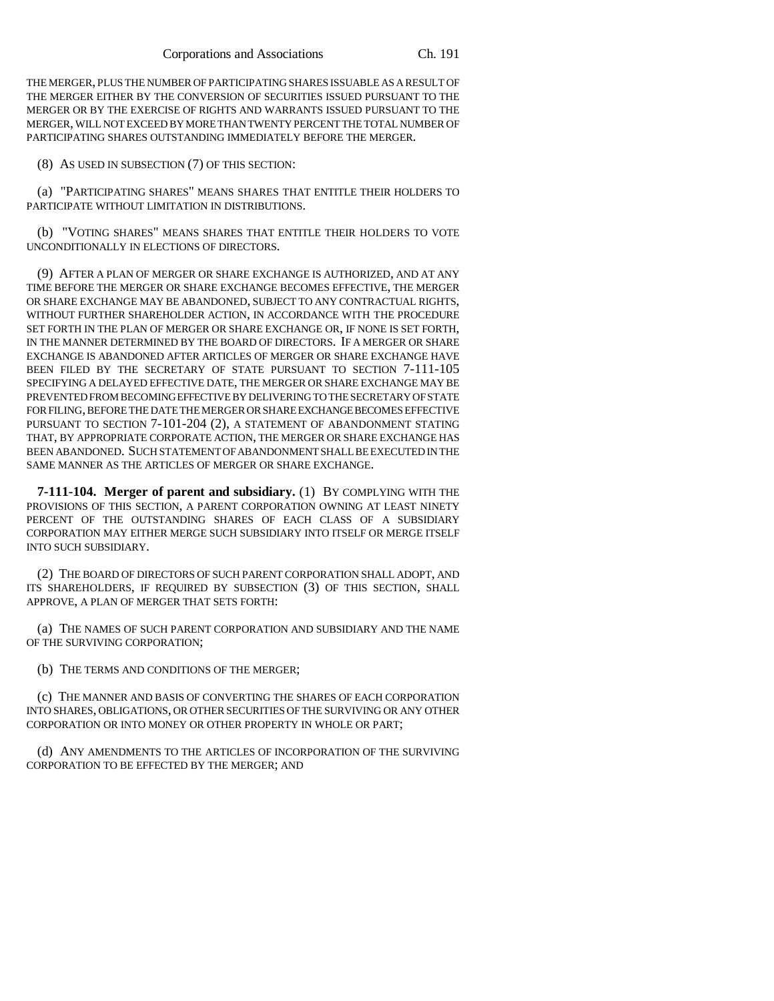THE MERGER, PLUS THE NUMBER OF PARTICIPATING SHARES ISSUABLE AS A RESULT OF THE MERGER EITHER BY THE CONVERSION OF SECURITIES ISSUED PURSUANT TO THE MERGER OR BY THE EXERCISE OF RIGHTS AND WARRANTS ISSUED PURSUANT TO THE MERGER, WILL NOT EXCEED BY MORE THAN TWENTY PERCENT THE TOTAL NUMBER OF PARTICIPATING SHARES OUTSTANDING IMMEDIATELY BEFORE THE MERGER.

(8) AS USED IN SUBSECTION (7) OF THIS SECTION:

(a) "PARTICIPATING SHARES" MEANS SHARES THAT ENTITLE THEIR HOLDERS TO PARTICIPATE WITHOUT LIMITATION IN DISTRIBUTIONS.

(b) "VOTING SHARES" MEANS SHARES THAT ENTITLE THEIR HOLDERS TO VOTE UNCONDITIONALLY IN ELECTIONS OF DIRECTORS.

(9) AFTER A PLAN OF MERGER OR SHARE EXCHANGE IS AUTHORIZED, AND AT ANY TIME BEFORE THE MERGER OR SHARE EXCHANGE BECOMES EFFECTIVE, THE MERGER OR SHARE EXCHANGE MAY BE ABANDONED, SUBJECT TO ANY CONTRACTUAL RIGHTS, WITHOUT FURTHER SHAREHOLDER ACTION, IN ACCORDANCE WITH THE PROCEDURE SET FORTH IN THE PLAN OF MERGER OR SHARE EXCHANGE OR, IF NONE IS SET FORTH, IN THE MANNER DETERMINED BY THE BOARD OF DIRECTORS. IF A MERGER OR SHARE EXCHANGE IS ABANDONED AFTER ARTICLES OF MERGER OR SHARE EXCHANGE HAVE BEEN FILED BY THE SECRETARY OF STATE PURSUANT TO SECTION 7-111-105 SPECIFYING A DELAYED EFFECTIVE DATE, THE MERGER OR SHARE EXCHANGE MAY BE PREVENTED FROM BECOMING EFFECTIVE BY DELIVERING TO THE SECRETARY OF STATE FOR FILING, BEFORE THE DATE THE MERGER OR SHARE EXCHANGE BECOMES EFFECTIVE PURSUANT TO SECTION 7-101-204 (2), A STATEMENT OF ABANDONMENT STATING THAT, BY APPROPRIATE CORPORATE ACTION, THE MERGER OR SHARE EXCHANGE HAS BEEN ABANDONED. SUCH STATEMENT OF ABANDONMENT SHALL BE EXECUTED IN THE SAME MANNER AS THE ARTICLES OF MERGER OR SHARE EXCHANGE.

**7-111-104. Merger of parent and subsidiary.** (1) BY COMPLYING WITH THE PROVISIONS OF THIS SECTION, A PARENT CORPORATION OWNING AT LEAST NINETY PERCENT OF THE OUTSTANDING SHARES OF EACH CLASS OF A SUBSIDIARY CORPORATION MAY EITHER MERGE SUCH SUBSIDIARY INTO ITSELF OR MERGE ITSELF INTO SUCH SUBSIDIARY.

(2) THE BOARD OF DIRECTORS OF SUCH PARENT CORPORATION SHALL ADOPT, AND ITS SHAREHOLDERS, IF REQUIRED BY SUBSECTION (3) OF THIS SECTION, SHALL APPROVE, A PLAN OF MERGER THAT SETS FORTH:

(a) THE NAMES OF SUCH PARENT CORPORATION AND SUBSIDIARY AND THE NAME OF THE SURVIVING CORPORATION;

(b) THE TERMS AND CONDITIONS OF THE MERGER;

(c) THE MANNER AND BASIS OF CONVERTING THE SHARES OF EACH CORPORATION INTO SHARES, OBLIGATIONS, OR OTHER SECURITIES OF THE SURVIVING OR ANY OTHER CORPORATION OR INTO MONEY OR OTHER PROPERTY IN WHOLE OR PART;

(d) ANY AMENDMENTS TO THE ARTICLES OF INCORPORATION OF THE SURVIVING CORPORATION TO BE EFFECTED BY THE MERGER; AND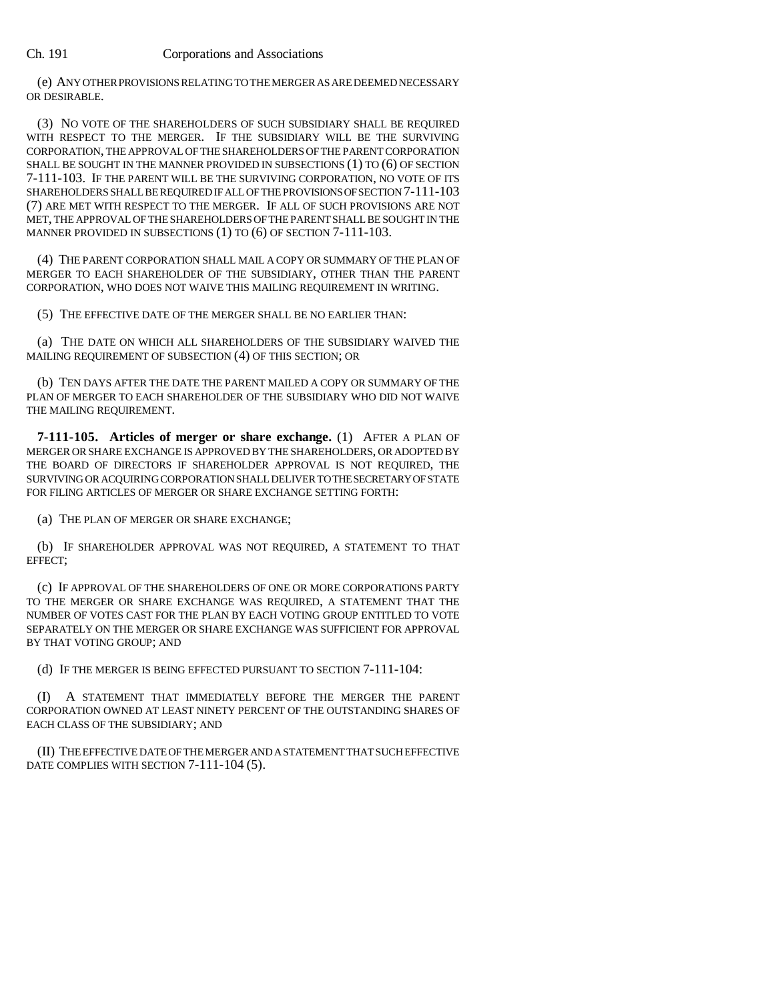(e) ANY OTHER PROVISIONS RELATING TO THE MERGER AS ARE DEEMED NECESSARY OR DESIRABLE.

(3) NO VOTE OF THE SHAREHOLDERS OF SUCH SUBSIDIARY SHALL BE REQUIRED WITH RESPECT TO THE MERGER. IF THE SUBSIDIARY WILL BE THE SURVIVING CORPORATION, THE APPROVAL OF THE SHAREHOLDERS OF THE PARENT CORPORATION SHALL BE SOUGHT IN THE MANNER PROVIDED IN SUBSECTIONS (1) TO (6) OF SECTION 7-111-103. IF THE PARENT WILL BE THE SURVIVING CORPORATION, NO VOTE OF ITS SHAREHOLDERS SHALL BE REQUIRED IF ALL OF THE PROVISIONS OF SECTION 7-111-103 (7) ARE MET WITH RESPECT TO THE MERGER. IF ALL OF SUCH PROVISIONS ARE NOT MET, THE APPROVAL OF THE SHAREHOLDERS OF THE PARENT SHALL BE SOUGHT IN THE MANNER PROVIDED IN SUBSECTIONS (1) TO (6) OF SECTION 7-111-103.

(4) THE PARENT CORPORATION SHALL MAIL A COPY OR SUMMARY OF THE PLAN OF MERGER TO EACH SHAREHOLDER OF THE SUBSIDIARY, OTHER THAN THE PARENT CORPORATION, WHO DOES NOT WAIVE THIS MAILING REQUIREMENT IN WRITING.

(5) THE EFFECTIVE DATE OF THE MERGER SHALL BE NO EARLIER THAN:

(a) THE DATE ON WHICH ALL SHAREHOLDERS OF THE SUBSIDIARY WAIVED THE MAILING REQUIREMENT OF SUBSECTION (4) OF THIS SECTION; OR

(b) TEN DAYS AFTER THE DATE THE PARENT MAILED A COPY OR SUMMARY OF THE PLAN OF MERGER TO EACH SHAREHOLDER OF THE SUBSIDIARY WHO DID NOT WAIVE THE MAILING REQUIREMENT.

**7-111-105. Articles of merger or share exchange.** (1) AFTER A PLAN OF MERGER OR SHARE EXCHANGE IS APPROVED BY THE SHAREHOLDERS, OR ADOPTED BY THE BOARD OF DIRECTORS IF SHAREHOLDER APPROVAL IS NOT REQUIRED, THE SURVIVING OR ACQUIRING CORPORATION SHALL DELIVER TO THE SECRETARY OF STATE FOR FILING ARTICLES OF MERGER OR SHARE EXCHANGE SETTING FORTH:

(a) THE PLAN OF MERGER OR SHARE EXCHANGE;

(b) IF SHAREHOLDER APPROVAL WAS NOT REQUIRED, A STATEMENT TO THAT EFFECT;

(c) IF APPROVAL OF THE SHAREHOLDERS OF ONE OR MORE CORPORATIONS PARTY TO THE MERGER OR SHARE EXCHANGE WAS REQUIRED, A STATEMENT THAT THE NUMBER OF VOTES CAST FOR THE PLAN BY EACH VOTING GROUP ENTITLED TO VOTE SEPARATELY ON THE MERGER OR SHARE EXCHANGE WAS SUFFICIENT FOR APPROVAL BY THAT VOTING GROUP; AND

(d) IF THE MERGER IS BEING EFFECTED PURSUANT TO SECTION 7-111-104:

(I) A STATEMENT THAT IMMEDIATELY BEFORE THE MERGER THE PARENT CORPORATION OWNED AT LEAST NINETY PERCENT OF THE OUTSTANDING SHARES OF EACH CLASS OF THE SUBSIDIARY; AND

(II) THE EFFECTIVE DATE OF THE MERGER AND A STATEMENT THAT SUCH EFFECTIVE DATE COMPLIES WITH SECTION 7-111-104 (5).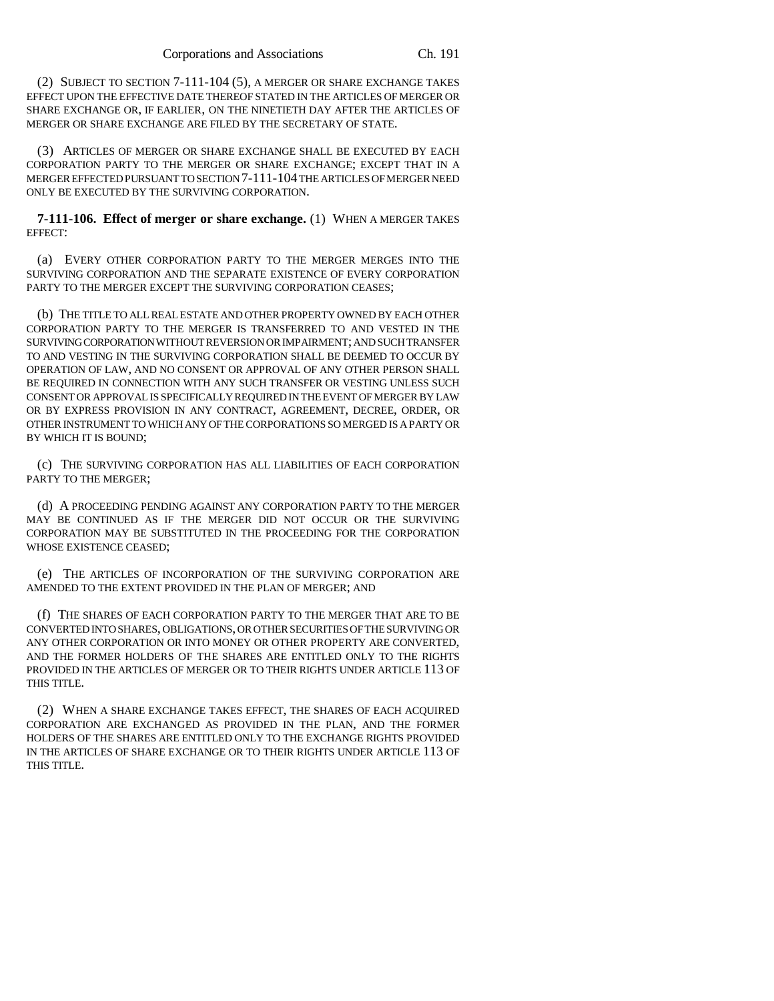(2) SUBJECT TO SECTION 7-111-104 (5), A MERGER OR SHARE EXCHANGE TAKES EFFECT UPON THE EFFECTIVE DATE THEREOF STATED IN THE ARTICLES OF MERGER OR SHARE EXCHANGE OR, IF EARLIER, ON THE NINETIETH DAY AFTER THE ARTICLES OF MERGER OR SHARE EXCHANGE ARE FILED BY THE SECRETARY OF STATE.

(3) ARTICLES OF MERGER OR SHARE EXCHANGE SHALL BE EXECUTED BY EACH CORPORATION PARTY TO THE MERGER OR SHARE EXCHANGE; EXCEPT THAT IN A MERGER EFFECTED PURSUANT TO SECTION 7-111-104 THE ARTICLES OF MERGER NEED ONLY BE EXECUTED BY THE SURVIVING CORPORATION.

#### **7-111-106. Effect of merger or share exchange.** (1) WHEN A MERGER TAKES EFFECT:

(a) EVERY OTHER CORPORATION PARTY TO THE MERGER MERGES INTO THE SURVIVING CORPORATION AND THE SEPARATE EXISTENCE OF EVERY CORPORATION PARTY TO THE MERGER EXCEPT THE SURVIVING CORPORATION CEASES;

(b) THE TITLE TO ALL REAL ESTATE AND OTHER PROPERTY OWNED BY EACH OTHER CORPORATION PARTY TO THE MERGER IS TRANSFERRED TO AND VESTED IN THE SURVIVING CORPORATION WITHOUT REVERSION OR IMPAIRMENT; AND SUCH TRANSFER TO AND VESTING IN THE SURVIVING CORPORATION SHALL BE DEEMED TO OCCUR BY OPERATION OF LAW, AND NO CONSENT OR APPROVAL OF ANY OTHER PERSON SHALL BE REQUIRED IN CONNECTION WITH ANY SUCH TRANSFER OR VESTING UNLESS SUCH CONSENT OR APPROVAL IS SPECIFICALLY REQUIRED IN THE EVENT OF MERGER BY LAW OR BY EXPRESS PROVISION IN ANY CONTRACT, AGREEMENT, DECREE, ORDER, OR OTHER INSTRUMENT TO WHICH ANY OF THE CORPORATIONS SO MERGED IS A PARTY OR BY WHICH IT IS BOUND;

(c) THE SURVIVING CORPORATION HAS ALL LIABILITIES OF EACH CORPORATION PARTY TO THE MERGER;

(d) A PROCEEDING PENDING AGAINST ANY CORPORATION PARTY TO THE MERGER MAY BE CONTINUED AS IF THE MERGER DID NOT OCCUR OR THE SURVIVING CORPORATION MAY BE SUBSTITUTED IN THE PROCEEDING FOR THE CORPORATION WHOSE EXISTENCE CEASED;

(e) THE ARTICLES OF INCORPORATION OF THE SURVIVING CORPORATION ARE AMENDED TO THE EXTENT PROVIDED IN THE PLAN OF MERGER; AND

(f) THE SHARES OF EACH CORPORATION PARTY TO THE MERGER THAT ARE TO BE CONVERTED INTO SHARES, OBLIGATIONS, OR OTHER SECURITIES OF THE SURVIVING OR ANY OTHER CORPORATION OR INTO MONEY OR OTHER PROPERTY ARE CONVERTED, AND THE FORMER HOLDERS OF THE SHARES ARE ENTITLED ONLY TO THE RIGHTS PROVIDED IN THE ARTICLES OF MERGER OR TO THEIR RIGHTS UNDER ARTICLE 113 OF THIS TITLE.

(2) WHEN A SHARE EXCHANGE TAKES EFFECT, THE SHARES OF EACH ACQUIRED CORPORATION ARE EXCHANGED AS PROVIDED IN THE PLAN, AND THE FORMER HOLDERS OF THE SHARES ARE ENTITLED ONLY TO THE EXCHANGE RIGHTS PROVIDED IN THE ARTICLES OF SHARE EXCHANGE OR TO THEIR RIGHTS UNDER ARTICLE 113 OF THIS TITLE.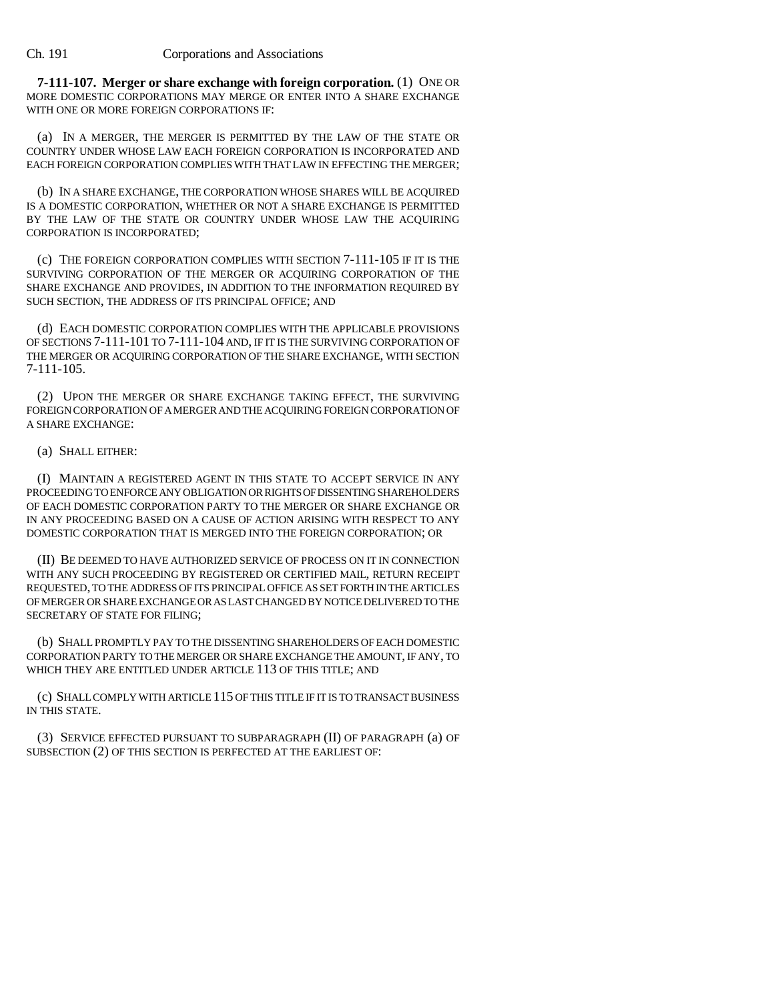**7-111-107. Merger or share exchange with foreign corporation.** (1) ONE OR MORE DOMESTIC CORPORATIONS MAY MERGE OR ENTER INTO A SHARE EXCHANGE WITH ONE OR MORE FOREIGN CORPORATIONS IF:

(a) IN A MERGER, THE MERGER IS PERMITTED BY THE LAW OF THE STATE OR COUNTRY UNDER WHOSE LAW EACH FOREIGN CORPORATION IS INCORPORATED AND EACH FOREIGN CORPORATION COMPLIES WITH THAT LAW IN EFFECTING THE MERGER;

(b) IN A SHARE EXCHANGE, THE CORPORATION WHOSE SHARES WILL BE ACQUIRED IS A DOMESTIC CORPORATION, WHETHER OR NOT A SHARE EXCHANGE IS PERMITTED BY THE LAW OF THE STATE OR COUNTRY UNDER WHOSE LAW THE ACQUIRING CORPORATION IS INCORPORATED;

(c) THE FOREIGN CORPORATION COMPLIES WITH SECTION 7-111-105 IF IT IS THE SURVIVING CORPORATION OF THE MERGER OR ACQUIRING CORPORATION OF THE SHARE EXCHANGE AND PROVIDES, IN ADDITION TO THE INFORMATION REQUIRED BY SUCH SECTION, THE ADDRESS OF ITS PRINCIPAL OFFICE; AND

(d) EACH DOMESTIC CORPORATION COMPLIES WITH THE APPLICABLE PROVISIONS OF SECTIONS 7-111-101 TO 7-111-104 AND, IF IT IS THE SURVIVING CORPORATION OF THE MERGER OR ACQUIRING CORPORATION OF THE SHARE EXCHANGE, WITH SECTION 7-111-105.

(2) UPON THE MERGER OR SHARE EXCHANGE TAKING EFFECT, THE SURVIVING FOREIGN CORPORATION OF A MERGER AND THE ACQUIRING FOREIGN CORPORATION OF A SHARE EXCHANGE:

(a) SHALL EITHER:

(I) MAINTAIN A REGISTERED AGENT IN THIS STATE TO ACCEPT SERVICE IN ANY PROCEEDING TO ENFORCE ANY OBLIGATION OR RIGHTS OF DISSENTING SHAREHOLDERS OF EACH DOMESTIC CORPORATION PARTY TO THE MERGER OR SHARE EXCHANGE OR IN ANY PROCEEDING BASED ON A CAUSE OF ACTION ARISING WITH RESPECT TO ANY DOMESTIC CORPORATION THAT IS MERGED INTO THE FOREIGN CORPORATION; OR

(II) BE DEEMED TO HAVE AUTHORIZED SERVICE OF PROCESS ON IT IN CONNECTION WITH ANY SUCH PROCEEDING BY REGISTERED OR CERTIFIED MAIL, RETURN RECEIPT REQUESTED, TO THE ADDRESS OF ITS PRINCIPAL OFFICE AS SET FORTH IN THE ARTICLES OF MERGER OR SHARE EXCHANGE OR AS LAST CHANGED BY NOTICE DELIVERED TO THE SECRETARY OF STATE FOR FILING;

(b) SHALL PROMPTLY PAY TO THE DISSENTING SHAREHOLDERS OF EACH DOMESTIC CORPORATION PARTY TO THE MERGER OR SHARE EXCHANGE THE AMOUNT, IF ANY, TO WHICH THEY ARE ENTITLED UNDER ARTICLE 113 OF THIS TITLE; AND

(c) SHALL COMPLY WITH ARTICLE 115 OF THIS TITLE IF IT IS TO TRANSACT BUSINESS IN THIS STATE.

(3) SERVICE EFFECTED PURSUANT TO SUBPARAGRAPH (II) OF PARAGRAPH (a) OF SUBSECTION (2) OF THIS SECTION IS PERFECTED AT THE EARLIEST OF: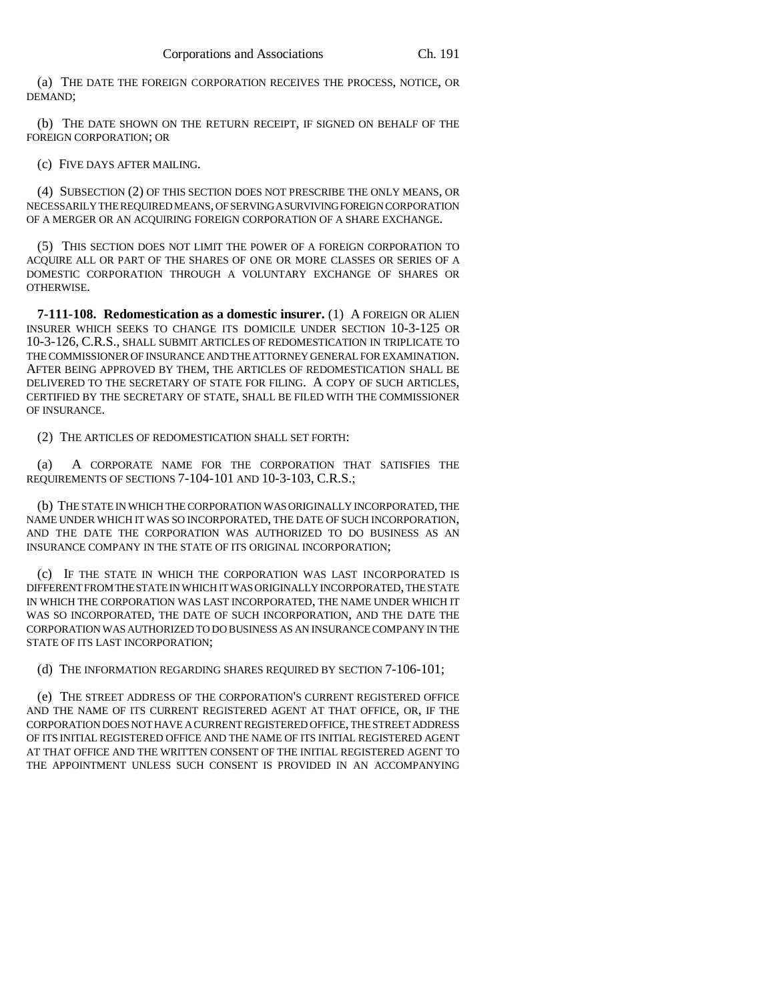(a) THE DATE THE FOREIGN CORPORATION RECEIVES THE PROCESS, NOTICE, OR DEMAND;

(b) THE DATE SHOWN ON THE RETURN RECEIPT, IF SIGNED ON BEHALF OF THE FOREIGN CORPORATION; OR

(c) FIVE DAYS AFTER MAILING.

(4) SUBSECTION (2) OF THIS SECTION DOES NOT PRESCRIBE THE ONLY MEANS, OR NECESSARILY THE REQUIRED MEANS, OF SERVING A SURVIVING FOREIGN CORPORATION OF A MERGER OR AN ACQUIRING FOREIGN CORPORATION OF A SHARE EXCHANGE.

(5) THIS SECTION DOES NOT LIMIT THE POWER OF A FOREIGN CORPORATION TO ACQUIRE ALL OR PART OF THE SHARES OF ONE OR MORE CLASSES OR SERIES OF A DOMESTIC CORPORATION THROUGH A VOLUNTARY EXCHANGE OF SHARES OR OTHERWISE.

**7-111-108. Redomestication as a domestic insurer.** (1) A FOREIGN OR ALIEN INSURER WHICH SEEKS TO CHANGE ITS DOMICILE UNDER SECTION 10-3-125 OR 10-3-126, C.R.S., SHALL SUBMIT ARTICLES OF REDOMESTICATION IN TRIPLICATE TO THE COMMISSIONER OF INSURANCE AND THE ATTORNEY GENERAL FOR EXAMINATION. AFTER BEING APPROVED BY THEM, THE ARTICLES OF REDOMESTICATION SHALL BE DELIVERED TO THE SECRETARY OF STATE FOR FILING. A COPY OF SUCH ARTICLES, CERTIFIED BY THE SECRETARY OF STATE, SHALL BE FILED WITH THE COMMISSIONER OF INSURANCE.

(2) THE ARTICLES OF REDOMESTICATION SHALL SET FORTH:

(a) A CORPORATE NAME FOR THE CORPORATION THAT SATISFIES THE REQUIREMENTS OF SECTIONS 7-104-101 AND 10-3-103, C.R.S.;

(b) THE STATE IN WHICH THE CORPORATION WAS ORIGINALLY INCORPORATED, THE NAME UNDER WHICH IT WAS SO INCORPORATED, THE DATE OF SUCH INCORPORATION, AND THE DATE THE CORPORATION WAS AUTHORIZED TO DO BUSINESS AS AN INSURANCE COMPANY IN THE STATE OF ITS ORIGINAL INCORPORATION;

(c) IF THE STATE IN WHICH THE CORPORATION WAS LAST INCORPORATED IS DIFFERENT FROM THE STATE IN WHICH IT WAS ORIGINALLY INCORPORATED, THE STATE IN WHICH THE CORPORATION WAS LAST INCORPORATED, THE NAME UNDER WHICH IT WAS SO INCORPORATED, THE DATE OF SUCH INCORPORATION, AND THE DATE THE CORPORATION WAS AUTHORIZED TO DO BUSINESS AS AN INSURANCE COMPANY IN THE STATE OF ITS LAST INCORPORATION;

(d) THE INFORMATION REGARDING SHARES REQUIRED BY SECTION 7-106-101;

(e) THE STREET ADDRESS OF THE CORPORATION'S CURRENT REGISTERED OFFICE AND THE NAME OF ITS CURRENT REGISTERED AGENT AT THAT OFFICE, OR, IF THE CORPORATION DOES NOT HAVE A CURRENT REGISTERED OFFICE, THE STREET ADDRESS OF ITS INITIAL REGISTERED OFFICE AND THE NAME OF ITS INITIAL REGISTERED AGENT AT THAT OFFICE AND THE WRITTEN CONSENT OF THE INITIAL REGISTERED AGENT TO THE APPOINTMENT UNLESS SUCH CONSENT IS PROVIDED IN AN ACCOMPANYING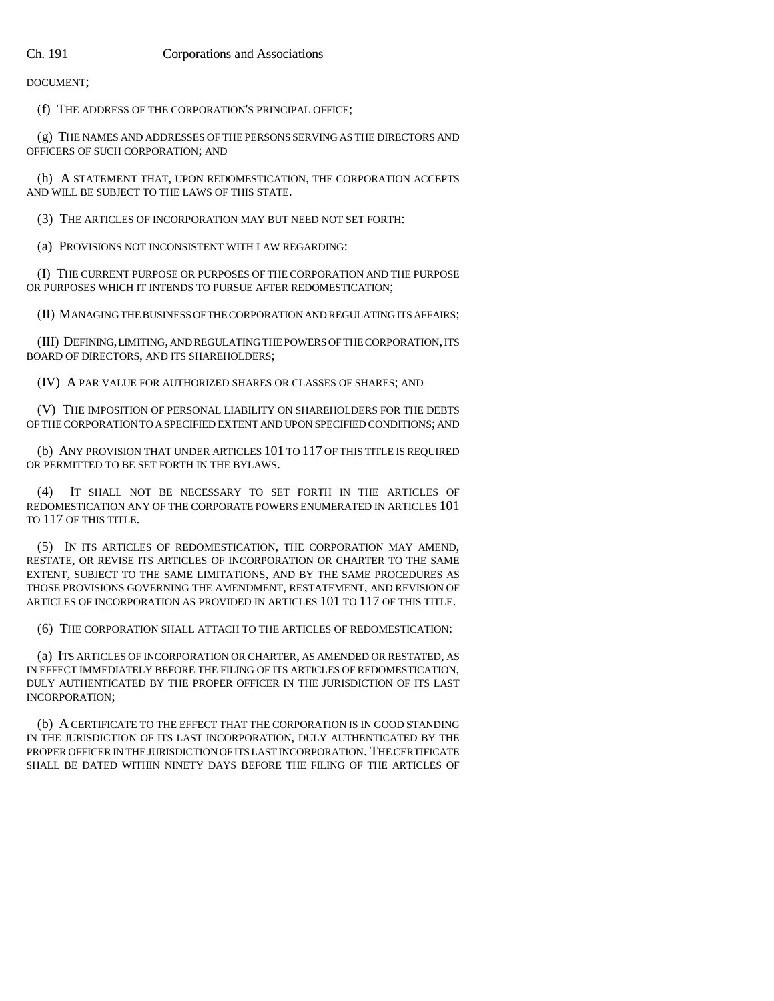DOCUMENT;

(f) THE ADDRESS OF THE CORPORATION'S PRINCIPAL OFFICE;

(g) THE NAMES AND ADDRESSES OF THE PERSONS SERVING AS THE DIRECTORS AND OFFICERS OF SUCH CORPORATION; AND

(h) A STATEMENT THAT, UPON REDOMESTICATION, THE CORPORATION ACCEPTS AND WILL BE SUBJECT TO THE LAWS OF THIS STATE.

(3) THE ARTICLES OF INCORPORATION MAY BUT NEED NOT SET FORTH:

(a) PROVISIONS NOT INCONSISTENT WITH LAW REGARDING:

(I) THE CURRENT PURPOSE OR PURPOSES OF THE CORPORATION AND THE PURPOSE OR PURPOSES WHICH IT INTENDS TO PURSUE AFTER REDOMESTICATION;

(II) MANAGING THE BUSINESS OF THE CORPORATION AND REGULATING ITS AFFAIRS;

(III) DEFINING, LIMITING, AND REGULATING THE POWERS OF THE CORPORATION, ITS BOARD OF DIRECTORS, AND ITS SHAREHOLDERS;

(IV) A PAR VALUE FOR AUTHORIZED SHARES OR CLASSES OF SHARES; AND

(V) THE IMPOSITION OF PERSONAL LIABILITY ON SHAREHOLDERS FOR THE DEBTS OF THE CORPORATION TO A SPECIFIED EXTENT AND UPON SPECIFIED CONDITIONS; AND

(b) ANY PROVISION THAT UNDER ARTICLES 101 TO 117 OF THIS TITLE IS REQUIRED OR PERMITTED TO BE SET FORTH IN THE BYLAWS.

(4) IT SHALL NOT BE NECESSARY TO SET FORTH IN THE ARTICLES OF REDOMESTICATION ANY OF THE CORPORATE POWERS ENUMERATED IN ARTICLES 101 TO 117 OF THIS TITLE.

(5) IN ITS ARTICLES OF REDOMESTICATION, THE CORPORATION MAY AMEND, RESTATE, OR REVISE ITS ARTICLES OF INCORPORATION OR CHARTER TO THE SAME EXTENT, SUBJECT TO THE SAME LIMITATIONS, AND BY THE SAME PROCEDURES AS THOSE PROVISIONS GOVERNING THE AMENDMENT, RESTATEMENT, AND REVISION OF ARTICLES OF INCORPORATION AS PROVIDED IN ARTICLES 101 TO 117 OF THIS TITLE.

(6) THE CORPORATION SHALL ATTACH TO THE ARTICLES OF REDOMESTICATION:

(a) ITS ARTICLES OF INCORPORATION OR CHARTER, AS AMENDED OR RESTATED, AS IN EFFECT IMMEDIATELY BEFORE THE FILING OF ITS ARTICLES OF REDOMESTICATION, DULY AUTHENTICATED BY THE PROPER OFFICER IN THE JURISDICTION OF ITS LAST INCORPORATION;

(b) A CERTIFICATE TO THE EFFECT THAT THE CORPORATION IS IN GOOD STANDING IN THE JURISDICTION OF ITS LAST INCORPORATION, DULY AUTHENTICATED BY THE PROPER OFFICER IN THE JURISDICTION OF ITS LAST INCORPORATION. THE CERTIFICATE SHALL BE DATED WITHIN NINETY DAYS BEFORE THE FILING OF THE ARTICLES OF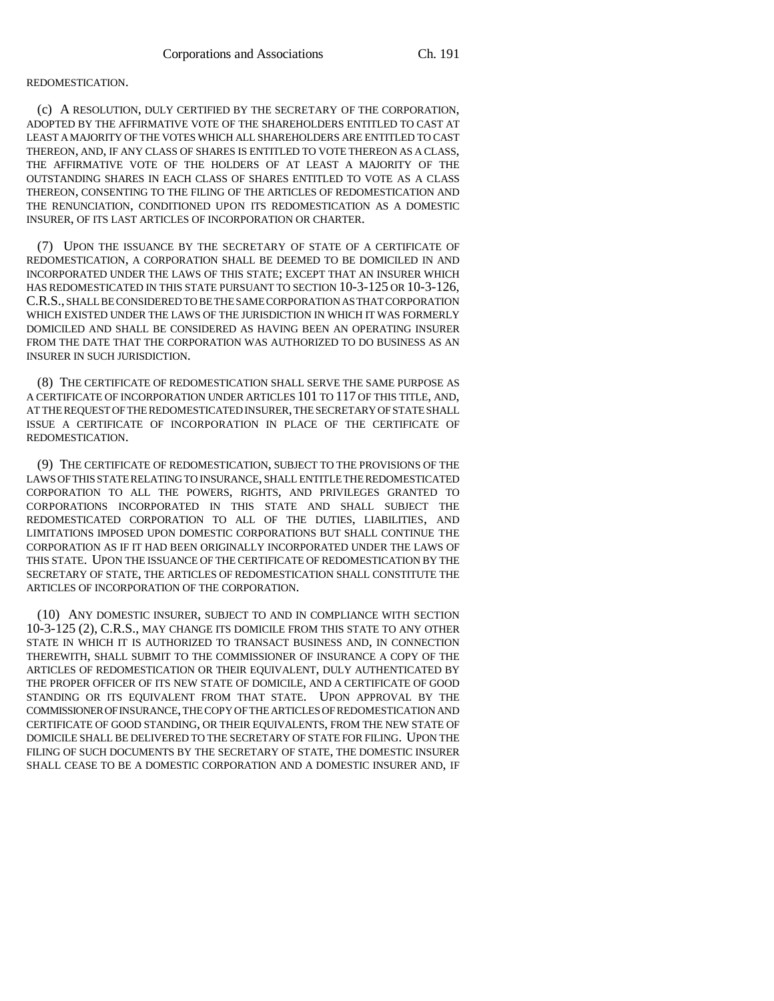#### REDOMESTICATION.

(c) A RESOLUTION, DULY CERTIFIED BY THE SECRETARY OF THE CORPORATION, ADOPTED BY THE AFFIRMATIVE VOTE OF THE SHAREHOLDERS ENTITLED TO CAST AT LEAST A MAJORITY OF THE VOTES WHICH ALL SHAREHOLDERS ARE ENTITLED TO CAST THEREON, AND, IF ANY CLASS OF SHARES IS ENTITLED TO VOTE THEREON AS A CLASS, THE AFFIRMATIVE VOTE OF THE HOLDERS OF AT LEAST A MAJORITY OF THE OUTSTANDING SHARES IN EACH CLASS OF SHARES ENTITLED TO VOTE AS A CLASS THEREON, CONSENTING TO THE FILING OF THE ARTICLES OF REDOMESTICATION AND THE RENUNCIATION, CONDITIONED UPON ITS REDOMESTICATION AS A DOMESTIC INSURER, OF ITS LAST ARTICLES OF INCORPORATION OR CHARTER.

(7) UPON THE ISSUANCE BY THE SECRETARY OF STATE OF A CERTIFICATE OF REDOMESTICATION, A CORPORATION SHALL BE DEEMED TO BE DOMICILED IN AND INCORPORATED UNDER THE LAWS OF THIS STATE; EXCEPT THAT AN INSURER WHICH HAS REDOMESTICATED IN THIS STATE PURSUANT TO SECTION 10-3-125 OR 10-3-126, C.R.S., SHALL BE CONSIDERED TO BE THE SAME CORPORATION AS THAT CORPORATION WHICH EXISTED UNDER THE LAWS OF THE JURISDICTION IN WHICH IT WAS FORMERLY DOMICILED AND SHALL BE CONSIDERED AS HAVING BEEN AN OPERATING INSURER FROM THE DATE THAT THE CORPORATION WAS AUTHORIZED TO DO BUSINESS AS AN INSURER IN SUCH JURISDICTION.

(8) THE CERTIFICATE OF REDOMESTICATION SHALL SERVE THE SAME PURPOSE AS A CERTIFICATE OF INCORPORATION UNDER ARTICLES 101 TO 117 OF THIS TITLE, AND, AT THE REQUEST OF THE REDOMESTICATED INSURER, THE SECRETARY OF STATE SHALL ISSUE A CERTIFICATE OF INCORPORATION IN PLACE OF THE CERTIFICATE OF REDOMESTICATION.

(9) THE CERTIFICATE OF REDOMESTICATION, SUBJECT TO THE PROVISIONS OF THE LAWS OF THIS STATE RELATING TO INSURANCE, SHALL ENTITLE THE REDOMESTICATED CORPORATION TO ALL THE POWERS, RIGHTS, AND PRIVILEGES GRANTED TO CORPORATIONS INCORPORATED IN THIS STATE AND SHALL SUBJECT THE REDOMESTICATED CORPORATION TO ALL OF THE DUTIES, LIABILITIES, AND LIMITATIONS IMPOSED UPON DOMESTIC CORPORATIONS BUT SHALL CONTINUE THE CORPORATION AS IF IT HAD BEEN ORIGINALLY INCORPORATED UNDER THE LAWS OF THIS STATE. UPON THE ISSUANCE OF THE CERTIFICATE OF REDOMESTICATION BY THE SECRETARY OF STATE, THE ARTICLES OF REDOMESTICATION SHALL CONSTITUTE THE ARTICLES OF INCORPORATION OF THE CORPORATION.

(10) ANY DOMESTIC INSURER, SUBJECT TO AND IN COMPLIANCE WITH SECTION 10-3-125 (2), C.R.S., MAY CHANGE ITS DOMICILE FROM THIS STATE TO ANY OTHER STATE IN WHICH IT IS AUTHORIZED TO TRANSACT BUSINESS AND, IN CONNECTION THEREWITH, SHALL SUBMIT TO THE COMMISSIONER OF INSURANCE A COPY OF THE ARTICLES OF REDOMESTICATION OR THEIR EQUIVALENT, DULY AUTHENTICATED BY THE PROPER OFFICER OF ITS NEW STATE OF DOMICILE, AND A CERTIFICATE OF GOOD STANDING OR ITS EQUIVALENT FROM THAT STATE. UPON APPROVAL BY THE COMMISSIONER OF INSURANCE, THE COPY OF THE ARTICLES OF REDOMESTICATION AND CERTIFICATE OF GOOD STANDING, OR THEIR EQUIVALENTS, FROM THE NEW STATE OF DOMICILE SHALL BE DELIVERED TO THE SECRETARY OF STATE FOR FILING. UPON THE FILING OF SUCH DOCUMENTS BY THE SECRETARY OF STATE, THE DOMESTIC INSURER SHALL CEASE TO BE A DOMESTIC CORPORATION AND A DOMESTIC INSURER AND, IF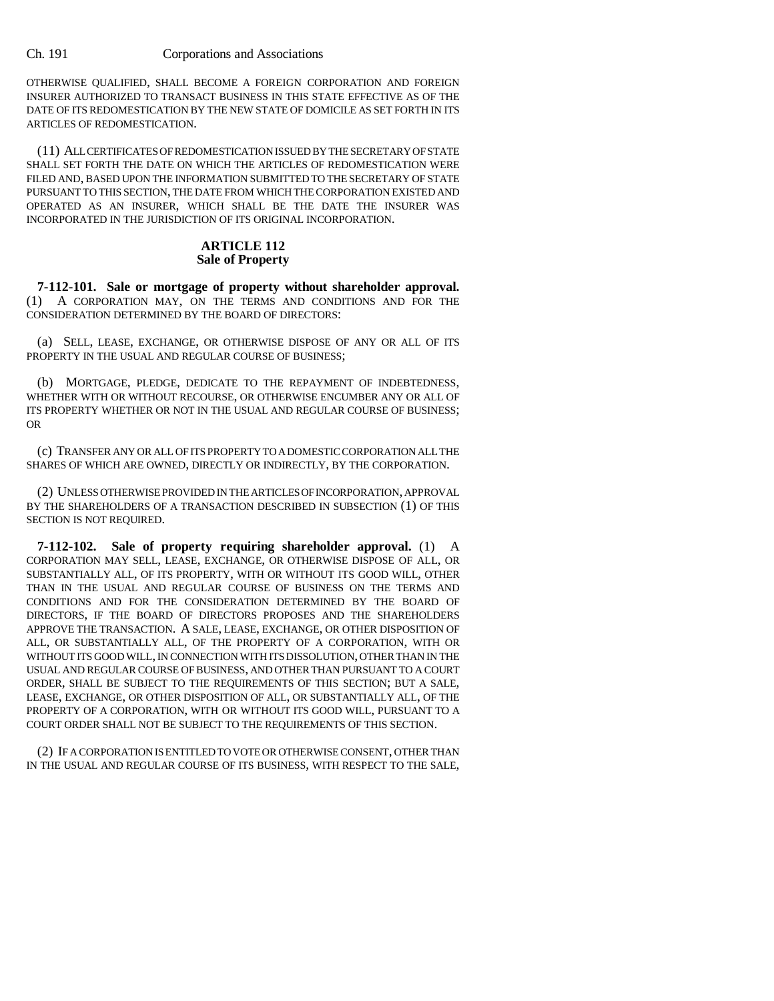#### Ch. 191 Corporations and Associations

OTHERWISE QUALIFIED, SHALL BECOME A FOREIGN CORPORATION AND FOREIGN INSURER AUTHORIZED TO TRANSACT BUSINESS IN THIS STATE EFFECTIVE AS OF THE DATE OF ITS REDOMESTICATION BY THE NEW STATE OF DOMICILE AS SET FORTH IN ITS ARTICLES OF REDOMESTICATION.

(11) ALL CERTIFICATES OF REDOMESTICATION ISSUED BY THE SECRETARY OF STATE SHALL SET FORTH THE DATE ON WHICH THE ARTICLES OF REDOMESTICATION WERE FILED AND, BASED UPON THE INFORMATION SUBMITTED TO THE SECRETARY OF STATE PURSUANT TO THIS SECTION, THE DATE FROM WHICH THE CORPORATION EXISTED AND OPERATED AS AN INSURER, WHICH SHALL BE THE DATE THE INSURER WAS INCORPORATED IN THE JURISDICTION OF ITS ORIGINAL INCORPORATION.

## **ARTICLE 112 Sale of Property**

**7-112-101. Sale or mortgage of property without shareholder approval.** (1) A CORPORATION MAY, ON THE TERMS AND CONDITIONS AND FOR THE CONSIDERATION DETERMINED BY THE BOARD OF DIRECTORS:

(a) SELL, LEASE, EXCHANGE, OR OTHERWISE DISPOSE OF ANY OR ALL OF ITS PROPERTY IN THE USUAL AND REGULAR COURSE OF BUSINESS;

(b) MORTGAGE, PLEDGE, DEDICATE TO THE REPAYMENT OF INDEBTEDNESS, WHETHER WITH OR WITHOUT RECOURSE, OR OTHERWISE ENCUMBER ANY OR ALL OF ITS PROPERTY WHETHER OR NOT IN THE USUAL AND REGULAR COURSE OF BUSINESS; OR

(c) TRANSFER ANY OR ALL OF ITS PROPERTY TO A DOMESTIC CORPORATION ALL THE SHARES OF WHICH ARE OWNED, DIRECTLY OR INDIRECTLY, BY THE CORPORATION.

(2) UNLESS OTHERWISE PROVIDED IN THE ARTICLES OF INCORPORATION, APPROVAL BY THE SHAREHOLDERS OF A TRANSACTION DESCRIBED IN SUBSECTION (1) OF THIS SECTION IS NOT REQUIRED.

**7-112-102. Sale of property requiring shareholder approval.** (1) A CORPORATION MAY SELL, LEASE, EXCHANGE, OR OTHERWISE DISPOSE OF ALL, OR SUBSTANTIALLY ALL, OF ITS PROPERTY, WITH OR WITHOUT ITS GOOD WILL, OTHER THAN IN THE USUAL AND REGULAR COURSE OF BUSINESS ON THE TERMS AND CONDITIONS AND FOR THE CONSIDERATION DETERMINED BY THE BOARD OF DIRECTORS, IF THE BOARD OF DIRECTORS PROPOSES AND THE SHAREHOLDERS APPROVE THE TRANSACTION. A SALE, LEASE, EXCHANGE, OR OTHER DISPOSITION OF ALL, OR SUBSTANTIALLY ALL, OF THE PROPERTY OF A CORPORATION, WITH OR WITHOUT ITS GOOD WILL, IN CONNECTION WITH ITS DISSOLUTION, OTHER THAN IN THE USUAL AND REGULAR COURSE OF BUSINESS, AND OTHER THAN PURSUANT TO A COURT ORDER, SHALL BE SUBJECT TO THE REQUIREMENTS OF THIS SECTION; BUT A SALE, LEASE, EXCHANGE, OR OTHER DISPOSITION OF ALL, OR SUBSTANTIALLY ALL, OF THE PROPERTY OF A CORPORATION, WITH OR WITHOUT ITS GOOD WILL, PURSUANT TO A COURT ORDER SHALL NOT BE SUBJECT TO THE REQUIREMENTS OF THIS SECTION.

(2) IF A CORPORATION IS ENTITLED TO VOTE OR OTHERWISE CONSENT, OTHER THAN IN THE USUAL AND REGULAR COURSE OF ITS BUSINESS, WITH RESPECT TO THE SALE,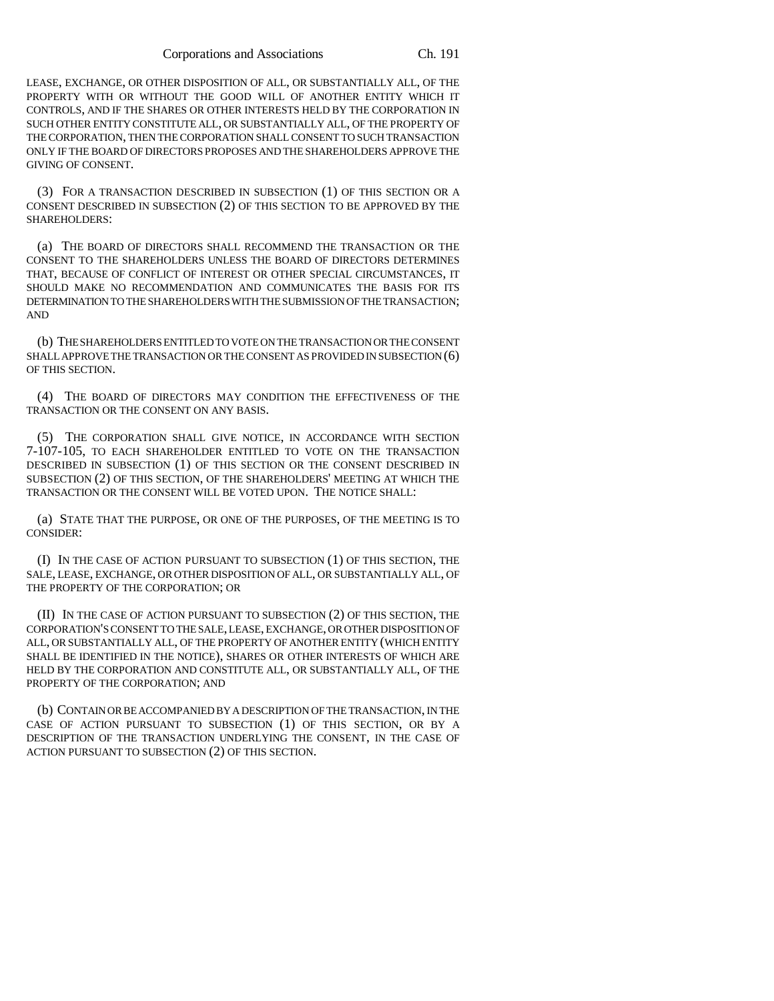LEASE, EXCHANGE, OR OTHER DISPOSITION OF ALL, OR SUBSTANTIALLY ALL, OF THE PROPERTY WITH OR WITHOUT THE GOOD WILL OF ANOTHER ENTITY WHICH IT CONTROLS, AND IF THE SHARES OR OTHER INTERESTS HELD BY THE CORPORATION IN SUCH OTHER ENTITY CONSTITUTE ALL, OR SUBSTANTIALLY ALL, OF THE PROPERTY OF THE CORPORATION, THEN THE CORPORATION SHALL CONSENT TO SUCH TRANSACTION ONLY IF THE BOARD OF DIRECTORS PROPOSES AND THE SHAREHOLDERS APPROVE THE GIVING OF CONSENT.

(3) FOR A TRANSACTION DESCRIBED IN SUBSECTION (1) OF THIS SECTION OR A CONSENT DESCRIBED IN SUBSECTION (2) OF THIS SECTION TO BE APPROVED BY THE SHAREHOLDERS:

(a) THE BOARD OF DIRECTORS SHALL RECOMMEND THE TRANSACTION OR THE CONSENT TO THE SHAREHOLDERS UNLESS THE BOARD OF DIRECTORS DETERMINES THAT, BECAUSE OF CONFLICT OF INTEREST OR OTHER SPECIAL CIRCUMSTANCES, IT SHOULD MAKE NO RECOMMENDATION AND COMMUNICATES THE BASIS FOR ITS DETERMINATION TO THE SHAREHOLDERS WITH THE SUBMISSION OF THE TRANSACTION; AND

(b) THE SHAREHOLDERS ENTITLED TO VOTE ON THE TRANSACTION OR THE CONSENT SHALL APPROVE THE TRANSACTION OR THE CONSENT AS PROVIDED IN SUBSECTION (6) OF THIS SECTION.

(4) THE BOARD OF DIRECTORS MAY CONDITION THE EFFECTIVENESS OF THE TRANSACTION OR THE CONSENT ON ANY BASIS.

(5) THE CORPORATION SHALL GIVE NOTICE, IN ACCORDANCE WITH SECTION 7-107-105, TO EACH SHAREHOLDER ENTITLED TO VOTE ON THE TRANSACTION DESCRIBED IN SUBSECTION (1) OF THIS SECTION OR THE CONSENT DESCRIBED IN SUBSECTION (2) OF THIS SECTION, OF THE SHAREHOLDERS' MEETING AT WHICH THE TRANSACTION OR THE CONSENT WILL BE VOTED UPON. THE NOTICE SHALL:

(a) STATE THAT THE PURPOSE, OR ONE OF THE PURPOSES, OF THE MEETING IS TO CONSIDER:

(I) IN THE CASE OF ACTION PURSUANT TO SUBSECTION (1) OF THIS SECTION, THE SALE, LEASE, EXCHANGE, OR OTHER DISPOSITION OF ALL, OR SUBSTANTIALLY ALL, OF THE PROPERTY OF THE CORPORATION; OR

(II) IN THE CASE OF ACTION PURSUANT TO SUBSECTION (2) OF THIS SECTION, THE CORPORATION'S CONSENT TO THE SALE, LEASE, EXCHANGE, OR OTHER DISPOSITION OF ALL, OR SUBSTANTIALLY ALL, OF THE PROPERTY OF ANOTHER ENTITY (WHICH ENTITY SHALL BE IDENTIFIED IN THE NOTICE), SHARES OR OTHER INTERESTS OF WHICH ARE HELD BY THE CORPORATION AND CONSTITUTE ALL, OR SUBSTANTIALLY ALL, OF THE PROPERTY OF THE CORPORATION; AND

(b) CONTAIN OR BE ACCOMPANIED BY A DESCRIPTION OF THE TRANSACTION, IN THE CASE OF ACTION PURSUANT TO SUBSECTION (1) OF THIS SECTION, OR BY A DESCRIPTION OF THE TRANSACTION UNDERLYING THE CONSENT, IN THE CASE OF ACTION PURSUANT TO SUBSECTION (2) OF THIS SECTION.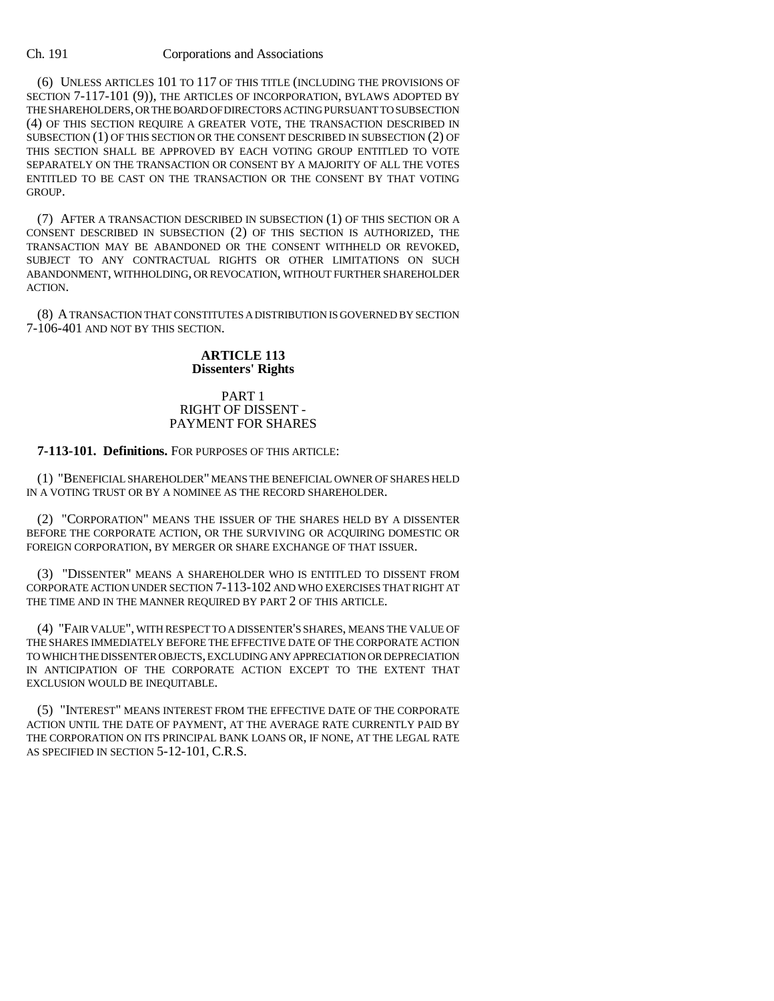#### Ch. 191 Corporations and Associations

(6) UNLESS ARTICLES 101 TO 117 OF THIS TITLE (INCLUDING THE PROVISIONS OF SECTION 7-117-101 (9)), THE ARTICLES OF INCORPORATION, BYLAWS ADOPTED BY THE SHAREHOLDERS, OR THE BOARD OF DIRECTORS ACTING PURSUANT TO SUBSECTION (4) OF THIS SECTION REQUIRE A GREATER VOTE, THE TRANSACTION DESCRIBED IN SUBSECTION (1) OF THIS SECTION OR THE CONSENT DESCRIBED IN SUBSECTION (2) OF THIS SECTION SHALL BE APPROVED BY EACH VOTING GROUP ENTITLED TO VOTE SEPARATELY ON THE TRANSACTION OR CONSENT BY A MAJORITY OF ALL THE VOTES ENTITLED TO BE CAST ON THE TRANSACTION OR THE CONSENT BY THAT VOTING GROUP.

(7) AFTER A TRANSACTION DESCRIBED IN SUBSECTION (1) OF THIS SECTION OR A CONSENT DESCRIBED IN SUBSECTION (2) OF THIS SECTION IS AUTHORIZED, THE TRANSACTION MAY BE ABANDONED OR THE CONSENT WITHHELD OR REVOKED, SUBJECT TO ANY CONTRACTUAL RIGHTS OR OTHER LIMITATIONS ON SUCH ABANDONMENT, WITHHOLDING, OR REVOCATION, WITHOUT FURTHER SHAREHOLDER ACTION.

(8) A TRANSACTION THAT CONSTITUTES A DISTRIBUTION IS GOVERNED BY SECTION 7-106-401 AND NOT BY THIS SECTION.

### **ARTICLE 113 Dissenters' Rights**

PART 1 RIGHT OF DISSENT - PAYMENT FOR SHARES

**7-113-101. Definitions.** FOR PURPOSES OF THIS ARTICLE:

(1) "BENEFICIAL SHAREHOLDER" MEANS THE BENEFICIAL OWNER OF SHARES HELD IN A VOTING TRUST OR BY A NOMINEE AS THE RECORD SHAREHOLDER.

(2) "CORPORATION" MEANS THE ISSUER OF THE SHARES HELD BY A DISSENTER BEFORE THE CORPORATE ACTION, OR THE SURVIVING OR ACQUIRING DOMESTIC OR FOREIGN CORPORATION, BY MERGER OR SHARE EXCHANGE OF THAT ISSUER.

(3) "DISSENTER" MEANS A SHAREHOLDER WHO IS ENTITLED TO DISSENT FROM CORPORATE ACTION UNDER SECTION 7-113-102 AND WHO EXERCISES THAT RIGHT AT THE TIME AND IN THE MANNER REQUIRED BY PART 2 OF THIS ARTICLE.

(4) "FAIR VALUE", WITH RESPECT TO A DISSENTER'S SHARES, MEANS THE VALUE OF THE SHARES IMMEDIATELY BEFORE THE EFFECTIVE DATE OF THE CORPORATE ACTION TO WHICH THE DISSENTER OBJECTS, EXCLUDING ANY APPRECIATION OR DEPRECIATION IN ANTICIPATION OF THE CORPORATE ACTION EXCEPT TO THE EXTENT THAT EXCLUSION WOULD BE INEQUITABLE.

(5) "INTEREST" MEANS INTEREST FROM THE EFFECTIVE DATE OF THE CORPORATE ACTION UNTIL THE DATE OF PAYMENT, AT THE AVERAGE RATE CURRENTLY PAID BY THE CORPORATION ON ITS PRINCIPAL BANK LOANS OR, IF NONE, AT THE LEGAL RATE AS SPECIFIED IN SECTION 5-12-101, C.R.S.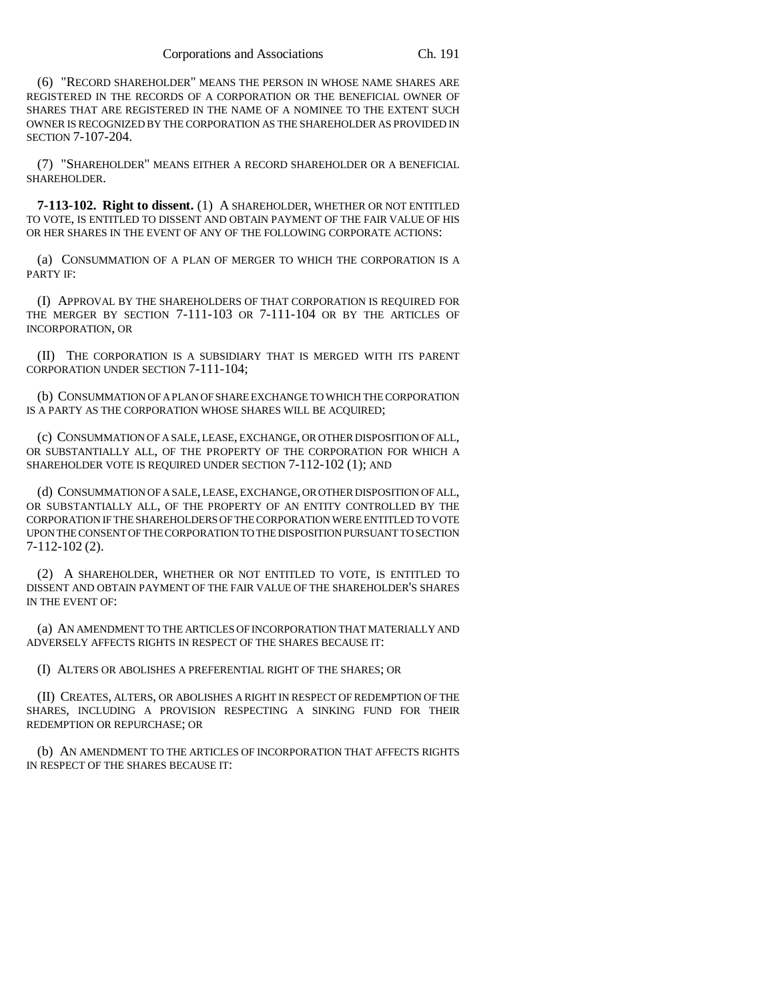(6) "RECORD SHAREHOLDER" MEANS THE PERSON IN WHOSE NAME SHARES ARE REGISTERED IN THE RECORDS OF A CORPORATION OR THE BENEFICIAL OWNER OF SHARES THAT ARE REGISTERED IN THE NAME OF A NOMINEE TO THE EXTENT SUCH OWNER IS RECOGNIZED BY THE CORPORATION AS THE SHAREHOLDER AS PROVIDED IN SECTION 7-107-204.

(7) "SHAREHOLDER" MEANS EITHER A RECORD SHAREHOLDER OR A BENEFICIAL SHAREHOLDER.

**7-113-102. Right to dissent.** (1) A SHAREHOLDER, WHETHER OR NOT ENTITLED TO VOTE, IS ENTITLED TO DISSENT AND OBTAIN PAYMENT OF THE FAIR VALUE OF HIS OR HER SHARES IN THE EVENT OF ANY OF THE FOLLOWING CORPORATE ACTIONS:

(a) CONSUMMATION OF A PLAN OF MERGER TO WHICH THE CORPORATION IS A PARTY IF:

(I) APPROVAL BY THE SHAREHOLDERS OF THAT CORPORATION IS REQUIRED FOR THE MERGER BY SECTION 7-111-103 OR 7-111-104 OR BY THE ARTICLES OF INCORPORATION, OR

(II) THE CORPORATION IS A SUBSIDIARY THAT IS MERGED WITH ITS PARENT CORPORATION UNDER SECTION 7-111-104;

(b) CONSUMMATION OF A PLAN OF SHARE EXCHANGE TO WHICH THE CORPORATION IS A PARTY AS THE CORPORATION WHOSE SHARES WILL BE ACQUIRED;

(c) CONSUMMATION OF A SALE, LEASE, EXCHANGE, OR OTHER DISPOSITION OF ALL, OR SUBSTANTIALLY ALL, OF THE PROPERTY OF THE CORPORATION FOR WHICH A SHAREHOLDER VOTE IS REQUIRED UNDER SECTION 7-112-102 (1); AND

(d) CONSUMMATION OF A SALE, LEASE, EXCHANGE, OR OTHER DISPOSITION OF ALL, OR SUBSTANTIALLY ALL, OF THE PROPERTY OF AN ENTITY CONTROLLED BY THE CORPORATION IF THE SHAREHOLDERS OF THE CORPORATION WERE ENTITLED TO VOTE UPON THE CONSENT OF THE CORPORATION TO THE DISPOSITION PURSUANT TO SECTION 7-112-102 (2).

(2) A SHAREHOLDER, WHETHER OR NOT ENTITLED TO VOTE, IS ENTITLED TO DISSENT AND OBTAIN PAYMENT OF THE FAIR VALUE OF THE SHAREHOLDER'S SHARES IN THE EVENT OF:

(a) AN AMENDMENT TO THE ARTICLES OF INCORPORATION THAT MATERIALLY AND ADVERSELY AFFECTS RIGHTS IN RESPECT OF THE SHARES BECAUSE IT:

(I) ALTERS OR ABOLISHES A PREFERENTIAL RIGHT OF THE SHARES; OR

(II) CREATES, ALTERS, OR ABOLISHES A RIGHT IN RESPECT OF REDEMPTION OF THE SHARES, INCLUDING A PROVISION RESPECTING A SINKING FUND FOR THEIR REDEMPTION OR REPURCHASE; OR

(b) AN AMENDMENT TO THE ARTICLES OF INCORPORATION THAT AFFECTS RIGHTS IN RESPECT OF THE SHARES BECAUSE IT: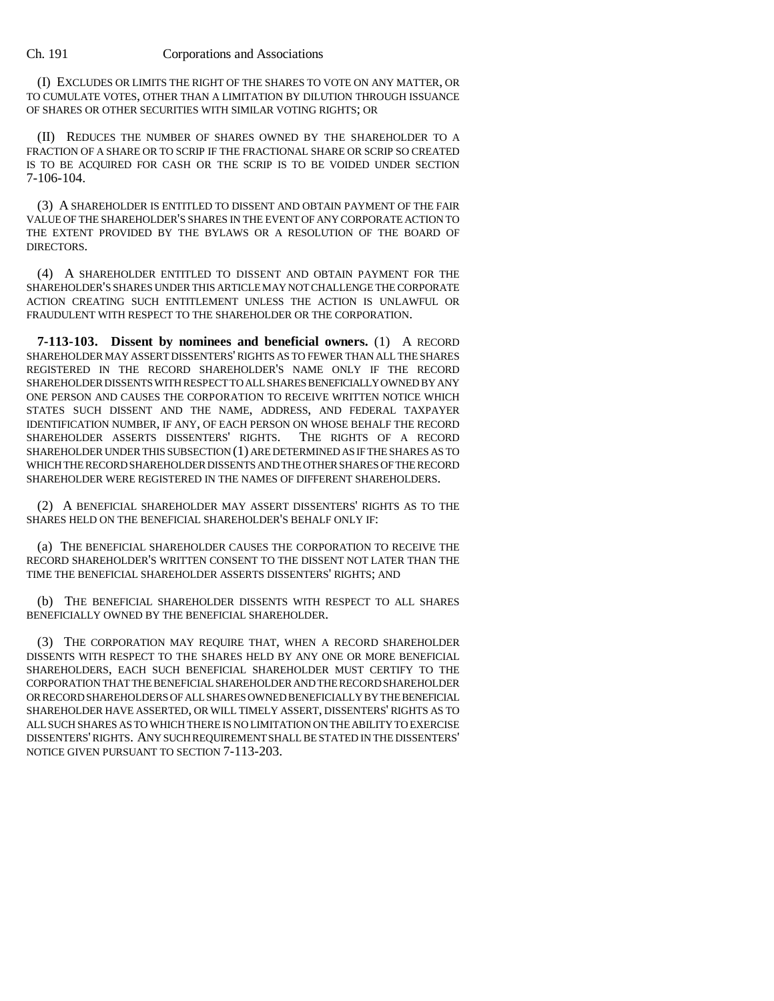#### Ch. 191 Corporations and Associations

(I) EXCLUDES OR LIMITS THE RIGHT OF THE SHARES TO VOTE ON ANY MATTER, OR TO CUMULATE VOTES, OTHER THAN A LIMITATION BY DILUTION THROUGH ISSUANCE OF SHARES OR OTHER SECURITIES WITH SIMILAR VOTING RIGHTS; OR

(II) REDUCES THE NUMBER OF SHARES OWNED BY THE SHAREHOLDER TO A FRACTION OF A SHARE OR TO SCRIP IF THE FRACTIONAL SHARE OR SCRIP SO CREATED IS TO BE ACQUIRED FOR CASH OR THE SCRIP IS TO BE VOIDED UNDER SECTION 7-106-104.

(3) A SHAREHOLDER IS ENTITLED TO DISSENT AND OBTAIN PAYMENT OF THE FAIR VALUE OF THE SHAREHOLDER'S SHARES IN THE EVENT OF ANY CORPORATE ACTION TO THE EXTENT PROVIDED BY THE BYLAWS OR A RESOLUTION OF THE BOARD OF DIRECTORS.

(4) A SHAREHOLDER ENTITLED TO DISSENT AND OBTAIN PAYMENT FOR THE SHAREHOLDER'S SHARES UNDER THIS ARTICLE MAY NOT CHALLENGE THE CORPORATE ACTION CREATING SUCH ENTITLEMENT UNLESS THE ACTION IS UNLAWFUL OR FRAUDULENT WITH RESPECT TO THE SHAREHOLDER OR THE CORPORATION.

**7-113-103. Dissent by nominees and beneficial owners.** (1) A RECORD SHAREHOLDER MAY ASSERT DISSENTERS' RIGHTS AS TO FEWER THAN ALL THE SHARES REGISTERED IN THE RECORD SHAREHOLDER'S NAME ONLY IF THE RECORD SHAREHOLDER DISSENTS WITH RESPECT TO ALL SHARES BENEFICIALLY OWNED BY ANY ONE PERSON AND CAUSES THE CORPORATION TO RECEIVE WRITTEN NOTICE WHICH STATES SUCH DISSENT AND THE NAME, ADDRESS, AND FEDERAL TAXPAYER IDENTIFICATION NUMBER, IF ANY, OF EACH PERSON ON WHOSE BEHALF THE RECORD SHAREHOLDER ASSERTS DISSENTERS' RIGHTS. SHAREHOLDER UNDER THIS SUBSECTION (1) ARE DETERMINED AS IF THE SHARES AS TO WHICH THE RECORD SHAREHOLDER DISSENTS AND THE OTHER SHARES OF THE RECORD SHAREHOLDER WERE REGISTERED IN THE NAMES OF DIFFERENT SHAREHOLDERS.

(2) A BENEFICIAL SHAREHOLDER MAY ASSERT DISSENTERS' RIGHTS AS TO THE SHARES HELD ON THE BENEFICIAL SHAREHOLDER'S BEHALF ONLY IF:

(a) THE BENEFICIAL SHAREHOLDER CAUSES THE CORPORATION TO RECEIVE THE RECORD SHAREHOLDER'S WRITTEN CONSENT TO THE DISSENT NOT LATER THAN THE TIME THE BENEFICIAL SHAREHOLDER ASSERTS DISSENTERS' RIGHTS; AND

(b) THE BENEFICIAL SHAREHOLDER DISSENTS WITH RESPECT TO ALL SHARES BENEFICIALLY OWNED BY THE BENEFICIAL SHAREHOLDER.

(3) THE CORPORATION MAY REQUIRE THAT, WHEN A RECORD SHAREHOLDER DISSENTS WITH RESPECT TO THE SHARES HELD BY ANY ONE OR MORE BENEFICIAL SHAREHOLDERS, EACH SUCH BENEFICIAL SHAREHOLDER MUST CERTIFY TO THE CORPORATION THAT THE BENEFICIAL SHAREHOLDER AND THE RECORD SHAREHOLDER OR RECORD SHAREHOLDERS OF ALL SHARES OWNED BENEFICIALLY BY THE BENEFICIAL SHAREHOLDER HAVE ASSERTED, OR WILL TIMELY ASSERT, DISSENTERS' RIGHTS AS TO ALL SUCH SHARES AS TO WHICH THERE IS NO LIMITATION ON THE ABILITY TO EXERCISE DISSENTERS' RIGHTS. ANY SUCH REQUIREMENT SHALL BE STATED IN THE DISSENTERS' NOTICE GIVEN PURSUANT TO SECTION 7-113-203.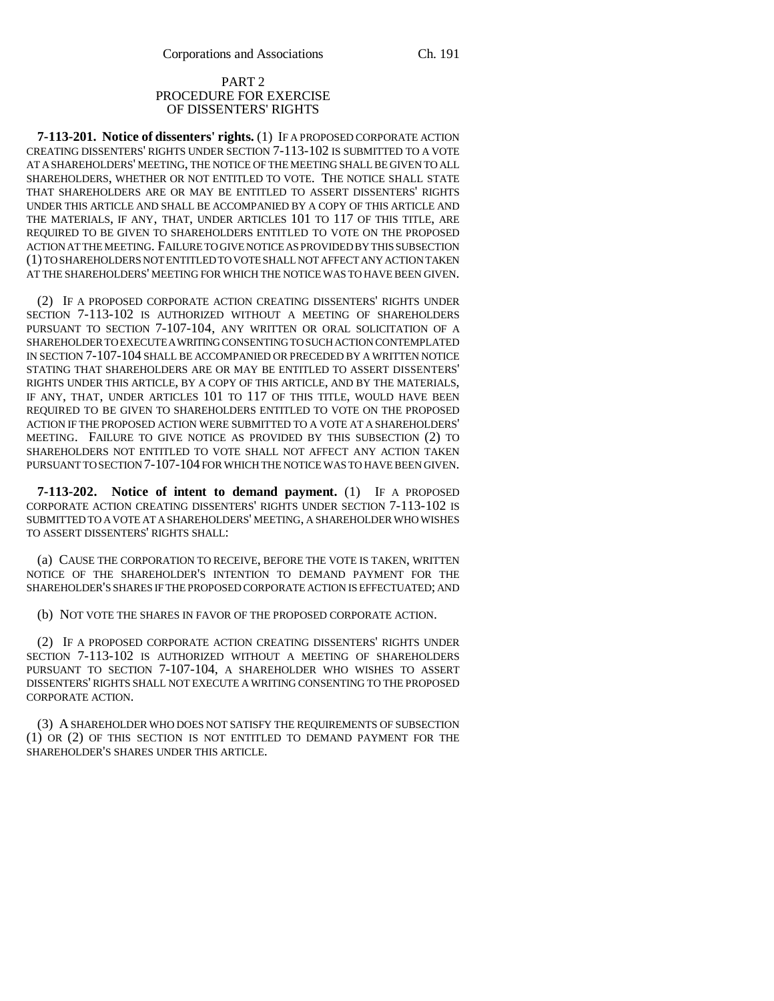#### PART 2 PROCEDURE FOR EXERCISE OF DISSENTERS' RIGHTS

**7-113-201. Notice of dissenters' rights.** (1) IF A PROPOSED CORPORATE ACTION CREATING DISSENTERS' RIGHTS UNDER SECTION 7-113-102 IS SUBMITTED TO A VOTE AT A SHAREHOLDERS' MEETING, THE NOTICE OF THE MEETING SHALL BE GIVEN TO ALL SHAREHOLDERS, WHETHER OR NOT ENTITLED TO VOTE. THE NOTICE SHALL STATE THAT SHAREHOLDERS ARE OR MAY BE ENTITLED TO ASSERT DISSENTERS' RIGHTS UNDER THIS ARTICLE AND SHALL BE ACCOMPANIED BY A COPY OF THIS ARTICLE AND THE MATERIALS, IF ANY, THAT, UNDER ARTICLES 101 TO 117 OF THIS TITLE, ARE REQUIRED TO BE GIVEN TO SHAREHOLDERS ENTITLED TO VOTE ON THE PROPOSED ACTION AT THE MEETING. FAILURE TO GIVE NOTICE AS PROVIDED BY THIS SUBSECTION (1) TO SHAREHOLDERS NOT ENTITLED TO VOTE SHALL NOT AFFECT ANY ACTION TAKEN AT THE SHAREHOLDERS' MEETING FOR WHICH THE NOTICE WAS TO HAVE BEEN GIVEN.

(2) IF A PROPOSED CORPORATE ACTION CREATING DISSENTERS' RIGHTS UNDER SECTION 7-113-102 IS AUTHORIZED WITHOUT A MEETING OF SHAREHOLDERS PURSUANT TO SECTION 7-107-104, ANY WRITTEN OR ORAL SOLICITATION OF A SHAREHOLDER TO EXECUTE A WRITING CONSENTING TO SUCH ACTION CONTEMPLATED IN SECTION 7-107-104 SHALL BE ACCOMPANIED OR PRECEDED BY A WRITTEN NOTICE STATING THAT SHAREHOLDERS ARE OR MAY BE ENTITLED TO ASSERT DISSENTERS' RIGHTS UNDER THIS ARTICLE, BY A COPY OF THIS ARTICLE, AND BY THE MATERIALS, IF ANY, THAT, UNDER ARTICLES 101 TO 117 OF THIS TITLE, WOULD HAVE BEEN REQUIRED TO BE GIVEN TO SHAREHOLDERS ENTITLED TO VOTE ON THE PROPOSED ACTION IF THE PROPOSED ACTION WERE SUBMITTED TO A VOTE AT A SHAREHOLDERS' MEETING. FAILURE TO GIVE NOTICE AS PROVIDED BY THIS SUBSECTION (2) TO SHAREHOLDERS NOT ENTITLED TO VOTE SHALL NOT AFFECT ANY ACTION TAKEN PURSUANT TO SECTION 7-107-104 FOR WHICH THE NOTICE WAS TO HAVE BEEN GIVEN.

**7-113-202. Notice of intent to demand payment.** (1) IF A PROPOSED CORPORATE ACTION CREATING DISSENTERS' RIGHTS UNDER SECTION 7-113-102 IS SUBMITTED TO A VOTE AT A SHAREHOLDERS' MEETING, A SHAREHOLDER WHO WISHES TO ASSERT DISSENTERS' RIGHTS SHALL:

(a) CAUSE THE CORPORATION TO RECEIVE, BEFORE THE VOTE IS TAKEN, WRITTEN NOTICE OF THE SHAREHOLDER'S INTENTION TO DEMAND PAYMENT FOR THE SHAREHOLDER'S SHARES IF THE PROPOSED CORPORATE ACTION IS EFFECTUATED; AND

(b) NOT VOTE THE SHARES IN FAVOR OF THE PROPOSED CORPORATE ACTION.

(2) IF A PROPOSED CORPORATE ACTION CREATING DISSENTERS' RIGHTS UNDER SECTION 7-113-102 IS AUTHORIZED WITHOUT A MEETING OF SHAREHOLDERS PURSUANT TO SECTION 7-107-104, A SHAREHOLDER WHO WISHES TO ASSERT DISSENTERS' RIGHTS SHALL NOT EXECUTE A WRITING CONSENTING TO THE PROPOSED CORPORATE ACTION.

(3) A SHAREHOLDER WHO DOES NOT SATISFY THE REQUIREMENTS OF SUBSECTION (1) OR (2) OF THIS SECTION IS NOT ENTITLED TO DEMAND PAYMENT FOR THE SHAREHOLDER'S SHARES UNDER THIS ARTICLE.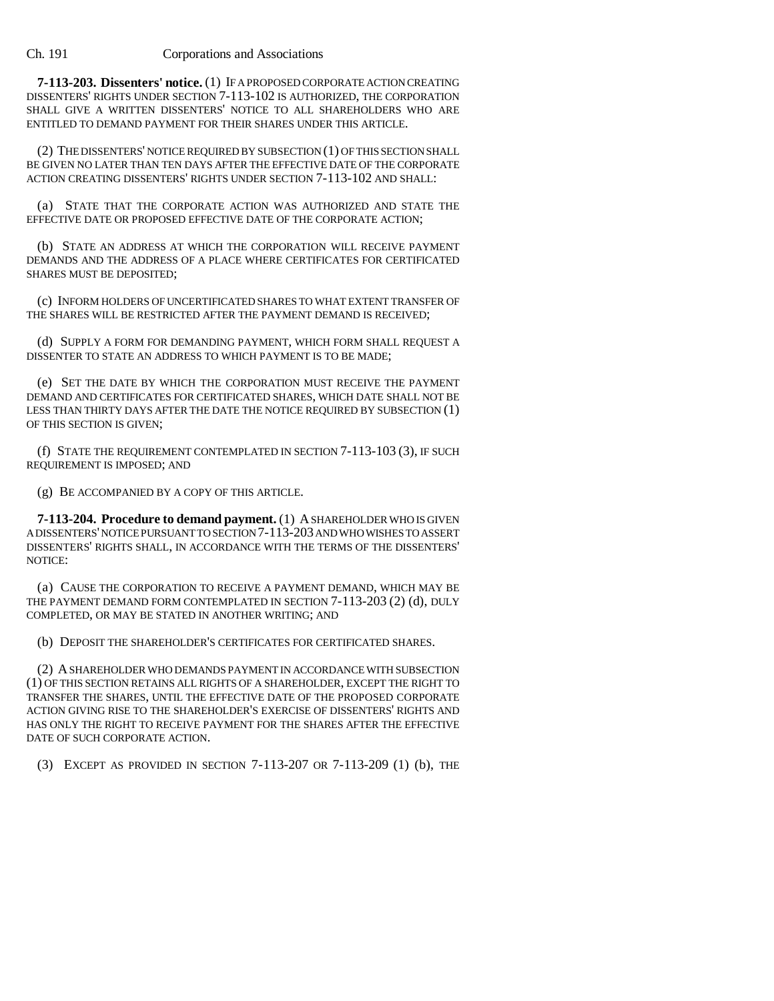**7-113-203. Dissenters' notice.** (1) IF A PROPOSED CORPORATE ACTION CREATING DISSENTERS' RIGHTS UNDER SECTION 7-113-102 IS AUTHORIZED, THE CORPORATION SHALL GIVE A WRITTEN DISSENTERS' NOTICE TO ALL SHAREHOLDERS WHO ARE ENTITLED TO DEMAND PAYMENT FOR THEIR SHARES UNDER THIS ARTICLE.

(2) THE DISSENTERS' NOTICE REQUIRED BY SUBSECTION (1) OF THIS SECTION SHALL BE GIVEN NO LATER THAN TEN DAYS AFTER THE EFFECTIVE DATE OF THE CORPORATE ACTION CREATING DISSENTERS' RIGHTS UNDER SECTION 7-113-102 AND SHALL:

(a) STATE THAT THE CORPORATE ACTION WAS AUTHORIZED AND STATE THE EFFECTIVE DATE OR PROPOSED EFFECTIVE DATE OF THE CORPORATE ACTION;

(b) STATE AN ADDRESS AT WHICH THE CORPORATION WILL RECEIVE PAYMENT DEMANDS AND THE ADDRESS OF A PLACE WHERE CERTIFICATES FOR CERTIFICATED SHARES MUST BE DEPOSITED;

(c) INFORM HOLDERS OF UNCERTIFICATED SHARES TO WHAT EXTENT TRANSFER OF THE SHARES WILL BE RESTRICTED AFTER THE PAYMENT DEMAND IS RECEIVED;

(d) SUPPLY A FORM FOR DEMANDING PAYMENT, WHICH FORM SHALL REQUEST A DISSENTER TO STATE AN ADDRESS TO WHICH PAYMENT IS TO BE MADE;

(e) SET THE DATE BY WHICH THE CORPORATION MUST RECEIVE THE PAYMENT DEMAND AND CERTIFICATES FOR CERTIFICATED SHARES, WHICH DATE SHALL NOT BE LESS THAN THIRTY DAYS AFTER THE DATE THE NOTICE REQUIRED BY SUBSECTION (1) OF THIS SECTION IS GIVEN;

(f) STATE THE REQUIREMENT CONTEMPLATED IN SECTION 7-113-103 (3), IF SUCH REQUIREMENT IS IMPOSED; AND

(g) BE ACCOMPANIED BY A COPY OF THIS ARTICLE.

**7-113-204. Procedure to demand payment.** (1) A SHAREHOLDER WHO IS GIVEN A DISSENTERS' NOTICE PURSUANT TO SECTION 7-113-203 AND WHO WISHES TO ASSERT DISSENTERS' RIGHTS SHALL, IN ACCORDANCE WITH THE TERMS OF THE DISSENTERS' NOTICE:

(a) CAUSE THE CORPORATION TO RECEIVE A PAYMENT DEMAND, WHICH MAY BE THE PAYMENT DEMAND FORM CONTEMPLATED IN SECTION 7-113-203 (2) (d), DULY COMPLETED, OR MAY BE STATED IN ANOTHER WRITING; AND

(b) DEPOSIT THE SHAREHOLDER'S CERTIFICATES FOR CERTIFICATED SHARES.

(2) A SHAREHOLDER WHO DEMANDS PAYMENT IN ACCORDANCE WITH SUBSECTION (1) OF THIS SECTION RETAINS ALL RIGHTS OF A SHAREHOLDER, EXCEPT THE RIGHT TO TRANSFER THE SHARES, UNTIL THE EFFECTIVE DATE OF THE PROPOSED CORPORATE ACTION GIVING RISE TO THE SHAREHOLDER'S EXERCISE OF DISSENTERS' RIGHTS AND HAS ONLY THE RIGHT TO RECEIVE PAYMENT FOR THE SHARES AFTER THE EFFECTIVE DATE OF SUCH CORPORATE ACTION.

(3) EXCEPT AS PROVIDED IN SECTION 7-113-207 OR 7-113-209 (1) (b), THE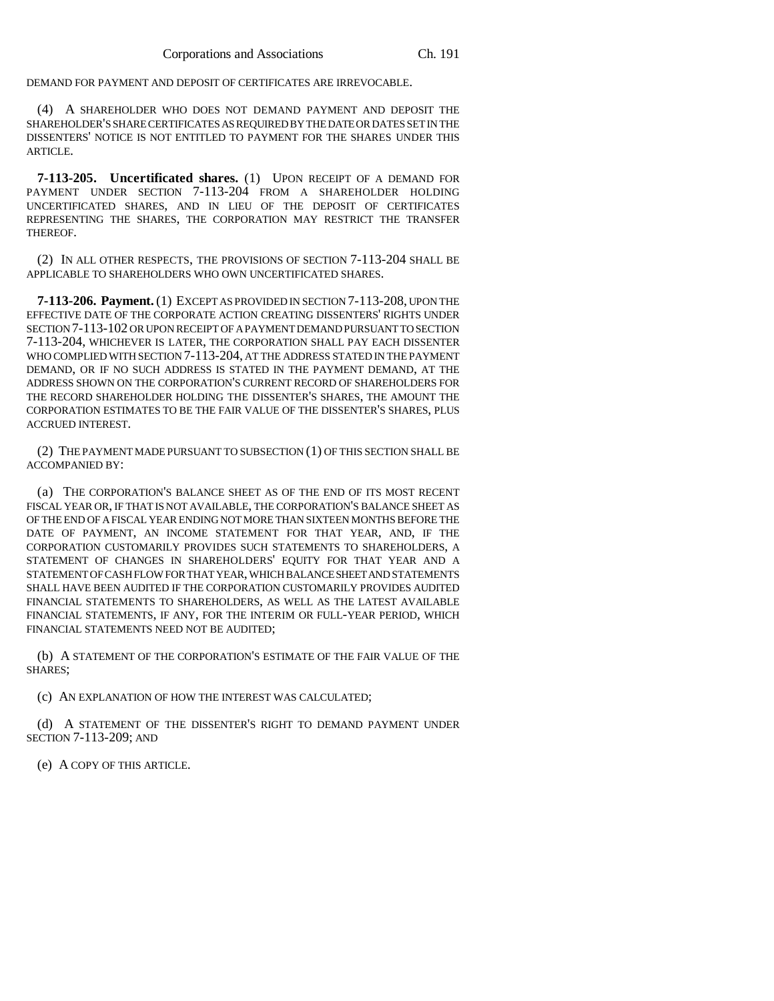DEMAND FOR PAYMENT AND DEPOSIT OF CERTIFICATES ARE IRREVOCABLE.

(4) A SHAREHOLDER WHO DOES NOT DEMAND PAYMENT AND DEPOSIT THE SHAREHOLDER'S SHARE CERTIFICATES AS REQUIRED BY THE DATE OR DATES SET IN THE DISSENTERS' NOTICE IS NOT ENTITLED TO PAYMENT FOR THE SHARES UNDER THIS ARTICLE.

**7-113-205. Uncertificated shares.** (1) UPON RECEIPT OF A DEMAND FOR PAYMENT UNDER SECTION 7-113-204 FROM A SHAREHOLDER HOLDING UNCERTIFICATED SHARES, AND IN LIEU OF THE DEPOSIT OF CERTIFICATES REPRESENTING THE SHARES, THE CORPORATION MAY RESTRICT THE TRANSFER THEREOF.

(2) IN ALL OTHER RESPECTS, THE PROVISIONS OF SECTION 7-113-204 SHALL BE APPLICABLE TO SHAREHOLDERS WHO OWN UNCERTIFICATED SHARES.

**7-113-206. Payment.** (1) EXCEPT AS PROVIDED IN SECTION 7-113-208, UPON THE EFFECTIVE DATE OF THE CORPORATE ACTION CREATING DISSENTERS' RIGHTS UNDER SECTION 7-113-102 OR UPON RECEIPT OF A PAYMENT DEMAND PURSUANT TO SECTION 7-113-204, WHICHEVER IS LATER, THE CORPORATION SHALL PAY EACH DISSENTER WHO COMPLIED WITH SECTION 7-113-204, AT THE ADDRESS STATED IN THE PAYMENT DEMAND, OR IF NO SUCH ADDRESS IS STATED IN THE PAYMENT DEMAND, AT THE ADDRESS SHOWN ON THE CORPORATION'S CURRENT RECORD OF SHAREHOLDERS FOR THE RECORD SHAREHOLDER HOLDING THE DISSENTER'S SHARES, THE AMOUNT THE CORPORATION ESTIMATES TO BE THE FAIR VALUE OF THE DISSENTER'S SHARES, PLUS ACCRUED INTEREST.

(2) THE PAYMENT MADE PURSUANT TO SUBSECTION (1) OF THIS SECTION SHALL BE ACCOMPANIED BY:

(a) THE CORPORATION'S BALANCE SHEET AS OF THE END OF ITS MOST RECENT FISCAL YEAR OR, IF THAT IS NOT AVAILABLE, THE CORPORATION'S BALANCE SHEET AS OF THE END OF A FISCAL YEAR ENDING NOT MORE THAN SIXTEEN MONTHS BEFORE THE DATE OF PAYMENT, AN INCOME STATEMENT FOR THAT YEAR, AND, IF THE CORPORATION CUSTOMARILY PROVIDES SUCH STATEMENTS TO SHAREHOLDERS, A STATEMENT OF CHANGES IN SHAREHOLDERS' EQUITY FOR THAT YEAR AND A STATEMENT OF CASH FLOW FOR THAT YEAR, WHICH BALANCE SHEET AND STATEMENTS SHALL HAVE BEEN AUDITED IF THE CORPORATION CUSTOMARILY PROVIDES AUDITED FINANCIAL STATEMENTS TO SHAREHOLDERS, AS WELL AS THE LATEST AVAILABLE FINANCIAL STATEMENTS, IF ANY, FOR THE INTERIM OR FULL-YEAR PERIOD, WHICH FINANCIAL STATEMENTS NEED NOT BE AUDITED;

(b) A STATEMENT OF THE CORPORATION'S ESTIMATE OF THE FAIR VALUE OF THE SHARES;

(c) AN EXPLANATION OF HOW THE INTEREST WAS CALCULATED;

(d) A STATEMENT OF THE DISSENTER'S RIGHT TO DEMAND PAYMENT UNDER SECTION 7-113-209; AND

(e) A COPY OF THIS ARTICLE.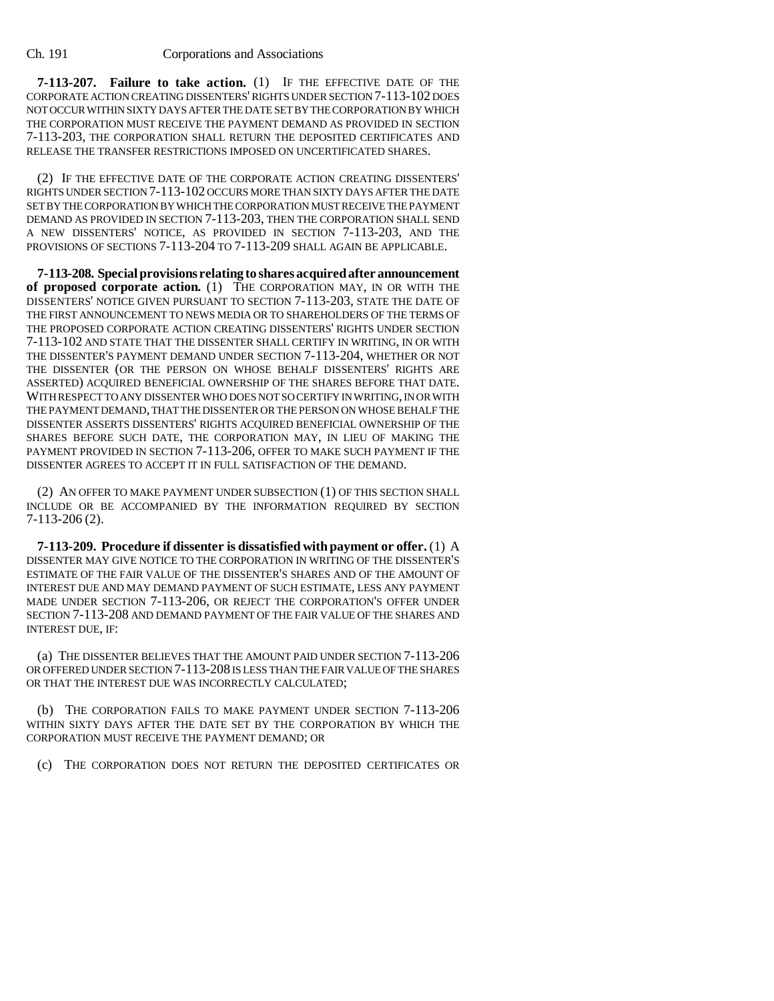**7-113-207. Failure to take action.** (1) IF THE EFFECTIVE DATE OF THE CORPORATE ACTION CREATING DISSENTERS' RIGHTS UNDER SECTION 7-113-102 DOES NOT OCCUR WITHIN SIXTY DAYS AFTER THE DATE SET BY THE CORPORATION BY WHICH THE CORPORATION MUST RECEIVE THE PAYMENT DEMAND AS PROVIDED IN SECTION 7-113-203, THE CORPORATION SHALL RETURN THE DEPOSITED CERTIFICATES AND RELEASE THE TRANSFER RESTRICTIONS IMPOSED ON UNCERTIFICATED SHARES.

(2) IF THE EFFECTIVE DATE OF THE CORPORATE ACTION CREATING DISSENTERS' RIGHTS UNDER SECTION 7-113-102 OCCURS MORE THAN SIXTY DAYS AFTER THE DATE SET BY THE CORPORATION BY WHICH THE CORPORATION MUST RECEIVE THE PAYMENT DEMAND AS PROVIDED IN SECTION 7-113-203, THEN THE CORPORATION SHALL SEND A NEW DISSENTERS' NOTICE, AS PROVIDED IN SECTION 7-113-203, AND THE PROVISIONS OF SECTIONS 7-113-204 TO 7-113-209 SHALL AGAIN BE APPLICABLE.

**7-113-208. Special provisions relating to shares acquired after announcement of proposed corporate action.** (1) THE CORPORATION MAY, IN OR WITH THE DISSENTERS' NOTICE GIVEN PURSUANT TO SECTION 7-113-203, STATE THE DATE OF THE FIRST ANNOUNCEMENT TO NEWS MEDIA OR TO SHAREHOLDERS OF THE TERMS OF THE PROPOSED CORPORATE ACTION CREATING DISSENTERS' RIGHTS UNDER SECTION 7-113-102 AND STATE THAT THE DISSENTER SHALL CERTIFY IN WRITING, IN OR WITH THE DISSENTER'S PAYMENT DEMAND UNDER SECTION 7-113-204, WHETHER OR NOT THE DISSENTER (OR THE PERSON ON WHOSE BEHALF DISSENTERS' RIGHTS ARE ASSERTED) ACQUIRED BENEFICIAL OWNERSHIP OF THE SHARES BEFORE THAT DATE. WITH RESPECT TO ANY DISSENTER WHO DOES NOT SO CERTIFY IN WRITING, IN OR WITH THE PAYMENT DEMAND, THAT THE DISSENTER OR THE PERSON ON WHOSE BEHALF THE DISSENTER ASSERTS DISSENTERS' RIGHTS ACQUIRED BENEFICIAL OWNERSHIP OF THE SHARES BEFORE SUCH DATE, THE CORPORATION MAY, IN LIEU OF MAKING THE PAYMENT PROVIDED IN SECTION 7-113-206, OFFER TO MAKE SUCH PAYMENT IF THE DISSENTER AGREES TO ACCEPT IT IN FULL SATISFACTION OF THE DEMAND.

(2) AN OFFER TO MAKE PAYMENT UNDER SUBSECTION (1) OF THIS SECTION SHALL INCLUDE OR BE ACCOMPANIED BY THE INFORMATION REQUIRED BY SECTION 7-113-206 (2).

**7-113-209. Procedure if dissenter is dissatisfied with payment or offer.** (1) A DISSENTER MAY GIVE NOTICE TO THE CORPORATION IN WRITING OF THE DISSENTER'S ESTIMATE OF THE FAIR VALUE OF THE DISSENTER'S SHARES AND OF THE AMOUNT OF INTEREST DUE AND MAY DEMAND PAYMENT OF SUCH ESTIMATE, LESS ANY PAYMENT MADE UNDER SECTION 7-113-206, OR REJECT THE CORPORATION'S OFFER UNDER SECTION 7-113-208 AND DEMAND PAYMENT OF THE FAIR VALUE OF THE SHARES AND INTEREST DUE, IF:

(a) THE DISSENTER BELIEVES THAT THE AMOUNT PAID UNDER SECTION 7-113-206 OR OFFERED UNDER SECTION 7-113-208 IS LESS THAN THE FAIR VALUE OF THE SHARES OR THAT THE INTEREST DUE WAS INCORRECTLY CALCULATED;

(b) THE CORPORATION FAILS TO MAKE PAYMENT UNDER SECTION 7-113-206 WITHIN SIXTY DAYS AFTER THE DATE SET BY THE CORPORATION BY WHICH THE CORPORATION MUST RECEIVE THE PAYMENT DEMAND; OR

(c) THE CORPORATION DOES NOT RETURN THE DEPOSITED CERTIFICATES OR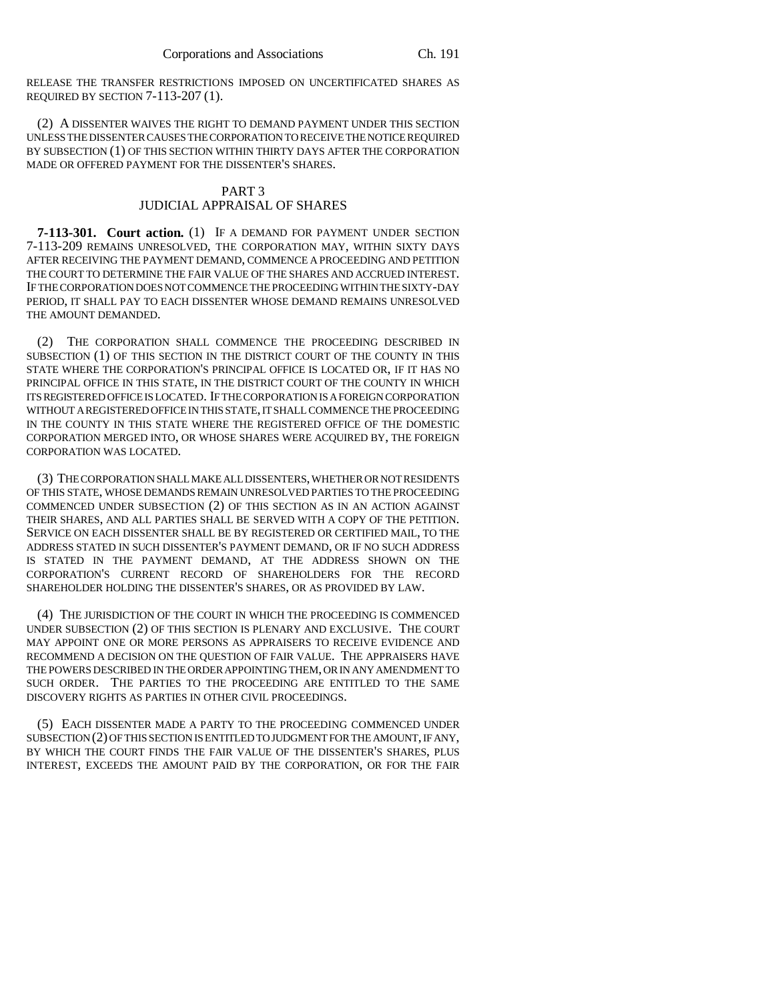RELEASE THE TRANSFER RESTRICTIONS IMPOSED ON UNCERTIFICATED SHARES AS REQUIRED BY SECTION 7-113-207 (1).

(2) A DISSENTER WAIVES THE RIGHT TO DEMAND PAYMENT UNDER THIS SECTION UNLESS THE DISSENTER CAUSES THE CORPORATION TO RECEIVE THE NOTICE REQUIRED BY SUBSECTION (1) OF THIS SECTION WITHIN THIRTY DAYS AFTER THE CORPORATION MADE OR OFFERED PAYMENT FOR THE DISSENTER'S SHARES.

# PART 3 JUDICIAL APPRAISAL OF SHARES

**7-113-301. Court action.** (1) IF A DEMAND FOR PAYMENT UNDER SECTION 7-113-209 REMAINS UNRESOLVED, THE CORPORATION MAY, WITHIN SIXTY DAYS AFTER RECEIVING THE PAYMENT DEMAND, COMMENCE A PROCEEDING AND PETITION THE COURT TO DETERMINE THE FAIR VALUE OF THE SHARES AND ACCRUED INTEREST. IF THE CORPORATION DOES NOT COMMENCE THE PROCEEDING WITHIN THE SIXTY-DAY PERIOD, IT SHALL PAY TO EACH DISSENTER WHOSE DEMAND REMAINS UNRESOLVED THE AMOUNT DEMANDED.

(2) THE CORPORATION SHALL COMMENCE THE PROCEEDING DESCRIBED IN SUBSECTION (1) OF THIS SECTION IN THE DISTRICT COURT OF THE COUNTY IN THIS STATE WHERE THE CORPORATION'S PRINCIPAL OFFICE IS LOCATED OR, IF IT HAS NO PRINCIPAL OFFICE IN THIS STATE, IN THE DISTRICT COURT OF THE COUNTY IN WHICH ITS REGISTERED OFFICE IS LOCATED. IF THE CORPORATION IS A FOREIGN CORPORATION WITHOUT A REGISTERED OFFICE IN THIS STATE, IT SHALL COMMENCE THE PROCEEDING IN THE COUNTY IN THIS STATE WHERE THE REGISTERED OFFICE OF THE DOMESTIC CORPORATION MERGED INTO, OR WHOSE SHARES WERE ACQUIRED BY, THE FOREIGN CORPORATION WAS LOCATED.

(3) THE CORPORATION SHALL MAKE ALL DISSENTERS, WHETHER OR NOT RESIDENTS OF THIS STATE, WHOSE DEMANDS REMAIN UNRESOLVED PARTIES TO THE PROCEEDING COMMENCED UNDER SUBSECTION (2) OF THIS SECTION AS IN AN ACTION AGAINST THEIR SHARES, AND ALL PARTIES SHALL BE SERVED WITH A COPY OF THE PETITION. SERVICE ON EACH DISSENTER SHALL BE BY REGISTERED OR CERTIFIED MAIL, TO THE ADDRESS STATED IN SUCH DISSENTER'S PAYMENT DEMAND, OR IF NO SUCH ADDRESS IS STATED IN THE PAYMENT DEMAND, AT THE ADDRESS SHOWN ON THE CORPORATION'S CURRENT RECORD OF SHAREHOLDERS FOR THE RECORD SHAREHOLDER HOLDING THE DISSENTER'S SHARES, OR AS PROVIDED BY LAW.

(4) THE JURISDICTION OF THE COURT IN WHICH THE PROCEEDING IS COMMENCED UNDER SUBSECTION (2) OF THIS SECTION IS PLENARY AND EXCLUSIVE. THE COURT MAY APPOINT ONE OR MORE PERSONS AS APPRAISERS TO RECEIVE EVIDENCE AND RECOMMEND A DECISION ON THE QUESTION OF FAIR VALUE. THE APPRAISERS HAVE THE POWERS DESCRIBED IN THE ORDER APPOINTING THEM, OR IN ANY AMENDMENT TO SUCH ORDER. THE PARTIES TO THE PROCEEDING ARE ENTITLED TO THE SAME DISCOVERY RIGHTS AS PARTIES IN OTHER CIVIL PROCEEDINGS.

(5) EACH DISSENTER MADE A PARTY TO THE PROCEEDING COMMENCED UNDER SUBSECTION (2) OF THIS SECTION IS ENTITLED TO JUDGMENT FOR THE AMOUNT, IF ANY, BY WHICH THE COURT FINDS THE FAIR VALUE OF THE DISSENTER'S SHARES, PLUS INTEREST, EXCEEDS THE AMOUNT PAID BY THE CORPORATION, OR FOR THE FAIR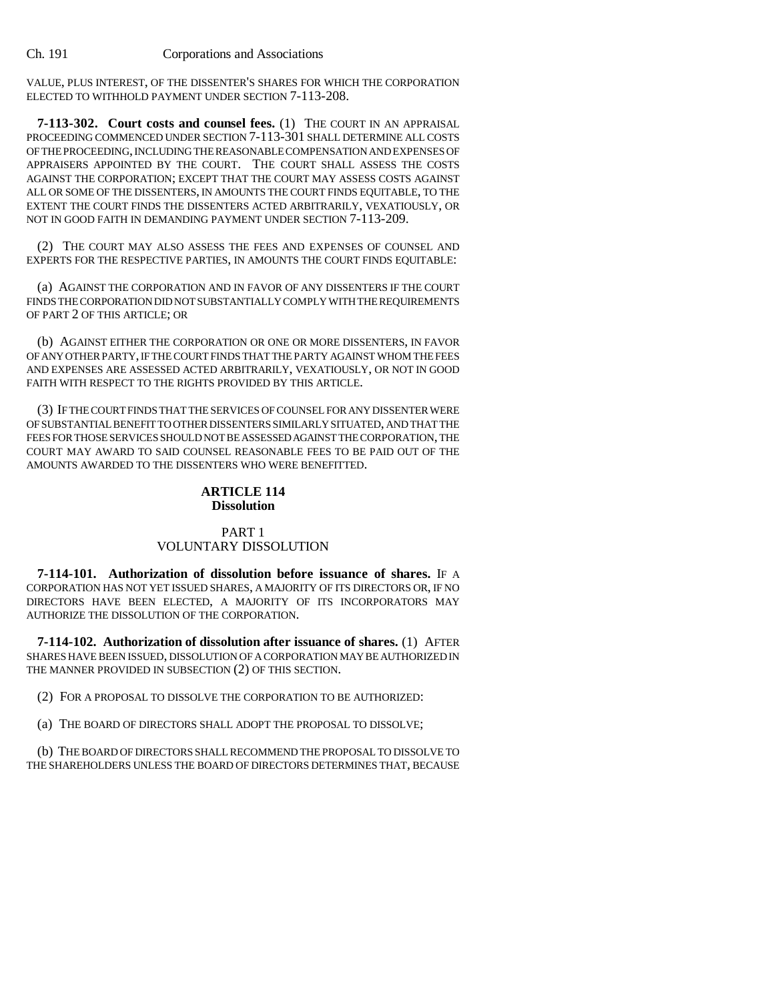VALUE, PLUS INTEREST, OF THE DISSENTER'S SHARES FOR WHICH THE CORPORATION ELECTED TO WITHHOLD PAYMENT UNDER SECTION 7-113-208.

**7-113-302. Court costs and counsel fees.** (1) THE COURT IN AN APPRAISAL PROCEEDING COMMENCED UNDER SECTION 7-113-301 SHALL DETERMINE ALL COSTS OF THE PROCEEDING, INCLUDING THE REASONABLE COMPENSATION AND EXPENSES OF APPRAISERS APPOINTED BY THE COURT. THE COURT SHALL ASSESS THE COSTS AGAINST THE CORPORATION; EXCEPT THAT THE COURT MAY ASSESS COSTS AGAINST ALL OR SOME OF THE DISSENTERS, IN AMOUNTS THE COURT FINDS EQUITABLE, TO THE EXTENT THE COURT FINDS THE DISSENTERS ACTED ARBITRARILY, VEXATIOUSLY, OR NOT IN GOOD FAITH IN DEMANDING PAYMENT UNDER SECTION 7-113-209.

(2) THE COURT MAY ALSO ASSESS THE FEES AND EXPENSES OF COUNSEL AND EXPERTS FOR THE RESPECTIVE PARTIES, IN AMOUNTS THE COURT FINDS EQUITABLE:

(a) AGAINST THE CORPORATION AND IN FAVOR OF ANY DISSENTERS IF THE COURT FINDS THE CORPORATION DID NOT SUBSTANTIALLY COMPLY WITH THE REQUIREMENTS OF PART 2 OF THIS ARTICLE; OR

(b) AGAINST EITHER THE CORPORATION OR ONE OR MORE DISSENTERS, IN FAVOR OF ANY OTHER PARTY, IF THE COURT FINDS THAT THE PARTY AGAINST WHOM THE FEES AND EXPENSES ARE ASSESSED ACTED ARBITRARILY, VEXATIOUSLY, OR NOT IN GOOD FAITH WITH RESPECT TO THE RIGHTS PROVIDED BY THIS ARTICLE.

(3) IF THE COURT FINDS THAT THE SERVICES OF COUNSEL FOR ANY DISSENTER WERE OF SUBSTANTIAL BENEFIT TO OTHER DISSENTERS SIMILARLY SITUATED, AND THAT THE FEES FOR THOSE SERVICES SHOULD NOT BE ASSESSED AGAINST THE CORPORATION, THE COURT MAY AWARD TO SAID COUNSEL REASONABLE FEES TO BE PAID OUT OF THE AMOUNTS AWARDED TO THE DISSENTERS WHO WERE BENEFITTED.

## **ARTICLE 114 Dissolution**

# PART 1 VOLUNTARY DISSOLUTION

**7-114-101. Authorization of dissolution before issuance of shares.** IF A CORPORATION HAS NOT YET ISSUED SHARES, A MAJORITY OF ITS DIRECTORS OR, IF NO DIRECTORS HAVE BEEN ELECTED, A MAJORITY OF ITS INCORPORATORS MAY AUTHORIZE THE DISSOLUTION OF THE CORPORATION.

**7-114-102. Authorization of dissolution after issuance of shares.** (1) AFTER SHARES HAVE BEEN ISSUED, DISSOLUTION OF A CORPORATION MAY BE AUTHORIZED IN THE MANNER PROVIDED IN SUBSECTION (2) OF THIS SECTION.

(2) FOR A PROPOSAL TO DISSOLVE THE CORPORATION TO BE AUTHORIZED:

(a) THE BOARD OF DIRECTORS SHALL ADOPT THE PROPOSAL TO DISSOLVE;

(b) THE BOARD OF DIRECTORS SHALL RECOMMEND THE PROPOSAL TO DISSOLVE TO THE SHAREHOLDERS UNLESS THE BOARD OF DIRECTORS DETERMINES THAT, BECAUSE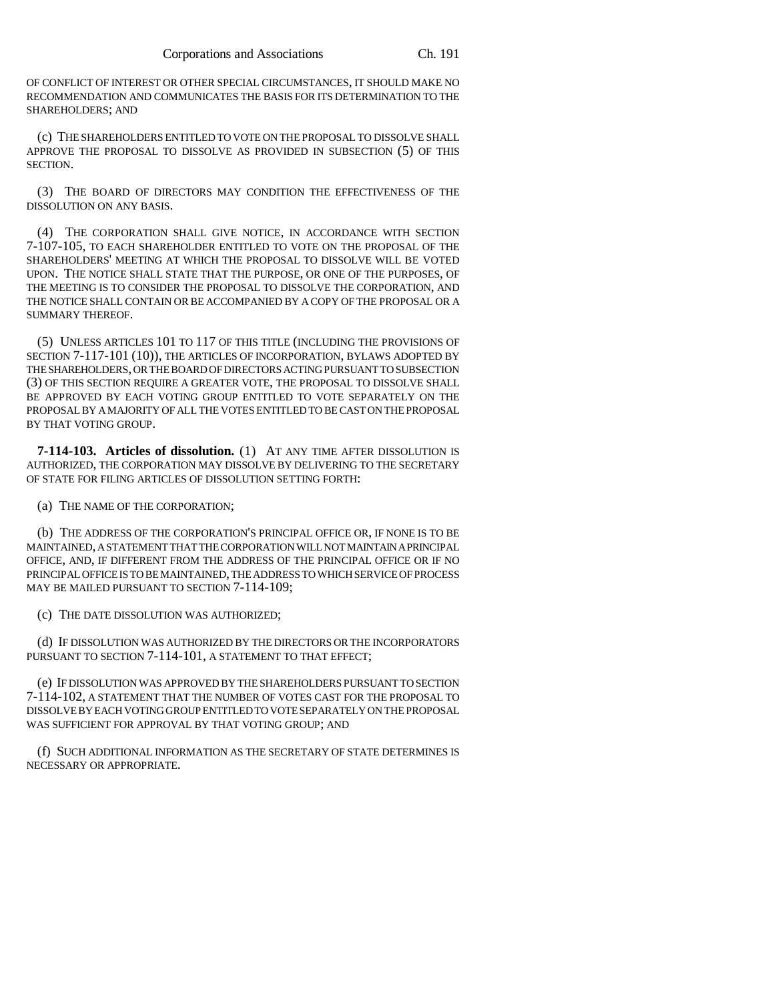OF CONFLICT OF INTEREST OR OTHER SPECIAL CIRCUMSTANCES, IT SHOULD MAKE NO RECOMMENDATION AND COMMUNICATES THE BASIS FOR ITS DETERMINATION TO THE SHAREHOLDERS; AND

(c) THE SHAREHOLDERS ENTITLED TO VOTE ON THE PROPOSAL TO DISSOLVE SHALL APPROVE THE PROPOSAL TO DISSOLVE AS PROVIDED IN SUBSECTION (5) OF THIS SECTION.

(3) THE BOARD OF DIRECTORS MAY CONDITION THE EFFECTIVENESS OF THE DISSOLUTION ON ANY BASIS.

(4) THE CORPORATION SHALL GIVE NOTICE, IN ACCORDANCE WITH SECTION 7-107-105, TO EACH SHAREHOLDER ENTITLED TO VOTE ON THE PROPOSAL OF THE SHAREHOLDERS' MEETING AT WHICH THE PROPOSAL TO DISSOLVE WILL BE VOTED UPON. THE NOTICE SHALL STATE THAT THE PURPOSE, OR ONE OF THE PURPOSES, OF THE MEETING IS TO CONSIDER THE PROPOSAL TO DISSOLVE THE CORPORATION, AND THE NOTICE SHALL CONTAIN OR BE ACCOMPANIED BY A COPY OF THE PROPOSAL OR A SUMMARY THEREOF.

(5) UNLESS ARTICLES 101 TO 117 OF THIS TITLE (INCLUDING THE PROVISIONS OF SECTION 7-117-101 (10)), THE ARTICLES OF INCORPORATION, BYLAWS ADOPTED BY THE SHAREHOLDERS, OR THE BOARD OF DIRECTORS ACTING PURSUANT TO SUBSECTION (3) OF THIS SECTION REQUIRE A GREATER VOTE, THE PROPOSAL TO DISSOLVE SHALL BE APPROVED BY EACH VOTING GROUP ENTITLED TO VOTE SEPARATELY ON THE PROPOSAL BY A MAJORITY OF ALL THE VOTES ENTITLED TO BE CAST ON THE PROPOSAL BY THAT VOTING GROUP.

**7-114-103. Articles of dissolution.** (1) AT ANY TIME AFTER DISSOLUTION IS AUTHORIZED, THE CORPORATION MAY DISSOLVE BY DELIVERING TO THE SECRETARY OF STATE FOR FILING ARTICLES OF DISSOLUTION SETTING FORTH:

(a) THE NAME OF THE CORPORATION;

(b) THE ADDRESS OF THE CORPORATION'S PRINCIPAL OFFICE OR, IF NONE IS TO BE MAINTAINED, A STATEMENT THAT THE CORPORATION WILL NOT MAINTAIN A PRINCIPAL OFFICE, AND, IF DIFFERENT FROM THE ADDRESS OF THE PRINCIPAL OFFICE OR IF NO PRINCIPAL OFFICE IS TO BE MAINTAINED, THE ADDRESS TO WHICH SERVICE OF PROCESS MAY BE MAILED PURSUANT TO SECTION 7-114-109:

(c) THE DATE DISSOLUTION WAS AUTHORIZED;

(d) IF DISSOLUTION WAS AUTHORIZED BY THE DIRECTORS OR THE INCORPORATORS PURSUANT TO SECTION 7-114-101, A STATEMENT TO THAT EFFECT;

(e) IF DISSOLUTION WAS APPROVED BY THE SHAREHOLDERS PURSUANT TO SECTION 7-114-102, A STATEMENT THAT THE NUMBER OF VOTES CAST FOR THE PROPOSAL TO DISSOLVE BY EACH VOTING GROUP ENTITLED TO VOTE SEPARATELY ON THE PROPOSAL WAS SUFFICIENT FOR APPROVAL BY THAT VOTING GROUP; AND

(f) SUCH ADDITIONAL INFORMATION AS THE SECRETARY OF STATE DETERMINES IS NECESSARY OR APPROPRIATE.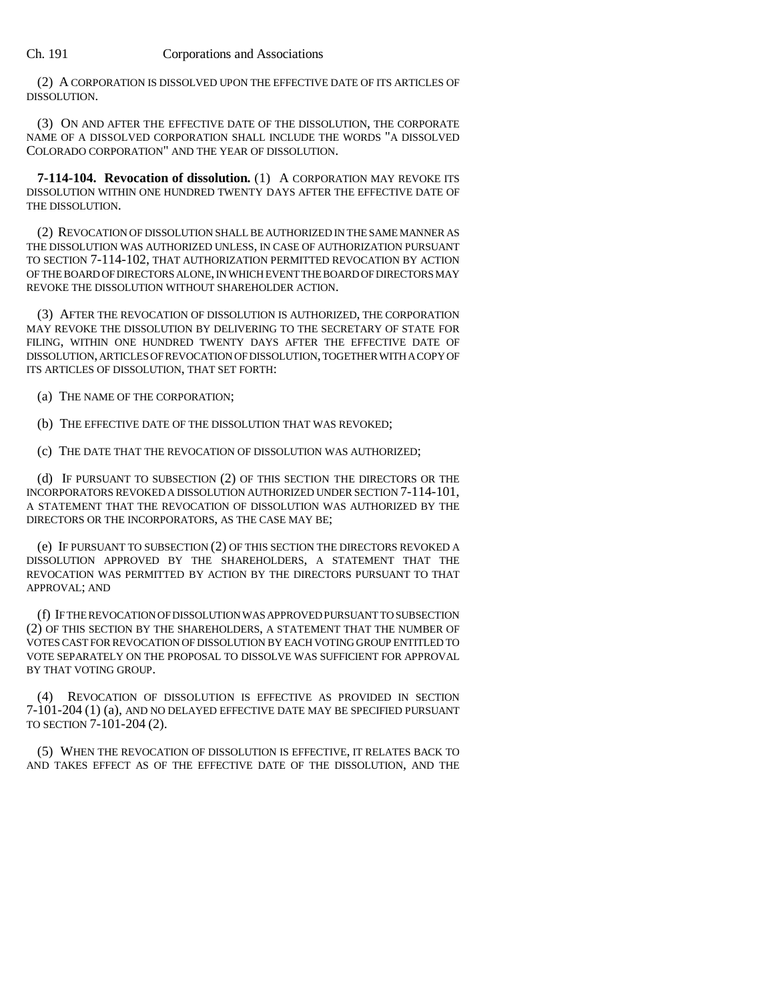(2) A CORPORATION IS DISSOLVED UPON THE EFFECTIVE DATE OF ITS ARTICLES OF DISSOLUTION.

(3) ON AND AFTER THE EFFECTIVE DATE OF THE DISSOLUTION, THE CORPORATE NAME OF A DISSOLVED CORPORATION SHALL INCLUDE THE WORDS "A DISSOLVED COLORADO CORPORATION" AND THE YEAR OF DISSOLUTION.

**7-114-104. Revocation of dissolution.** (1) A CORPORATION MAY REVOKE ITS DISSOLUTION WITHIN ONE HUNDRED TWENTY DAYS AFTER THE EFFECTIVE DATE OF THE DISSOLUTION.

(2) REVOCATION OF DISSOLUTION SHALL BE AUTHORIZED IN THE SAME MANNER AS THE DISSOLUTION WAS AUTHORIZED UNLESS, IN CASE OF AUTHORIZATION PURSUANT TO SECTION 7-114-102, THAT AUTHORIZATION PERMITTED REVOCATION BY ACTION OF THE BOARD OF DIRECTORS ALONE, IN WHICH EVENT THE BOARD OF DIRECTORS MAY REVOKE THE DISSOLUTION WITHOUT SHAREHOLDER ACTION.

(3) AFTER THE REVOCATION OF DISSOLUTION IS AUTHORIZED, THE CORPORATION MAY REVOKE THE DISSOLUTION BY DELIVERING TO THE SECRETARY OF STATE FOR FILING, WITHIN ONE HUNDRED TWENTY DAYS AFTER THE EFFECTIVE DATE OF DISSOLUTION, ARTICLES OF REVOCATION OF DISSOLUTION, TOGETHER WITH A COPY OF ITS ARTICLES OF DISSOLUTION, THAT SET FORTH:

(a) THE NAME OF THE CORPORATION;

(b) THE EFFECTIVE DATE OF THE DISSOLUTION THAT WAS REVOKED;

(c) THE DATE THAT THE REVOCATION OF DISSOLUTION WAS AUTHORIZED;

(d) IF PURSUANT TO SUBSECTION (2) OF THIS SECTION THE DIRECTORS OR THE INCORPORATORS REVOKED A DISSOLUTION AUTHORIZED UNDER SECTION 7-114-101, A STATEMENT THAT THE REVOCATION OF DISSOLUTION WAS AUTHORIZED BY THE DIRECTORS OR THE INCORPORATORS, AS THE CASE MAY BE;

(e) IF PURSUANT TO SUBSECTION (2) OF THIS SECTION THE DIRECTORS REVOKED A DISSOLUTION APPROVED BY THE SHAREHOLDERS, A STATEMENT THAT THE REVOCATION WAS PERMITTED BY ACTION BY THE DIRECTORS PURSUANT TO THAT APPROVAL; AND

(f) IF THE REVOCATION OF DISSOLUTION WAS APPROVED PURSUANT TO SUBSECTION (2) OF THIS SECTION BY THE SHAREHOLDERS, A STATEMENT THAT THE NUMBER OF VOTES CAST FOR REVOCATION OF DISSOLUTION BY EACH VOTING GROUP ENTITLED TO VOTE SEPARATELY ON THE PROPOSAL TO DISSOLVE WAS SUFFICIENT FOR APPROVAL BY THAT VOTING GROUP.

(4) REVOCATION OF DISSOLUTION IS EFFECTIVE AS PROVIDED IN SECTION 7-101-204 (1) (a), AND NO DELAYED EFFECTIVE DATE MAY BE SPECIFIED PURSUANT TO SECTION 7-101-204 (2).

(5) WHEN THE REVOCATION OF DISSOLUTION IS EFFECTIVE, IT RELATES BACK TO AND TAKES EFFECT AS OF THE EFFECTIVE DATE OF THE DISSOLUTION, AND THE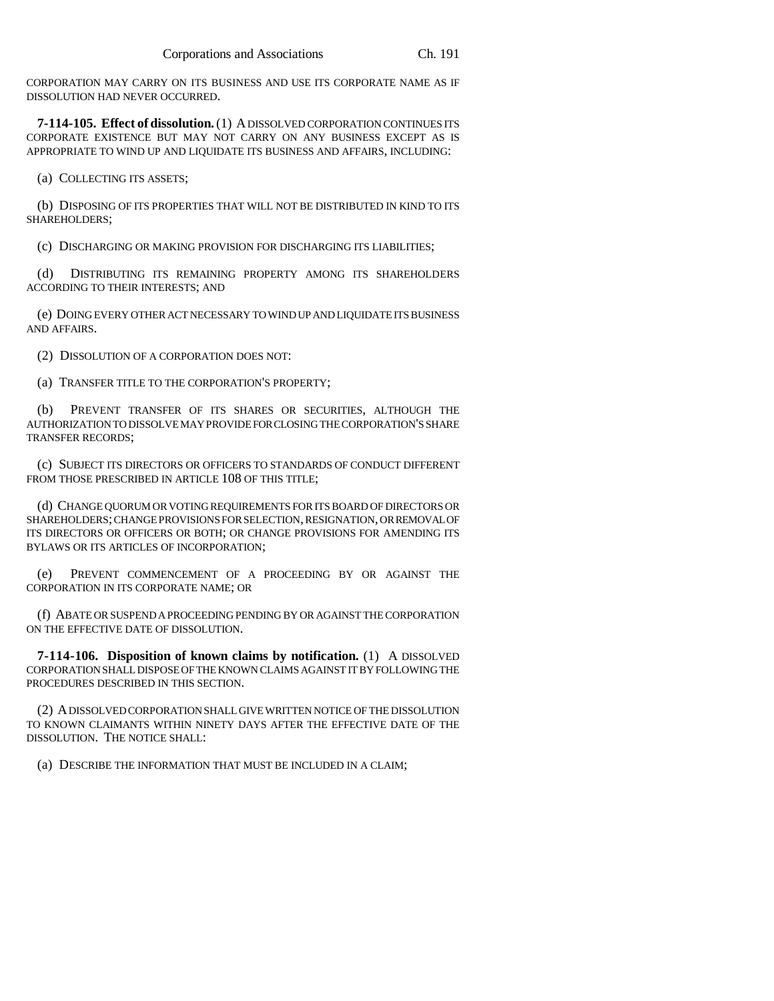CORPORATION MAY CARRY ON ITS BUSINESS AND USE ITS CORPORATE NAME AS IF DISSOLUTION HAD NEVER OCCURRED.

**7-114-105. Effect of dissolution.** (1) A DISSOLVED CORPORATION CONTINUES ITS CORPORATE EXISTENCE BUT MAY NOT CARRY ON ANY BUSINESS EXCEPT AS IS APPROPRIATE TO WIND UP AND LIQUIDATE ITS BUSINESS AND AFFAIRS, INCLUDING:

(a) COLLECTING ITS ASSETS;

(b) DISPOSING OF ITS PROPERTIES THAT WILL NOT BE DISTRIBUTED IN KIND TO ITS SHAREHOLDERS;

(c) DISCHARGING OR MAKING PROVISION FOR DISCHARGING ITS LIABILITIES;

(d) DISTRIBUTING ITS REMAINING PROPERTY AMONG ITS SHAREHOLDERS ACCORDING TO THEIR INTERESTS; AND

(e) DOING EVERY OTHER ACT NECESSARY TO WIND UP AND LIQUIDATE ITS BUSINESS AND AFFAIRS.

(2) DISSOLUTION OF A CORPORATION DOES NOT:

(a) TRANSFER TITLE TO THE CORPORATION'S PROPERTY;

PREVENT TRANSFER OF ITS SHARES OR SECURITIES, ALTHOUGH THE AUTHORIZATION TO DISSOLVE MAY PROVIDE FOR CLOSING THE CORPORATION'S SHARE TRANSFER RECORDS;

(c) SUBJECT ITS DIRECTORS OR OFFICERS TO STANDARDS OF CONDUCT DIFFERENT FROM THOSE PRESCRIBED IN ARTICLE 108 OF THIS TITLE;

(d) CHANGE QUORUM OR VOTING REQUIREMENTS FOR ITS BOARD OF DIRECTORS OR SHAREHOLDERS; CHANGE PROVISIONS FOR SELECTION, RESIGNATION, OR REMOVAL OF ITS DIRECTORS OR OFFICERS OR BOTH; OR CHANGE PROVISIONS FOR AMENDING ITS BYLAWS OR ITS ARTICLES OF INCORPORATION;

(e) PREVENT COMMENCEMENT OF A PROCEEDING BY OR AGAINST THE CORPORATION IN ITS CORPORATE NAME; OR

(f) ABATE OR SUSPEND A PROCEEDING PENDING BY OR AGAINST THE CORPORATION ON THE EFFECTIVE DATE OF DISSOLUTION.

**7-114-106. Disposition of known claims by notification.** (1) A DISSOLVED CORPORATION SHALL DISPOSE OF THE KNOWN CLAIMS AGAINST IT BY FOLLOWING THE PROCEDURES DESCRIBED IN THIS SECTION.

(2) A DISSOLVED CORPORATION SHALL GIVE WRITTEN NOTICE OF THE DISSOLUTION TO KNOWN CLAIMANTS WITHIN NINETY DAYS AFTER THE EFFECTIVE DATE OF THE DISSOLUTION. THE NOTICE SHALL:

(a) DESCRIBE THE INFORMATION THAT MUST BE INCLUDED IN A CLAIM;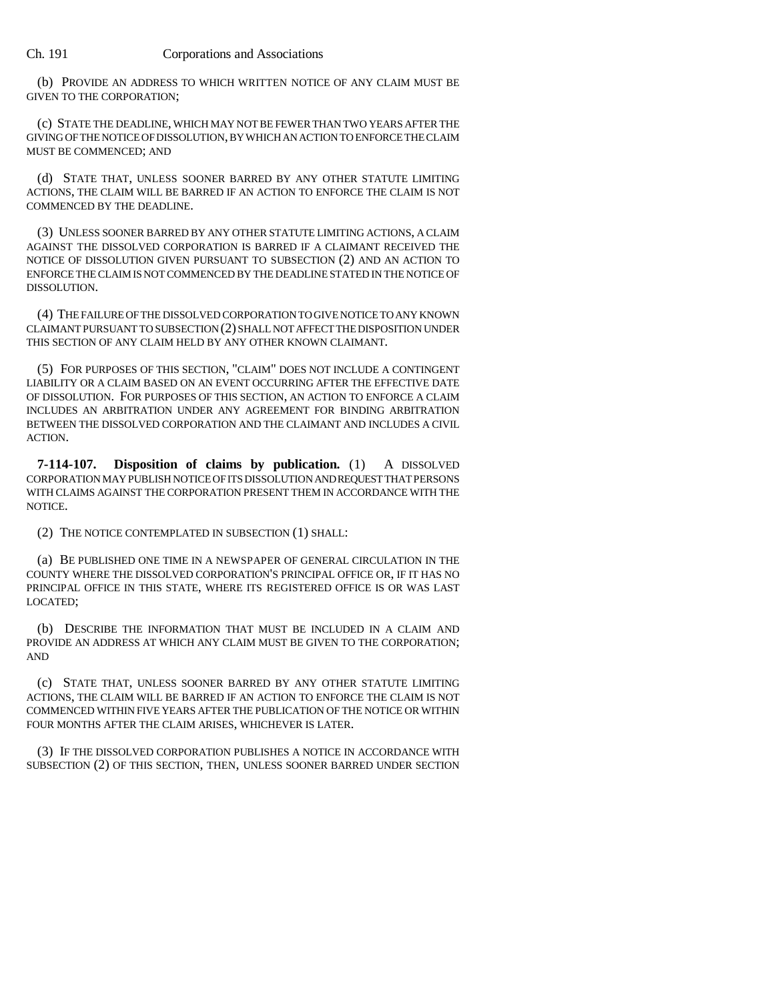(b) PROVIDE AN ADDRESS TO WHICH WRITTEN NOTICE OF ANY CLAIM MUST BE GIVEN TO THE CORPORATION;

(c) STATE THE DEADLINE, WHICH MAY NOT BE FEWER THAN TWO YEARS AFTER THE GIVING OF THE NOTICE OF DISSOLUTION, BY WHICH AN ACTION TO ENFORCE THE CLAIM MUST BE COMMENCED; AND

(d) STATE THAT, UNLESS SOONER BARRED BY ANY OTHER STATUTE LIMITING ACTIONS, THE CLAIM WILL BE BARRED IF AN ACTION TO ENFORCE THE CLAIM IS NOT COMMENCED BY THE DEADLINE.

(3) UNLESS SOONER BARRED BY ANY OTHER STATUTE LIMITING ACTIONS, A CLAIM AGAINST THE DISSOLVED CORPORATION IS BARRED IF A CLAIMANT RECEIVED THE NOTICE OF DISSOLUTION GIVEN PURSUANT TO SUBSECTION (2) AND AN ACTION TO ENFORCE THE CLAIM IS NOT COMMENCED BY THE DEADLINE STATED IN THE NOTICE OF DISSOLUTION.

(4) THE FAILURE OF THE DISSOLVED CORPORATION TO GIVE NOTICE TO ANY KNOWN CLAIMANT PURSUANT TO SUBSECTION (2) SHALL NOT AFFECT THE DISPOSITION UNDER THIS SECTION OF ANY CLAIM HELD BY ANY OTHER KNOWN CLAIMANT.

(5) FOR PURPOSES OF THIS SECTION, "CLAIM" DOES NOT INCLUDE A CONTINGENT LIABILITY OR A CLAIM BASED ON AN EVENT OCCURRING AFTER THE EFFECTIVE DATE OF DISSOLUTION. FOR PURPOSES OF THIS SECTION, AN ACTION TO ENFORCE A CLAIM INCLUDES AN ARBITRATION UNDER ANY AGREEMENT FOR BINDING ARBITRATION BETWEEN THE DISSOLVED CORPORATION AND THE CLAIMANT AND INCLUDES A CIVIL ACTION.

**7-114-107. Disposition of claims by publication.** (1) A DISSOLVED CORPORATION MAY PUBLISH NOTICE OF ITS DISSOLUTION AND REQUEST THAT PERSONS WITH CLAIMS AGAINST THE CORPORATION PRESENT THEM IN ACCORDANCE WITH THE NOTICE.

(2) THE NOTICE CONTEMPLATED IN SUBSECTION (1) SHALL:

(a) BE PUBLISHED ONE TIME IN A NEWSPAPER OF GENERAL CIRCULATION IN THE COUNTY WHERE THE DISSOLVED CORPORATION'S PRINCIPAL OFFICE OR, IF IT HAS NO PRINCIPAL OFFICE IN THIS STATE, WHERE ITS REGISTERED OFFICE IS OR WAS LAST LOCATED;

(b) DESCRIBE THE INFORMATION THAT MUST BE INCLUDED IN A CLAIM AND PROVIDE AN ADDRESS AT WHICH ANY CLAIM MUST BE GIVEN TO THE CORPORATION; AND

(c) STATE THAT, UNLESS SOONER BARRED BY ANY OTHER STATUTE LIMITING ACTIONS, THE CLAIM WILL BE BARRED IF AN ACTION TO ENFORCE THE CLAIM IS NOT COMMENCED WITHIN FIVE YEARS AFTER THE PUBLICATION OF THE NOTICE OR WITHIN FOUR MONTHS AFTER THE CLAIM ARISES, WHICHEVER IS LATER.

(3) IF THE DISSOLVED CORPORATION PUBLISHES A NOTICE IN ACCORDANCE WITH SUBSECTION (2) OF THIS SECTION, THEN, UNLESS SOONER BARRED UNDER SECTION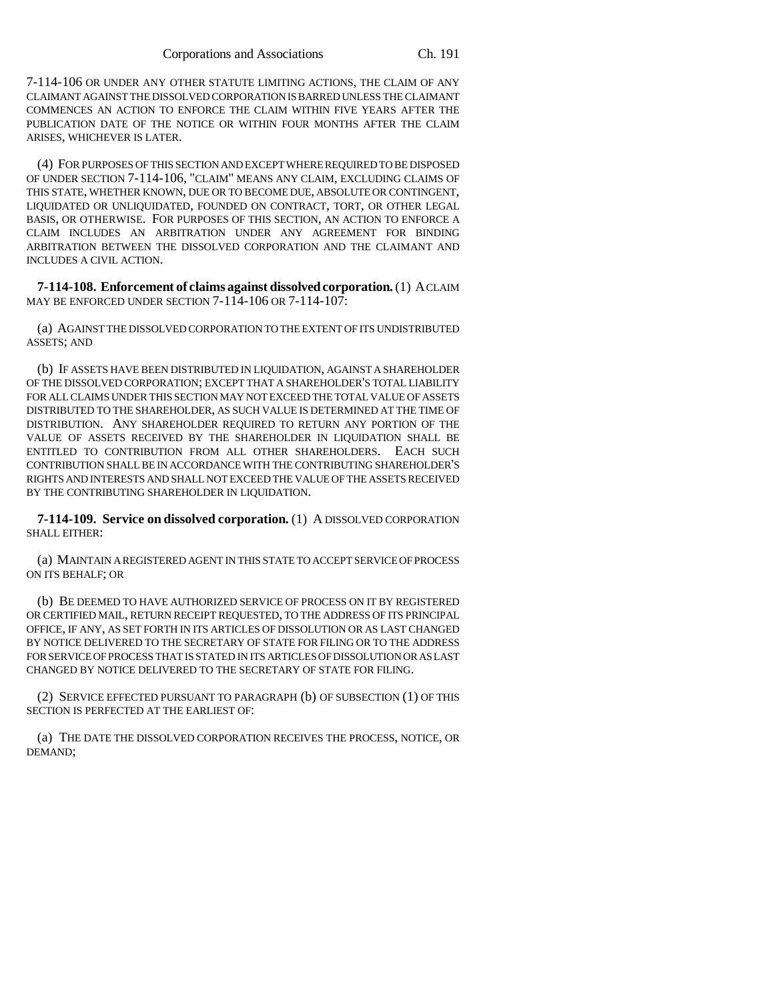7-114-106 OR UNDER ANY OTHER STATUTE LIMITING ACTIONS, THE CLAIM OF ANY CLAIMANT AGAINST THE DISSOLVED CORPORATION IS BARRED UNLESS THE CLAIMANT COMMENCES AN ACTION TO ENFORCE THE CLAIM WITHIN FIVE YEARS AFTER THE PUBLICATION DATE OF THE NOTICE OR WITHIN FOUR MONTHS AFTER THE CLAIM ARISES, WHICHEVER IS LATER.

(4) FOR PURPOSES OF THIS SECTION AND EXCEPT WHERE REQUIRED TO BE DISPOSED OF UNDER SECTION 7-114-106, "CLAIM" MEANS ANY CLAIM, EXCLUDING CLAIMS OF THIS STATE, WHETHER KNOWN, DUE OR TO BECOME DUE, ABSOLUTE OR CONTINGENT, LIQUIDATED OR UNLIQUIDATED, FOUNDED ON CONTRACT, TORT, OR OTHER LEGAL BASIS, OR OTHERWISE. FOR PURPOSES OF THIS SECTION, AN ACTION TO ENFORCE A CLAIM INCLUDES AN ARBITRATION UNDER ANY AGREEMENT FOR BINDING ARBITRATION BETWEEN THE DISSOLVED CORPORATION AND THE CLAIMANT AND INCLUDES A CIVIL ACTION.

**7-114-108. Enforcement of claims against dissolved corporation.** (1) A CLAIM MAY BE ENFORCED UNDER SECTION 7-114-106 OR 7-114-107:

(a) AGAINST THE DISSOLVED CORPORATION TO THE EXTENT OF ITS UNDISTRIBUTED ASSETS; AND

(b) IF ASSETS HAVE BEEN DISTRIBUTED IN LIQUIDATION, AGAINST A SHAREHOLDER OF THE DISSOLVED CORPORATION; EXCEPT THAT A SHAREHOLDER'S TOTAL LIABILITY FOR ALL CLAIMS UNDER THIS SECTION MAY NOT EXCEED THE TOTAL VALUE OF ASSETS DISTRIBUTED TO THE SHAREHOLDER, AS SUCH VALUE IS DETERMINED AT THE TIME OF DISTRIBUTION. ANY SHAREHOLDER REQUIRED TO RETURN ANY PORTION OF THE VALUE OF ASSETS RECEIVED BY THE SHAREHOLDER IN LIQUIDATION SHALL BE ENTITLED TO CONTRIBUTION FROM ALL OTHER SHAREHOLDERS. EACH SUCH CONTRIBUTION SHALL BE IN ACCORDANCE WITH THE CONTRIBUTING SHAREHOLDER'S RIGHTS AND INTERESTS AND SHALL NOT EXCEED THE VALUE OF THE ASSETS RECEIVED BY THE CONTRIBUTING SHAREHOLDER IN LIQUIDATION.

**7-114-109. Service on dissolved corporation.** (1) A DISSOLVED CORPORATION SHALL EITHER:

(a) MAINTAIN A REGISTERED AGENT IN THIS STATE TO ACCEPT SERVICE OF PROCESS ON ITS BEHALF; OR

(b) BE DEEMED TO HAVE AUTHORIZED SERVICE OF PROCESS ON IT BY REGISTERED OR CERTIFIED MAIL, RETURN RECEIPT REQUESTED, TO THE ADDRESS OF ITS PRINCIPAL OFFICE, IF ANY, AS SET FORTH IN ITS ARTICLES OF DISSOLUTION OR AS LAST CHANGED BY NOTICE DELIVERED TO THE SECRETARY OF STATE FOR FILING OR TO THE ADDRESS FOR SERVICE OF PROCESS THAT IS STATED IN ITS ARTICLES OF DISSOLUTION OR AS LAST CHANGED BY NOTICE DELIVERED TO THE SECRETARY OF STATE FOR FILING.

(2) SERVICE EFFECTED PURSUANT TO PARAGRAPH (b) OF SUBSECTION (1) OF THIS SECTION IS PERFECTED AT THE EARLIEST OF:

(a) THE DATE THE DISSOLVED CORPORATION RECEIVES THE PROCESS, NOTICE, OR DEMAND;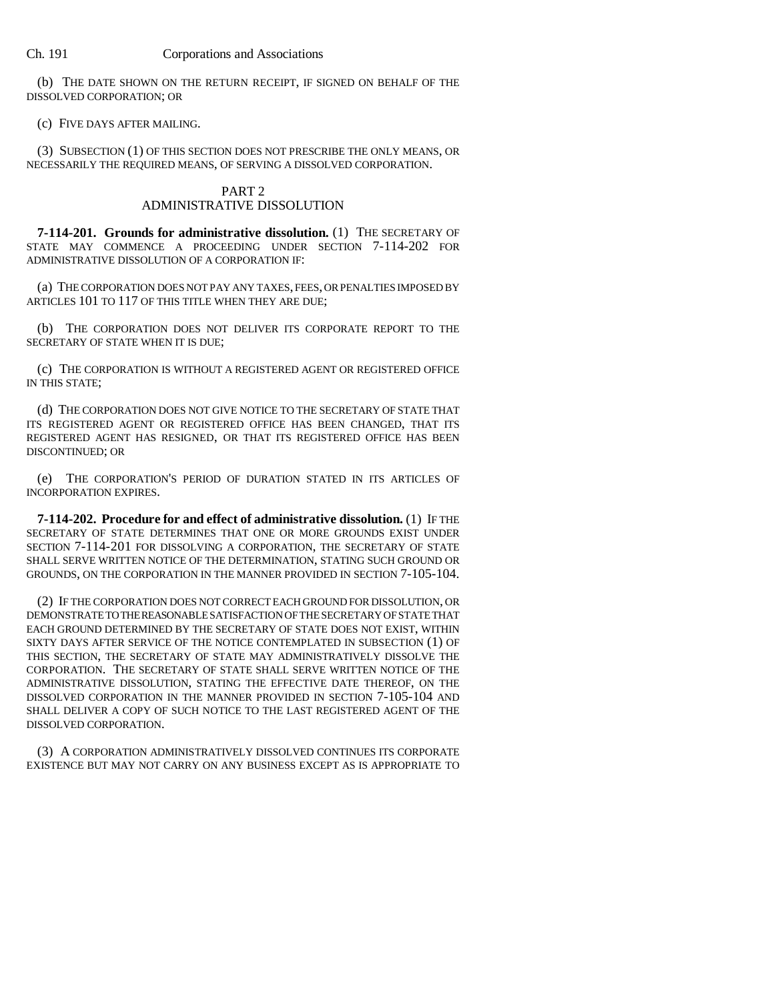Ch. 191 Corporations and Associations

(b) THE DATE SHOWN ON THE RETURN RECEIPT, IF SIGNED ON BEHALF OF THE DISSOLVED CORPORATION; OR

(c) FIVE DAYS AFTER MAILING.

(3) SUBSECTION (1) OF THIS SECTION DOES NOT PRESCRIBE THE ONLY MEANS, OR NECESSARILY THE REQUIRED MEANS, OF SERVING A DISSOLVED CORPORATION.

# PART 2 ADMINISTRATIVE DISSOLUTION

**7-114-201. Grounds for administrative dissolution.** (1) THE SECRETARY OF STATE MAY COMMENCE A PROCEEDING UNDER SECTION 7-114-202 FOR ADMINISTRATIVE DISSOLUTION OF A CORPORATION IF:

(a) THE CORPORATION DOES NOT PAY ANY TAXES, FEES, OR PENALTIES IMPOSED BY ARTICLES 101 TO 117 OF THIS TITLE WHEN THEY ARE DUE;

(b) THE CORPORATION DOES NOT DELIVER ITS CORPORATE REPORT TO THE SECRETARY OF STATE WHEN IT IS DUE;

(c) THE CORPORATION IS WITHOUT A REGISTERED AGENT OR REGISTERED OFFICE IN THIS STATE;

(d) THE CORPORATION DOES NOT GIVE NOTICE TO THE SECRETARY OF STATE THAT ITS REGISTERED AGENT OR REGISTERED OFFICE HAS BEEN CHANGED, THAT ITS REGISTERED AGENT HAS RESIGNED, OR THAT ITS REGISTERED OFFICE HAS BEEN DISCONTINUED; OR

(e) THE CORPORATION'S PERIOD OF DURATION STATED IN ITS ARTICLES OF INCORPORATION EXPIRES.

**7-114-202. Procedure for and effect of administrative dissolution.** (1) IF THE SECRETARY OF STATE DETERMINES THAT ONE OR MORE GROUNDS EXIST UNDER SECTION 7-114-201 FOR DISSOLVING A CORPORATION, THE SECRETARY OF STATE SHALL SERVE WRITTEN NOTICE OF THE DETERMINATION, STATING SUCH GROUND OR GROUNDS, ON THE CORPORATION IN THE MANNER PROVIDED IN SECTION 7-105-104.

(2) IF THE CORPORATION DOES NOT CORRECT EACH GROUND FOR DISSOLUTION, OR DEMONSTRATE TO THE REASONABLE SATISFACTION OF THE SECRETARY OF STATE THAT EACH GROUND DETERMINED BY THE SECRETARY OF STATE DOES NOT EXIST, WITHIN SIXTY DAYS AFTER SERVICE OF THE NOTICE CONTEMPLATED IN SUBSECTION (1) OF THIS SECTION, THE SECRETARY OF STATE MAY ADMINISTRATIVELY DISSOLVE THE CORPORATION. THE SECRETARY OF STATE SHALL SERVE WRITTEN NOTICE OF THE ADMINISTRATIVE DISSOLUTION, STATING THE EFFECTIVE DATE THEREOF, ON THE DISSOLVED CORPORATION IN THE MANNER PROVIDED IN SECTION 7-105-104 AND SHALL DELIVER A COPY OF SUCH NOTICE TO THE LAST REGISTERED AGENT OF THE DISSOLVED CORPORATION.

(3) A CORPORATION ADMINISTRATIVELY DISSOLVED CONTINUES ITS CORPORATE EXISTENCE BUT MAY NOT CARRY ON ANY BUSINESS EXCEPT AS IS APPROPRIATE TO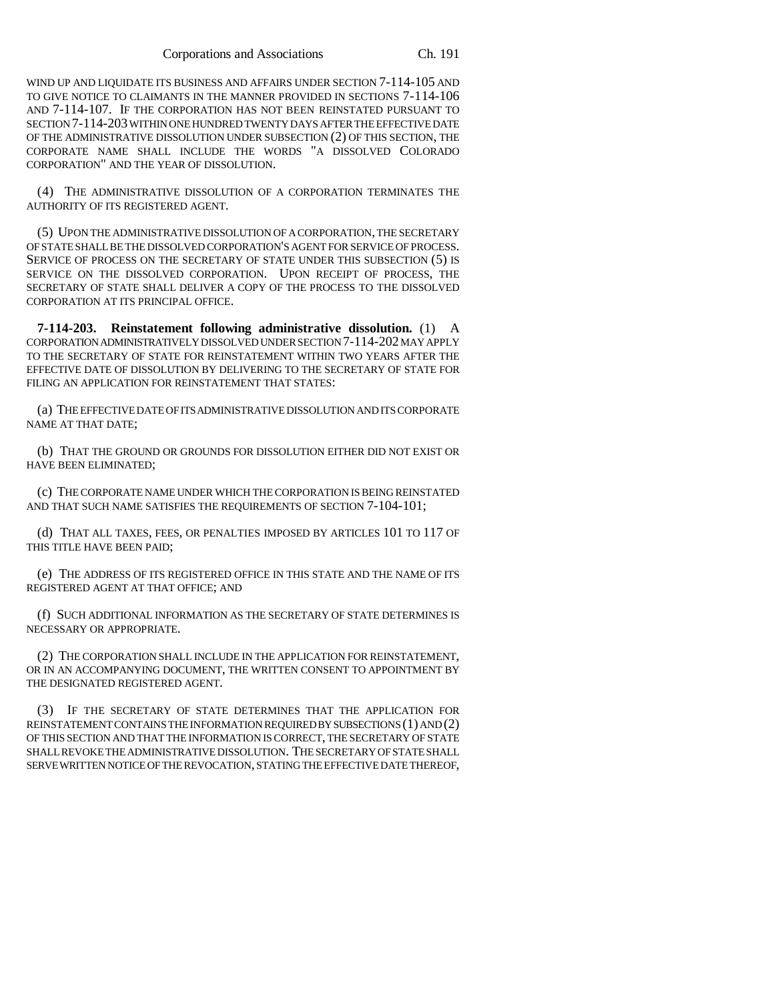WIND UP AND LIQUIDATE ITS BUSINESS AND AFFAIRS UNDER SECTION 7-114-105 AND TO GIVE NOTICE TO CLAIMANTS IN THE MANNER PROVIDED IN SECTIONS 7-114-106 AND 7-114-107. IF THE CORPORATION HAS NOT BEEN REINSTATED PURSUANT TO SECTION 7-114-203 WITHIN ONE HUNDRED TWENTY DAYS AFTER THE EFFECTIVE DATE OF THE ADMINISTRATIVE DISSOLUTION UNDER SUBSECTION (2) OF THIS SECTION, THE CORPORATE NAME SHALL INCLUDE THE WORDS "A DISSOLVED COLORADO CORPORATION" AND THE YEAR OF DISSOLUTION.

(4) THE ADMINISTRATIVE DISSOLUTION OF A CORPORATION TERMINATES THE AUTHORITY OF ITS REGISTERED AGENT.

(5) UPON THE ADMINISTRATIVE DISSOLUTION OF A CORPORATION, THE SECRETARY OF STATE SHALL BE THE DISSOLVED CORPORATION'S AGENT FOR SERVICE OF PROCESS. SERVICE OF PROCESS ON THE SECRETARY OF STATE UNDER THIS SUBSECTION (5) IS SERVICE ON THE DISSOLVED CORPORATION. UPON RECEIPT OF PROCESS, THE SECRETARY OF STATE SHALL DELIVER A COPY OF THE PROCESS TO THE DISSOLVED CORPORATION AT ITS PRINCIPAL OFFICE.

**7-114-203. Reinstatement following administrative dissolution.** (1) A CORPORATION ADMINISTRATIVELY DISSOLVED UNDER SECTION 7-114-202 MAY APPLY TO THE SECRETARY OF STATE FOR REINSTATEMENT WITHIN TWO YEARS AFTER THE EFFECTIVE DATE OF DISSOLUTION BY DELIVERING TO THE SECRETARY OF STATE FOR FILING AN APPLICATION FOR REINSTATEMENT THAT STATES:

(a) THE EFFECTIVE DATE OF ITS ADMINISTRATIVE DISSOLUTION AND ITS CORPORATE NAME AT THAT DATE;

(b) THAT THE GROUND OR GROUNDS FOR DISSOLUTION EITHER DID NOT EXIST OR HAVE BEEN ELIMINATED;

(c) THE CORPORATE NAME UNDER WHICH THE CORPORATION IS BEING REINSTATED AND THAT SUCH NAME SATISFIES THE REQUIREMENTS OF SECTION 7-104-101;

(d) THAT ALL TAXES, FEES, OR PENALTIES IMPOSED BY ARTICLES 101 TO 117 OF THIS TITLE HAVE BEEN PAID;

(e) THE ADDRESS OF ITS REGISTERED OFFICE IN THIS STATE AND THE NAME OF ITS REGISTERED AGENT AT THAT OFFICE; AND

(f) SUCH ADDITIONAL INFORMATION AS THE SECRETARY OF STATE DETERMINES IS NECESSARY OR APPROPRIATE.

(2) THE CORPORATION SHALL INCLUDE IN THE APPLICATION FOR REINSTATEMENT, OR IN AN ACCOMPANYING DOCUMENT, THE WRITTEN CONSENT TO APPOINTMENT BY THE DESIGNATED REGISTERED AGENT.

(3) IF THE SECRETARY OF STATE DETERMINES THAT THE APPLICATION FOR REINSTATEMENT CONTAINS THE INFORMATION REQUIRED BY SUBSECTIONS (1) AND (2) OF THIS SECTION AND THAT THE INFORMATION IS CORRECT, THE SECRETARY OF STATE SHALL REVOKE THE ADMINISTRATIVE DISSOLUTION. THE SECRETARY OF STATE SHALL SERVE WRITTEN NOTICE OF THE REVOCATION, STATING THE EFFECTIVE DATE THEREOF,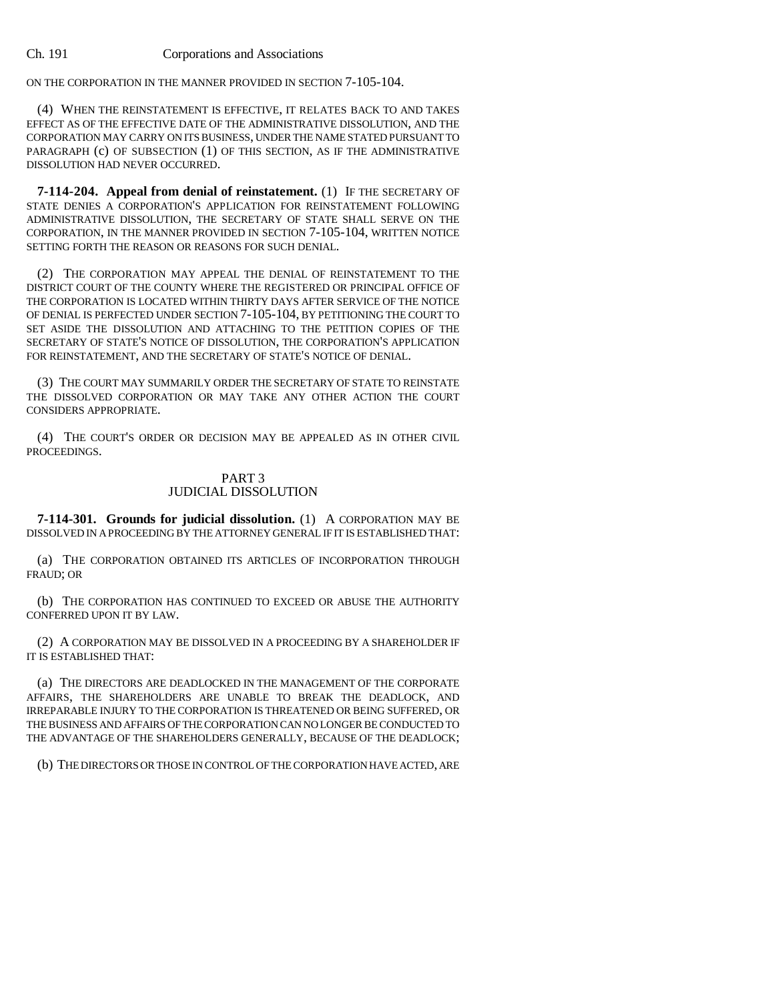ON THE CORPORATION IN THE MANNER PROVIDED IN SECTION 7-105-104.

(4) WHEN THE REINSTATEMENT IS EFFECTIVE, IT RELATES BACK TO AND TAKES EFFECT AS OF THE EFFECTIVE DATE OF THE ADMINISTRATIVE DISSOLUTION, AND THE CORPORATION MAY CARRY ON ITS BUSINESS, UNDER THE NAME STATED PURSUANT TO PARAGRAPH (c) OF SUBSECTION (1) OF THIS SECTION, AS IF THE ADMINISTRATIVE DISSOLUTION HAD NEVER OCCURRED.

**7-114-204. Appeal from denial of reinstatement.** (1) IF THE SECRETARY OF STATE DENIES A CORPORATION'S APPLICATION FOR REINSTATEMENT FOLLOWING ADMINISTRATIVE DISSOLUTION, THE SECRETARY OF STATE SHALL SERVE ON THE CORPORATION, IN THE MANNER PROVIDED IN SECTION 7-105-104, WRITTEN NOTICE SETTING FORTH THE REASON OR REASONS FOR SUCH DENIAL.

(2) THE CORPORATION MAY APPEAL THE DENIAL OF REINSTATEMENT TO THE DISTRICT COURT OF THE COUNTY WHERE THE REGISTERED OR PRINCIPAL OFFICE OF THE CORPORATION IS LOCATED WITHIN THIRTY DAYS AFTER SERVICE OF THE NOTICE OF DENIAL IS PERFECTED UNDER SECTION 7-105-104, BY PETITIONING THE COURT TO SET ASIDE THE DISSOLUTION AND ATTACHING TO THE PETITION COPIES OF THE SECRETARY OF STATE'S NOTICE OF DISSOLUTION, THE CORPORATION'S APPLICATION FOR REINSTATEMENT, AND THE SECRETARY OF STATE'S NOTICE OF DENIAL.

(3) THE COURT MAY SUMMARILY ORDER THE SECRETARY OF STATE TO REINSTATE THE DISSOLVED CORPORATION OR MAY TAKE ANY OTHER ACTION THE COURT CONSIDERS APPROPRIATE.

(4) THE COURT'S ORDER OR DECISION MAY BE APPEALED AS IN OTHER CIVIL PROCEEDINGS.

## PART 3 JUDICIAL DISSOLUTION

**7-114-301. Grounds for judicial dissolution.** (1) A CORPORATION MAY BE DISSOLVED IN A PROCEEDING BY THE ATTORNEY GENERAL IF IT IS ESTABLISHED THAT:

(a) THE CORPORATION OBTAINED ITS ARTICLES OF INCORPORATION THROUGH FRAUD; OR

(b) THE CORPORATION HAS CONTINUED TO EXCEED OR ABUSE THE AUTHORITY CONFERRED UPON IT BY LAW.

(2) A CORPORATION MAY BE DISSOLVED IN A PROCEEDING BY A SHAREHOLDER IF IT IS ESTABLISHED THAT:

(a) THE DIRECTORS ARE DEADLOCKED IN THE MANAGEMENT OF THE CORPORATE AFFAIRS, THE SHAREHOLDERS ARE UNABLE TO BREAK THE DEADLOCK, AND IRREPARABLE INJURY TO THE CORPORATION IS THREATENED OR BEING SUFFERED, OR THE BUSINESS AND AFFAIRS OF THE CORPORATION CAN NO LONGER BE CONDUCTED TO THE ADVANTAGE OF THE SHAREHOLDERS GENERALLY, BECAUSE OF THE DEADLOCK;

(b) THE DIRECTORS OR THOSE IN CONTROL OF THE CORPORATION HAVE ACTED, ARE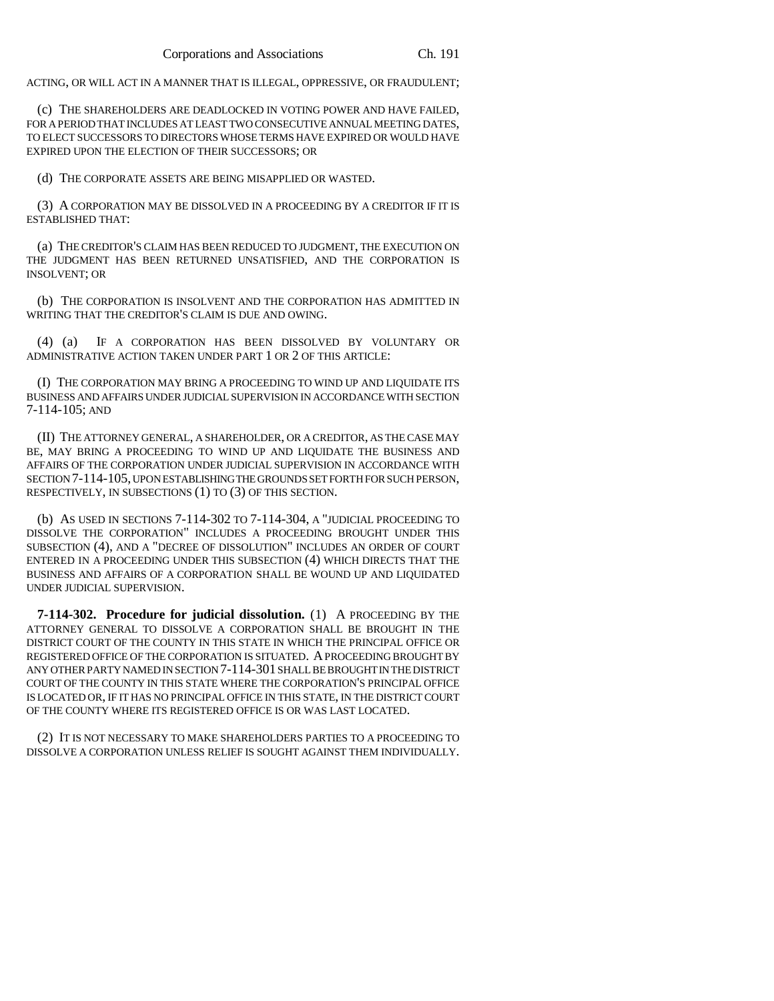ACTING, OR WILL ACT IN A MANNER THAT IS ILLEGAL, OPPRESSIVE, OR FRAUDULENT;

(c) THE SHAREHOLDERS ARE DEADLOCKED IN VOTING POWER AND HAVE FAILED, FOR A PERIOD THAT INCLUDES AT LEAST TWO CONSECUTIVE ANNUAL MEETING DATES, TO ELECT SUCCESSORS TO DIRECTORS WHOSE TERMS HAVE EXPIRED OR WOULD HAVE EXPIRED UPON THE ELECTION OF THEIR SUCCESSORS; OR

(d) THE CORPORATE ASSETS ARE BEING MISAPPLIED OR WASTED.

(3) A CORPORATION MAY BE DISSOLVED IN A PROCEEDING BY A CREDITOR IF IT IS ESTABLISHED THAT:

(a) THE CREDITOR'S CLAIM HAS BEEN REDUCED TO JUDGMENT, THE EXECUTION ON THE JUDGMENT HAS BEEN RETURNED UNSATISFIED, AND THE CORPORATION IS INSOLVENT; OR

(b) THE CORPORATION IS INSOLVENT AND THE CORPORATION HAS ADMITTED IN WRITING THAT THE CREDITOR'S CLAIM IS DUE AND OWING.

(4) (a) IF A CORPORATION HAS BEEN DISSOLVED BY VOLUNTARY OR ADMINISTRATIVE ACTION TAKEN UNDER PART 1 OR 2 OF THIS ARTICLE:

(I) THE CORPORATION MAY BRING A PROCEEDING TO WIND UP AND LIQUIDATE ITS BUSINESS AND AFFAIRS UNDER JUDICIAL SUPERVISION IN ACCORDANCE WITH SECTION 7-114-105; AND

(II) THE ATTORNEY GENERAL, A SHAREHOLDER, OR A CREDITOR, AS THE CASE MAY BE, MAY BRING A PROCEEDING TO WIND UP AND LIQUIDATE THE BUSINESS AND AFFAIRS OF THE CORPORATION UNDER JUDICIAL SUPERVISION IN ACCORDANCE WITH SECTION 7-114-105, UPON ESTABLISHING THE GROUNDS SET FORTH FOR SUCH PERSON, RESPECTIVELY, IN SUBSECTIONS (1) TO (3) OF THIS SECTION.

(b) AS USED IN SECTIONS 7-114-302 TO 7-114-304, A "JUDICIAL PROCEEDING TO DISSOLVE THE CORPORATION" INCLUDES A PROCEEDING BROUGHT UNDER THIS SUBSECTION (4), AND A "DECREE OF DISSOLUTION" INCLUDES AN ORDER OF COURT ENTERED IN A PROCEEDING UNDER THIS SUBSECTION (4) WHICH DIRECTS THAT THE BUSINESS AND AFFAIRS OF A CORPORATION SHALL BE WOUND UP AND LIQUIDATED UNDER JUDICIAL SUPERVISION.

**7-114-302. Procedure for judicial dissolution.** (1) A PROCEEDING BY THE ATTORNEY GENERAL TO DISSOLVE A CORPORATION SHALL BE BROUGHT IN THE DISTRICT COURT OF THE COUNTY IN THIS STATE IN WHICH THE PRINCIPAL OFFICE OR REGISTERED OFFICE OF THE CORPORATION IS SITUATED. A PROCEEDING BROUGHT BY ANY OTHER PARTY NAMED IN SECTION 7-114-301 SHALL BE BROUGHT IN THE DISTRICT COURT OF THE COUNTY IN THIS STATE WHERE THE CORPORATION'S PRINCIPAL OFFICE IS LOCATED OR, IF IT HAS NO PRINCIPAL OFFICE IN THIS STATE, IN THE DISTRICT COURT OF THE COUNTY WHERE ITS REGISTERED OFFICE IS OR WAS LAST LOCATED.

(2) IT IS NOT NECESSARY TO MAKE SHAREHOLDERS PARTIES TO A PROCEEDING TO DISSOLVE A CORPORATION UNLESS RELIEF IS SOUGHT AGAINST THEM INDIVIDUALLY.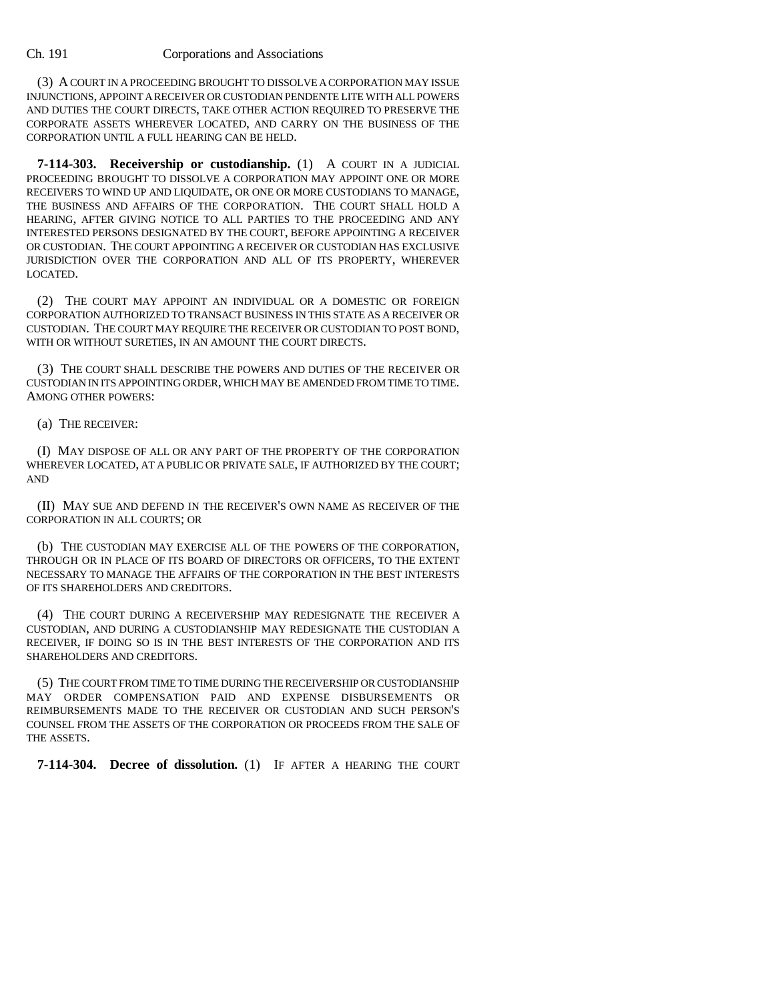#### Ch. 191 Corporations and Associations

(3) A COURT IN A PROCEEDING BROUGHT TO DISSOLVE A CORPORATION MAY ISSUE INJUNCTIONS, APPOINT A RECEIVER OR CUSTODIAN PENDENTE LITE WITH ALL POWERS AND DUTIES THE COURT DIRECTS, TAKE OTHER ACTION REQUIRED TO PRESERVE THE CORPORATE ASSETS WHEREVER LOCATED, AND CARRY ON THE BUSINESS OF THE CORPORATION UNTIL A FULL HEARING CAN BE HELD.

**7-114-303. Receivership or custodianship.** (1) A COURT IN A JUDICIAL PROCEEDING BROUGHT TO DISSOLVE A CORPORATION MAY APPOINT ONE OR MORE RECEIVERS TO WIND UP AND LIQUIDATE, OR ONE OR MORE CUSTODIANS TO MANAGE, THE BUSINESS AND AFFAIRS OF THE CORPORATION. THE COURT SHALL HOLD A HEARING, AFTER GIVING NOTICE TO ALL PARTIES TO THE PROCEEDING AND ANY INTERESTED PERSONS DESIGNATED BY THE COURT, BEFORE APPOINTING A RECEIVER OR CUSTODIAN. THE COURT APPOINTING A RECEIVER OR CUSTODIAN HAS EXCLUSIVE JURISDICTION OVER THE CORPORATION AND ALL OF ITS PROPERTY, WHEREVER LOCATED.

(2) THE COURT MAY APPOINT AN INDIVIDUAL OR A DOMESTIC OR FOREIGN CORPORATION AUTHORIZED TO TRANSACT BUSINESS IN THIS STATE AS A RECEIVER OR CUSTODIAN. THE COURT MAY REQUIRE THE RECEIVER OR CUSTODIAN TO POST BOND, WITH OR WITHOUT SURETIES, IN AN AMOUNT THE COURT DIRECTS.

(3) THE COURT SHALL DESCRIBE THE POWERS AND DUTIES OF THE RECEIVER OR CUSTODIAN IN ITS APPOINTING ORDER, WHICH MAY BE AMENDED FROM TIME TO TIME. AMONG OTHER POWERS:

### (a) THE RECEIVER:

(I) MAY DISPOSE OF ALL OR ANY PART OF THE PROPERTY OF THE CORPORATION WHEREVER LOCATED, AT A PUBLIC OR PRIVATE SALE, IF AUTHORIZED BY THE COURT; AND

(II) MAY SUE AND DEFEND IN THE RECEIVER'S OWN NAME AS RECEIVER OF THE CORPORATION IN ALL COURTS; OR

(b) THE CUSTODIAN MAY EXERCISE ALL OF THE POWERS OF THE CORPORATION, THROUGH OR IN PLACE OF ITS BOARD OF DIRECTORS OR OFFICERS, TO THE EXTENT NECESSARY TO MANAGE THE AFFAIRS OF THE CORPORATION IN THE BEST INTERESTS OF ITS SHAREHOLDERS AND CREDITORS.

(4) THE COURT DURING A RECEIVERSHIP MAY REDESIGNATE THE RECEIVER A CUSTODIAN, AND DURING A CUSTODIANSHIP MAY REDESIGNATE THE CUSTODIAN A RECEIVER, IF DOING SO IS IN THE BEST INTERESTS OF THE CORPORATION AND ITS SHAREHOLDERS AND CREDITORS.

(5) THE COURT FROM TIME TO TIME DURING THE RECEIVERSHIP OR CUSTODIANSHIP MAY ORDER COMPENSATION PAID AND EXPENSE DISBURSEMENTS OR REIMBURSEMENTS MADE TO THE RECEIVER OR CUSTODIAN AND SUCH PERSON'S COUNSEL FROM THE ASSETS OF THE CORPORATION OR PROCEEDS FROM THE SALE OF THE ASSETS.

**7-114-304. Decree of dissolution.** (1) IF AFTER A HEARING THE COURT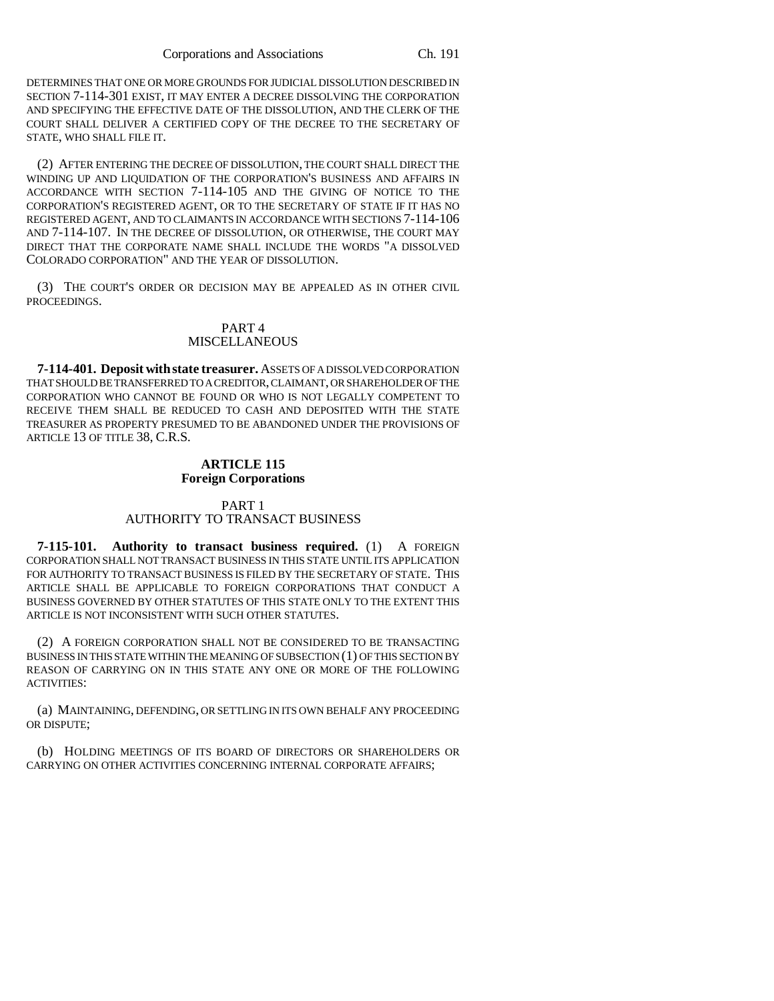DETERMINES THAT ONE OR MORE GROUNDS FOR JUDICIAL DISSOLUTION DESCRIBED IN SECTION 7-114-301 EXIST, IT MAY ENTER A DECREE DISSOLVING THE CORPORATION AND SPECIFYING THE EFFECTIVE DATE OF THE DISSOLUTION, AND THE CLERK OF THE COURT SHALL DELIVER A CERTIFIED COPY OF THE DECREE TO THE SECRETARY OF STATE, WHO SHALL FILE IT.

(2) AFTER ENTERING THE DECREE OF DISSOLUTION, THE COURT SHALL DIRECT THE WINDING UP AND LIQUIDATION OF THE CORPORATION'S BUSINESS AND AFFAIRS IN ACCORDANCE WITH SECTION 7-114-105 AND THE GIVING OF NOTICE TO THE CORPORATION'S REGISTERED AGENT, OR TO THE SECRETARY OF STATE IF IT HAS NO REGISTERED AGENT, AND TO CLAIMANTS IN ACCORDANCE WITH SECTIONS 7-114-106 AND 7-114-107. IN THE DECREE OF DISSOLUTION, OR OTHERWISE, THE COURT MAY DIRECT THAT THE CORPORATE NAME SHALL INCLUDE THE WORDS "A DISSOLVED COLORADO CORPORATION" AND THE YEAR OF DISSOLUTION.

(3) THE COURT'S ORDER OR DECISION MAY BE APPEALED AS IN OTHER CIVIL PROCEEDINGS.

## PART 4 MISCELLANEOUS

**7-114-401. Deposit with state treasurer.** ASSETS OF A DISSOLVED CORPORATION THAT SHOULD BE TRANSFERRED TO A CREDITOR, CLAIMANT, OR SHAREHOLDER OF THE CORPORATION WHO CANNOT BE FOUND OR WHO IS NOT LEGALLY COMPETENT TO RECEIVE THEM SHALL BE REDUCED TO CASH AND DEPOSITED WITH THE STATE TREASURER AS PROPERTY PRESUMED TO BE ABANDONED UNDER THE PROVISIONS OF ARTICLE 13 OF TITLE 38, C.R.S.

## **ARTICLE 115 Foreign Corporations**

### PART 1 AUTHORITY TO TRANSACT BUSINESS

**7-115-101. Authority to transact business required.** (1) A FOREIGN CORPORATION SHALL NOT TRANSACT BUSINESS IN THIS STATE UNTIL ITS APPLICATION FOR AUTHORITY TO TRANSACT BUSINESS IS FILED BY THE SECRETARY OF STATE. THIS ARTICLE SHALL BE APPLICABLE TO FOREIGN CORPORATIONS THAT CONDUCT A BUSINESS GOVERNED BY OTHER STATUTES OF THIS STATE ONLY TO THE EXTENT THIS ARTICLE IS NOT INCONSISTENT WITH SUCH OTHER STATUTES.

(2) A FOREIGN CORPORATION SHALL NOT BE CONSIDERED TO BE TRANSACTING BUSINESS IN THIS STATE WITHIN THE MEANING OF SUBSECTION (1) OF THIS SECTION BY REASON OF CARRYING ON IN THIS STATE ANY ONE OR MORE OF THE FOLLOWING ACTIVITIES:

(a) MAINTAINING, DEFENDING, OR SETTLING IN ITS OWN BEHALF ANY PROCEEDING OR DISPUTE;

(b) HOLDING MEETINGS OF ITS BOARD OF DIRECTORS OR SHAREHOLDERS OR CARRYING ON OTHER ACTIVITIES CONCERNING INTERNAL CORPORATE AFFAIRS;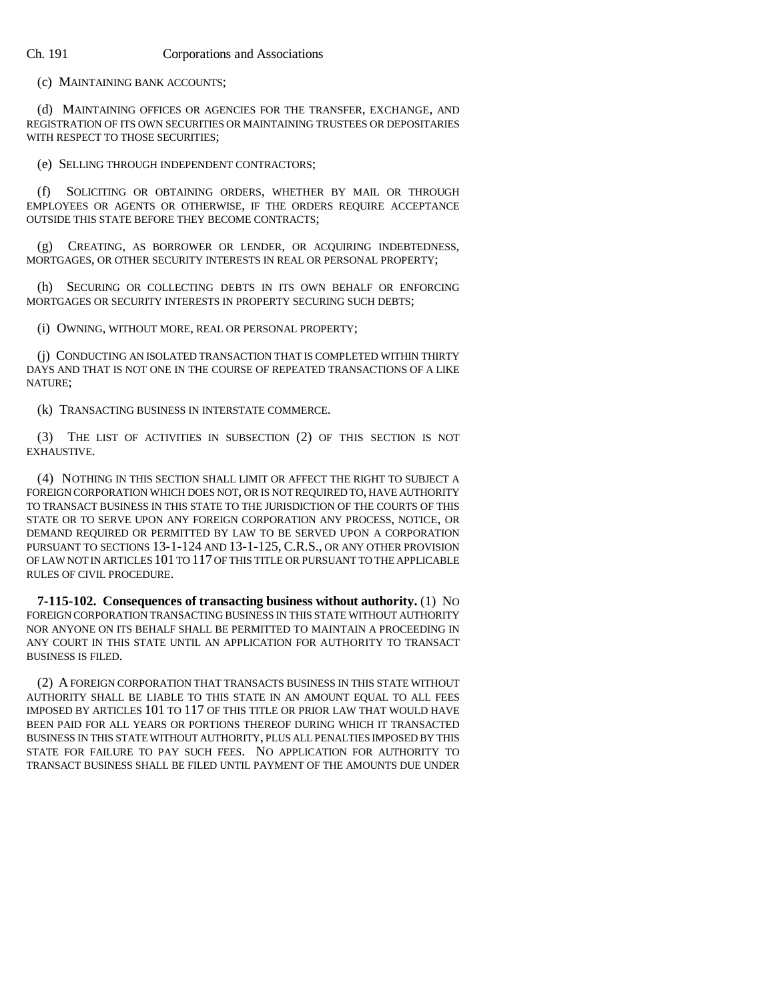#### Ch. 191 Corporations and Associations

(c) MAINTAINING BANK ACCOUNTS;

(d) MAINTAINING OFFICES OR AGENCIES FOR THE TRANSFER, EXCHANGE, AND REGISTRATION OF ITS OWN SECURITIES OR MAINTAINING TRUSTEES OR DEPOSITARIES WITH RESPECT TO THOSE SECURITIES:

(e) SELLING THROUGH INDEPENDENT CONTRACTORS;

(f) SOLICITING OR OBTAINING ORDERS, WHETHER BY MAIL OR THROUGH EMPLOYEES OR AGENTS OR OTHERWISE, IF THE ORDERS REQUIRE ACCEPTANCE OUTSIDE THIS STATE BEFORE THEY BECOME CONTRACTS;

(g) CREATING, AS BORROWER OR LENDER, OR ACQUIRING INDEBTEDNESS, MORTGAGES, OR OTHER SECURITY INTERESTS IN REAL OR PERSONAL PROPERTY;

(h) SECURING OR COLLECTING DEBTS IN ITS OWN BEHALF OR ENFORCING MORTGAGES OR SECURITY INTERESTS IN PROPERTY SECURING SUCH DEBTS;

(i) OWNING, WITHOUT MORE, REAL OR PERSONAL PROPERTY;

(j) CONDUCTING AN ISOLATED TRANSACTION THAT IS COMPLETED WITHIN THIRTY DAYS AND THAT IS NOT ONE IN THE COURSE OF REPEATED TRANSACTIONS OF A LIKE NATURE;

(k) TRANSACTING BUSINESS IN INTERSTATE COMMERCE.

(3) THE LIST OF ACTIVITIES IN SUBSECTION (2) OF THIS SECTION IS NOT EXHAUSTIVE.

(4) NOTHING IN THIS SECTION SHALL LIMIT OR AFFECT THE RIGHT TO SUBJECT A FOREIGN CORPORATION WHICH DOES NOT, OR IS NOT REQUIRED TO, HAVE AUTHORITY TO TRANSACT BUSINESS IN THIS STATE TO THE JURISDICTION OF THE COURTS OF THIS STATE OR TO SERVE UPON ANY FOREIGN CORPORATION ANY PROCESS, NOTICE, OR DEMAND REQUIRED OR PERMITTED BY LAW TO BE SERVED UPON A CORPORATION PURSUANT TO SECTIONS 13-1-124 AND 13-1-125, C.R.S., OR ANY OTHER PROVISION OF LAW NOT IN ARTICLES 101 TO 117 OF THIS TITLE OR PURSUANT TO THE APPLICABLE RULES OF CIVIL PROCEDURE.

**7-115-102. Consequences of transacting business without authority.** (1) NO FOREIGN CORPORATION TRANSACTING BUSINESS IN THIS STATE WITHOUT AUTHORITY NOR ANYONE ON ITS BEHALF SHALL BE PERMITTED TO MAINTAIN A PROCEEDING IN ANY COURT IN THIS STATE UNTIL AN APPLICATION FOR AUTHORITY TO TRANSACT BUSINESS IS FILED.

(2) A FOREIGN CORPORATION THAT TRANSACTS BUSINESS IN THIS STATE WITHOUT AUTHORITY SHALL BE LIABLE TO THIS STATE IN AN AMOUNT EQUAL TO ALL FEES IMPOSED BY ARTICLES 101 TO 117 OF THIS TITLE OR PRIOR LAW THAT WOULD HAVE BEEN PAID FOR ALL YEARS OR PORTIONS THEREOF DURING WHICH IT TRANSACTED BUSINESS IN THIS STATE WITHOUT AUTHORITY, PLUS ALL PENALTIES IMPOSED BY THIS STATE FOR FAILURE TO PAY SUCH FEES. NO APPLICATION FOR AUTHORITY TO TRANSACT BUSINESS SHALL BE FILED UNTIL PAYMENT OF THE AMOUNTS DUE UNDER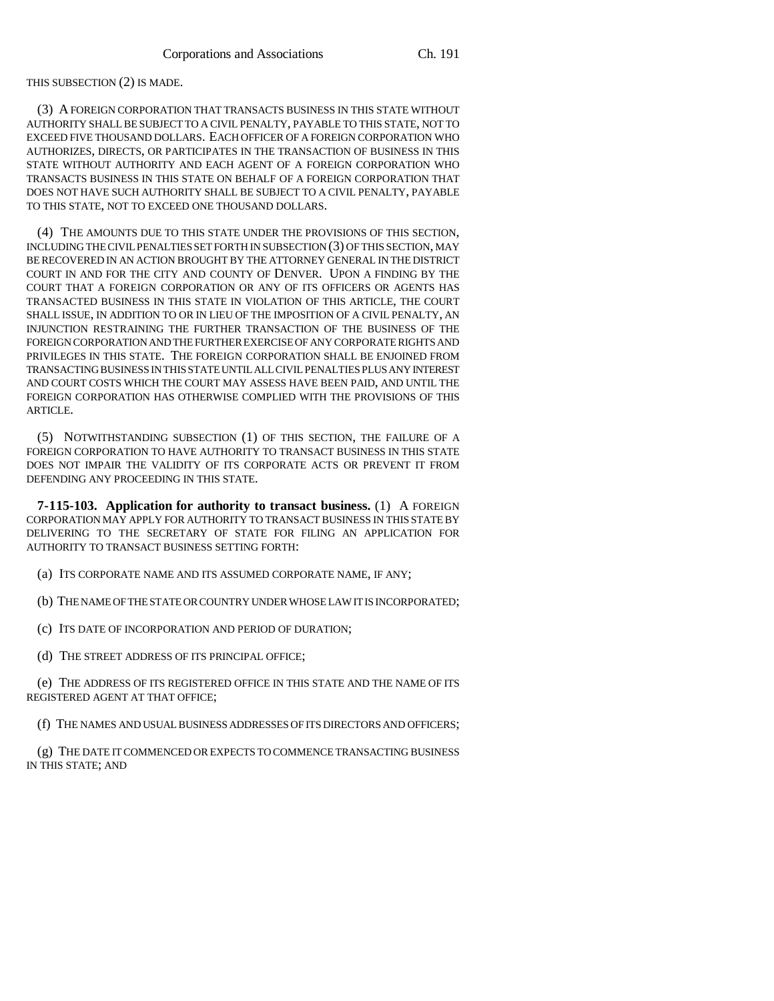THIS SUBSECTION (2) IS MADE.

(3) A FOREIGN CORPORATION THAT TRANSACTS BUSINESS IN THIS STATE WITHOUT AUTHORITY SHALL BE SUBJECT TO A CIVIL PENALTY, PAYABLE TO THIS STATE, NOT TO EXCEED FIVE THOUSAND DOLLARS. EACH OFFICER OF A FOREIGN CORPORATION WHO AUTHORIZES, DIRECTS, OR PARTICIPATES IN THE TRANSACTION OF BUSINESS IN THIS STATE WITHOUT AUTHORITY AND EACH AGENT OF A FOREIGN CORPORATION WHO TRANSACTS BUSINESS IN THIS STATE ON BEHALF OF A FOREIGN CORPORATION THAT DOES NOT HAVE SUCH AUTHORITY SHALL BE SUBJECT TO A CIVIL PENALTY, PAYABLE TO THIS STATE, NOT TO EXCEED ONE THOUSAND DOLLARS.

(4) THE AMOUNTS DUE TO THIS STATE UNDER THE PROVISIONS OF THIS SECTION, INCLUDING THE CIVIL PENALTIES SET FORTH IN SUBSECTION (3) OF THIS SECTION, MAY BE RECOVERED IN AN ACTION BROUGHT BY THE ATTORNEY GENERAL IN THE DISTRICT COURT IN AND FOR THE CITY AND COUNTY OF DENVER. UPON A FINDING BY THE COURT THAT A FOREIGN CORPORATION OR ANY OF ITS OFFICERS OR AGENTS HAS TRANSACTED BUSINESS IN THIS STATE IN VIOLATION OF THIS ARTICLE, THE COURT SHALL ISSUE, IN ADDITION TO OR IN LIEU OF THE IMPOSITION OF A CIVIL PENALTY, AN INJUNCTION RESTRAINING THE FURTHER TRANSACTION OF THE BUSINESS OF THE FOREIGN CORPORATION AND THE FURTHER EXERCISE OF ANY CORPORATE RIGHTS AND PRIVILEGES IN THIS STATE. THE FOREIGN CORPORATION SHALL BE ENJOINED FROM TRANSACTING BUSINESS IN THIS STATE UNTIL ALL CIVIL PENALTIES PLUS ANY INTEREST AND COURT COSTS WHICH THE COURT MAY ASSESS HAVE BEEN PAID, AND UNTIL THE FOREIGN CORPORATION HAS OTHERWISE COMPLIED WITH THE PROVISIONS OF THIS ARTICLE.

(5) NOTWITHSTANDING SUBSECTION (1) OF THIS SECTION, THE FAILURE OF A FOREIGN CORPORATION TO HAVE AUTHORITY TO TRANSACT BUSINESS IN THIS STATE DOES NOT IMPAIR THE VALIDITY OF ITS CORPORATE ACTS OR PREVENT IT FROM DEFENDING ANY PROCEEDING IN THIS STATE.

**7-115-103. Application for authority to transact business.** (1) A FOREIGN CORPORATION MAY APPLY FOR AUTHORITY TO TRANSACT BUSINESS IN THIS STATE BY DELIVERING TO THE SECRETARY OF STATE FOR FILING AN APPLICATION FOR AUTHORITY TO TRANSACT BUSINESS SETTING FORTH:

(a) ITS CORPORATE NAME AND ITS ASSUMED CORPORATE NAME, IF ANY;

(b) THE NAME OF THE STATE OR COUNTRY UNDER WHOSE LAW IT IS INCORPORATED;

(c) ITS DATE OF INCORPORATION AND PERIOD OF DURATION;

(d) THE STREET ADDRESS OF ITS PRINCIPAL OFFICE;

(e) THE ADDRESS OF ITS REGISTERED OFFICE IN THIS STATE AND THE NAME OF ITS REGISTERED AGENT AT THAT OFFICE;

(f) THE NAMES AND USUAL BUSINESS ADDRESSES OF ITS DIRECTORS AND OFFICERS;

(g) THE DATE IT COMMENCED OR EXPECTS TO COMMENCE TRANSACTING BUSINESS IN THIS STATE; AND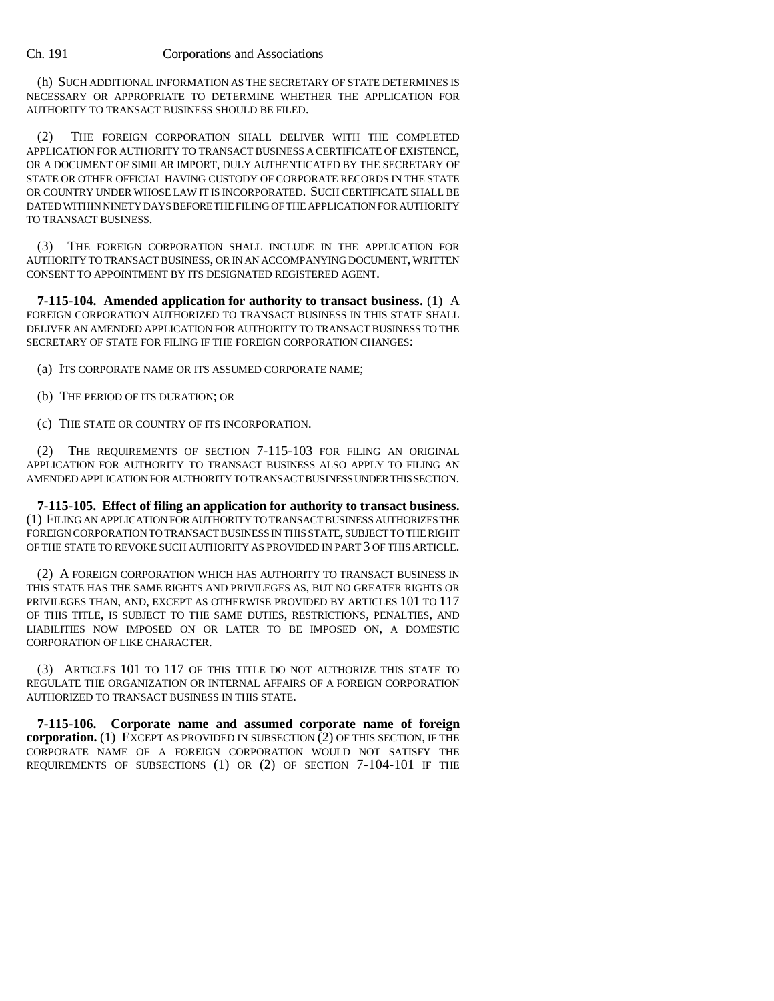(h) SUCH ADDITIONAL INFORMATION AS THE SECRETARY OF STATE DETERMINES IS NECESSARY OR APPROPRIATE TO DETERMINE WHETHER THE APPLICATION FOR AUTHORITY TO TRANSACT BUSINESS SHOULD BE FILED.

(2) THE FOREIGN CORPORATION SHALL DELIVER WITH THE COMPLETED APPLICATION FOR AUTHORITY TO TRANSACT BUSINESS A CERTIFICATE OF EXISTENCE, OR A DOCUMENT OF SIMILAR IMPORT, DULY AUTHENTICATED BY THE SECRETARY OF STATE OR OTHER OFFICIAL HAVING CUSTODY OF CORPORATE RECORDS IN THE STATE OR COUNTRY UNDER WHOSE LAW IT IS INCORPORATED. SUCH CERTIFICATE SHALL BE DATED WITHIN NINETY DAYS BEFORE THE FILING OF THE APPLICATION FOR AUTHORITY TO TRANSACT BUSINESS.

(3) THE FOREIGN CORPORATION SHALL INCLUDE IN THE APPLICATION FOR AUTHORITY TO TRANSACT BUSINESS, OR IN AN ACCOMPANYING DOCUMENT, WRITTEN CONSENT TO APPOINTMENT BY ITS DESIGNATED REGISTERED AGENT.

**7-115-104. Amended application for authority to transact business.** (1) A FOREIGN CORPORATION AUTHORIZED TO TRANSACT BUSINESS IN THIS STATE SHALL DELIVER AN AMENDED APPLICATION FOR AUTHORITY TO TRANSACT BUSINESS TO THE SECRETARY OF STATE FOR FILING IF THE FOREIGN CORPORATION CHANGES:

(a) ITS CORPORATE NAME OR ITS ASSUMED CORPORATE NAME;

(b) THE PERIOD OF ITS DURATION; OR

(c) THE STATE OR COUNTRY OF ITS INCORPORATION.

(2) THE REQUIREMENTS OF SECTION 7-115-103 FOR FILING AN ORIGINAL APPLICATION FOR AUTHORITY TO TRANSACT BUSINESS ALSO APPLY TO FILING AN AMENDED APPLICATION FOR AUTHORITY TO TRANSACT BUSINESS UNDER THIS SECTION.

**7-115-105. Effect of filing an application for authority to transact business.** (1) FILING AN APPLICATION FOR AUTHORITY TO TRANSACT BUSINESS AUTHORIZES THE FOREIGN CORPORATION TO TRANSACT BUSINESS IN THIS STATE, SUBJECT TO THE RIGHT OF THE STATE TO REVOKE SUCH AUTHORITY AS PROVIDED IN PART 3 OF THIS ARTICLE.

(2) A FOREIGN CORPORATION WHICH HAS AUTHORITY TO TRANSACT BUSINESS IN THIS STATE HAS THE SAME RIGHTS AND PRIVILEGES AS, BUT NO GREATER RIGHTS OR PRIVILEGES THAN, AND, EXCEPT AS OTHERWISE PROVIDED BY ARTICLES 101 TO 117 OF THIS TITLE, IS SUBJECT TO THE SAME DUTIES, RESTRICTIONS, PENALTIES, AND LIABILITIES NOW IMPOSED ON OR LATER TO BE IMPOSED ON, A DOMESTIC CORPORATION OF LIKE CHARACTER.

(3) ARTICLES 101 TO 117 OF THIS TITLE DO NOT AUTHORIZE THIS STATE TO REGULATE THE ORGANIZATION OR INTERNAL AFFAIRS OF A FOREIGN CORPORATION AUTHORIZED TO TRANSACT BUSINESS IN THIS STATE.

**7-115-106. Corporate name and assumed corporate name of foreign corporation.** (1) EXCEPT AS PROVIDED IN SUBSECTION (2) OF THIS SECTION, IF THE CORPORATE NAME OF A FOREIGN CORPORATION WOULD NOT SATISFY THE REQUIREMENTS OF SUBSECTIONS (1) OR (2) OF SECTION 7-104-101 IF THE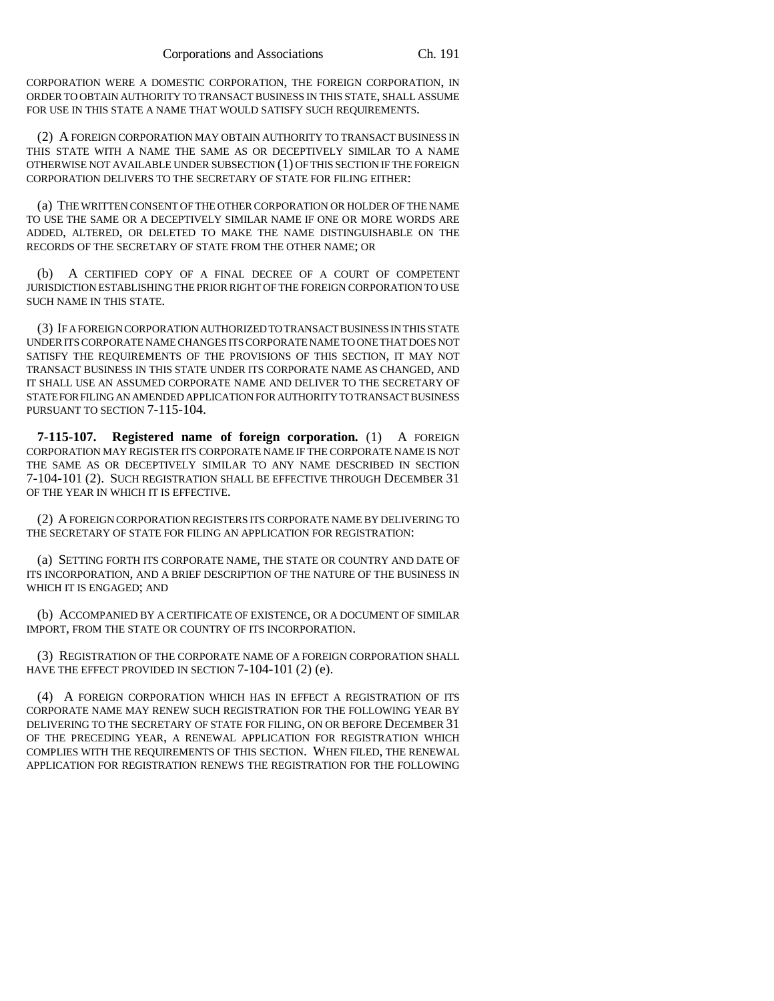CORPORATION WERE A DOMESTIC CORPORATION, THE FOREIGN CORPORATION, IN ORDER TO OBTAIN AUTHORITY TO TRANSACT BUSINESS IN THIS STATE, SHALL ASSUME FOR USE IN THIS STATE A NAME THAT WOULD SATISFY SUCH REQUIREMENTS.

(2) A FOREIGN CORPORATION MAY OBTAIN AUTHORITY TO TRANSACT BUSINESS IN THIS STATE WITH A NAME THE SAME AS OR DECEPTIVELY SIMILAR TO A NAME OTHERWISE NOT AVAILABLE UNDER SUBSECTION (1) OF THIS SECTION IF THE FOREIGN CORPORATION DELIVERS TO THE SECRETARY OF STATE FOR FILING EITHER:

(a) THE WRITTEN CONSENT OF THE OTHER CORPORATION OR HOLDER OF THE NAME TO USE THE SAME OR A DECEPTIVELY SIMILAR NAME IF ONE OR MORE WORDS ARE ADDED, ALTERED, OR DELETED TO MAKE THE NAME DISTINGUISHABLE ON THE RECORDS OF THE SECRETARY OF STATE FROM THE OTHER NAME; OR

(b) A CERTIFIED COPY OF A FINAL DECREE OF A COURT OF COMPETENT JURISDICTION ESTABLISHING THE PRIOR RIGHT OF THE FOREIGN CORPORATION TO USE SUCH NAME IN THIS STATE.

(3) IF A FOREIGN CORPORATION AUTHORIZED TO TRANSACT BUSINESS IN THIS STATE UNDER ITS CORPORATE NAME CHANGES ITS CORPORATE NAME TO ONE THAT DOES NOT SATISFY THE REQUIREMENTS OF THE PROVISIONS OF THIS SECTION, IT MAY NOT TRANSACT BUSINESS IN THIS STATE UNDER ITS CORPORATE NAME AS CHANGED, AND IT SHALL USE AN ASSUMED CORPORATE NAME AND DELIVER TO THE SECRETARY OF STATE FOR FILING AN AMENDED APPLICATION FOR AUTHORITY TO TRANSACT BUSINESS PURSUANT TO SECTION 7-115-104.

**7-115-107. Registered name of foreign corporation.** (1) A FOREIGN CORPORATION MAY REGISTER ITS CORPORATE NAME IF THE CORPORATE NAME IS NOT THE SAME AS OR DECEPTIVELY SIMILAR TO ANY NAME DESCRIBED IN SECTION 7-104-101 (2). SUCH REGISTRATION SHALL BE EFFECTIVE THROUGH DECEMBER 31 OF THE YEAR IN WHICH IT IS EFFECTIVE.

(2) A FOREIGN CORPORATION REGISTERS ITS CORPORATE NAME BY DELIVERING TO THE SECRETARY OF STATE FOR FILING AN APPLICATION FOR REGISTRATION:

(a) SETTING FORTH ITS CORPORATE NAME, THE STATE OR COUNTRY AND DATE OF ITS INCORPORATION, AND A BRIEF DESCRIPTION OF THE NATURE OF THE BUSINESS IN WHICH IT IS ENGAGED; AND

(b) ACCOMPANIED BY A CERTIFICATE OF EXISTENCE, OR A DOCUMENT OF SIMILAR IMPORT, FROM THE STATE OR COUNTRY OF ITS INCORPORATION.

(3) REGISTRATION OF THE CORPORATE NAME OF A FOREIGN CORPORATION SHALL HAVE THE EFFECT PROVIDED IN SECTION 7-104-101 (2) (e).

(4) A FOREIGN CORPORATION WHICH HAS IN EFFECT A REGISTRATION OF ITS CORPORATE NAME MAY RENEW SUCH REGISTRATION FOR THE FOLLOWING YEAR BY DELIVERING TO THE SECRETARY OF STATE FOR FILING, ON OR BEFORE DECEMBER 31 OF THE PRECEDING YEAR, A RENEWAL APPLICATION FOR REGISTRATION WHICH COMPLIES WITH THE REQUIREMENTS OF THIS SECTION. WHEN FILED, THE RENEWAL APPLICATION FOR REGISTRATION RENEWS THE REGISTRATION FOR THE FOLLOWING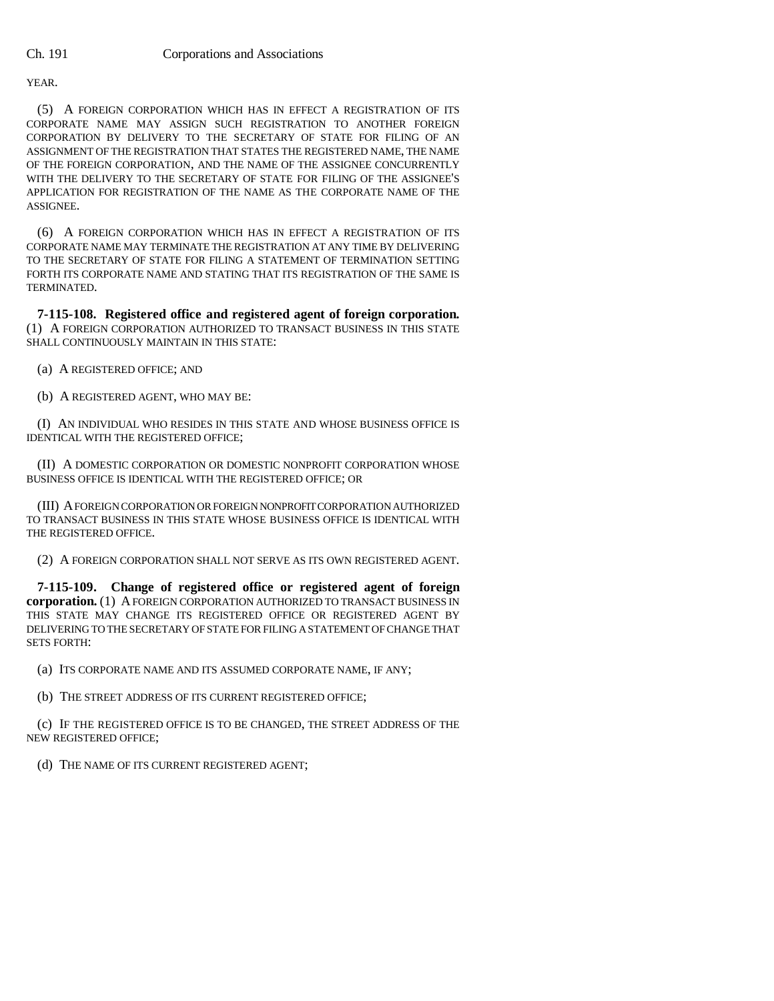YEAR.

(5) A FOREIGN CORPORATION WHICH HAS IN EFFECT A REGISTRATION OF ITS CORPORATE NAME MAY ASSIGN SUCH REGISTRATION TO ANOTHER FOREIGN CORPORATION BY DELIVERY TO THE SECRETARY OF STATE FOR FILING OF AN ASSIGNMENT OF THE REGISTRATION THAT STATES THE REGISTERED NAME, THE NAME OF THE FOREIGN CORPORATION, AND THE NAME OF THE ASSIGNEE CONCURRENTLY WITH THE DELIVERY TO THE SECRETARY OF STATE FOR FILING OF THE ASSIGNEE'S APPLICATION FOR REGISTRATION OF THE NAME AS THE CORPORATE NAME OF THE ASSIGNEE.

(6) A FOREIGN CORPORATION WHICH HAS IN EFFECT A REGISTRATION OF ITS CORPORATE NAME MAY TERMINATE THE REGISTRATION AT ANY TIME BY DELIVERING TO THE SECRETARY OF STATE FOR FILING A STATEMENT OF TERMINATION SETTING FORTH ITS CORPORATE NAME AND STATING THAT ITS REGISTRATION OF THE SAME IS TERMINATED.

**7-115-108. Registered office and registered agent of foreign corporation.** (1) A FOREIGN CORPORATION AUTHORIZED TO TRANSACT BUSINESS IN THIS STATE SHALL CONTINUOUSLY MAINTAIN IN THIS STATE:

(a) A REGISTERED OFFICE; AND

(b) A REGISTERED AGENT, WHO MAY BE:

(I) AN INDIVIDUAL WHO RESIDES IN THIS STATE AND WHOSE BUSINESS OFFICE IS IDENTICAL WITH THE REGISTERED OFFICE;

(II) A DOMESTIC CORPORATION OR DOMESTIC NONPROFIT CORPORATION WHOSE BUSINESS OFFICE IS IDENTICAL WITH THE REGISTERED OFFICE; OR

(III) A FOREIGN CORPORATION OR FOREIGN NONPROFIT CORPORATION AUTHORIZED TO TRANSACT BUSINESS IN THIS STATE WHOSE BUSINESS OFFICE IS IDENTICAL WITH THE REGISTERED OFFICE.

(2) A FOREIGN CORPORATION SHALL NOT SERVE AS ITS OWN REGISTERED AGENT.

**7-115-109. Change of registered office or registered agent of foreign corporation.** (1) A FOREIGN CORPORATION AUTHORIZED TO TRANSACT BUSINESS IN THIS STATE MAY CHANGE ITS REGISTERED OFFICE OR REGISTERED AGENT BY DELIVERING TO THE SECRETARY OF STATE FOR FILING A STATEMENT OF CHANGE THAT SETS FORTH:

(a) ITS CORPORATE NAME AND ITS ASSUMED CORPORATE NAME, IF ANY;

(b) THE STREET ADDRESS OF ITS CURRENT REGISTERED OFFICE;

(c) IF THE REGISTERED OFFICE IS TO BE CHANGED, THE STREET ADDRESS OF THE NEW REGISTERED OFFICE;

(d) THE NAME OF ITS CURRENT REGISTERED AGENT;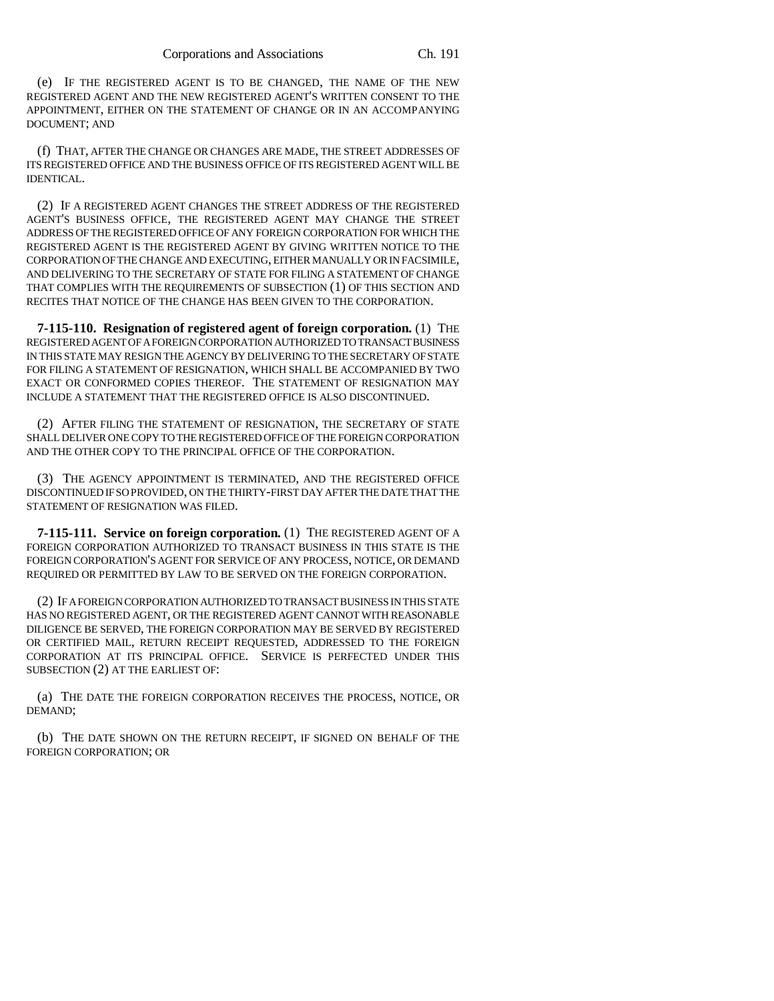(e) IF THE REGISTERED AGENT IS TO BE CHANGED, THE NAME OF THE NEW REGISTERED AGENT AND THE NEW REGISTERED AGENT'S WRITTEN CONSENT TO THE APPOINTMENT, EITHER ON THE STATEMENT OF CHANGE OR IN AN ACCOMPANYING DOCUMENT; AND

(f) THAT, AFTER THE CHANGE OR CHANGES ARE MADE, THE STREET ADDRESSES OF ITS REGISTERED OFFICE AND THE BUSINESS OFFICE OF ITS REGISTERED AGENT WILL BE IDENTICAL.

(2) IF A REGISTERED AGENT CHANGES THE STREET ADDRESS OF THE REGISTERED AGENT'S BUSINESS OFFICE, THE REGISTERED AGENT MAY CHANGE THE STREET ADDRESS OF THE REGISTERED OFFICE OF ANY FOREIGN CORPORATION FOR WHICH THE REGISTERED AGENT IS THE REGISTERED AGENT BY GIVING WRITTEN NOTICE TO THE CORPORATION OF THE CHANGE AND EXECUTING, EITHER MANUALLY OR IN FACSIMILE, AND DELIVERING TO THE SECRETARY OF STATE FOR FILING A STATEMENT OF CHANGE THAT COMPLIES WITH THE REQUIREMENTS OF SUBSECTION (1) OF THIS SECTION AND RECITES THAT NOTICE OF THE CHANGE HAS BEEN GIVEN TO THE CORPORATION.

**7-115-110. Resignation of registered agent of foreign corporation.** (1) THE REGISTERED AGENT OF A FOREIGN CORPORATION AUTHORIZED TO TRANSACT BUSINESS IN THIS STATE MAY RESIGN THE AGENCY BY DELIVERING TO THE SECRETARY OF STATE FOR FILING A STATEMENT OF RESIGNATION, WHICH SHALL BE ACCOMPANIED BY TWO EXACT OR CONFORMED COPIES THEREOF. THE STATEMENT OF RESIGNATION MAY INCLUDE A STATEMENT THAT THE REGISTERED OFFICE IS ALSO DISCONTINUED.

(2) AFTER FILING THE STATEMENT OF RESIGNATION, THE SECRETARY OF STATE SHALL DELIVER ONE COPY TO THE REGISTERED OFFICE OF THE FOREIGN CORPORATION AND THE OTHER COPY TO THE PRINCIPAL OFFICE OF THE CORPORATION.

(3) THE AGENCY APPOINTMENT IS TERMINATED, AND THE REGISTERED OFFICE DISCONTINUED IF SO PROVIDED, ON THE THIRTY-FIRST DAY AFTER THE DATE THAT THE STATEMENT OF RESIGNATION WAS FILED.

**7-115-111. Service on foreign corporation.** (1) THE REGISTERED AGENT OF A FOREIGN CORPORATION AUTHORIZED TO TRANSACT BUSINESS IN THIS STATE IS THE FOREIGN CORPORATION'S AGENT FOR SERVICE OF ANY PROCESS, NOTICE, OR DEMAND REQUIRED OR PERMITTED BY LAW TO BE SERVED ON THE FOREIGN CORPORATION.

(2) IF A FOREIGN CORPORATION AUTHORIZED TO TRANSACT BUSINESS IN THIS STATE HAS NO REGISTERED AGENT, OR THE REGISTERED AGENT CANNOT WITH REASONABLE DILIGENCE BE SERVED, THE FOREIGN CORPORATION MAY BE SERVED BY REGISTERED OR CERTIFIED MAIL, RETURN RECEIPT REQUESTED, ADDRESSED TO THE FOREIGN CORPORATION AT ITS PRINCIPAL OFFICE. SERVICE IS PERFECTED UNDER THIS SUBSECTION (2) AT THE EARLIEST OF:

(a) THE DATE THE FOREIGN CORPORATION RECEIVES THE PROCESS, NOTICE, OR DEMAND;

(b) THE DATE SHOWN ON THE RETURN RECEIPT, IF SIGNED ON BEHALF OF THE FOREIGN CORPORATION; OR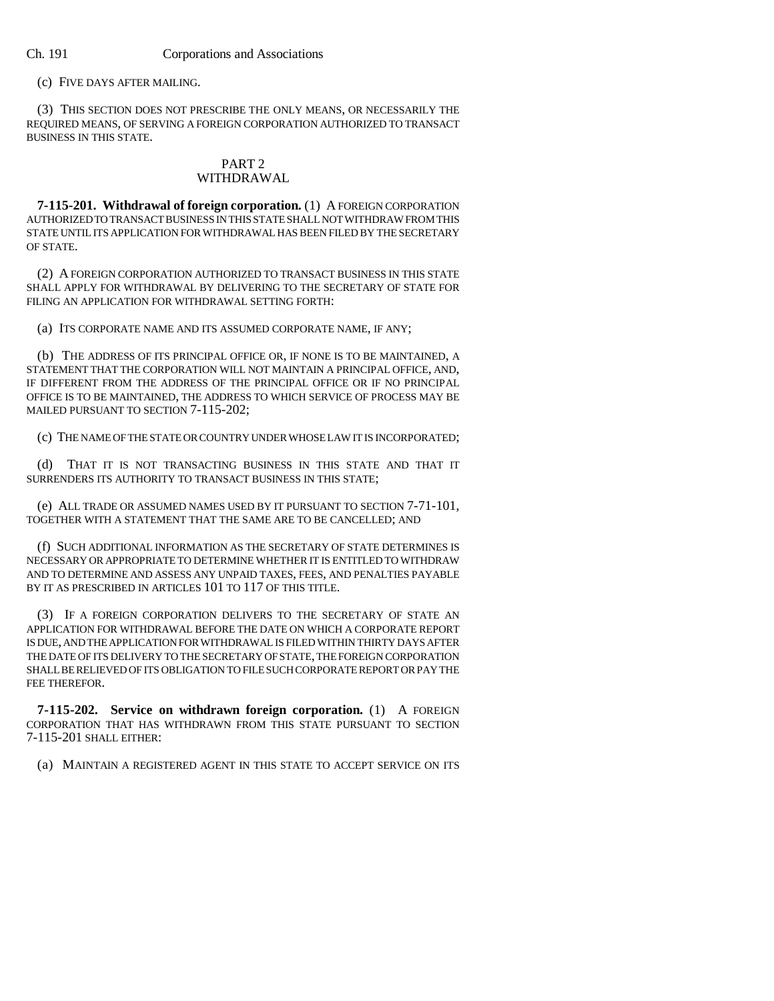#### Ch. 191 Corporations and Associations

(c) FIVE DAYS AFTER MAILING.

(3) THIS SECTION DOES NOT PRESCRIBE THE ONLY MEANS, OR NECESSARILY THE REQUIRED MEANS, OF SERVING A FOREIGN CORPORATION AUTHORIZED TO TRANSACT BUSINESS IN THIS STATE.

## PART 2 WITHDRAWAL.

**7-115-201. Withdrawal of foreign corporation.** (1) A FOREIGN CORPORATION AUTHORIZED TO TRANSACT BUSINESS IN THIS STATE SHALL NOT WITHDRAW FROM THIS STATE UNTIL ITS APPLICATION FOR WITHDRAWAL HAS BEEN FILED BY THE SECRETARY OF STATE.

(2) A FOREIGN CORPORATION AUTHORIZED TO TRANSACT BUSINESS IN THIS STATE SHALL APPLY FOR WITHDRAWAL BY DELIVERING TO THE SECRETARY OF STATE FOR FILING AN APPLICATION FOR WITHDRAWAL SETTING FORTH:

(a) ITS CORPORATE NAME AND ITS ASSUMED CORPORATE NAME, IF ANY;

(b) THE ADDRESS OF ITS PRINCIPAL OFFICE OR, IF NONE IS TO BE MAINTAINED, A STATEMENT THAT THE CORPORATION WILL NOT MAINTAIN A PRINCIPAL OFFICE, AND, IF DIFFERENT FROM THE ADDRESS OF THE PRINCIPAL OFFICE OR IF NO PRINCIPAL OFFICE IS TO BE MAINTAINED, THE ADDRESS TO WHICH SERVICE OF PROCESS MAY BE MAILED PURSUANT TO SECTION 7-115-202;

(c) THE NAME OF THE STATE OR COUNTRY UNDER WHOSE LAW IT IS INCORPORATED;

(d) THAT IT IS NOT TRANSACTING BUSINESS IN THIS STATE AND THAT IT SURRENDERS ITS AUTHORITY TO TRANSACT BUSINESS IN THIS STATE;

(e) ALL TRADE OR ASSUMED NAMES USED BY IT PURSUANT TO SECTION 7-71-101, TOGETHER WITH A STATEMENT THAT THE SAME ARE TO BE CANCELLED; AND

(f) SUCH ADDITIONAL INFORMATION AS THE SECRETARY OF STATE DETERMINES IS NECESSARY OR APPROPRIATE TO DETERMINE WHETHER IT IS ENTITLED TO WITHDRAW AND TO DETERMINE AND ASSESS ANY UNPAID TAXES, FEES, AND PENALTIES PAYABLE BY IT AS PRESCRIBED IN ARTICLES 101 TO 117 OF THIS TITLE.

(3) IF A FOREIGN CORPORATION DELIVERS TO THE SECRETARY OF STATE AN APPLICATION FOR WITHDRAWAL BEFORE THE DATE ON WHICH A CORPORATE REPORT IS DUE, AND THE APPLICATION FOR WITHDRAWAL IS FILED WITHIN THIRTY DAYS AFTER THE DATE OF ITS DELIVERY TO THE SECRETARY OF STATE, THE FOREIGN CORPORATION SHALL BE RELIEVED OF ITS OBLIGATION TO FILE SUCH CORPORATE REPORT OR PAY THE FEE THEREFOR.

**7-115-202. Service on withdrawn foreign corporation.** (1) A FOREIGN CORPORATION THAT HAS WITHDRAWN FROM THIS STATE PURSUANT TO SECTION 7-115-201 SHALL EITHER:

(a) MAINTAIN A REGISTERED AGENT IN THIS STATE TO ACCEPT SERVICE ON ITS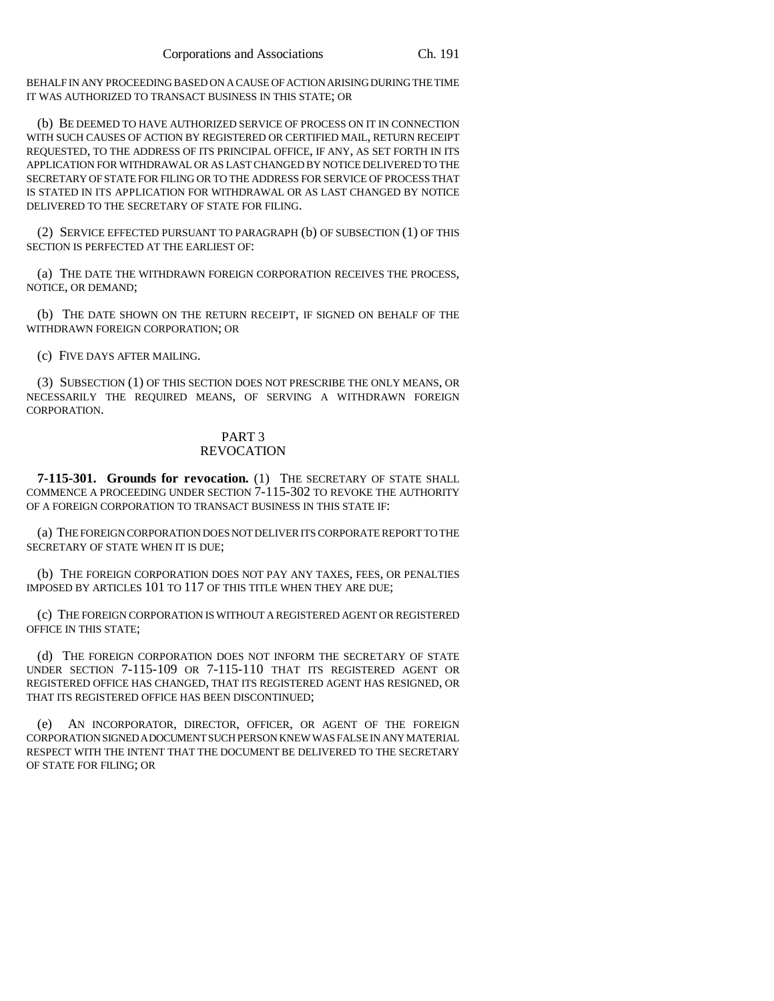BEHALF IN ANY PROCEEDING BASED ON A CAUSE OF ACTION ARISING DURING THE TIME IT WAS AUTHORIZED TO TRANSACT BUSINESS IN THIS STATE; OR

(b) BE DEEMED TO HAVE AUTHORIZED SERVICE OF PROCESS ON IT IN CONNECTION WITH SUCH CAUSES OF ACTION BY REGISTERED OR CERTIFIED MAIL, RETURN RECEIPT REQUESTED, TO THE ADDRESS OF ITS PRINCIPAL OFFICE, IF ANY, AS SET FORTH IN ITS APPLICATION FOR WITHDRAWAL OR AS LAST CHANGED BY NOTICE DELIVERED TO THE SECRETARY OF STATE FOR FILING OR TO THE ADDRESS FOR SERVICE OF PROCESS THAT IS STATED IN ITS APPLICATION FOR WITHDRAWAL OR AS LAST CHANGED BY NOTICE DELIVERED TO THE SECRETARY OF STATE FOR FILING.

(2) SERVICE EFFECTED PURSUANT TO PARAGRAPH (b) OF SUBSECTION (1) OF THIS SECTION IS PERFECTED AT THE EARLIEST OF:

(a) THE DATE THE WITHDRAWN FOREIGN CORPORATION RECEIVES THE PROCESS, NOTICE, OR DEMAND;

(b) THE DATE SHOWN ON THE RETURN RECEIPT, IF SIGNED ON BEHALF OF THE WITHDRAWN FOREIGN CORPORATION; OR

(c) FIVE DAYS AFTER MAILING.

(3) SUBSECTION (1) OF THIS SECTION DOES NOT PRESCRIBE THE ONLY MEANS, OR NECESSARILY THE REQUIRED MEANS, OF SERVING A WITHDRAWN FOREIGN CORPORATION.

### PART 3 REVOCATION

**7-115-301. Grounds for revocation.** (1) THE SECRETARY OF STATE SHALL COMMENCE A PROCEEDING UNDER SECTION 7-115-302 TO REVOKE THE AUTHORITY OF A FOREIGN CORPORATION TO TRANSACT BUSINESS IN THIS STATE IF:

(a) THE FOREIGN CORPORATION DOES NOT DELIVER ITS CORPORATE REPORT TO THE SECRETARY OF STATE WHEN IT IS DUE;

(b) THE FOREIGN CORPORATION DOES NOT PAY ANY TAXES, FEES, OR PENALTIES IMPOSED BY ARTICLES 101 TO 117 OF THIS TITLE WHEN THEY ARE DUE;

(c) THE FOREIGN CORPORATION IS WITHOUT A REGISTERED AGENT OR REGISTERED OFFICE IN THIS STATE;

(d) THE FOREIGN CORPORATION DOES NOT INFORM THE SECRETARY OF STATE UNDER SECTION 7-115-109 OR 7-115-110 THAT ITS REGISTERED AGENT OR REGISTERED OFFICE HAS CHANGED, THAT ITS REGISTERED AGENT HAS RESIGNED, OR THAT ITS REGISTERED OFFICE HAS BEEN DISCONTINUED;

(e) AN INCORPORATOR, DIRECTOR, OFFICER, OR AGENT OF THE FOREIGN CORPORATION SIGNED A DOCUMENT SUCH PERSON KNEW WAS FALSE IN ANY MATERIAL RESPECT WITH THE INTENT THAT THE DOCUMENT BE DELIVERED TO THE SECRETARY OF STATE FOR FILING; OR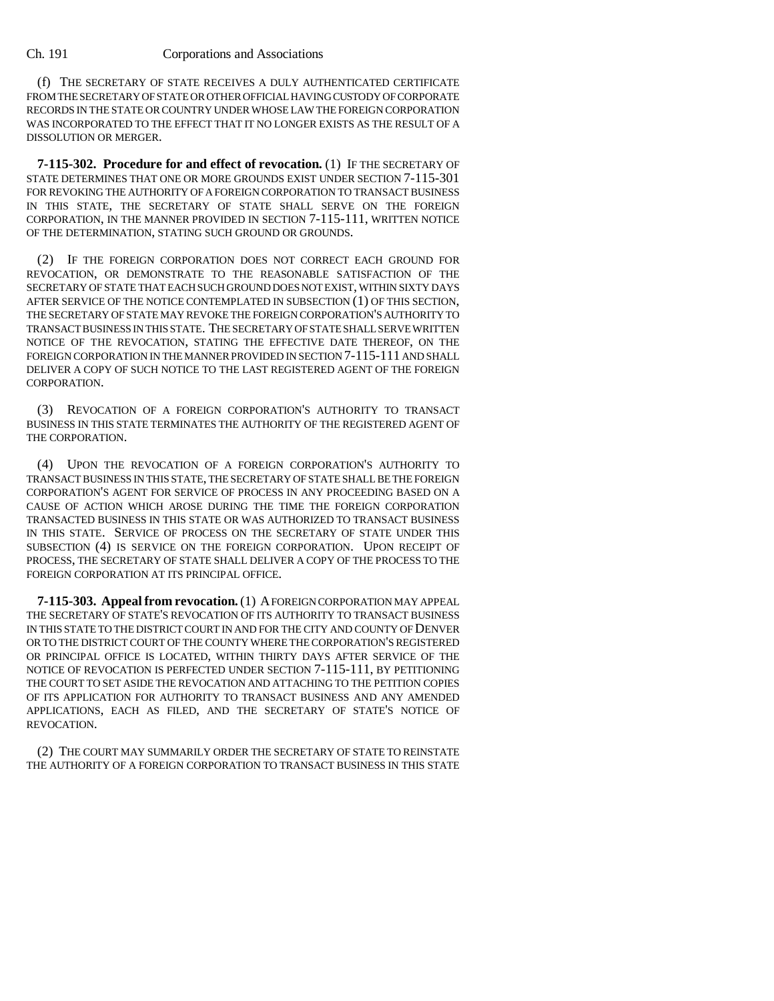(f) THE SECRETARY OF STATE RECEIVES A DULY AUTHENTICATED CERTIFICATE FROM THE SECRETARY OF STATE OR OTHER OFFICIAL HAVING CUSTODY OF CORPORATE RECORDS IN THE STATE OR COUNTRY UNDER WHOSE LAW THE FOREIGN CORPORATION WAS INCORPORATED TO THE EFFECT THAT IT NO LONGER EXISTS AS THE RESULT OF A DISSOLUTION OR MERGER.

**7-115-302. Procedure for and effect of revocation.** (1) IF THE SECRETARY OF STATE DETERMINES THAT ONE OR MORE GROUNDS EXIST UNDER SECTION 7-115-301 FOR REVOKING THE AUTHORITY OF A FOREIGN CORPORATION TO TRANSACT BUSINESS IN THIS STATE, THE SECRETARY OF STATE SHALL SERVE ON THE FOREIGN CORPORATION, IN THE MANNER PROVIDED IN SECTION 7-115-111, WRITTEN NOTICE OF THE DETERMINATION, STATING SUCH GROUND OR GROUNDS.

(2) IF THE FOREIGN CORPORATION DOES NOT CORRECT EACH GROUND FOR REVOCATION, OR DEMONSTRATE TO THE REASONABLE SATISFACTION OF THE SECRETARY OF STATE THAT EACH SUCH GROUND DOES NOT EXIST, WITHIN SIXTY DAYS AFTER SERVICE OF THE NOTICE CONTEMPLATED IN SUBSECTION (1) OF THIS SECTION, THE SECRETARY OF STATE MAY REVOKE THE FOREIGN CORPORATION'S AUTHORITY TO TRANSACT BUSINESS IN THIS STATE. THE SECRETARY OF STATE SHALL SERVE WRITTEN NOTICE OF THE REVOCATION, STATING THE EFFECTIVE DATE THEREOF, ON THE FOREIGN CORPORATION IN THE MANNER PROVIDED IN SECTION 7-115-111 AND SHALL DELIVER A COPY OF SUCH NOTICE TO THE LAST REGISTERED AGENT OF THE FOREIGN CORPORATION.

(3) REVOCATION OF A FOREIGN CORPORATION'S AUTHORITY TO TRANSACT BUSINESS IN THIS STATE TERMINATES THE AUTHORITY OF THE REGISTERED AGENT OF THE CORPORATION.

(4) UPON THE REVOCATION OF A FOREIGN CORPORATION'S AUTHORITY TO TRANSACT BUSINESS IN THIS STATE, THE SECRETARY OF STATE SHALL BE THE FOREIGN CORPORATION'S AGENT FOR SERVICE OF PROCESS IN ANY PROCEEDING BASED ON A CAUSE OF ACTION WHICH AROSE DURING THE TIME THE FOREIGN CORPORATION TRANSACTED BUSINESS IN THIS STATE OR WAS AUTHORIZED TO TRANSACT BUSINESS IN THIS STATE. SERVICE OF PROCESS ON THE SECRETARY OF STATE UNDER THIS SUBSECTION (4) IS SERVICE ON THE FOREIGN CORPORATION. UPON RECEIPT OF PROCESS, THE SECRETARY OF STATE SHALL DELIVER A COPY OF THE PROCESS TO THE FOREIGN CORPORATION AT ITS PRINCIPAL OFFICE.

**7-115-303. Appeal from revocation.** (1) A FOREIGN CORPORATION MAY APPEAL THE SECRETARY OF STATE'S REVOCATION OF ITS AUTHORITY TO TRANSACT BUSINESS IN THIS STATE TO THE DISTRICT COURT IN AND FOR THE CITY AND COUNTY OF DENVER OR TO THE DISTRICT COURT OF THE COUNTY WHERE THE CORPORATION'S REGISTERED OR PRINCIPAL OFFICE IS LOCATED, WITHIN THIRTY DAYS AFTER SERVICE OF THE NOTICE OF REVOCATION IS PERFECTED UNDER SECTION 7-115-111, BY PETITIONING THE COURT TO SET ASIDE THE REVOCATION AND ATTACHING TO THE PETITION COPIES OF ITS APPLICATION FOR AUTHORITY TO TRANSACT BUSINESS AND ANY AMENDED APPLICATIONS, EACH AS FILED, AND THE SECRETARY OF STATE'S NOTICE OF REVOCATION.

(2) THE COURT MAY SUMMARILY ORDER THE SECRETARY OF STATE TO REINSTATE THE AUTHORITY OF A FOREIGN CORPORATION TO TRANSACT BUSINESS IN THIS STATE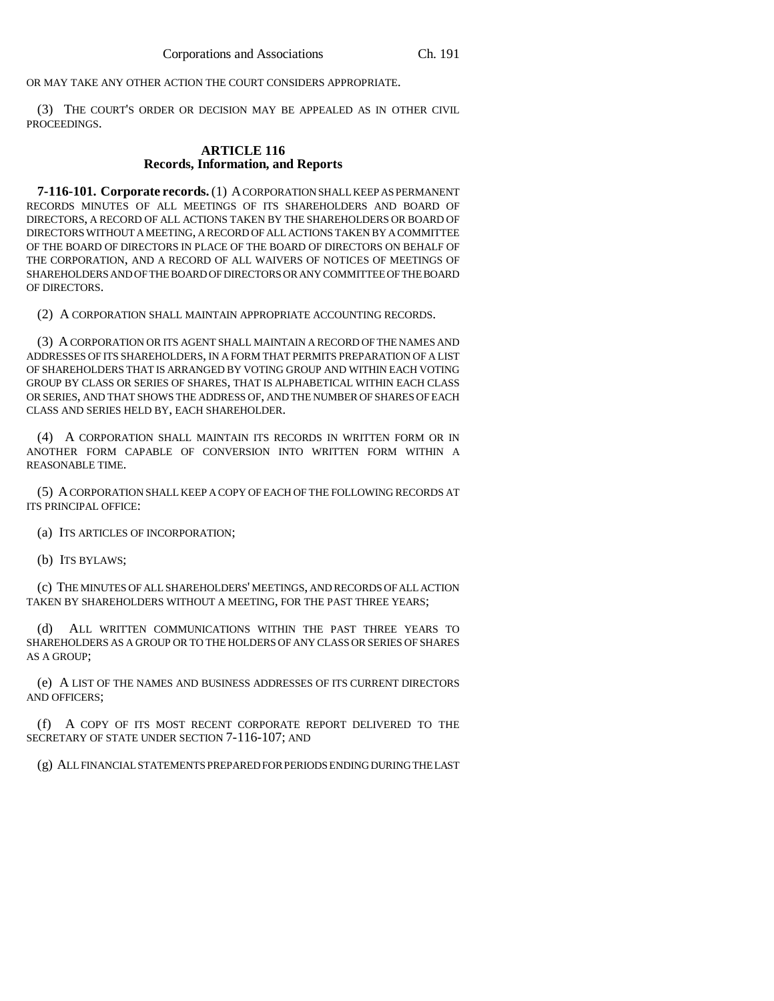OR MAY TAKE ANY OTHER ACTION THE COURT CONSIDERS APPROPRIATE.

(3) THE COURT'S ORDER OR DECISION MAY BE APPEALED AS IN OTHER CIVIL PROCEEDINGS.

# **ARTICLE 116 Records, Information, and Reports**

**7-116-101. Corporate records.** (1) A CORPORATION SHALL KEEP AS PERMANENT RECORDS MINUTES OF ALL MEETINGS OF ITS SHAREHOLDERS AND BOARD OF DIRECTORS, A RECORD OF ALL ACTIONS TAKEN BY THE SHAREHOLDERS OR BOARD OF DIRECTORS WITHOUT A MEETING, A RECORD OF ALL ACTIONS TAKEN BY A COMMITTEE OF THE BOARD OF DIRECTORS IN PLACE OF THE BOARD OF DIRECTORS ON BEHALF OF THE CORPORATION, AND A RECORD OF ALL WAIVERS OF NOTICES OF MEETINGS OF SHAREHOLDERS AND OF THE BOARD OF DIRECTORS OR ANY COMMITTEE OF THE BOARD OF DIRECTORS.

(2) A CORPORATION SHALL MAINTAIN APPROPRIATE ACCOUNTING RECORDS.

(3) A CORPORATION OR ITS AGENT SHALL MAINTAIN A RECORD OF THE NAMES AND ADDRESSES OF ITS SHAREHOLDERS, IN A FORM THAT PERMITS PREPARATION OF A LIST OF SHAREHOLDERS THAT IS ARRANGED BY VOTING GROUP AND WITHIN EACH VOTING GROUP BY CLASS OR SERIES OF SHARES, THAT IS ALPHABETICAL WITHIN EACH CLASS OR SERIES, AND THAT SHOWS THE ADDRESS OF, AND THE NUMBER OF SHARES OF EACH CLASS AND SERIES HELD BY, EACH SHAREHOLDER.

(4) A CORPORATION SHALL MAINTAIN ITS RECORDS IN WRITTEN FORM OR IN ANOTHER FORM CAPABLE OF CONVERSION INTO WRITTEN FORM WITHIN A REASONABLE TIME.

(5) A CORPORATION SHALL KEEP A COPY OF EACH OF THE FOLLOWING RECORDS AT ITS PRINCIPAL OFFICE:

(a) ITS ARTICLES OF INCORPORATION;

(b) ITS BYLAWS;

(c) THE MINUTES OF ALL SHAREHOLDERS' MEETINGS, AND RECORDS OF ALL ACTION TAKEN BY SHAREHOLDERS WITHOUT A MEETING, FOR THE PAST THREE YEARS;

(d) ALL WRITTEN COMMUNICATIONS WITHIN THE PAST THREE YEARS TO SHAREHOLDERS AS A GROUP OR TO THE HOLDERS OF ANY CLASS OR SERIES OF SHARES AS A GROUP;

(e) A LIST OF THE NAMES AND BUSINESS ADDRESSES OF ITS CURRENT DIRECTORS AND OFFICERS;

(f) A COPY OF ITS MOST RECENT CORPORATE REPORT DELIVERED TO THE SECRETARY OF STATE UNDER SECTION 7-116-107; AND

(g) ALL FINANCIAL STATEMENTS PREPARED FOR PERIODS ENDING DURING THE LAST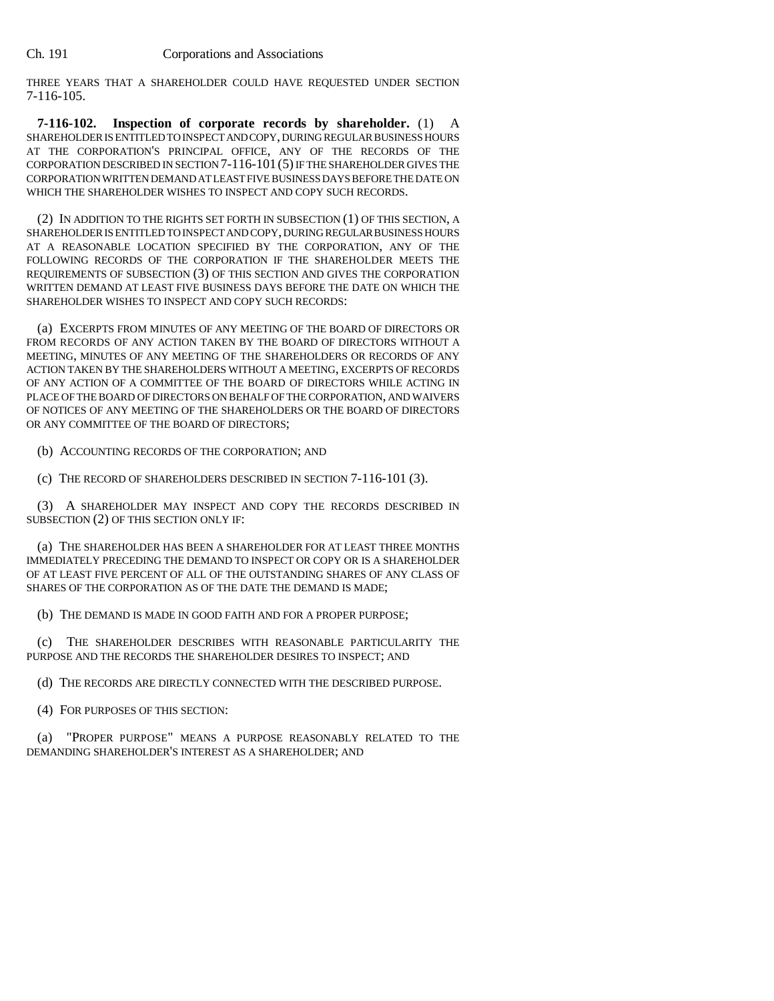THREE YEARS THAT A SHAREHOLDER COULD HAVE REQUESTED UNDER SECTION 7-116-105.

**7-116-102. Inspection of corporate records by shareholder.** (1) A SHAREHOLDER IS ENTITLED TO INSPECT AND COPY, DURING REGULAR BUSINESS HOURS AT THE CORPORATION'S PRINCIPAL OFFICE, ANY OF THE RECORDS OF THE CORPORATION DESCRIBED IN SECTION 7-116-101(5) IF THE SHAREHOLDER GIVES THE CORPORATION WRITTEN DEMAND AT LEAST FIVE BUSINESS DAYS BEFORE THE DATE ON WHICH THE SHAREHOLDER WISHES TO INSPECT AND COPY SUCH RECORDS.

(2) IN ADDITION TO THE RIGHTS SET FORTH IN SUBSECTION (1) OF THIS SECTION, A SHAREHOLDER IS ENTITLED TO INSPECT AND COPY, DURING REGULAR BUSINESS HOURS AT A REASONABLE LOCATION SPECIFIED BY THE CORPORATION, ANY OF THE FOLLOWING RECORDS OF THE CORPORATION IF THE SHAREHOLDER MEETS THE REQUIREMENTS OF SUBSECTION (3) OF THIS SECTION AND GIVES THE CORPORATION WRITTEN DEMAND AT LEAST FIVE BUSINESS DAYS BEFORE THE DATE ON WHICH THE SHAREHOLDER WISHES TO INSPECT AND COPY SUCH RECORDS:

(a) EXCERPTS FROM MINUTES OF ANY MEETING OF THE BOARD OF DIRECTORS OR FROM RECORDS OF ANY ACTION TAKEN BY THE BOARD OF DIRECTORS WITHOUT A MEETING, MINUTES OF ANY MEETING OF THE SHAREHOLDERS OR RECORDS OF ANY ACTION TAKEN BY THE SHAREHOLDERS WITHOUT A MEETING, EXCERPTS OF RECORDS OF ANY ACTION OF A COMMITTEE OF THE BOARD OF DIRECTORS WHILE ACTING IN PLACE OF THE BOARD OF DIRECTORS ON BEHALF OF THE CORPORATION, AND WAIVERS OF NOTICES OF ANY MEETING OF THE SHAREHOLDERS OR THE BOARD OF DIRECTORS OR ANY COMMITTEE OF THE BOARD OF DIRECTORS;

(b) ACCOUNTING RECORDS OF THE CORPORATION; AND

(c) THE RECORD OF SHAREHOLDERS DESCRIBED IN SECTION 7-116-101 (3).

(3) A SHAREHOLDER MAY INSPECT AND COPY THE RECORDS DESCRIBED IN SUBSECTION (2) OF THIS SECTION ONLY IF:

(a) THE SHAREHOLDER HAS BEEN A SHAREHOLDER FOR AT LEAST THREE MONTHS IMMEDIATELY PRECEDING THE DEMAND TO INSPECT OR COPY OR IS A SHAREHOLDER OF AT LEAST FIVE PERCENT OF ALL OF THE OUTSTANDING SHARES OF ANY CLASS OF SHARES OF THE CORPORATION AS OF THE DATE THE DEMAND IS MADE;

(b) THE DEMAND IS MADE IN GOOD FAITH AND FOR A PROPER PURPOSE;

(c) THE SHAREHOLDER DESCRIBES WITH REASONABLE PARTICULARITY THE PURPOSE AND THE RECORDS THE SHAREHOLDER DESIRES TO INSPECT; AND

(d) THE RECORDS ARE DIRECTLY CONNECTED WITH THE DESCRIBED PURPOSE.

(4) FOR PURPOSES OF THIS SECTION:

(a) "PROPER PURPOSE" MEANS A PURPOSE REASONABLY RELATED TO THE DEMANDING SHAREHOLDER'S INTEREST AS A SHAREHOLDER; AND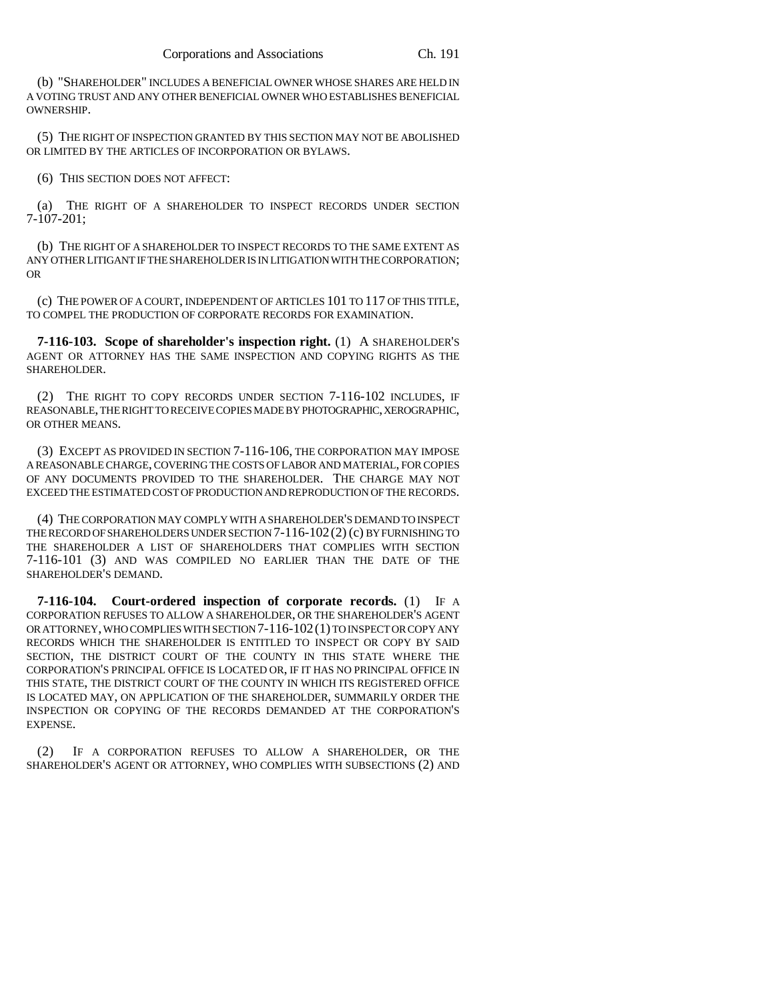(b) "SHAREHOLDER" INCLUDES A BENEFICIAL OWNER WHOSE SHARES ARE HELD IN A VOTING TRUST AND ANY OTHER BENEFICIAL OWNER WHO ESTABLISHES BENEFICIAL OWNERSHIP.

(5) THE RIGHT OF INSPECTION GRANTED BY THIS SECTION MAY NOT BE ABOLISHED OR LIMITED BY THE ARTICLES OF INCORPORATION OR BYLAWS.

(6) THIS SECTION DOES NOT AFFECT:

(a) THE RIGHT OF A SHAREHOLDER TO INSPECT RECORDS UNDER SECTION 7-107-201;

(b) THE RIGHT OF A SHAREHOLDER TO INSPECT RECORDS TO THE SAME EXTENT AS ANY OTHER LITIGANT IF THE SHAREHOLDER IS IN LITIGATION WITH THE CORPORATION; OR

(c) THE POWER OF A COURT, INDEPENDENT OF ARTICLES 101 TO 117 OF THIS TITLE, TO COMPEL THE PRODUCTION OF CORPORATE RECORDS FOR EXAMINATION.

**7-116-103. Scope of shareholder's inspection right.** (1) A SHAREHOLDER'S AGENT OR ATTORNEY HAS THE SAME INSPECTION AND COPYING RIGHTS AS THE SHAREHOLDER.

(2) THE RIGHT TO COPY RECORDS UNDER SECTION 7-116-102 INCLUDES, IF REASONABLE, THE RIGHT TO RECEIVE COPIES MADE BY PHOTOGRAPHIC, XEROGRAPHIC, OR OTHER MEANS.

(3) EXCEPT AS PROVIDED IN SECTION 7-116-106, THE CORPORATION MAY IMPOSE A REASONABLE CHARGE, COVERING THE COSTS OF LABOR AND MATERIAL, FOR COPIES OF ANY DOCUMENTS PROVIDED TO THE SHAREHOLDER. THE CHARGE MAY NOT EXCEED THE ESTIMATED COST OF PRODUCTION AND REPRODUCTION OF THE RECORDS.

(4) THE CORPORATION MAY COMPLY WITH A SHAREHOLDER'S DEMAND TO INSPECT THE RECORD OF SHAREHOLDERS UNDER SECTION 7-116-102(2) (c) BY FURNISHING TO THE SHAREHOLDER A LIST OF SHAREHOLDERS THAT COMPLIES WITH SECTION 7-116-101 (3) AND WAS COMPILED NO EARLIER THAN THE DATE OF THE SHAREHOLDER'S DEMAND.

**7-116-104. Court-ordered inspection of corporate records.** (1) IF A CORPORATION REFUSES TO ALLOW A SHAREHOLDER, OR THE SHAREHOLDER'S AGENT OR ATTORNEY, WHO COMPLIES WITH SECTION 7-116-102(1) TO INSPECT OR COPY ANY RECORDS WHICH THE SHAREHOLDER IS ENTITLED TO INSPECT OR COPY BY SAID SECTION, THE DISTRICT COURT OF THE COUNTY IN THIS STATE WHERE THE CORPORATION'S PRINCIPAL OFFICE IS LOCATED OR, IF IT HAS NO PRINCIPAL OFFICE IN THIS STATE, THE DISTRICT COURT OF THE COUNTY IN WHICH ITS REGISTERED OFFICE IS LOCATED MAY, ON APPLICATION OF THE SHAREHOLDER, SUMMARILY ORDER THE INSPECTION OR COPYING OF THE RECORDS DEMANDED AT THE CORPORATION'S EXPENSE.

(2) IF A CORPORATION REFUSES TO ALLOW A SHAREHOLDER, OR THE SHAREHOLDER'S AGENT OR ATTORNEY, WHO COMPLIES WITH SUBSECTIONS (2) AND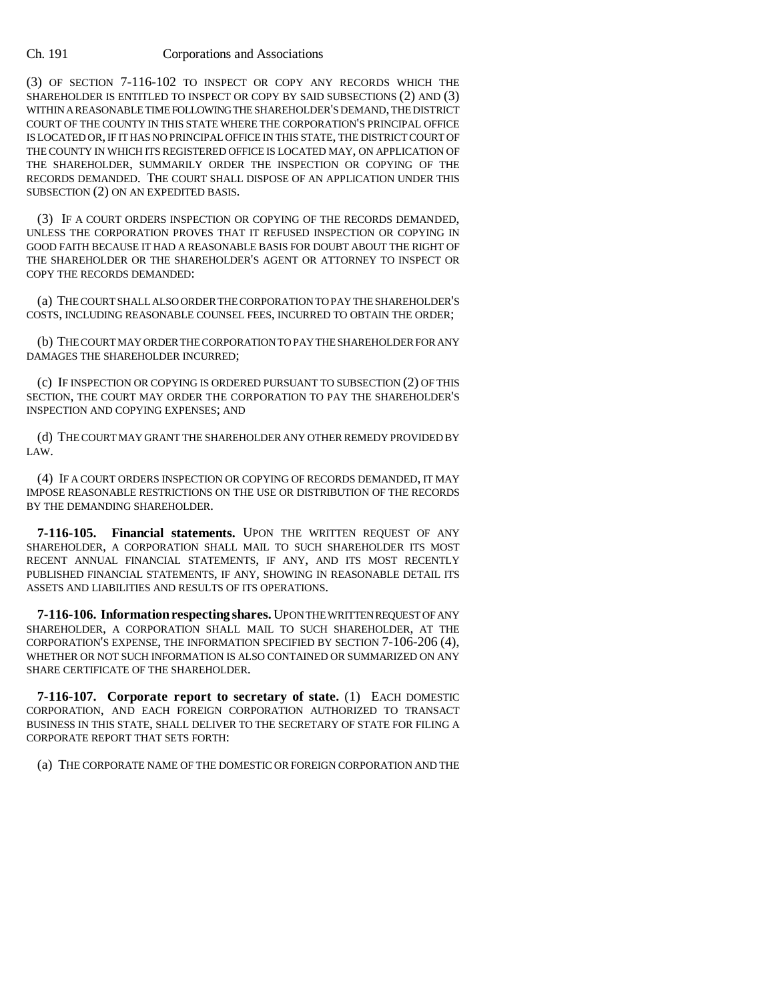(3) OF SECTION 7-116-102 TO INSPECT OR COPY ANY RECORDS WHICH THE SHAREHOLDER IS ENTITLED TO INSPECT OR COPY BY SAID SUBSECTIONS (2) AND (3) WITHIN A REASONABLE TIME FOLLOWING THE SHAREHOLDER'S DEMAND, THE DISTRICT COURT OF THE COUNTY IN THIS STATE WHERE THE CORPORATION'S PRINCIPAL OFFICE IS LOCATED OR, IF IT HAS NO PRINCIPAL OFFICE IN THIS STATE, THE DISTRICT COURT OF THE COUNTY IN WHICH ITS REGISTERED OFFICE IS LOCATED MAY, ON APPLICATION OF THE SHAREHOLDER, SUMMARILY ORDER THE INSPECTION OR COPYING OF THE RECORDS DEMANDED. THE COURT SHALL DISPOSE OF AN APPLICATION UNDER THIS SUBSECTION (2) ON AN EXPEDITED BASIS.

(3) IF A COURT ORDERS INSPECTION OR COPYING OF THE RECORDS DEMANDED, UNLESS THE CORPORATION PROVES THAT IT REFUSED INSPECTION OR COPYING IN GOOD FAITH BECAUSE IT HAD A REASONABLE BASIS FOR DOUBT ABOUT THE RIGHT OF THE SHAREHOLDER OR THE SHAREHOLDER'S AGENT OR ATTORNEY TO INSPECT OR COPY THE RECORDS DEMANDED:

(a) THE COURT SHALL ALSO ORDER THE CORPORATION TO PAY THE SHAREHOLDER'S COSTS, INCLUDING REASONABLE COUNSEL FEES, INCURRED TO OBTAIN THE ORDER;

(b) THE COURT MAY ORDER THE CORPORATION TO PAY THE SHAREHOLDER FOR ANY DAMAGES THE SHAREHOLDER INCURRED;

(c) IF INSPECTION OR COPYING IS ORDERED PURSUANT TO SUBSECTION (2) OF THIS SECTION, THE COURT MAY ORDER THE CORPORATION TO PAY THE SHAREHOLDER'S INSPECTION AND COPYING EXPENSES; AND

(d) THE COURT MAY GRANT THE SHAREHOLDER ANY OTHER REMEDY PROVIDED BY LAW.

(4) IF A COURT ORDERS INSPECTION OR COPYING OF RECORDS DEMANDED, IT MAY IMPOSE REASONABLE RESTRICTIONS ON THE USE OR DISTRIBUTION OF THE RECORDS BY THE DEMANDING SHAREHOLDER.

**7-116-105. Financial statements.** UPON THE WRITTEN REQUEST OF ANY SHAREHOLDER, A CORPORATION SHALL MAIL TO SUCH SHAREHOLDER ITS MOST RECENT ANNUAL FINANCIAL STATEMENTS, IF ANY, AND ITS MOST RECENTLY PUBLISHED FINANCIAL STATEMENTS, IF ANY, SHOWING IN REASONABLE DETAIL ITS ASSETS AND LIABILITIES AND RESULTS OF ITS OPERATIONS.

**7-116-106. Information respecting shares.** UPON THE WRITTEN REQUEST OF ANY SHAREHOLDER, A CORPORATION SHALL MAIL TO SUCH SHAREHOLDER, AT THE CORPORATION'S EXPENSE, THE INFORMATION SPECIFIED BY SECTION 7-106-206 (4), WHETHER OR NOT SUCH INFORMATION IS ALSO CONTAINED OR SUMMARIZED ON ANY SHARE CERTIFICATE OF THE SHAREHOLDER.

**7-116-107. Corporate report to secretary of state.** (1) EACH DOMESTIC CORPORATION, AND EACH FOREIGN CORPORATION AUTHORIZED TO TRANSACT BUSINESS IN THIS STATE, SHALL DELIVER TO THE SECRETARY OF STATE FOR FILING A CORPORATE REPORT THAT SETS FORTH:

(a) THE CORPORATE NAME OF THE DOMESTIC OR FOREIGN CORPORATION AND THE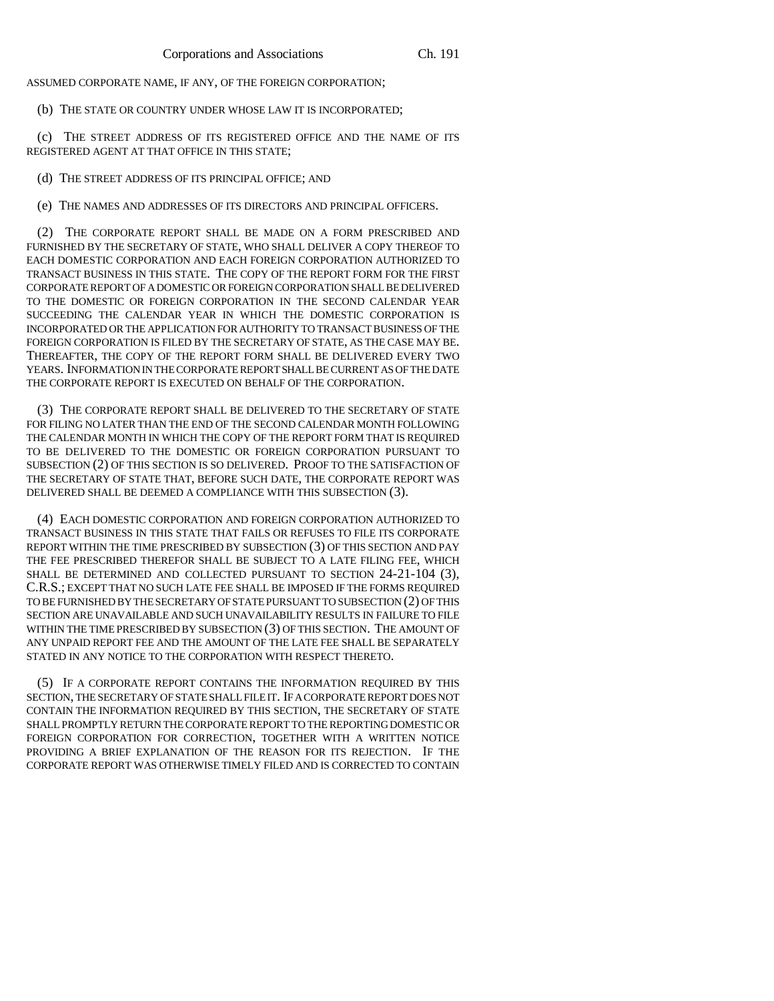ASSUMED CORPORATE NAME, IF ANY, OF THE FOREIGN CORPORATION;

(b) THE STATE OR COUNTRY UNDER WHOSE LAW IT IS INCORPORATED;

(c) THE STREET ADDRESS OF ITS REGISTERED OFFICE AND THE NAME OF ITS REGISTERED AGENT AT THAT OFFICE IN THIS STATE;

(d) THE STREET ADDRESS OF ITS PRINCIPAL OFFICE; AND

(e) THE NAMES AND ADDRESSES OF ITS DIRECTORS AND PRINCIPAL OFFICERS.

(2) THE CORPORATE REPORT SHALL BE MADE ON A FORM PRESCRIBED AND FURNISHED BY THE SECRETARY OF STATE, WHO SHALL DELIVER A COPY THEREOF TO EACH DOMESTIC CORPORATION AND EACH FOREIGN CORPORATION AUTHORIZED TO TRANSACT BUSINESS IN THIS STATE. THE COPY OF THE REPORT FORM FOR THE FIRST CORPORATE REPORT OF A DOMESTIC OR FOREIGN CORPORATION SHALL BE DELIVERED TO THE DOMESTIC OR FOREIGN CORPORATION IN THE SECOND CALENDAR YEAR SUCCEEDING THE CALENDAR YEAR IN WHICH THE DOMESTIC CORPORATION IS INCORPORATED OR THE APPLICATION FOR AUTHORITY TO TRANSACT BUSINESS OF THE FOREIGN CORPORATION IS FILED BY THE SECRETARY OF STATE, AS THE CASE MAY BE. THEREAFTER, THE COPY OF THE REPORT FORM SHALL BE DELIVERED EVERY TWO YEARS. INFORMATION IN THE CORPORATE REPORT SHALL BE CURRENT AS OF THE DATE THE CORPORATE REPORT IS EXECUTED ON BEHALF OF THE CORPORATION.

(3) THE CORPORATE REPORT SHALL BE DELIVERED TO THE SECRETARY OF STATE FOR FILING NO LATER THAN THE END OF THE SECOND CALENDAR MONTH FOLLOWING THE CALENDAR MONTH IN WHICH THE COPY OF THE REPORT FORM THAT IS REQUIRED TO BE DELIVERED TO THE DOMESTIC OR FOREIGN CORPORATION PURSUANT TO SUBSECTION (2) OF THIS SECTION IS SO DELIVERED. PROOF TO THE SATISFACTION OF THE SECRETARY OF STATE THAT, BEFORE SUCH DATE, THE CORPORATE REPORT WAS DELIVERED SHALL BE DEEMED A COMPLIANCE WITH THIS SUBSECTION (3).

(4) EACH DOMESTIC CORPORATION AND FOREIGN CORPORATION AUTHORIZED TO TRANSACT BUSINESS IN THIS STATE THAT FAILS OR REFUSES TO FILE ITS CORPORATE REPORT WITHIN THE TIME PRESCRIBED BY SUBSECTION (3) OF THIS SECTION AND PAY THE FEE PRESCRIBED THEREFOR SHALL BE SUBJECT TO A LATE FILING FEE, WHICH SHALL BE DETERMINED AND COLLECTED PURSUANT TO SECTION 24-21-104 (3), C.R.S.; EXCEPT THAT NO SUCH LATE FEE SHALL BE IMPOSED IF THE FORMS REQUIRED TO BE FURNISHED BY THE SECRETARY OF STATE PURSUANT TO SUBSECTION (2) OF THIS SECTION ARE UNAVAILABLE AND SUCH UNAVAILABILITY RESULTS IN FAILURE TO FILE WITHIN THE TIME PRESCRIBED BY SUBSECTION (3) OF THIS SECTION. THE AMOUNT OF ANY UNPAID REPORT FEE AND THE AMOUNT OF THE LATE FEE SHALL BE SEPARATELY STATED IN ANY NOTICE TO THE CORPORATION WITH RESPECT THERETO.

(5) IF A CORPORATE REPORT CONTAINS THE INFORMATION REQUIRED BY THIS SECTION, THE SECRETARY OF STATE SHALL FILE IT. IF A CORPORATE REPORT DOES NOT CONTAIN THE INFORMATION REQUIRED BY THIS SECTION, THE SECRETARY OF STATE SHALL PROMPTLY RETURN THE CORPORATE REPORT TO THE REPORTING DOMESTIC OR FOREIGN CORPORATION FOR CORRECTION, TOGETHER WITH A WRITTEN NOTICE PROVIDING A BRIEF EXPLANATION OF THE REASON FOR ITS REJECTION. IF THE CORPORATE REPORT WAS OTHERWISE TIMELY FILED AND IS CORRECTED TO CONTAIN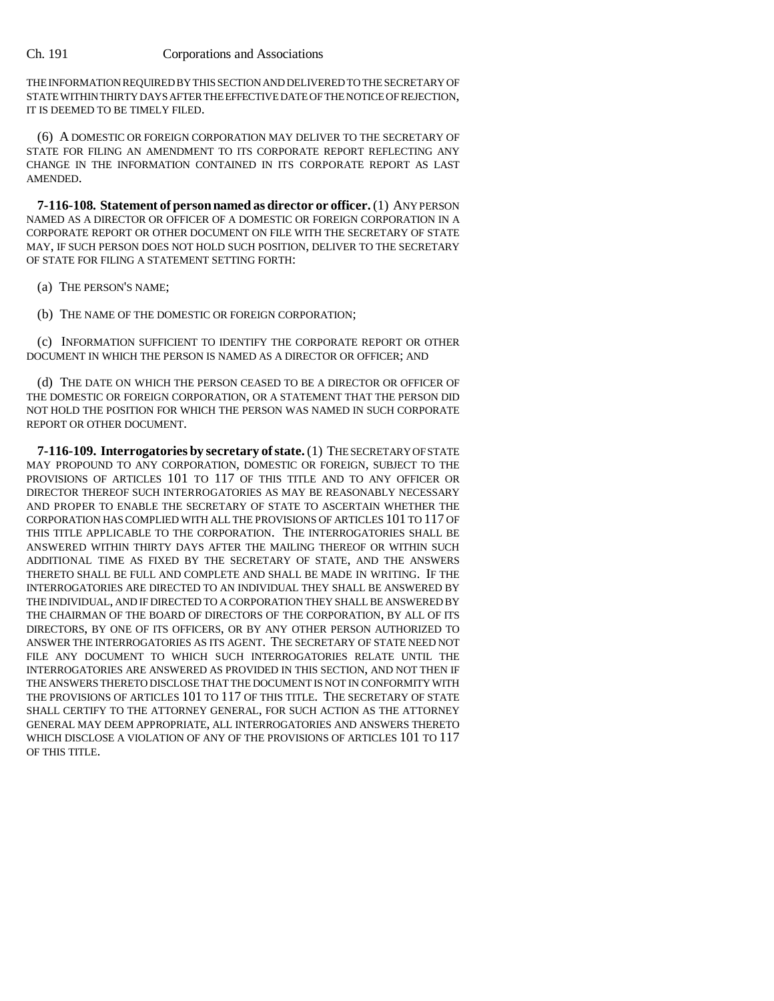THE INFORMATION REQUIRED BY THIS SECTION AND DELIVERED TO THE SECRETARY OF STATE WITHIN THIRTY DAYS AFTER THE EFFECTIVE DATE OF THE NOTICE OF REJECTION, IT IS DEEMED TO BE TIMELY FILED.

(6) A DOMESTIC OR FOREIGN CORPORATION MAY DELIVER TO THE SECRETARY OF STATE FOR FILING AN AMENDMENT TO ITS CORPORATE REPORT REFLECTING ANY CHANGE IN THE INFORMATION CONTAINED IN ITS CORPORATE REPORT AS LAST AMENDED.

**7-116-108. Statement of person named as director or officer.** (1) ANY PERSON NAMED AS A DIRECTOR OR OFFICER OF A DOMESTIC OR FOREIGN CORPORATION IN A CORPORATE REPORT OR OTHER DOCUMENT ON FILE WITH THE SECRETARY OF STATE MAY, IF SUCH PERSON DOES NOT HOLD SUCH POSITION, DELIVER TO THE SECRETARY OF STATE FOR FILING A STATEMENT SETTING FORTH:

- (a) THE PERSON'S NAME;
- (b) THE NAME OF THE DOMESTIC OR FOREIGN CORPORATION;

(c) INFORMATION SUFFICIENT TO IDENTIFY THE CORPORATE REPORT OR OTHER DOCUMENT IN WHICH THE PERSON IS NAMED AS A DIRECTOR OR OFFICER; AND

(d) THE DATE ON WHICH THE PERSON CEASED TO BE A DIRECTOR OR OFFICER OF THE DOMESTIC OR FOREIGN CORPORATION, OR A STATEMENT THAT THE PERSON DID NOT HOLD THE POSITION FOR WHICH THE PERSON WAS NAMED IN SUCH CORPORATE REPORT OR OTHER DOCUMENT.

**7-116-109. Interrogatories by secretary of state.** (1) THE SECRETARY OF STATE MAY PROPOUND TO ANY CORPORATION, DOMESTIC OR FOREIGN, SUBJECT TO THE PROVISIONS OF ARTICLES 101 TO 117 OF THIS TITLE AND TO ANY OFFICER OR DIRECTOR THEREOF SUCH INTERROGATORIES AS MAY BE REASONABLY NECESSARY AND PROPER TO ENABLE THE SECRETARY OF STATE TO ASCERTAIN WHETHER THE CORPORATION HAS COMPLIED WITH ALL THE PROVISIONS OF ARTICLES 101 TO 117 OF THIS TITLE APPLICABLE TO THE CORPORATION. THE INTERROGATORIES SHALL BE ANSWERED WITHIN THIRTY DAYS AFTER THE MAILING THEREOF OR WITHIN SUCH ADDITIONAL TIME AS FIXED BY THE SECRETARY OF STATE, AND THE ANSWERS THERETO SHALL BE FULL AND COMPLETE AND SHALL BE MADE IN WRITING. IF THE INTERROGATORIES ARE DIRECTED TO AN INDIVIDUAL THEY SHALL BE ANSWERED BY THE INDIVIDUAL, AND IF DIRECTED TO A CORPORATION THEY SHALL BE ANSWERED BY THE CHAIRMAN OF THE BOARD OF DIRECTORS OF THE CORPORATION, BY ALL OF ITS DIRECTORS, BY ONE OF ITS OFFICERS, OR BY ANY OTHER PERSON AUTHORIZED TO ANSWER THE INTERROGATORIES AS ITS AGENT. THE SECRETARY OF STATE NEED NOT FILE ANY DOCUMENT TO WHICH SUCH INTERROGATORIES RELATE UNTIL THE INTERROGATORIES ARE ANSWERED AS PROVIDED IN THIS SECTION, AND NOT THEN IF THE ANSWERS THERETO DISCLOSE THAT THE DOCUMENT IS NOT IN CONFORMITY WITH THE PROVISIONS OF ARTICLES 101 TO 117 OF THIS TITLE. THE SECRETARY OF STATE SHALL CERTIFY TO THE ATTORNEY GENERAL, FOR SUCH ACTION AS THE ATTORNEY GENERAL MAY DEEM APPROPRIATE, ALL INTERROGATORIES AND ANSWERS THERETO WHICH DISCLOSE A VIOLATION OF ANY OF THE PROVISIONS OF ARTICLES 101 TO 117 OF THIS TITLE.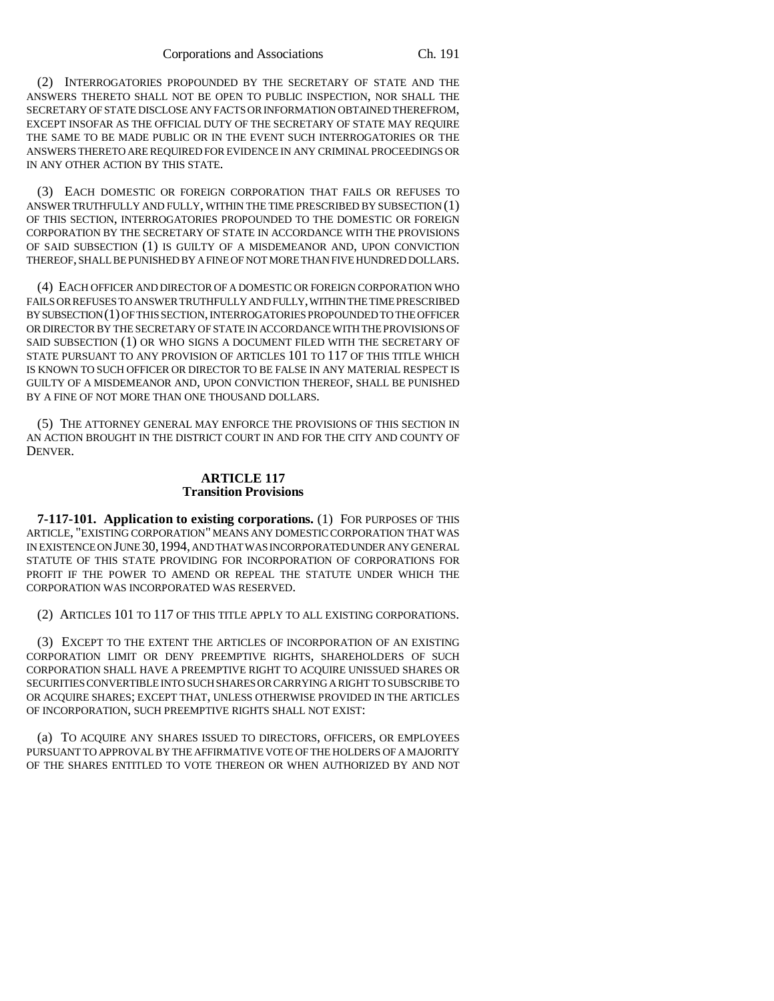(2) INTERROGATORIES PROPOUNDED BY THE SECRETARY OF STATE AND THE ANSWERS THERETO SHALL NOT BE OPEN TO PUBLIC INSPECTION, NOR SHALL THE SECRETARY OF STATE DISCLOSE ANY FACTS OR INFORMATION OBTAINED THEREFROM, EXCEPT INSOFAR AS THE OFFICIAL DUTY OF THE SECRETARY OF STATE MAY REQUIRE THE SAME TO BE MADE PUBLIC OR IN THE EVENT SUCH INTERROGATORIES OR THE ANSWERS THERETO ARE REQUIRED FOR EVIDENCE IN ANY CRIMINAL PROCEEDINGS OR IN ANY OTHER ACTION BY THIS STATE.

(3) EACH DOMESTIC OR FOREIGN CORPORATION THAT FAILS OR REFUSES TO ANSWER TRUTHFULLY AND FULLY, WITHIN THE TIME PRESCRIBED BY SUBSECTION (1) OF THIS SECTION, INTERROGATORIES PROPOUNDED TO THE DOMESTIC OR FOREIGN CORPORATION BY THE SECRETARY OF STATE IN ACCORDANCE WITH THE PROVISIONS OF SAID SUBSECTION (1) IS GUILTY OF A MISDEMEANOR AND, UPON CONVICTION THEREOF, SHALL BE PUNISHED BY A FINE OF NOT MORE THAN FIVE HUNDRED DOLLARS.

(4) EACH OFFICER AND DIRECTOR OF A DOMESTIC OR FOREIGN CORPORATION WHO FAILS OR REFUSES TO ANSWER TRUTHFULLY AND FULLY, WITHIN THE TIME PRESCRIBED BY SUBSECTION (1) OF THIS SECTION, INTERROGATORIES PROPOUNDED TO THE OFFICER OR DIRECTOR BY THE SECRETARY OF STATE IN ACCORDANCE WITH THE PROVISIONS OF SAID SUBSECTION (1) OR WHO SIGNS A DOCUMENT FILED WITH THE SECRETARY OF STATE PURSUANT TO ANY PROVISION OF ARTICLES 101 TO 117 OF THIS TITLE WHICH IS KNOWN TO SUCH OFFICER OR DIRECTOR TO BE FALSE IN ANY MATERIAL RESPECT IS GUILTY OF A MISDEMEANOR AND, UPON CONVICTION THEREOF, SHALL BE PUNISHED BY A FINE OF NOT MORE THAN ONE THOUSAND DOLLARS.

(5) THE ATTORNEY GENERAL MAY ENFORCE THE PROVISIONS OF THIS SECTION IN AN ACTION BROUGHT IN THE DISTRICT COURT IN AND FOR THE CITY AND COUNTY OF DENVER.

# **ARTICLE 117 Transition Provisions**

**7-117-101. Application to existing corporations.** (1) FOR PURPOSES OF THIS ARTICLE, "EXISTING CORPORATION" MEANS ANY DOMESTIC CORPORATION THAT WAS IN EXISTENCE ON JUNE 30,1994, AND THAT WAS INCORPORATED UNDER ANY GENERAL STATUTE OF THIS STATE PROVIDING FOR INCORPORATION OF CORPORATIONS FOR PROFIT IF THE POWER TO AMEND OR REPEAL THE STATUTE UNDER WHICH THE CORPORATION WAS INCORPORATED WAS RESERVED.

(2) ARTICLES 101 TO 117 OF THIS TITLE APPLY TO ALL EXISTING CORPORATIONS.

(3) EXCEPT TO THE EXTENT THE ARTICLES OF INCORPORATION OF AN EXISTING CORPORATION LIMIT OR DENY PREEMPTIVE RIGHTS, SHAREHOLDERS OF SUCH CORPORATION SHALL HAVE A PREEMPTIVE RIGHT TO ACQUIRE UNISSUED SHARES OR SECURITIES CONVERTIBLE INTO SUCH SHARES OR CARRYING A RIGHT TO SUBSCRIBE TO OR ACQUIRE SHARES; EXCEPT THAT, UNLESS OTHERWISE PROVIDED IN THE ARTICLES OF INCORPORATION, SUCH PREEMPTIVE RIGHTS SHALL NOT EXIST:

(a) TO ACQUIRE ANY SHARES ISSUED TO DIRECTORS, OFFICERS, OR EMPLOYEES PURSUANT TO APPROVAL BY THE AFFIRMATIVE VOTE OF THE HOLDERS OF A MAJORITY OF THE SHARES ENTITLED TO VOTE THEREON OR WHEN AUTHORIZED BY AND NOT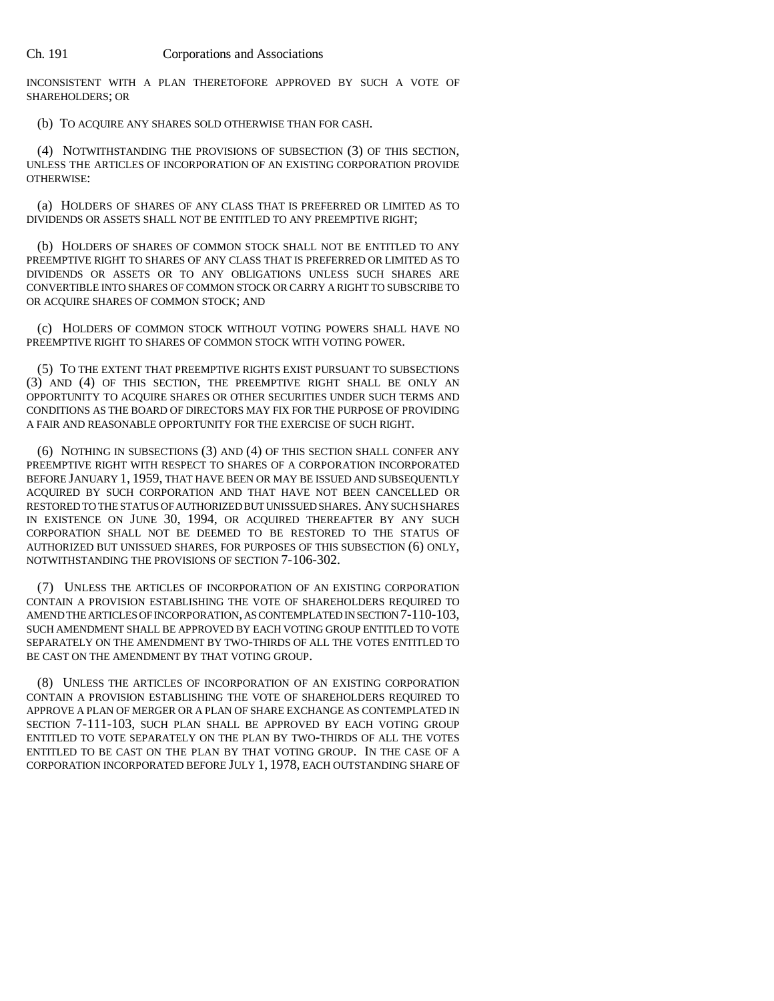INCONSISTENT WITH A PLAN THERETOFORE APPROVED BY SUCH A VOTE OF SHAREHOLDERS; OR

(b) TO ACQUIRE ANY SHARES SOLD OTHERWISE THAN FOR CASH.

(4) NOTWITHSTANDING THE PROVISIONS OF SUBSECTION (3) OF THIS SECTION, UNLESS THE ARTICLES OF INCORPORATION OF AN EXISTING CORPORATION PROVIDE OTHERWISE:

(a) HOLDERS OF SHARES OF ANY CLASS THAT IS PREFERRED OR LIMITED AS TO DIVIDENDS OR ASSETS SHALL NOT BE ENTITLED TO ANY PREEMPTIVE RIGHT;

(b) HOLDERS OF SHARES OF COMMON STOCK SHALL NOT BE ENTITLED TO ANY PREEMPTIVE RIGHT TO SHARES OF ANY CLASS THAT IS PREFERRED OR LIMITED AS TO DIVIDENDS OR ASSETS OR TO ANY OBLIGATIONS UNLESS SUCH SHARES ARE CONVERTIBLE INTO SHARES OF COMMON STOCK OR CARRY A RIGHT TO SUBSCRIBE TO OR ACQUIRE SHARES OF COMMON STOCK; AND

(c) HOLDERS OF COMMON STOCK WITHOUT VOTING POWERS SHALL HAVE NO PREEMPTIVE RIGHT TO SHARES OF COMMON STOCK WITH VOTING POWER.

(5) TO THE EXTENT THAT PREEMPTIVE RIGHTS EXIST PURSUANT TO SUBSECTIONS (3) AND (4) OF THIS SECTION, THE PREEMPTIVE RIGHT SHALL BE ONLY AN OPPORTUNITY TO ACQUIRE SHARES OR OTHER SECURITIES UNDER SUCH TERMS AND CONDITIONS AS THE BOARD OF DIRECTORS MAY FIX FOR THE PURPOSE OF PROVIDING A FAIR AND REASONABLE OPPORTUNITY FOR THE EXERCISE OF SUCH RIGHT.

(6) NOTHING IN SUBSECTIONS (3) AND (4) OF THIS SECTION SHALL CONFER ANY PREEMPTIVE RIGHT WITH RESPECT TO SHARES OF A CORPORATION INCORPORATED BEFORE JANUARY 1, 1959, THAT HAVE BEEN OR MAY BE ISSUED AND SUBSEQUENTLY ACQUIRED BY SUCH CORPORATION AND THAT HAVE NOT BEEN CANCELLED OR RESTORED TO THE STATUS OF AUTHORIZED BUT UNISSUED SHARES. ANY SUCH SHARES IN EXISTENCE ON JUNE 30, 1994, OR ACQUIRED THEREAFTER BY ANY SUCH CORPORATION SHALL NOT BE DEEMED TO BE RESTORED TO THE STATUS OF AUTHORIZED BUT UNISSUED SHARES, FOR PURPOSES OF THIS SUBSECTION (6) ONLY, NOTWITHSTANDING THE PROVISIONS OF SECTION 7-106-302.

(7) UNLESS THE ARTICLES OF INCORPORATION OF AN EXISTING CORPORATION CONTAIN A PROVISION ESTABLISHING THE VOTE OF SHAREHOLDERS REQUIRED TO AMEND THE ARTICLES OF INCORPORATION, AS CONTEMPLATED IN SECTION 7-110-103, SUCH AMENDMENT SHALL BE APPROVED BY EACH VOTING GROUP ENTITLED TO VOTE SEPARATELY ON THE AMENDMENT BY TWO-THIRDS OF ALL THE VOTES ENTITLED TO BE CAST ON THE AMENDMENT BY THAT VOTING GROUP.

(8) UNLESS THE ARTICLES OF INCORPORATION OF AN EXISTING CORPORATION CONTAIN A PROVISION ESTABLISHING THE VOTE OF SHAREHOLDERS REQUIRED TO APPROVE A PLAN OF MERGER OR A PLAN OF SHARE EXCHANGE AS CONTEMPLATED IN SECTION 7-111-103, SUCH PLAN SHALL BE APPROVED BY EACH VOTING GROUP ENTITLED TO VOTE SEPARATELY ON THE PLAN BY TWO-THIRDS OF ALL THE VOTES ENTITLED TO BE CAST ON THE PLAN BY THAT VOTING GROUP. IN THE CASE OF A CORPORATION INCORPORATED BEFORE JULY 1, 1978, EACH OUTSTANDING SHARE OF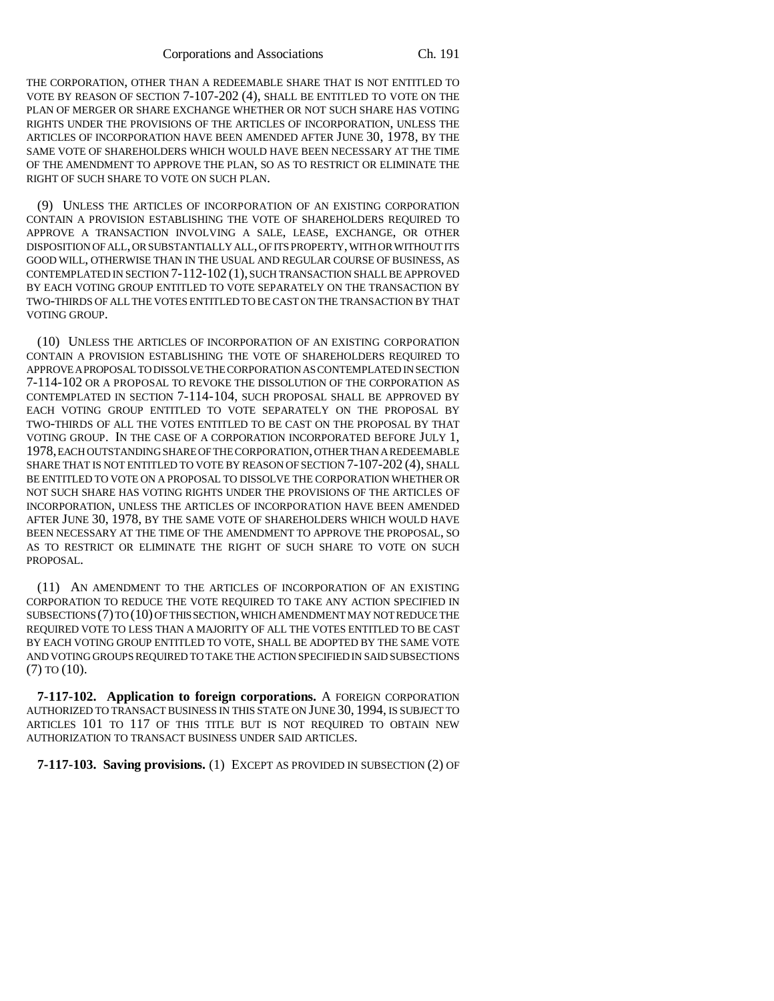THE CORPORATION, OTHER THAN A REDEEMABLE SHARE THAT IS NOT ENTITLED TO VOTE BY REASON OF SECTION 7-107-202 (4), SHALL BE ENTITLED TO VOTE ON THE PLAN OF MERGER OR SHARE EXCHANGE WHETHER OR NOT SUCH SHARE HAS VOTING RIGHTS UNDER THE PROVISIONS OF THE ARTICLES OF INCORPORATION, UNLESS THE ARTICLES OF INCORPORATION HAVE BEEN AMENDED AFTER JUNE 30, 1978, BY THE SAME VOTE OF SHAREHOLDERS WHICH WOULD HAVE BEEN NECESSARY AT THE TIME OF THE AMENDMENT TO APPROVE THE PLAN, SO AS TO RESTRICT OR ELIMINATE THE RIGHT OF SUCH SHARE TO VOTE ON SUCH PLAN.

(9) UNLESS THE ARTICLES OF INCORPORATION OF AN EXISTING CORPORATION CONTAIN A PROVISION ESTABLISHING THE VOTE OF SHAREHOLDERS REQUIRED TO APPROVE A TRANSACTION INVOLVING A SALE, LEASE, EXCHANGE, OR OTHER DISPOSITION OF ALL, OR SUBSTANTIALLY ALL, OF ITS PROPERTY, WITH OR WITHOUT ITS GOOD WILL, OTHERWISE THAN IN THE USUAL AND REGULAR COURSE OF BUSINESS, AS CONTEMPLATED IN SECTION 7-112-102 (1), SUCH TRANSACTION SHALL BE APPROVED BY EACH VOTING GROUP ENTITLED TO VOTE SEPARATELY ON THE TRANSACTION BY TWO-THIRDS OF ALL THE VOTES ENTITLED TO BE CAST ON THE TRANSACTION BY THAT VOTING GROUP.

(10) UNLESS THE ARTICLES OF INCORPORATION OF AN EXISTING CORPORATION CONTAIN A PROVISION ESTABLISHING THE VOTE OF SHAREHOLDERS REQUIRED TO APPROVE A PROPOSAL TO DISSOLVE THE CORPORATION AS CONTEMPLATED IN SECTION 7-114-102 OR A PROPOSAL TO REVOKE THE DISSOLUTION OF THE CORPORATION AS CONTEMPLATED IN SECTION 7-114-104, SUCH PROPOSAL SHALL BE APPROVED BY EACH VOTING GROUP ENTITLED TO VOTE SEPARATELY ON THE PROPOSAL BY TWO-THIRDS OF ALL THE VOTES ENTITLED TO BE CAST ON THE PROPOSAL BY THAT VOTING GROUP. IN THE CASE OF A CORPORATION INCORPORATED BEFORE JULY 1, 1978, EACH OUTSTANDING SHARE OF THE CORPORATION, OTHER THAN A REDEEMABLE SHARE THAT IS NOT ENTITLED TO VOTE BY REASON OF SECTION 7-107-202 (4), SHALL BE ENTITLED TO VOTE ON A PROPOSAL TO DISSOLVE THE CORPORATION WHETHER OR NOT SUCH SHARE HAS VOTING RIGHTS UNDER THE PROVISIONS OF THE ARTICLES OF INCORPORATION, UNLESS THE ARTICLES OF INCORPORATION HAVE BEEN AMENDED AFTER JUNE 30, 1978, BY THE SAME VOTE OF SHAREHOLDERS WHICH WOULD HAVE BEEN NECESSARY AT THE TIME OF THE AMENDMENT TO APPROVE THE PROPOSAL, SO AS TO RESTRICT OR ELIMINATE THE RIGHT OF SUCH SHARE TO VOTE ON SUCH PROPOSAL.

(11) AN AMENDMENT TO THE ARTICLES OF INCORPORATION OF AN EXISTING CORPORATION TO REDUCE THE VOTE REQUIRED TO TAKE ANY ACTION SPECIFIED IN SUBSECTIONS (7) TO (10) OF THIS SECTION, WHICH AMENDMENT MAY NOT REDUCE THE REQUIRED VOTE TO LESS THAN A MAJORITY OF ALL THE VOTES ENTITLED TO BE CAST BY EACH VOTING GROUP ENTITLED TO VOTE, SHALL BE ADOPTED BY THE SAME VOTE AND VOTING GROUPS REQUIRED TO TAKE THE ACTION SPECIFIED IN SAID SUBSECTIONS  $(7)$  TO  $(10)$ .

**7-117-102. Application to foreign corporations.** A FOREIGN CORPORATION AUTHORIZED TO TRANSACT BUSINESS IN THIS STATE ON JUNE 30, 1994, IS SUBJECT TO ARTICLES 101 TO 117 OF THIS TITLE BUT IS NOT REQUIRED TO OBTAIN NEW AUTHORIZATION TO TRANSACT BUSINESS UNDER SAID ARTICLES.

**7-117-103. Saving provisions.** (1) EXCEPT AS PROVIDED IN SUBSECTION (2) OF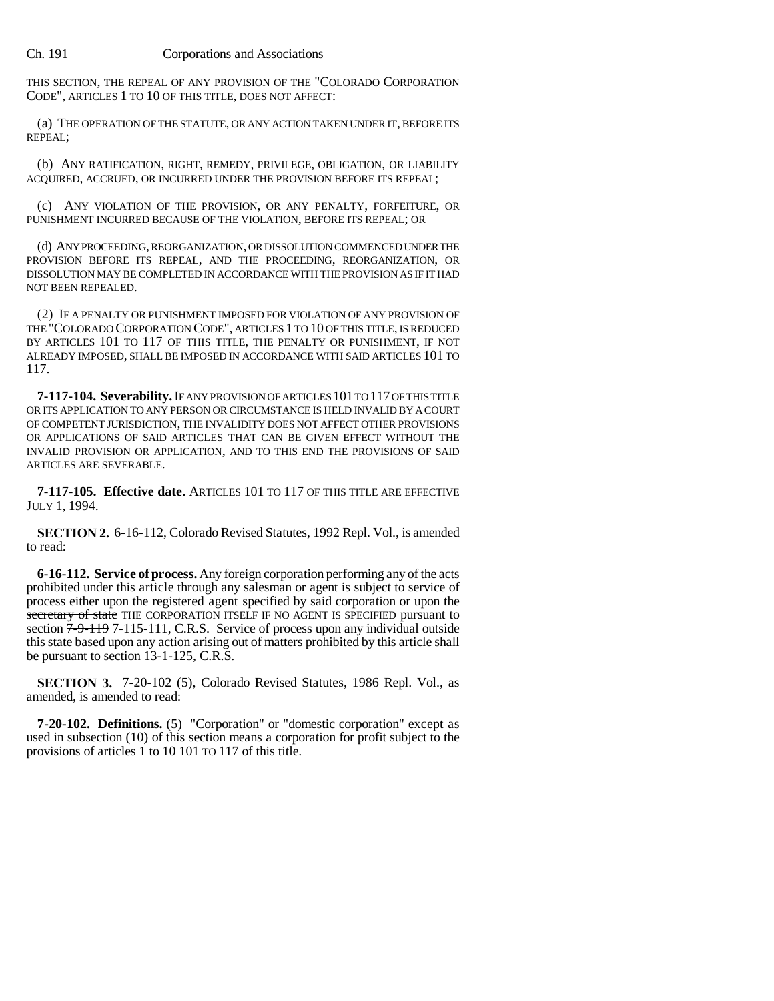THIS SECTION, THE REPEAL OF ANY PROVISION OF THE "COLORADO CORPORATION CODE", ARTICLES 1 TO 10 OF THIS TITLE, DOES NOT AFFECT:

(a) THE OPERATION OF THE STATUTE, OR ANY ACTION TAKEN UNDER IT, BEFORE ITS REPEAL;

(b) ANY RATIFICATION, RIGHT, REMEDY, PRIVILEGE, OBLIGATION, OR LIABILITY ACQUIRED, ACCRUED, OR INCURRED UNDER THE PROVISION BEFORE ITS REPEAL;

(c) ANY VIOLATION OF THE PROVISION, OR ANY PENALTY, FORFEITURE, OR PUNISHMENT INCURRED BECAUSE OF THE VIOLATION, BEFORE ITS REPEAL; OR

(d) ANY PROCEEDING, REORGANIZATION, OR DISSOLUTION COMMENCED UNDER THE PROVISION BEFORE ITS REPEAL, AND THE PROCEEDING, REORGANIZATION, OR DISSOLUTION MAY BE COMPLETED IN ACCORDANCE WITH THE PROVISION AS IF IT HAD NOT BEEN REPEALED.

(2) IF A PENALTY OR PUNISHMENT IMPOSED FOR VIOLATION OF ANY PROVISION OF THE "COLORADO CORPORATION CODE", ARTICLES 1 TO 10 OF THIS TITLE, IS REDUCED BY ARTICLES 101 TO 117 OF THIS TITLE, THE PENALTY OR PUNISHMENT, IF NOT ALREADY IMPOSED, SHALL BE IMPOSED IN ACCORDANCE WITH SAID ARTICLES 101 TO 117.

**7-117-104. Severability.** IF ANY PROVISION OF ARTICLES 101 TO 117 OF THIS TITLE OR ITS APPLICATION TO ANY PERSON OR CIRCUMSTANCE IS HELD INVALID BY A COURT OF COMPETENT JURISDICTION, THE INVALIDITY DOES NOT AFFECT OTHER PROVISIONS OR APPLICATIONS OF SAID ARTICLES THAT CAN BE GIVEN EFFECT WITHOUT THE INVALID PROVISION OR APPLICATION, AND TO THIS END THE PROVISIONS OF SAID ARTICLES ARE SEVERABLE.

**7-117-105. Effective date.** ARTICLES 101 TO 117 OF THIS TITLE ARE EFFECTIVE JULY 1, 1994.

**SECTION 2.** 6-16-112, Colorado Revised Statutes, 1992 Repl. Vol., is amended to read:

**6-16-112. Service of process.** Any foreign corporation performing any of the acts prohibited under this article through any salesman or agent is subject to service of process either upon the registered agent specified by said corporation or upon the secretary of state THE CORPORATION ITSELF IF NO AGENT IS SPECIFIED pursuant to section  $7-9-119$  7-115-111, C.R.S. Service of process upon any individual outside this state based upon any action arising out of matters prohibited by this article shall be pursuant to section 13-1-125, C.R.S.

**SECTION 3.** 7-20-102 (5), Colorado Revised Statutes, 1986 Repl. Vol., as amended, is amended to read:

**7-20-102. Definitions.** (5) "Corporation" or "domestic corporation" except as used in subsection (10) of this section means a corporation for profit subject to the provisions of articles  $+$  to  $+$  101 TO 117 of this title.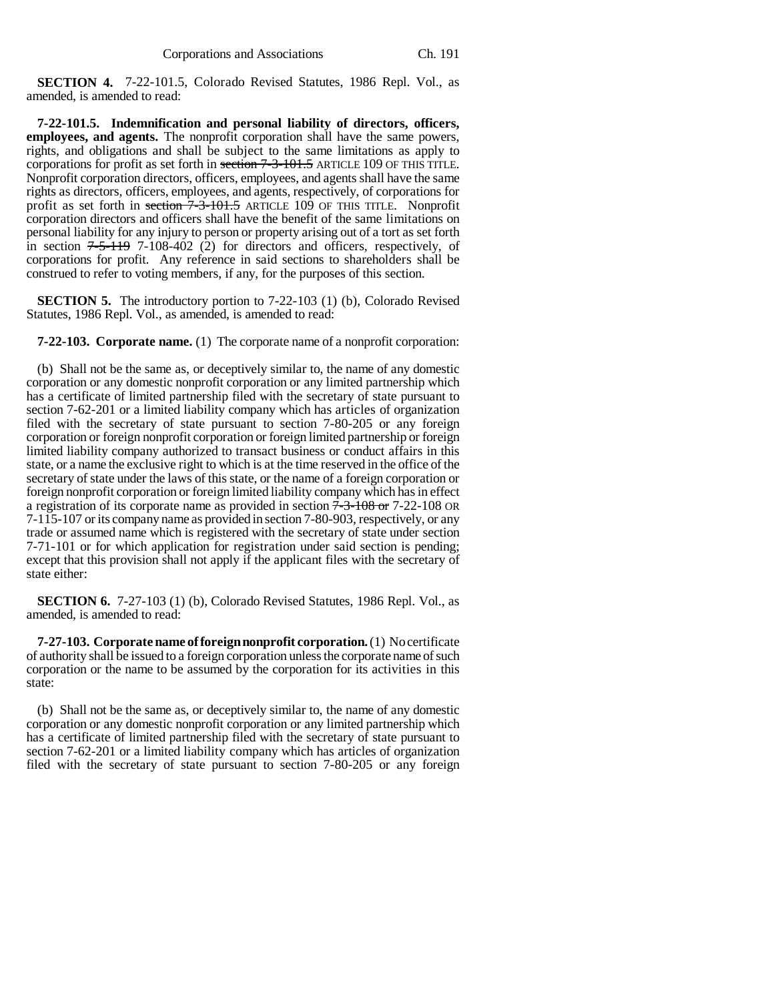**SECTION 4.** 7-22-101.5, Colorado Revised Statutes, 1986 Repl. Vol., as amended, is amended to read:

**7-22-101.5. Indemnification and personal liability of directors, officers, employees, and agents.** The nonprofit corporation shall have the same powers, rights, and obligations and shall be subject to the same limitations as apply to corporations for profit as set forth in section 7-3-101.5 ARTICLE 109 OF THIS TITLE. Nonprofit corporation directors, officers, employees, and agents shall have the same rights as directors, officers, employees, and agents, respectively, of corporations for profit as set forth in section 7-3-101.5 ARTICLE 109 OF THIS TITLE. Nonprofit corporation directors and officers shall have the benefit of the same limitations on personal liability for any injury to person or property arising out of a tort as set forth in section  $7-5-119$  7-108-402 (2) for directors and officers, respectively, of corporations for profit. Any reference in said sections to shareholders shall be construed to refer to voting members, if any, for the purposes of this section.

**SECTION 5.** The introductory portion to 7-22-103 (1) (b), Colorado Revised Statutes, 1986 Repl. Vol., as amended, is amended to read:

**7-22-103. Corporate name.** (1) The corporate name of a nonprofit corporation:

(b) Shall not be the same as, or deceptively similar to, the name of any domestic corporation or any domestic nonprofit corporation or any limited partnership which has a certificate of limited partnership filed with the secretary of state pursuant to section 7-62-201 or a limited liability company which has articles of organization filed with the secretary of state pursuant to section 7-80-205 or any foreign corporation or foreign nonprofit corporation or foreign limited partnership or foreign limited liability company authorized to transact business or conduct affairs in this state, or a name the exclusive right to which is at the time reserved in the office of the secretary of state under the laws of this state, or the name of a foreign corporation or foreign nonprofit corporation or foreign limited liability company which has in effect a registration of its corporate name as provided in section 7-3-108 or 7-22-108 OR 7-115-107 or its company name as provided in section 7-80-903, respectively, or any trade or assumed name which is registered with the secretary of state under section 7-71-101 or for which application for registration under said section is pending; except that this provision shall not apply if the applicant files with the secretary of state either:

**SECTION 6.** 7-27-103 (1) (b), Colorado Revised Statutes, 1986 Repl. Vol., as amended, is amended to read:

**7-27-103. Corporate name of foreign nonprofit corporation.** (1) No certificate of authority shall be issued to a foreign corporation unless the corporate name of such corporation or the name to be assumed by the corporation for its activities in this state:

(b) Shall not be the same as, or deceptively similar to, the name of any domestic corporation or any domestic nonprofit corporation or any limited partnership which has a certificate of limited partnership filed with the secretary of state pursuant to section 7-62-201 or a limited liability company which has articles of organization filed with the secretary of state pursuant to section 7-80-205 or any foreign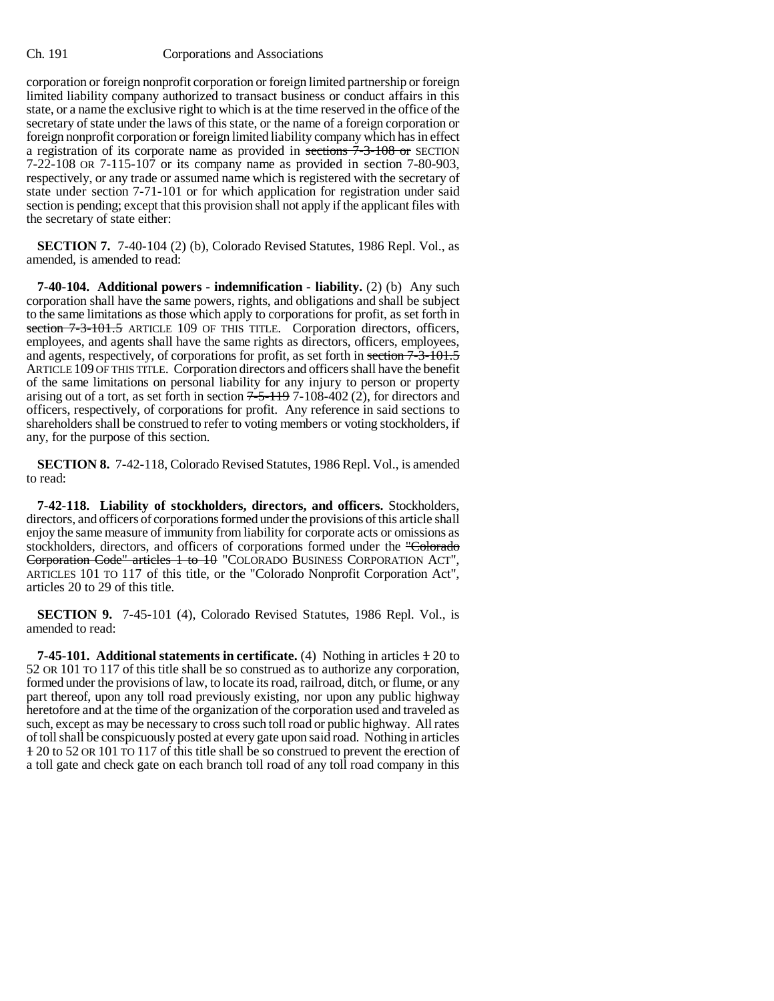corporation or foreign nonprofit corporation or foreign limited partnership or foreign limited liability company authorized to transact business or conduct affairs in this state, or a name the exclusive right to which is at the time reserved in the office of the secretary of state under the laws of this state, or the name of a foreign corporation or foreign nonprofit corporation or foreign limited liability company which has in effect a registration of its corporate name as provided in sections 7-3-108 or SECTION 7-22-108 OR 7-115-107 or its company name as provided in section 7-80-903, respectively, or any trade or assumed name which is registered with the secretary of state under section 7-71-101 or for which application for registration under said section is pending; except that this provision shall not apply if the applicant files with the secretary of state either:

**SECTION 7.** 7-40-104 (2) (b), Colorado Revised Statutes, 1986 Repl. Vol., as amended, is amended to read:

**7-40-104. Additional powers - indemnification - liability.** (2) (b) Any such corporation shall have the same powers, rights, and obligations and shall be subject to the same limitations as those which apply to corporations for profit, as set forth in section 7-3-101.5 ARTICLE 109 OF THIS TITLE. Corporation directors, officers, employees, and agents shall have the same rights as directors, officers, employees, and agents, respectively, of corporations for profit, as set forth in section 7-3-101.5 ARTICLE 109 OF THIS TITLE. Corporation directors and officers shall have the benefit of the same limitations on personal liability for any injury to person or property arising out of a tort, as set forth in section  $7\text{-}5\text{-}119$  7-108-402 (2), for directors and officers, respectively, of corporations for profit. Any reference in said sections to shareholders shall be construed to refer to voting members or voting stockholders, if any, for the purpose of this section.

**SECTION 8.** 7-42-118, Colorado Revised Statutes, 1986 Repl. Vol., is amended to read:

**7-42-118. Liability of stockholders, directors, and officers.** Stockholders, directors, and officers of corporations formed under the provisions of this article shall enjoy the same measure of immunity from liability for corporate acts or omissions as stockholders, directors, and officers of corporations formed under the "Colorado" Corporation Code" articles 1 to 10 "COLORADO BUSINESS CORPORATION ACT", ARTICLES 101 TO 117 of this title, or the "Colorado Nonprofit Corporation Act", articles 20 to 29 of this title.

**SECTION 9.** 7-45-101 (4), Colorado Revised Statutes, 1986 Repl. Vol., is amended to read:

**7-45-101. Additional statements in certificate.** (4) Nothing in articles  $\pm 20$  to 52 OR 101 TO 117 of this title shall be so construed as to authorize any corporation, formed under the provisions of law, to locate its road, railroad, ditch, or flume, or any part thereof, upon any toll road previously existing, nor upon any public highway heretofore and at the time of the organization of the corporation used and traveled as such, except as may be necessary to cross such toll road or public highway. All rates of toll shall be conspicuously posted at every gate upon said road. Nothing in articles 1 20 to 52 OR 101 TO 117 of this title shall be so construed to prevent the erection of a toll gate and check gate on each branch toll road of any toll road company in this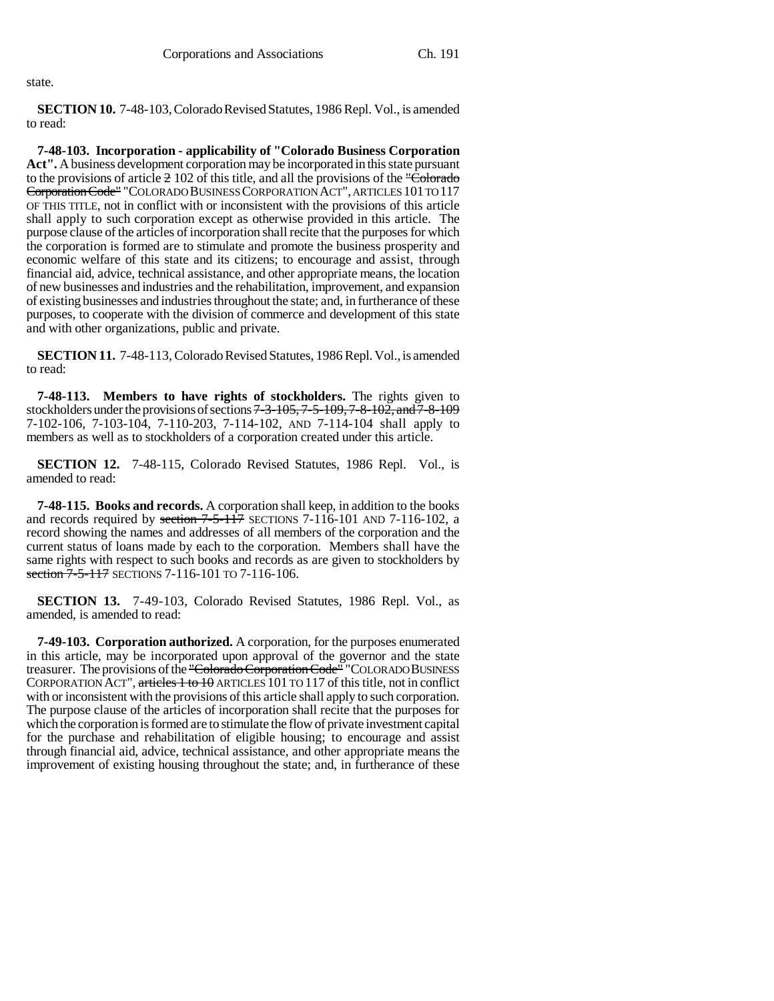state.

**SECTION 10.** 7-48-103, Colorado Revised Statutes, 1986 Repl. Vol., is amended to read:

**7-48-103. Incorporation - applicability of "Colorado Business Corporation Act".** A business development corporation may be incorporated in this state pursuant to the provisions of article  $\geq 102$  of this title, and all the provisions of the "Colorado" Corporation Code" "COLORADO BUSINESS CORPORATION ACT", ARTICLES 101 TO 117 OF THIS TITLE, not in conflict with or inconsistent with the provisions of this article shall apply to such corporation except as otherwise provided in this article. The purpose clause of the articles of incorporation shall recite that the purposes for which the corporation is formed are to stimulate and promote the business prosperity and economic welfare of this state and its citizens; to encourage and assist, through financial aid, advice, technical assistance, and other appropriate means, the location of new businesses and industries and the rehabilitation, improvement, and expansion of existing businesses and industries throughout the state; and, in furtherance of these purposes, to cooperate with the division of commerce and development of this state and with other organizations, public and private.

**SECTION 11.** 7-48-113, Colorado Revised Statutes, 1986 Repl. Vol., is amended to read:

**7-48-113. Members to have rights of stockholders.** The rights given to stockholders under the provisions of sections 7-3-105, 7-5-109, 7-8-102, and 7-8-109 7-102-106, 7-103-104, 7-110-203, 7-114-102, AND 7-114-104 shall apply to members as well as to stockholders of a corporation created under this article.

**SECTION 12.** 7-48-115, Colorado Revised Statutes, 1986 Repl. Vol., is amended to read:

**7-48-115. Books and records.** A corporation shall keep, in addition to the books and records required by section  $7-5-117$  SECTIONS 7-116-101 AND 7-116-102, a record showing the names and addresses of all members of the corporation and the current status of loans made by each to the corporation. Members shall have the same rights with respect to such books and records as are given to stockholders by section 7-5-117 SECTIONS 7-116-101 TO 7-116-106.

**SECTION 13.** 7-49-103, Colorado Revised Statutes, 1986 Repl. Vol., as amended, is amended to read:

**7-49-103. Corporation authorized.** A corporation, for the purposes enumerated in this article, may be incorporated upon approval of the governor and the state treasurer. The provisions of the "Colorado Corporation Code" "COLORADO BUSINESS" CORPORATION ACT", articles 1 to 10 ARTICLES 101 TO 117 of this title, not in conflict with or inconsistent with the provisions of this article shall apply to such corporation. The purpose clause of the articles of incorporation shall recite that the purposes for which the corporation is formed are to stimulate the flow of private investment capital for the purchase and rehabilitation of eligible housing; to encourage and assist through financial aid, advice, technical assistance, and other appropriate means the improvement of existing housing throughout the state; and, in furtherance of these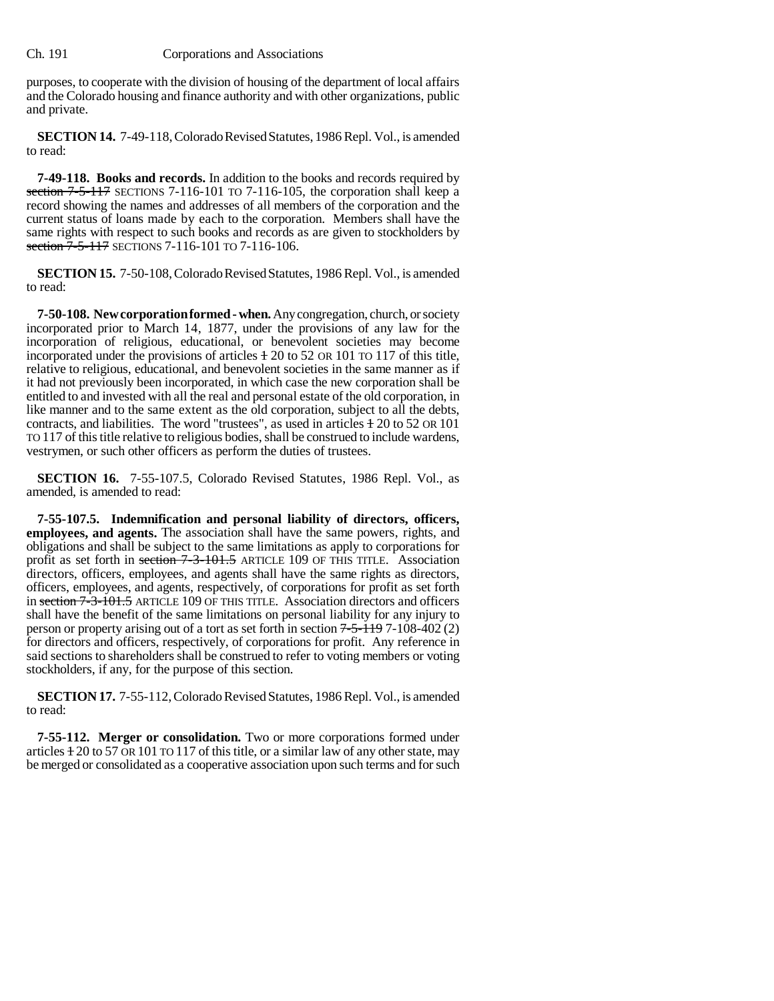purposes, to cooperate with the division of housing of the department of local affairs and the Colorado housing and finance authority and with other organizations, public and private.

**SECTION 14.** 7-49-118, Colorado Revised Statutes, 1986 Repl. Vol., is amended to read:

**7-49-118. Books and records.** In addition to the books and records required by section  $7-5-117$  SECTIONS 7-116-101 TO 7-116-105, the corporation shall keep a record showing the names and addresses of all members of the corporation and the current status of loans made by each to the corporation. Members shall have the same rights with respect to such books and records as are given to stockholders by section  $7-5-117$  SECTIONS 7-116-101 TO 7-116-106.

**SECTION 15.** 7-50-108, Colorado Revised Statutes, 1986 Repl. Vol., is amended to read:

**7-50-108. New corporation formed - when.** Any congregation, church, or society incorporated prior to March 14, 1877, under the provisions of any law for the incorporation of religious, educational, or benevolent societies may become incorporated under the provisions of articles 1 20 to 52 OR 101 TO 117 of this title, relative to religious, educational, and benevolent societies in the same manner as if it had not previously been incorporated, in which case the new corporation shall be entitled to and invested with all the real and personal estate of the old corporation, in like manner and to the same extent as the old corporation, subject to all the debts, contracts, and liabilities. The word "trustees", as used in articles  $\pm 20$  to 52 OR 101 TO 117 of this title relative to religious bodies, shall be construed to include wardens, vestrymen, or such other officers as perform the duties of trustees.

**SECTION 16.** 7-55-107.5, Colorado Revised Statutes, 1986 Repl. Vol., as amended, is amended to read:

**7-55-107.5. Indemnification and personal liability of directors, officers, employees, and agents.** The association shall have the same powers, rights, and obligations and shall be subject to the same limitations as apply to corporations for profit as set forth in section 7-3-101.5 ARTICLE 109 OF THIS TITLE. Association directors, officers, employees, and agents shall have the same rights as directors, officers, employees, and agents, respectively, of corporations for profit as set forth in section 7-3-101.5 ARTICLE 109 OF THIS TITLE. Association directors and officers shall have the benefit of the same limitations on personal liability for any injury to person or property arising out of a tort as set forth in section 7-5-119 7-108-402 (2) for directors and officers, respectively, of corporations for profit. Any reference in said sections to shareholders shall be construed to refer to voting members or voting stockholders, if any, for the purpose of this section.

**SECTION 17.** 7-55-112, Colorado Revised Statutes, 1986 Repl. Vol., is amended to read:

**7-55-112. Merger or consolidation.** Two or more corporations formed under articles  $\pm 20$  to 57 OR 101 TO 117 of this title, or a similar law of any other state, may be merged or consolidated as a cooperative association upon such terms and for such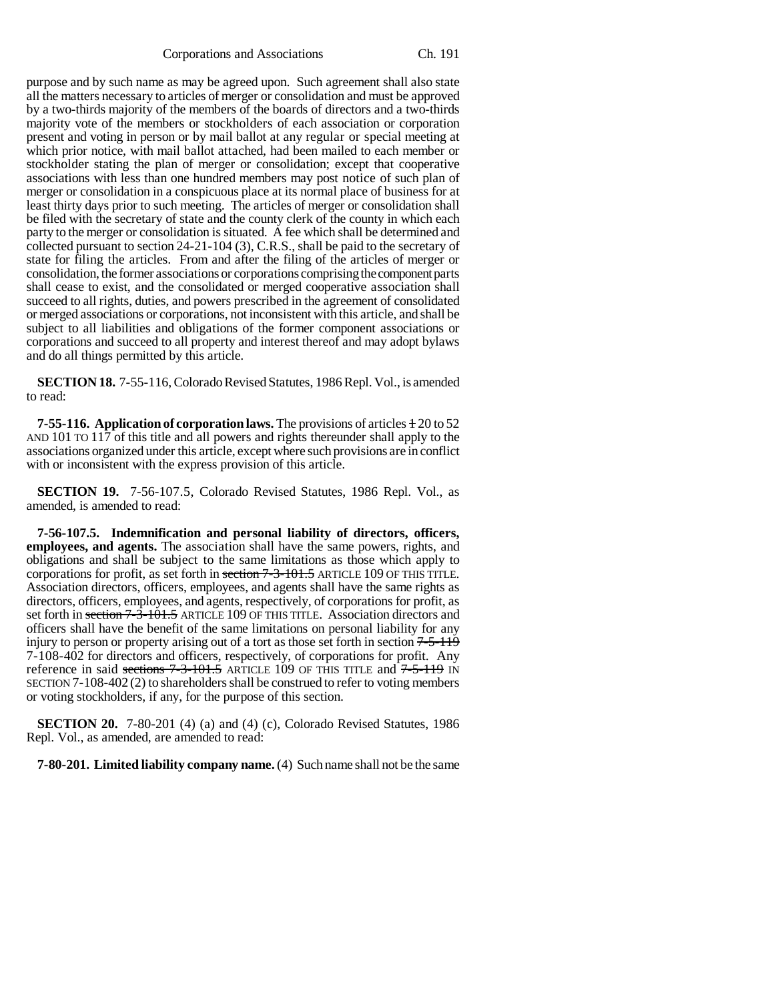Corporations and Associations Ch. 191

purpose and by such name as may be agreed upon. Such agreement shall also state all the matters necessary to articles of merger or consolidation and must be approved by a two-thirds majority of the members of the boards of directors and a two-thirds majority vote of the members or stockholders of each association or corporation present and voting in person or by mail ballot at any regular or special meeting at which prior notice, with mail ballot attached, had been mailed to each member or stockholder stating the plan of merger or consolidation; except that cooperative associations with less than one hundred members may post notice of such plan of merger or consolidation in a conspicuous place at its normal place of business for at least thirty days prior to such meeting. The articles of merger or consolidation shall be filed with the secretary of state and the county clerk of the county in which each party to the merger or consolidation is situated. A fee which shall be determined and collected pursuant to section 24-21-104 (3), C.R.S., shall be paid to the secretary of state for filing the articles. From and after the filing of the articles of merger or consolidation, the former associations or corporations comprising the component parts shall cease to exist, and the consolidated or merged cooperative association shall succeed to all rights, duties, and powers prescribed in the agreement of consolidated or merged associations or corporations, not inconsistent with this article, and shall be subject to all liabilities and obligations of the former component associations or corporations and succeed to all property and interest thereof and may adopt bylaws and do all things permitted by this article.

**SECTION 18.** 7-55-116, Colorado Revised Statutes, 1986 Repl. Vol., is amended to read:

**7-55-116. Application of corporation laws.** The provisions of articles  $\pm 20$  to 52 AND 101 TO 117 of this title and all powers and rights thereunder shall apply to the associations organized under this article, except where such provisions are in conflict with or inconsistent with the express provision of this article.

**SECTION 19.** 7-56-107.5, Colorado Revised Statutes, 1986 Repl. Vol., as amended, is amended to read:

**7-56-107.5. Indemnification and personal liability of directors, officers, employees, and agents.** The association shall have the same powers, rights, and obligations and shall be subject to the same limitations as those which apply to corporations for profit, as set forth in section 7-3-101.5 ARTICLE 109 OF THIS TITLE. Association directors, officers, employees, and agents shall have the same rights as directors, officers, employees, and agents, respectively, of corporations for profit, as set forth in section 7-3-101.5 ARTICLE 109 OF THIS TITLE. Association directors and officers shall have the benefit of the same limitations on personal liability for any injury to person or property arising out of a tort as those set forth in section  $7-5-119$ 7-108-402 for directors and officers, respectively, of corporations for profit. Any reference in said sections  $7-3-101.5$  ARTICLE 109 OF THIS TITLE and  $7-5-119$  IN SECTION 7-108-402 (2) to shareholders shall be construed to refer to voting members or voting stockholders, if any, for the purpose of this section.

**SECTION 20.** 7-80-201 (4) (a) and (4) (c), Colorado Revised Statutes, 1986 Repl. Vol., as amended, are amended to read:

**7-80-201. Limited liability company name.** (4) Such name shall not be the same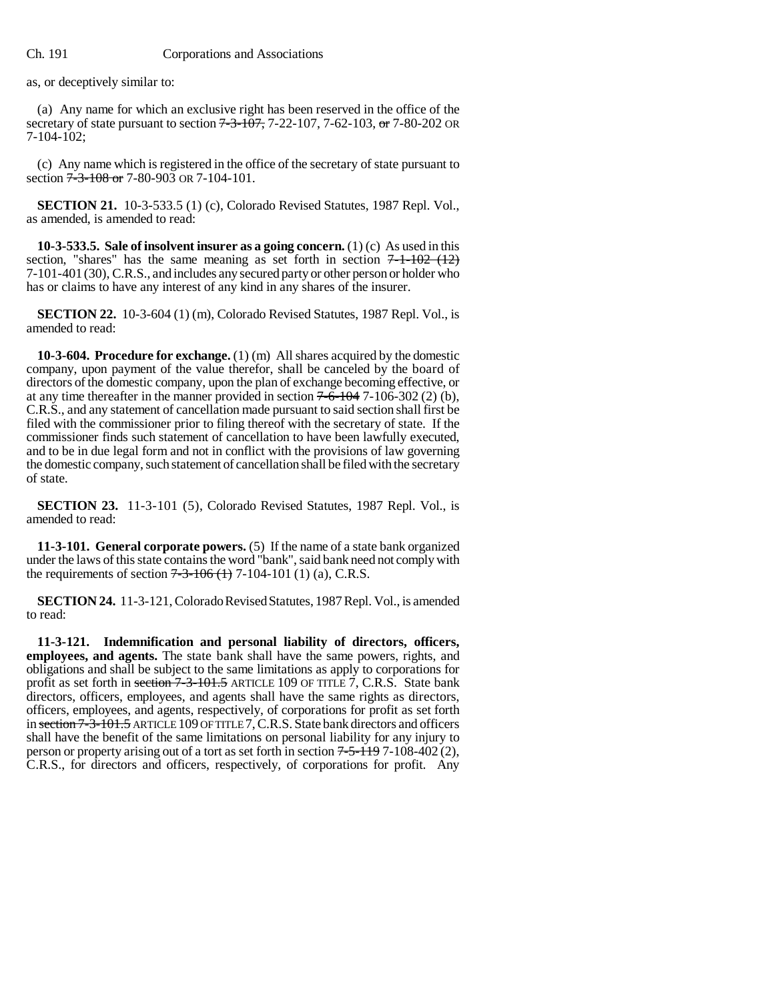as, or deceptively similar to:

(a) Any name for which an exclusive right has been reserved in the office of the secretary of state pursuant to section  $7-3-107$ ,  $7-22-107$ ,  $7-62-103$ , or  $7-80-202$  OR 7-104-102;

(c) Any name which is registered in the office of the secretary of state pursuant to section  $7\text{-}3\text{-}108$  or  $7\text{-}80\text{-}903$  OR  $7\text{-}104\text{-}101$ .

**SECTION 21.** 10-3-533.5 (1) (c), Colorado Revised Statutes, 1987 Repl. Vol., as amended, is amended to read:

**10-3-533.5. Sale of insolvent insurer as a going concern.** (1) (c) As used in this section, "shares" has the same meaning as set forth in section  $7-1-102$  (12) 7-101-401 (30), C.R.S., and includes any secured party or other person or holder who has or claims to have any interest of any kind in any shares of the insurer.

**SECTION 22.** 10-3-604 (1) (m), Colorado Revised Statutes, 1987 Repl. Vol., is amended to read:

**10-3-604. Procedure for exchange.** (1) (m) All shares acquired by the domestic company, upon payment of the value therefor, shall be canceled by the board of directors of the domestic company, upon the plan of exchange becoming effective, or at any time thereafter in the manner provided in section  $7-\overline{6}-104$  7-10 $\overline{6}$ -302 (2) (b), C.R.S., and any statement of cancellation made pursuant to said section shall first be filed with the commissioner prior to filing thereof with the secretary of state. If the commissioner finds such statement of cancellation to have been lawfully executed, and to be in due legal form and not in conflict with the provisions of law governing the domestic company, such statement of cancellation shall be filed with the secretary of state.

**SECTION 23.** 11-3-101 (5), Colorado Revised Statutes, 1987 Repl. Vol., is amended to read:

**11-3-101. General corporate powers.** (5) If the name of a state bank organized under the laws of this state contains the word "bank", said bank need not comply with the requirements of section  $7-3-106$  (1)  $7-104-101$  (1) (a), C.R.S.

**SECTION 24.** 11-3-121, Colorado Revised Statutes, 1987 Repl. Vol., is amended to read:

**11-3-121. Indemnification and personal liability of directors, officers, employees, and agents.** The state bank shall have the same powers, rights, and obligations and shall be subject to the same limitations as apply to corporations for profit as set forth in section 7-3-101.5 ARTICLE 109 OF TITLE 7, C.R.S. State bank directors, officers, employees, and agents shall have the same rights as directors, officers, employees, and agents, respectively, of corporations for profit as set forth in section 7-3-101.5 ARTICLE 109 OF TITLE 7, C.R.S. State bank directors and officers shall have the benefit of the same limitations on personal liability for any injury to person or property arising out of a tort as set forth in section  $7-5-1197-108-402(2)$ , C.R.S., for directors and officers, respectively, of corporations for profit. Any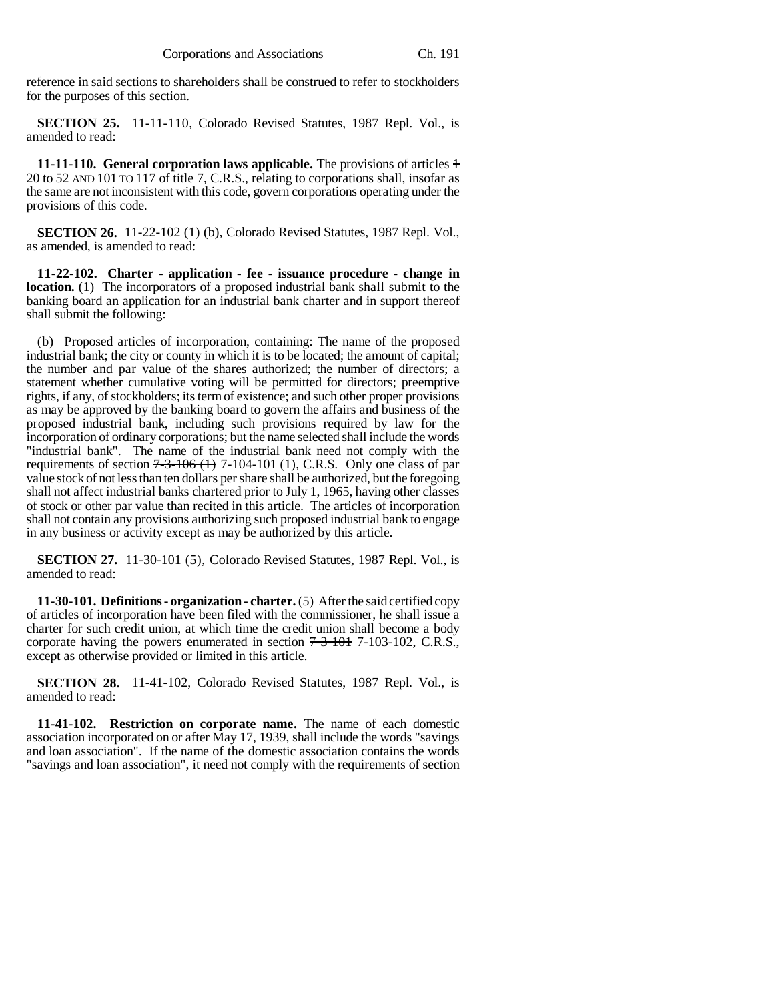reference in said sections to shareholders shall be construed to refer to stockholders for the purposes of this section.

**SECTION 25.** 11-11-110, Colorado Revised Statutes, 1987 Repl. Vol., is amended to read:

**11-11-110. General corporation laws applicable.** The provisions of articles 1 20 to 52 AND 101 TO 117 of title 7, C.R.S., relating to corporations shall, insofar as the same are not inconsistent with this code, govern corporations operating under the provisions of this code.

**SECTION 26.** 11-22-102 (1) (b), Colorado Revised Statutes, 1987 Repl. Vol., as amended, is amended to read:

**11-22-102. Charter - application - fee - issuance procedure - change in location.** (1) The incorporators of a proposed industrial bank shall submit to the banking board an application for an industrial bank charter and in support thereof shall submit the following:

(b) Proposed articles of incorporation, containing: The name of the proposed industrial bank; the city or county in which it is to be located; the amount of capital; the number and par value of the shares authorized; the number of directors; a statement whether cumulative voting will be permitted for directors; preemptive rights, if any, of stockholders; its term of existence; and such other proper provisions as may be approved by the banking board to govern the affairs and business of the proposed industrial bank, including such provisions required by law for the incorporation of ordinary corporations; but the name selected shall include the words "industrial bank". The name of the industrial bank need not comply with the requirements of section  $7-3-106$  (1)  $7-104-101$  (1), C.R.S. Only one class of par value stock of not less than ten dollars per share shall be authorized, but the foregoing shall not affect industrial banks chartered prior to July 1, 1965, having other classes of stock or other par value than recited in this article. The articles of incorporation shall not contain any provisions authorizing such proposed industrial bank to engage in any business or activity except as may be authorized by this article.

**SECTION 27.** 11-30-101 (5), Colorado Revised Statutes, 1987 Repl. Vol., is amended to read:

**11-30-101. Definitions - organization - charter.** (5) After the said certified copy of articles of incorporation have been filed with the commissioner, he shall issue a charter for such credit union, at which time the credit union shall become a body corporate having the powers enumerated in section  $7-3-101$  7-103-102, C.R.S., except as otherwise provided or limited in this article.

**SECTION 28.** 11-41-102, Colorado Revised Statutes, 1987 Repl. Vol., is amended to read:

**11-41-102. Restriction on corporate name.** The name of each domestic association incorporated on or after May 17, 1939, shall include the words "savings and loan association". If the name of the domestic association contains the words "savings and loan association", it need not comply with the requirements of section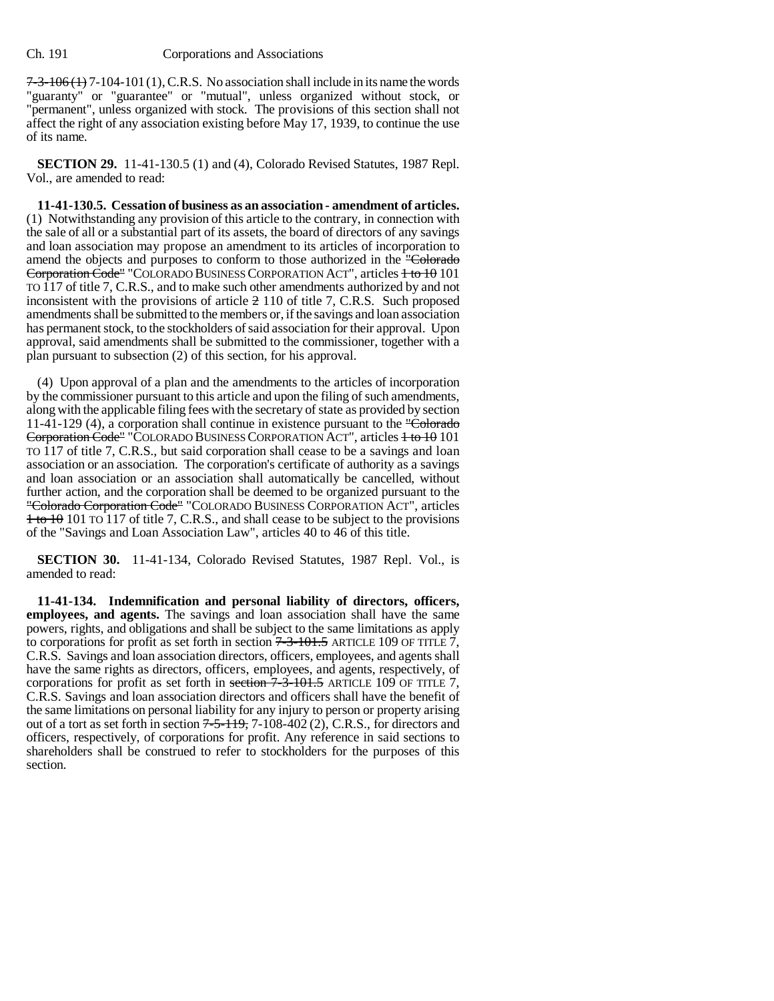$7-3-106(1)$  7-104-101(1), C.R.S. No association shall include in its name the words "guaranty" or "guarantee" or "mutual", unless organized without stock, or "permanent", unless organized with stock. The provisions of this section shall not affect the right of any association existing before May 17, 1939, to continue the use of its name.

**SECTION 29.** 11-41-130.5 (1) and (4), Colorado Revised Statutes, 1987 Repl. Vol., are amended to read:

**11-41-130.5. Cessation of business as an association - amendment of articles.** (1) Notwithstanding any provision of this article to the contrary, in connection with the sale of all or a substantial part of its assets, the board of directors of any savings and loan association may propose an amendment to its articles of incorporation to amend the objects and purposes to conform to those authorized in the "Colorado" Corporation Code" "COLORADO BUSINESS CORPORATION ACT", articles  $+$  to  $+$  0 101 TO 117 of title 7, C.R.S., and to make such other amendments authorized by and not inconsistent with the provisions of article 2 110 of title 7, C.R.S. Such proposed amendments shall be submitted to the members or, if the savings and loan association has permanent stock, to the stockholders of said association for their approval. Upon approval, said amendments shall be submitted to the commissioner, together with a plan pursuant to subsection (2) of this section, for his approval.

(4) Upon approval of a plan and the amendments to the articles of incorporation by the commissioner pursuant to this article and upon the filing of such amendments, along with the applicable filing fees with the secretary of state as provided by section 11-41-129 (4), a corporation shall continue in existence pursuant to the "Colorado Corporation Code" "COLORADO BUSINESS CORPORATION ACT", articles  $1$  to 10 101 TO 117 of title 7, C.R.S., but said corporation shall cease to be a savings and loan association or an association. The corporation's certificate of authority as a savings and loan association or an association shall automatically be cancelled, without further action, and the corporation shall be deemed to be organized pursuant to the "Colorado Corporation Code" "COLORADO BUSINESS CORPORATION ACT", articles 1 to 10 101 TO 117 of title 7, C.R.S., and shall cease to be subject to the provisions of the "Savings and Loan Association Law", articles 40 to 46 of this title.

**SECTION 30.** 11-41-134, Colorado Revised Statutes, 1987 Repl. Vol., is amended to read:

**11-41-134. Indemnification and personal liability of directors, officers, employees, and agents.** The savings and loan association shall have the same powers, rights, and obligations and shall be subject to the same limitations as apply to corporations for profit as set forth in section  $7-3-101.5$  ARTICLE 109 OF TITLE 7, C.R.S. Savings and loan association directors, officers, employees, and agents shall have the same rights as directors, officers, employees, and agents, respectively, of corporations for profit as set forth in section  $7-3-101.5$  ARTICLE 109 OF TITLE 7, C.R.S. Savings and loan association directors and officers shall have the benefit of the same limitations on personal liability for any injury to person or property arising out of a tort as set forth in section  $7-5-119$ ,  $7-108-402(2)$ , C.R.S., for directors and officers, respectively, of corporations for profit. Any reference in said sections to shareholders shall be construed to refer to stockholders for the purposes of this section.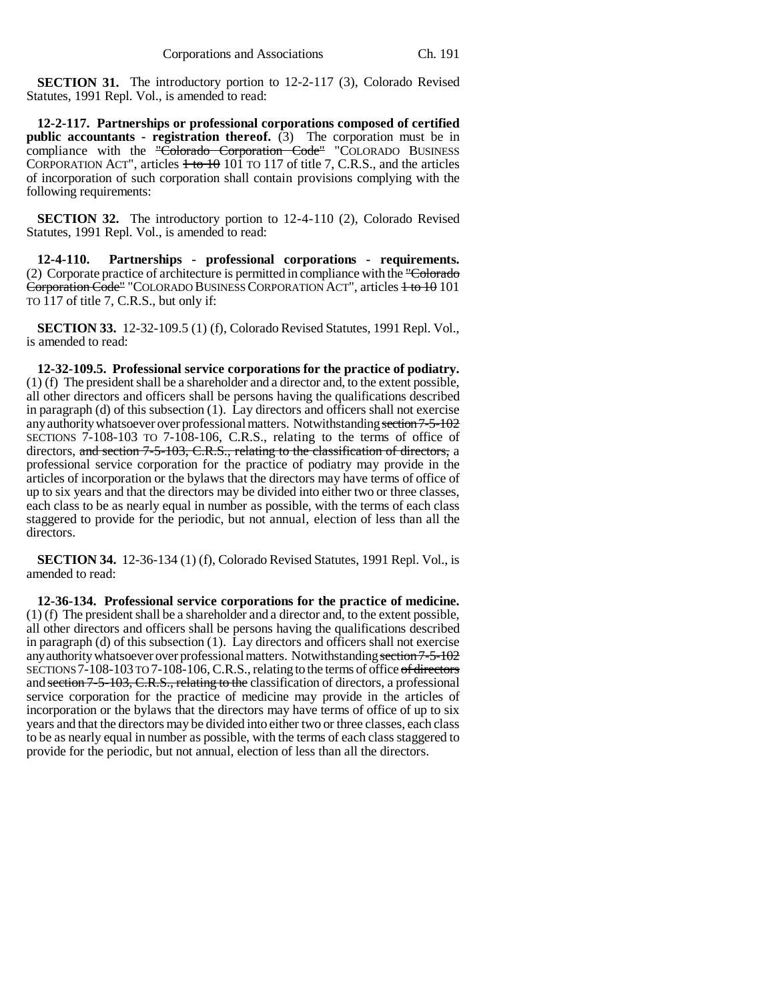**SECTION 31.** The introductory portion to 12-2-117 (3), Colorado Revised Statutes, 1991 Repl. Vol., is amended to read:

**12-2-117. Partnerships or professional corporations composed of certified public accountants - registration thereof.** (3) The corporation must be in compliance with the "Colorado Corporation Code" "COLORADO BUSINESS CORPORATION ACT", articles  $1 \text{ to } 10 \text{ I}$  TO 117 of title 7, C.R.S., and the articles of incorporation of such corporation shall contain provisions complying with the following requirements:

**SECTION 32.** The introductory portion to 12-4-110 (2), Colorado Revised Statutes, 1991 Repl. Vol., is amended to read:

**12-4-110. Partnerships - professional corporations - requirements.** (2) Corporate practice of architecture is permitted in compliance with the "Colorado Corporation Code" "COLORADO BUSINESS CORPORATION ACT", articles 1 to 10 101 TO 117 of title 7, C.R.S., but only if:

**SECTION 33.** 12-32-109.5 (1) (f), Colorado Revised Statutes, 1991 Repl. Vol., is amended to read:

**12-32-109.5. Professional service corporations for the practice of podiatry.** (1) (f) The president shall be a shareholder and a director and, to the extent possible, all other directors and officers shall be persons having the qualifications described in paragraph (d) of this subsection (1). Lay directors and officers shall not exercise any authority whatsoever over professional matters. Notwithstanding section 7-5-102 SECTIONS 7-108-103 TO 7-108-106, C.R.S., relating to the terms of office of directors, and section 7-5-103, C.R.S., relating to the classification of directors, a professional service corporation for the practice of podiatry may provide in the articles of incorporation or the bylaws that the directors may have terms of office of up to six years and that the directors may be divided into either two or three classes, each class to be as nearly equal in number as possible, with the terms of each class staggered to provide for the periodic, but not annual, election of less than all the directors.

**SECTION 34.** 12-36-134 (1) (f), Colorado Revised Statutes, 1991 Repl. Vol., is amended to read:

**12-36-134. Professional service corporations for the practice of medicine.** (1) (f) The president shall be a shareholder and a director and, to the extent possible, all other directors and officers shall be persons having the qualifications described in paragraph (d) of this subsection (1). Lay directors and officers shall not exercise any authority whatsoever over professional matters. Notwithstanding section 7-5-102 SECTIONS  $7-108-103$  TO  $7-108-106$ , C.R.S., relating to the terms of office of directors and section 7-5-103, C.R.S., relating to the classification of directors, a professional service corporation for the practice of medicine may provide in the articles of incorporation or the bylaws that the directors may have terms of office of up to six years and that the directors may be divided into either two or three classes, each class to be as nearly equal in number as possible, with the terms of each class staggered to provide for the periodic, but not annual, election of less than all the directors.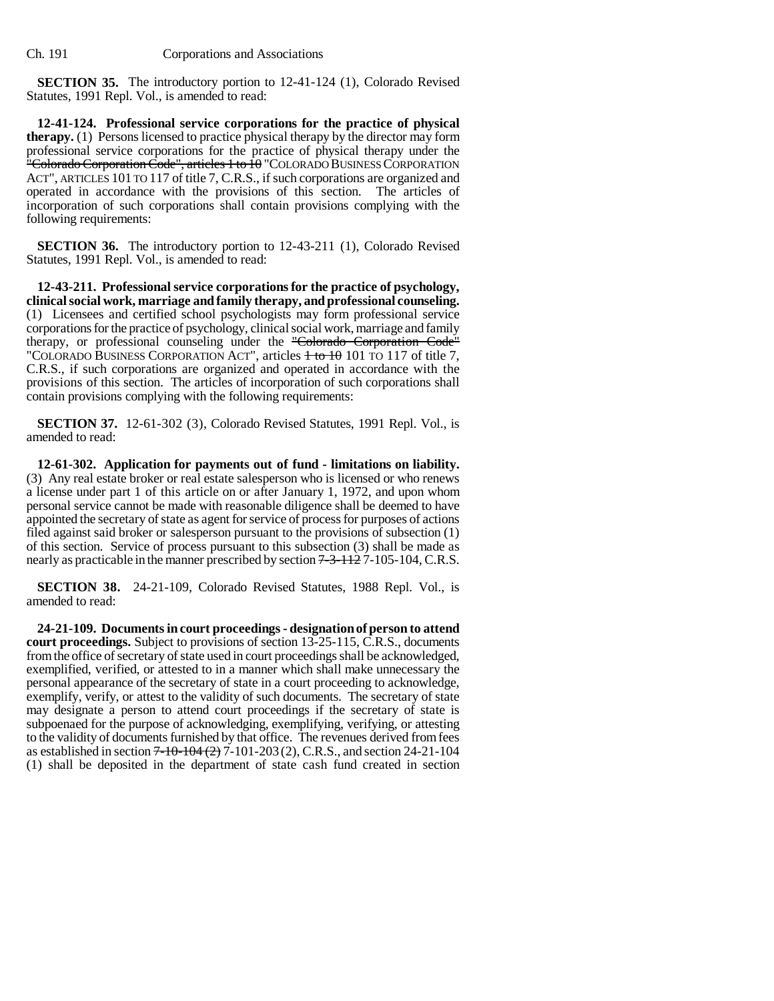**SECTION 35.** The introductory portion to 12-41-124 (1), Colorado Revised Statutes, 1991 Repl. Vol., is amended to read:

**12-41-124. Professional service corporations for the practice of physical therapy.** (1) Persons licensed to practice physical therapy by the director may form professional service corporations for the practice of physical therapy under the "Colorado Corporation Code", articles 1 to 10 "COLORADO BUSINESS CORPORATION ACT", ARTICLES 101 TO 117 of title 7, C.R.S., if such corporations are organized and operated in accordance with the provisions of this section. The articles of incorporation of such corporations shall contain provisions complying with the following requirements:

**SECTION 36.** The introductory portion to 12-43-211 (1), Colorado Revised Statutes, 1991 Repl. Vol., is amended to read:

**12-43-211. Professional service corporations for the practice of psychology, clinical social work, marriage and family therapy, and professional counseling.** (1) Licensees and certified school psychologists may form professional service corporations for the practice of psychology, clinical social work, marriage and family therapy, or professional counseling under the "Colorado Corporation Code" "COLORADO BUSINESS CORPORATION ACT", articles  $1$  to  $101$  To  $117$  of title 7, C.R.S., if such corporations are organized and operated in accordance with the provisions of this section. The articles of incorporation of such corporations shall contain provisions complying with the following requirements:

**SECTION 37.** 12-61-302 (3), Colorado Revised Statutes, 1991 Repl. Vol., is amended to read:

**12-61-302. Application for payments out of fund - limitations on liability.** (3) Any real estate broker or real estate salesperson who is licensed or who renews a license under part 1 of this article on or after January 1, 1972, and upon whom personal service cannot be made with reasonable diligence shall be deemed to have appointed the secretary of state as agent for service of process for purposes of actions filed against said broker or salesperson pursuant to the provisions of subsection (1) of this section. Service of process pursuant to this subsection (3) shall be made as nearly as practicable in the manner prescribed by section  $7-3-112$  7-105-104, C.R.S.

**SECTION 38.** 24-21-109, Colorado Revised Statutes, 1988 Repl. Vol., is amended to read:

**24-21-109. Documents in court proceedings - designation of person to attend court proceedings.** Subject to provisions of section 13-25-115, C.R.S., documents from the office of secretary of state used in court proceedings shall be acknowledged, exemplified, verified, or attested to in a manner which shall make unnecessary the personal appearance of the secretary of state in a court proceeding to acknowledge, exemplify, verify, or attest to the validity of such documents. The secretary of state may designate a person to attend court proceedings if the secretary of state is subpoenaed for the purpose of acknowledging, exemplifying, verifying, or attesting to the validity of documents furnished by that office. The revenues derived from fees as established in section 7-10-104 (2) 7-101-203 (2), C.R.S., and section 24-21-104 (1) shall be deposited in the department of state cash fund created in section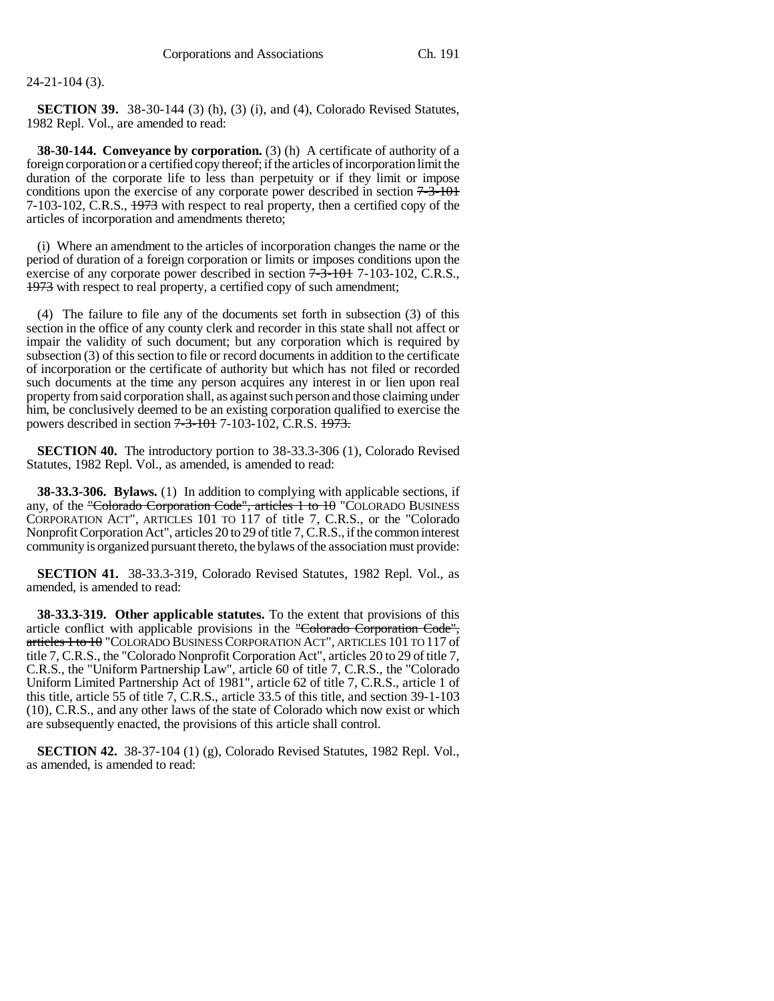# 24-21-104 (3).

**SECTION 39.** 38-30-144 (3) (h), (3) (i), and (4), Colorado Revised Statutes, 1982 Repl. Vol., are amended to read:

**38-30-144. Conveyance by corporation.** (3) (h) A certificate of authority of a foreign corporation or a certified copy thereof; if the articles of incorporation limit the duration of the corporate life to less than perpetuity or if they limit or impose conditions upon the exercise of any corporate power described in section  $7-3-101$ 7-103-102, C.R.S.,  $\frac{1973}{2}$  with respect to real property, then a certified copy of the articles of incorporation and amendments thereto;

(i) Where an amendment to the articles of incorporation changes the name or the period of duration of a foreign corporation or limits or imposes conditions upon the exercise of any corporate power described in section  $7\text{-}3\text{-}101$  7-103-102, C.R.S., 1973 with respect to real property, a certified copy of such amendment;

(4) The failure to file any of the documents set forth in subsection (3) of this section in the office of any county clerk and recorder in this state shall not affect or impair the validity of such document; but any corporation which is required by subsection (3) of this section to file or record documents in addition to the certificate of incorporation or the certificate of authority but which has not filed or recorded such documents at the time any person acquires any interest in or lien upon real property from said corporation shall, as against such person and those claiming under him, be conclusively deemed to be an existing corporation qualified to exercise the powers described in section 7-3-101 7-103-102, C.R.S. 1973.

**SECTION 40.** The introductory portion to 38-33.3-306 (1), Colorado Revised Statutes, 1982 Repl. Vol., as amended, is amended to read:

**38-33.3-306. Bylaws.** (1) In addition to complying with applicable sections, if any, of the "Colorado Corporation Code", articles 1 to 10 "COLORADO BUSINESS CORPORATION ACT", ARTICLES 101 TO 117 of title 7, C.R.S., or the "Colorado Nonprofit Corporation Act", articles 20 to 29 of title 7, C.R.S., if the common interest community is organized pursuant thereto, the bylaws of the association must provide:

**SECTION 41.** 38-33.3-319, Colorado Revised Statutes, 1982 Repl. Vol., as amended, is amended to read:

**38-33.3-319. Other applicable statutes.** To the extent that provisions of this article conflict with applicable provisions in the "Colorado Corporation Code", articles 1 to 10 "COLORADO BUSINESS CORPORATION ACT", ARTICLES 101 TO 117 of title 7, C.R.S., the "Colorado Nonprofit Corporation Act", articles 20 to 29 of title 7, C.R.S., the "Uniform Partnership Law", article 60 of title 7, C.R.S., the "Colorado Uniform Limited Partnership Act of 1981", article 62 of title 7, C.R.S., article 1 of this title, article 55 of title 7, C.R.S., article 33.5 of this title, and section 39-1-103 (10), C.R.S., and any other laws of the state of Colorado which now exist or which are subsequently enacted, the provisions of this article shall control.

**SECTION 42.** 38-37-104 (1) (g), Colorado Revised Statutes, 1982 Repl. Vol., as amended, is amended to read: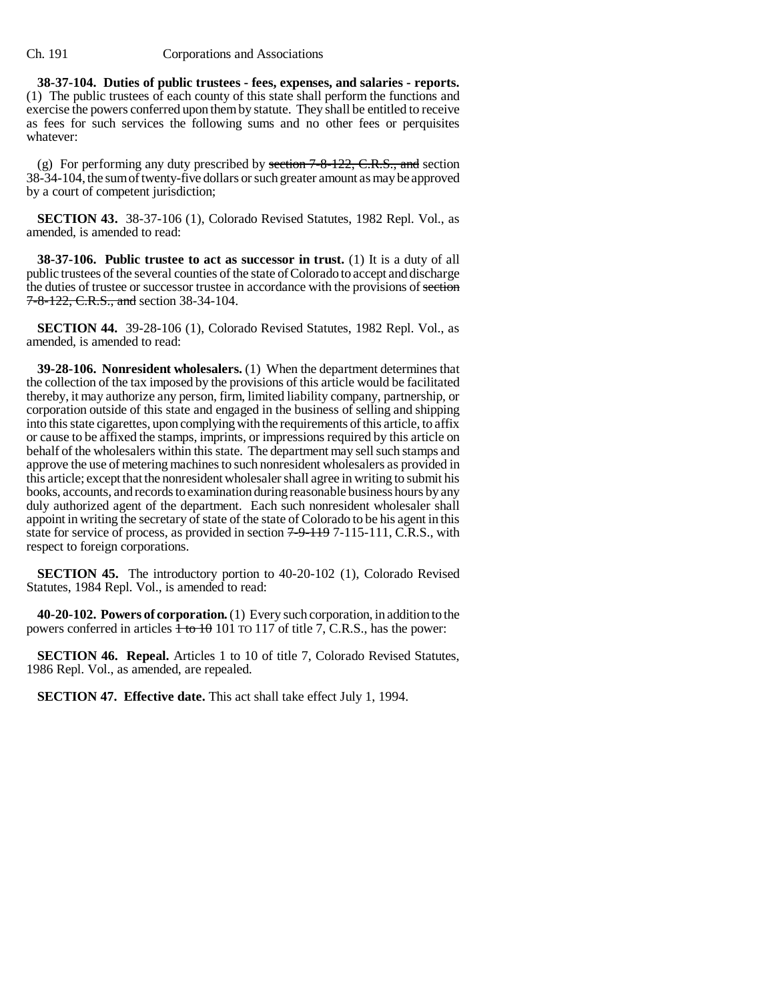**38-37-104. Duties of public trustees - fees, expenses, and salaries - reports.** (1) The public trustees of each county of this state shall perform the functions and exercise the powers conferred upon them by statute. They shall be entitled to receive as fees for such services the following sums and no other fees or perquisites whatever:

(g) For performing any duty prescribed by section  $7-8-122$ , C.R.S., and section 38-34-104, the sum of twenty-five dollars or such greater amount as may be approved by a court of competent jurisdiction;

**SECTION 43.** 38-37-106 (1), Colorado Revised Statutes, 1982 Repl. Vol., as amended, is amended to read:

**38-37-106. Public trustee to act as successor in trust.** (1) It is a duty of all public trustees of the several counties of the state of Colorado to accept and discharge the duties of trustee or successor trustee in accordance with the provisions of section 7-8-122, C.R.S., and section 38-34-104.

**SECTION 44.** 39-28-106 (1), Colorado Revised Statutes, 1982 Repl. Vol., as amended, is amended to read:

**39-28-106. Nonresident wholesalers.** (1) When the department determines that the collection of the tax imposed by the provisions of this article would be facilitated thereby, it may authorize any person, firm, limited liability company, partnership, or corporation outside of this state and engaged in the business of selling and shipping into this state cigarettes, upon complying with the requirements of this article, to affix or cause to be affixed the stamps, imprints, or impressions required by this article on behalf of the wholesalers within this state. The department may sell such stamps and approve the use of metering machines to such nonresident wholesalers as provided in this article; except that the nonresident wholesaler shall agree in writing to submit his books, accounts, and records to examination during reasonable business hours by any duly authorized agent of the department. Each such nonresident wholesaler shall appoint in writing the secretary of state of the state of Colorado to be his agent in this state for service of process, as provided in section 7-9-119 7-115-111, C.R.S., with respect to foreign corporations.

**SECTION 45.** The introductory portion to 40-20-102 (1), Colorado Revised Statutes, 1984 Repl. Vol., is amended to read:

**40-20-102. Powers of corporation.** (1) Every such corporation, in addition to the powers conferred in articles  $1 \text{ to } 101$  TO 117 of title 7, C.R.S., has the power:

**SECTION 46. Repeal.** Articles 1 to 10 of title 7, Colorado Revised Statutes, 1986 Repl. Vol., as amended, are repealed.

**SECTION 47. Effective date.** This act shall take effect July 1, 1994.